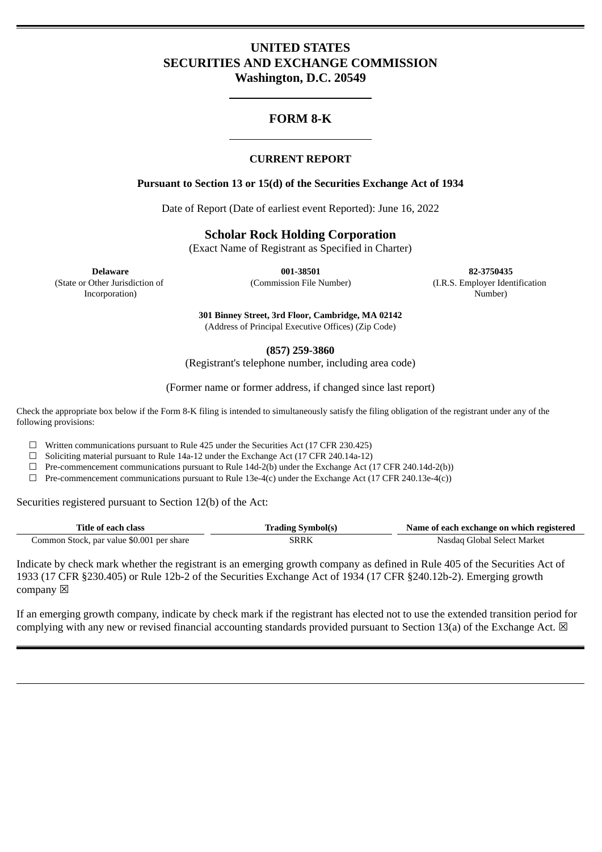## **UNITED STATES SECURITIES AND EXCHANGE COMMISSION Washington, D.C. 20549**

# **FORM 8-K**

## **CURRENT REPORT**

## **Pursuant to Section 13 or 15(d) of the Securities Exchange Act of 1934**

Date of Report (Date of earliest event Reported): June 16, 2022

## **Scholar Rock Holding Corporation**

(Exact Name of Registrant as Specified in Charter)

(State or Other Jurisdiction of

Incorporation)

**Delaware 001-38501 82-3750435** (Commission File Number) (I.R.S. Employer Identification Number)

> **301 Binney Street, 3rd Floor, Cambridge, MA 02142** (Address of Principal Executive Offices) (Zip Code)

> > **(857) 259-3860**

(Registrant's telephone number, including area code)

## (Former name or former address, if changed since last report)

Check the appropriate box below if the Form 8-K filing is intended to simultaneously satisfy the filing obligation of the registrant under any of the following provisions:

 $\Box$  Written communications pursuant to Rule 425 under the Securities Act (17 CFR 230.425)

 $\Box$  Soliciting material pursuant to Rule 14a-12 under the Exchange Act (17 CFR 240.14a-12)

☐ Pre-commencement communications pursuant to Rule 14d-2(b) under the Exchange Act (17 CFR 240.14d-2(b))

 $\Box$  Pre-commencement communications pursuant to Rule 13e-4(c) under the Exchange Act (17 CFR 240.13e-4(c))

Securities registered pursuant to Section 12(b) of the Act:

| Title of each class                       | <b>Trading Symbol(s)</b> | Name of each exchange on which registered |
|-------------------------------------------|--------------------------|-------------------------------------------|
| Common Stock, par value \$0.001 per share | SRRK                     | Nasdag Global Select Market               |

Indicate by check mark whether the registrant is an emerging growth company as defined in Rule 405 of the Securities Act of 1933 (17 CFR §230.405) or Rule 12b-2 of the Securities Exchange Act of 1934 (17 CFR §240.12b-2). Emerging growth company  $\boxtimes$ 

If an emerging growth company, indicate by check mark if the registrant has elected not to use the extended transition period for complying with any new or revised financial accounting standards provided pursuant to Section 13(a) of the Exchange Act.  $\boxtimes$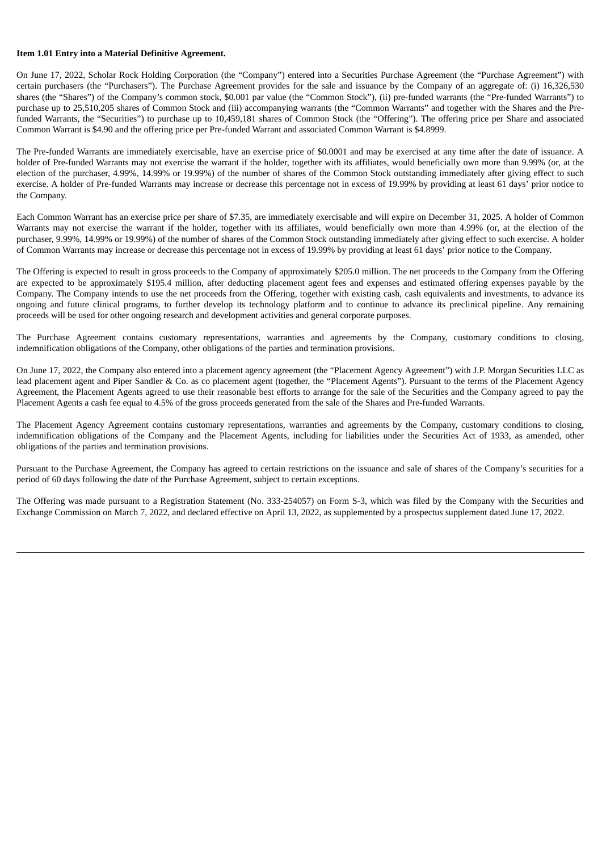#### **Item 1.01 Entry into a Material Definitive Agreement.**

On June 17, 2022, Scholar Rock Holding Corporation (the "Company") entered into a Securities Purchase Agreement (the "Purchase Agreement") with certain purchasers (the "Purchasers"). The Purchase Agreement provides for the sale and issuance by the Company of an aggregate of: (i) 16,326,530 shares (the "Shares") of the Company's common stock, \$0.001 par value (the "Common Stock"), (ii) pre-funded warrants (the "Pre-funded Warrants") to purchase up to 25,510,205 shares of Common Stock and (iii) accompanying warrants (the "Common Warrants" and together with the Shares and the Prefunded Warrants, the "Securities") to purchase up to 10,459,181 shares of Common Stock (the "Offering"). The offering price per Share and associated Common Warrant is \$4.90 and the offering price per Pre-funded Warrant and associated Common Warrant is \$4.8999.

The Pre-funded Warrants are immediately exercisable, have an exercise price of \$0.0001 and may be exercised at any time after the date of issuance. A holder of Pre-funded Warrants may not exercise the warrant if the holder, together with its affiliates, would beneficially own more than 9.99% (or, at the election of the purchaser, 4.99%, 14.99% or 19.99%) of the number of shares of the Common Stock outstanding immediately after giving effect to such exercise. A holder of Pre-funded Warrants may increase or decrease this percentage not in excess of 19.99% by providing at least 61 days' prior notice to the Company.

Each Common Warrant has an exercise price per share of \$7.35, are immediately exercisable and will expire on December 31, 2025. A holder of Common Warrants may not exercise the warrant if the holder, together with its affiliates, would beneficially own more than 4.99% (or, at the election of the purchaser, 9.99%, 14.99% or 19.99%) of the number of shares of the Common Stock outstanding immediately after giving effect to such exercise. A holder of Common Warrants may increase or decrease this percentage not in excess of 19.99% by providing at least 61 days' prior notice to the Company.

The Offering is expected to result in gross proceeds to the Company of approximately \$205.0 million. The net proceeds to the Company from the Offering are expected to be approximately \$195.4 million, after deducting placement agent fees and expenses and estimated offering expenses payable by the Company. The Company intends to use the net proceeds from the Offering, together with existing cash, cash equivalents and investments, to advance its ongoing and future clinical programs, to further develop its technology platform and to continue to advance its preclinical pipeline. Any remaining proceeds will be used for other ongoing research and development activities and general corporate purposes.

The Purchase Agreement contains customary representations, warranties and agreements by the Company, customary conditions to closing, indemnification obligations of the Company, other obligations of the parties and termination provisions.

On June 17, 2022, the Company also entered into a placement agency agreement (the "Placement Agency Agreement") with J.P. Morgan Securities LLC as lead placement agent and Piper Sandler & Co. as co placement agent (together, the "Placement Agents"). Pursuant to the terms of the Placement Agency Agreement, the Placement Agents agreed to use their reasonable best efforts to arrange for the sale of the Securities and the Company agreed to pay the Placement Agents a cash fee equal to 4.5% of the gross proceeds generated from the sale of the Shares and Pre-funded Warrants.

The Placement Agency Agreement contains customary representations, warranties and agreements by the Company, customary conditions to closing, indemnification obligations of the Company and the Placement Agents, including for liabilities under the Securities Act of 1933, as amended, other obligations of the parties and termination provisions.

Pursuant to the Purchase Agreement, the Company has agreed to certain restrictions on the issuance and sale of shares of the Company's securities for a period of 60 days following the date of the Purchase Agreement, subject to certain exceptions.

The Offering was made pursuant to a Registration Statement (No. 333-254057) on Form S-3, which was filed by the Company with the Securities and Exchange Commission on March 7, 2022, and declared effective on April 13, 2022, as supplemented by a prospectus supplement dated June 17, 2022.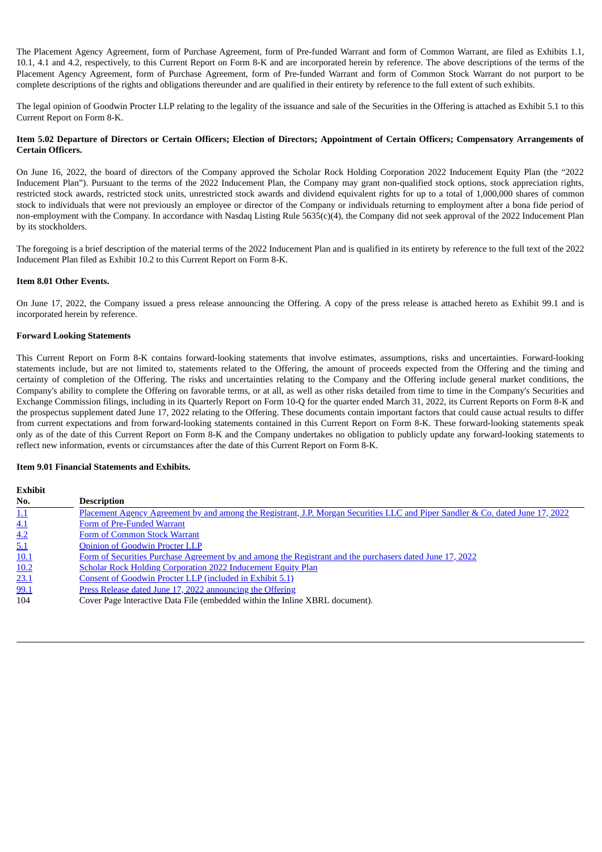The Placement Agency Agreement, form of Purchase Agreement, form of Pre-funded Warrant and form of Common Warrant, are filed as Exhibits 1.1, 10.1, 4.1 and 4.2, respectively, to this Current Report on Form 8-K and are incorporated herein by reference. The above descriptions of the terms of the Placement Agency Agreement, form of Purchase Agreement, form of Pre-funded Warrant and form of Common Stock Warrant do not purport to be complete descriptions of the rights and obligations thereunder and are qualified in their entirety by reference to the full extent of such exhibits.

The legal opinion of Goodwin Procter LLP relating to the legality of the issuance and sale of the Securities in the Offering is attached as Exhibit 5.1 to this Current Report on Form 8-K.

### Item 5.02 Departure of Directors or Certain Officers; Election of Directors; Appointment of Certain Officers; Compensatory Arrangements of **Certain Officers.**

On June 16, 2022, the board of directors of the Company approved the Scholar Rock Holding Corporation 2022 Inducement Equity Plan (the "2022 Inducement Plan"). Pursuant to the terms of the 2022 Inducement Plan, the Company may grant non-qualified stock options, stock appreciation rights, restricted stock awards, restricted stock units, unrestricted stock awards and dividend equivalent rights for up to a total of 1,000,000 shares of common stock to individuals that were not previously an employee or director of the Company or individuals returning to employment after a bona fide period of non-employment with the Company. In accordance with Nasdaq Listing Rule 5635(c)(4), the Company did not seek approval of the 2022 Inducement Plan by its stockholders.

The foregoing is a brief description of the material terms of the 2022 Inducement Plan and is qualified in its entirety by reference to the full text of the 2022 Inducement Plan filed as Exhibit 10.2 to this Current Report on Form 8-K.

## **Item 8.01 Other Events.**

On June 17, 2022, the Company issued a press release announcing the Offering. A copy of the press release is attached hereto as Exhibit 99.1 and is incorporated herein by reference.

#### **Forward Looking Statements**

This Current Report on Form 8-K contains forward-looking statements that involve estimates, assumptions, risks and uncertainties. Forward-looking statements include, but are not limited to, statements related to the Offering, the amount of proceeds expected from the Offering and the timing and certainty of completion of the Offering. The risks and uncertainties relating to the Company and the Offering include general market conditions, the Company's ability to complete the Offering on favorable terms, or at all, as well as other risks detailed from time to time in the Company's Securities and Exchange Commission filings, including in its Quarterly Report on Form 10-Q for the quarter ended March 31, 2022, its Current Reports on Form 8-K and the prospectus supplement dated June 17, 2022 relating to the Offering. These documents contain important factors that could cause actual results to differ from current expectations and from forward-looking statements contained in this Current Report on Form 8-K. These forward-looking statements speak only as of the date of this Current Report on Form 8-K and the Company undertakes no obligation to publicly update any forward-looking statements to reflect new information, events or circumstances after the date of this Current Report on Form 8-K.

#### **Item 9.01 Financial Statements and Exhibits.**

#### **Exhibit**

| No.  | <b>Description</b>                                                                                                             |
|------|--------------------------------------------------------------------------------------------------------------------------------|
| 1.1  | Placement Agency Agreement by and among the Registrant, J.P. Morgan Securities LLC and Piper Sandler & Co. dated June 17, 2022 |
| 4.1  | Form of Pre-Funded Warrant                                                                                                     |
| 4.2  | Form of Common Stock Warrant                                                                                                   |
| 5.1  | <b>Opinion of Goodwin Procter LLP</b>                                                                                          |
| 10.1 | Form of Securities Purchase Agreement by and among the Registrant and the purchasers dated June 17, 2022                       |
| 10.2 | <b>Scholar Rock Holding Corporation 2022 Inducement Equity Plan</b>                                                            |
| 23.1 | Consent of Goodwin Procter LLP (included in Exhibit 5.1)                                                                       |
| 99.1 | Press Release dated June 17, 2022 announcing the Offering                                                                      |
| 104  | Cover Page Interactive Data File (embedded within the Inline XBRL document).                                                   |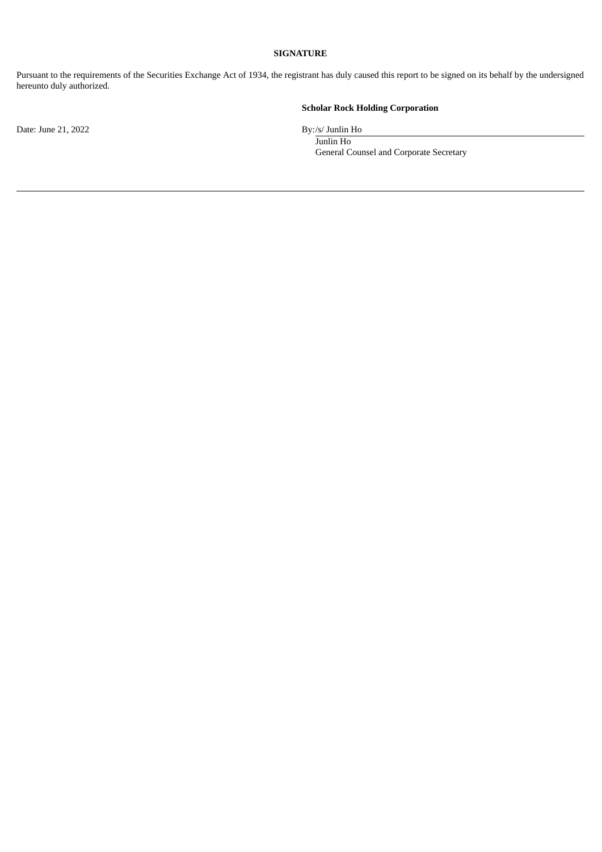## **SIGNATURE**

Pursuant to the requirements of the Securities Exchange Act of 1934, the registrant has duly caused this report to be signed on its behalf by the undersigned hereunto duly authorized.

## **Scholar Rock Holding Corporation**

Date: June 21, 2022 By:/s/ Junlin Ho

Junlin Ho General Counsel and Corporate Secretary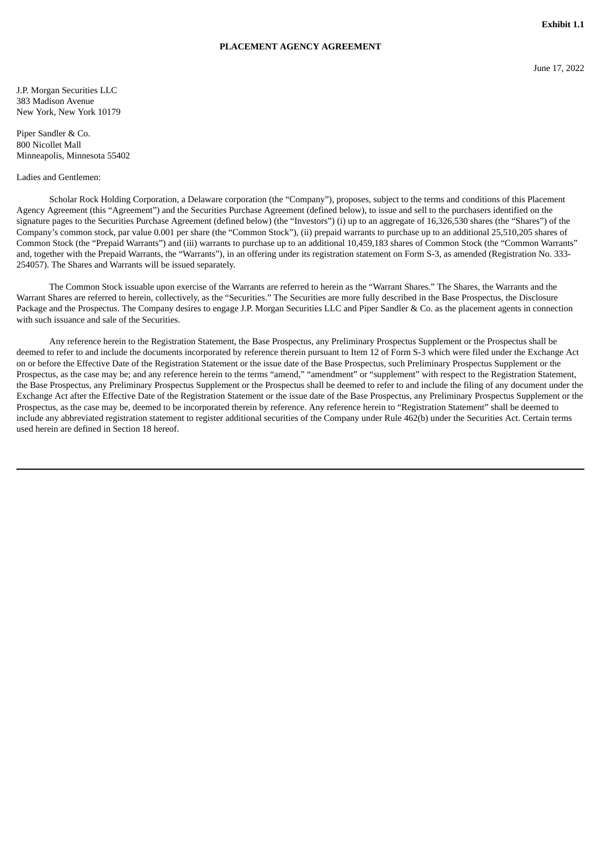<span id="page-4-0"></span>J.P. Morgan Securities LLC 383 Madison Avenue New York, New York 10179

Piper Sandler & Co. 800 Nicollet Mall Minneapolis, Minnesota 55402

#### Ladies and Gentlemen:

June 17, 2022

Scholar Rock Holding Corporation, a Delaware corporation (the "Company"), proposes, subject to the terms and conditions of this Placement Agency Agreement (this "Agreement") and the Securities Purchase Agreement (defined below), to issue and sell to the purchasers identified on the signature pages to the Securities Purchase Agreement (defined below) (the "Investors") (i) up to an aggregate of 16,326,530 shares (the "Shares") of the Company's common stock, par value 0.001 per share (the "Common Stock"), (ii) prepaid warrants to purchase up to an additional 25,510,205 shares of Common Stock (the "Prepaid Warrants") and (iii) warrants to purchase up to an additional 10,459,183 shares of Common Stock (the "Common Warrants" and, together with the Prepaid Warrants, the "Warrants"), in an offering under its registration statement on Form S-3, as amended (Registration No. 333- 254057). The Shares and Warrants will be issued separately.

The Common Stock issuable upon exercise of the Warrants are referred to herein as the "Warrant Shares." The Shares, the Warrants and the Warrant Shares are referred to herein, collectively, as the "Securities." The Securities are more fully described in the Base Prospectus, the Disclosure Package and the Prospectus. The Company desires to engage J.P. Morgan Securities LLC and Piper Sandler & Co. as the placement agents in connection with such issuance and sale of the Securities.

Any reference herein to the Registration Statement, the Base Prospectus, any Preliminary Prospectus Supplement or the Prospectus shall be deemed to refer to and include the documents incorporated by reference therein pursuant to Item 12 of Form S-3 which were filed under the Exchange Act on or before the Effective Date of the Registration Statement or the issue date of the Base Prospectus, such Preliminary Prospectus Supplement or the Prospectus, as the case may be; and any reference herein to the terms "amend," "amendment" or "supplement" with respect to the Registration Statement, the Base Prospectus, any Preliminary Prospectus Supplement or the Prospectus shall be deemed to refer to and include the filing of any document under the Exchange Act after the Effective Date of the Registration Statement or the issue date of the Base Prospectus, any Preliminary Prospectus Supplement or the Prospectus, as the case may be, deemed to be incorporated therein by reference. Any reference herein to "Registration Statement" shall be deemed to include any abbreviated registration statement to register additional securities of the Company under Rule 462(b) under the Securities Act. Certain terms used herein are defined in Section 18 hereof.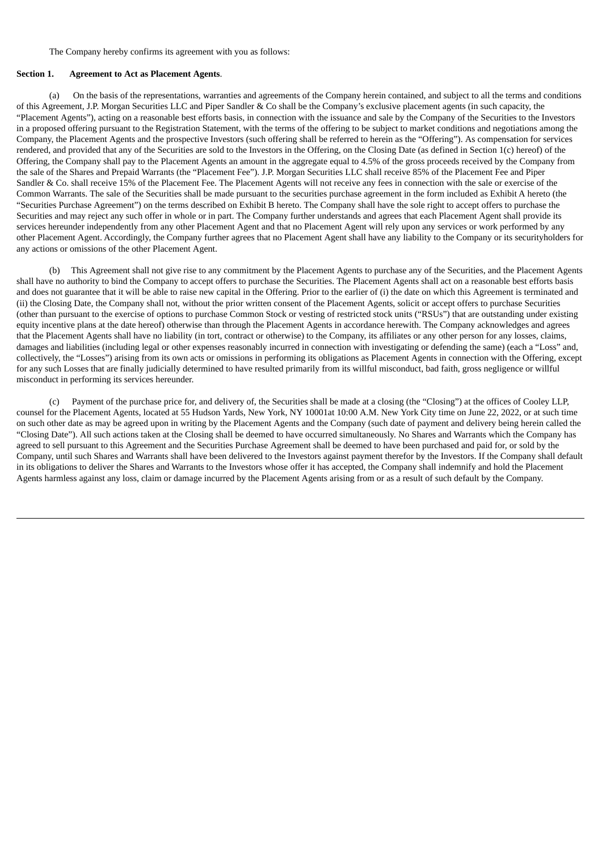#### The Company hereby confirms its agreement with you as follows:

#### **Section 1. Agreement to Act as Placement Agents**.

(a) On the basis of the representations, warranties and agreements of the Company herein contained, and subject to all the terms and conditions of this Agreement, J.P. Morgan Securities LLC and Piper Sandler & Co shall be the Company's exclusive placement agents (in such capacity, the "Placement Agents"), acting on a reasonable best efforts basis, in connection with the issuance and sale by the Company of the Securities to the Investors in a proposed offering pursuant to the Registration Statement, with the terms of the offering to be subject to market conditions and negotiations among the Company, the Placement Agents and the prospective Investors (such offering shall be referred to herein as the "Offering"). As compensation for services rendered, and provided that any of the Securities are sold to the Investors in the Offering, on the Closing Date (as defined in Section 1(c) hereof) of the Offering, the Company shall pay to the Placement Agents an amount in the aggregate equal to 4.5% of the gross proceeds received by the Company from the sale of the Shares and Prepaid Warrants (the "Placement Fee"). J.P. Morgan Securities LLC shall receive 85% of the Placement Fee and Piper Sandler & Co. shall receive 15% of the Placement Fee. The Placement Agents will not receive any fees in connection with the sale or exercise of the Common Warrants. The sale of the Securities shall be made pursuant to the securities purchase agreement in the form included as Exhibit A hereto (the "Securities Purchase Agreement") on the terms described on Exhibit B hereto. The Company shall have the sole right to accept offers to purchase the Securities and may reject any such offer in whole or in part. The Company further understands and agrees that each Placement Agent shall provide its services hereunder independently from any other Placement Agent and that no Placement Agent will rely upon any services or work performed by any other Placement Agent. Accordingly, the Company further agrees that no Placement Agent shall have any liability to the Company or its securityholders for any actions or omissions of the other Placement Agent.

(b) This Agreement shall not give rise to any commitment by the Placement Agents to purchase any of the Securities, and the Placement Agents shall have no authority to bind the Company to accept offers to purchase the Securities. The Placement Agents shall act on a reasonable best efforts basis and does not guarantee that it will be able to raise new capital in the Offering. Prior to the earlier of (i) the date on which this Agreement is terminated and (ii) the Closing Date, the Company shall not, without the prior written consent of the Placement Agents, solicit or accept offers to purchase Securities (other than pursuant to the exercise of options to purchase Common Stock or vesting of restricted stock units ("RSUs") that are outstanding under existing equity incentive plans at the date hereof) otherwise than through the Placement Agents in accordance herewith. The Company acknowledges and agrees that the Placement Agents shall have no liability (in tort, contract or otherwise) to the Company, its affiliates or any other person for any losses, claims, damages and liabilities (including legal or other expenses reasonably incurred in connection with investigating or defending the same) (each a "Loss" and, collectively, the "Losses") arising from its own acts or omissions in performing its obligations as Placement Agents in connection with the Offering, except for any such Losses that are finally judicially determined to have resulted primarily from its willful misconduct, bad faith, gross negligence or willful misconduct in performing its services hereunder.

(c) Payment of the purchase price for, and delivery of, the Securities shall be made at a closing (the "Closing") at the offices of Cooley LLP, counsel for the Placement Agents, located at 55 Hudson Yards, New York, NY 10001at 10:00 A.M. New York City time on June 22, 2022, or at such time on such other date as may be agreed upon in writing by the Placement Agents and the Company (such date of payment and delivery being herein called the "Closing Date"). All such actions taken at the Closing shall be deemed to have occurred simultaneously. No Shares and Warrants which the Company has agreed to sell pursuant to this Agreement and the Securities Purchase Agreement shall be deemed to have been purchased and paid for, or sold by the Company, until such Shares and Warrants shall have been delivered to the Investors against payment therefor by the Investors. If the Company shall default in its obligations to deliver the Shares and Warrants to the Investors whose offer it has accepted, the Company shall indemnify and hold the Placement Agents harmless against any loss, claim or damage incurred by the Placement Agents arising from or as a result of such default by the Company.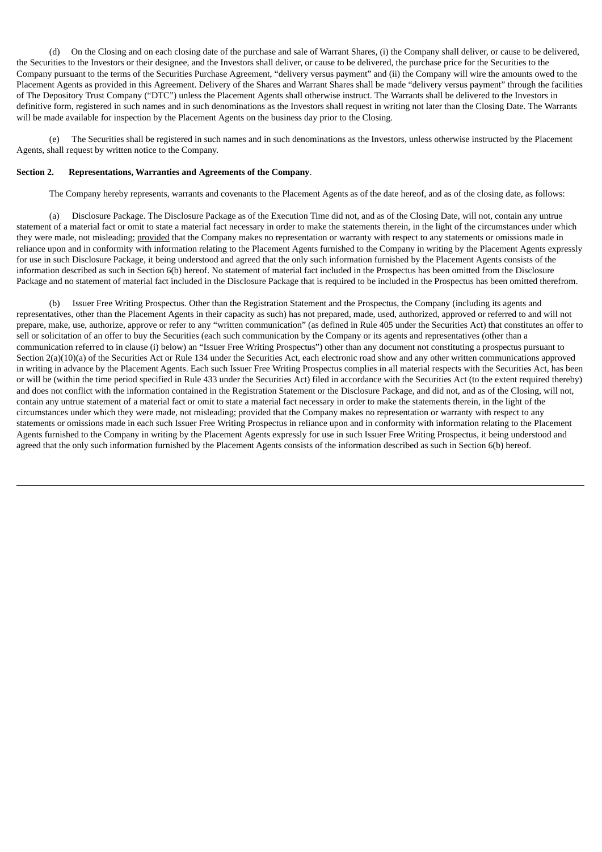(d) On the Closing and on each closing date of the purchase and sale of Warrant Shares, (i) the Company shall deliver, or cause to be delivered, the Securities to the Investors or their designee, and the Investors shall deliver, or cause to be delivered, the purchase price for the Securities to the Company pursuant to the terms of the Securities Purchase Agreement, "delivery versus payment" and (ii) the Company will wire the amounts owed to the Placement Agents as provided in this Agreement. Delivery of the Shares and Warrant Shares shall be made "delivery versus payment" through the facilities of The Depository Trust Company ("DTC") unless the Placement Agents shall otherwise instruct. The Warrants shall be delivered to the Investors in definitive form, registered in such names and in such denominations as the Investors shall request in writing not later than the Closing Date. The Warrants will be made available for inspection by the Placement Agents on the business day prior to the Closing.

(e) The Securities shall be registered in such names and in such denominations as the Investors, unless otherwise instructed by the Placement Agents, shall request by written notice to the Company.

#### **Section 2. Representations, Warranties and Agreements of the Company**.

The Company hereby represents, warrants and covenants to the Placement Agents as of the date hereof, and as of the closing date, as follows:

(a) Disclosure Package. The Disclosure Package as of the Execution Time did not, and as of the Closing Date, will not, contain any untrue statement of a material fact or omit to state a material fact necessary in order to make the statements therein, in the light of the circumstances under which they were made, not misleading; provided that the Company makes no representation or warranty with respect to any statements or omissions made in reliance upon and in conformity with information relating to the Placement Agents furnished to the Company in writing by the Placement Agents expressly for use in such Disclosure Package, it being understood and agreed that the only such information furnished by the Placement Agents consists of the information described as such in Section 6(b) hereof. No statement of material fact included in the Prospectus has been omitted from the Disclosure Package and no statement of material fact included in the Disclosure Package that is required to be included in the Prospectus has been omitted therefrom.

Issuer Free Writing Prospectus. Other than the Registration Statement and the Prospectus, the Company (including its agents and representatives, other than the Placement Agents in their capacity as such) has not prepared, made, used, authorized, approved or referred to and will not prepare, make, use, authorize, approve or refer to any "written communication" (as defined in Rule 405 under the Securities Act) that constitutes an offer to sell or solicitation of an offer to buy the Securities (each such communication by the Company or its agents and representatives (other than a communication referred to in clause (i) below) an "Issuer Free Writing Prospectus") other than any document not constituting a prospectus pursuant to Section 2(a)(10)(a) of the Securities Act or Rule 134 under the Securities Act, each electronic road show and any other written communications approved in writing in advance by the Placement Agents. Each such Issuer Free Writing Prospectus complies in all material respects with the Securities Act, has been or will be (within the time period specified in Rule 433 under the Securities Act) filed in accordance with the Securities Act (to the extent required thereby) and does not conflict with the information contained in the Registration Statement or the Disclosure Package, and did not, and as of the Closing, will not, contain any untrue statement of a material fact or omit to state a material fact necessary in order to make the statements therein, in the light of the circumstances under which they were made, not misleading; provided that the Company makes no representation or warranty with respect to any statements or omissions made in each such Issuer Free Writing Prospectus in reliance upon and in conformity with information relating to the Placement Agents furnished to the Company in writing by the Placement Agents expressly for use in such Issuer Free Writing Prospectus, it being understood and agreed that the only such information furnished by the Placement Agents consists of the information described as such in Section 6(b) hereof.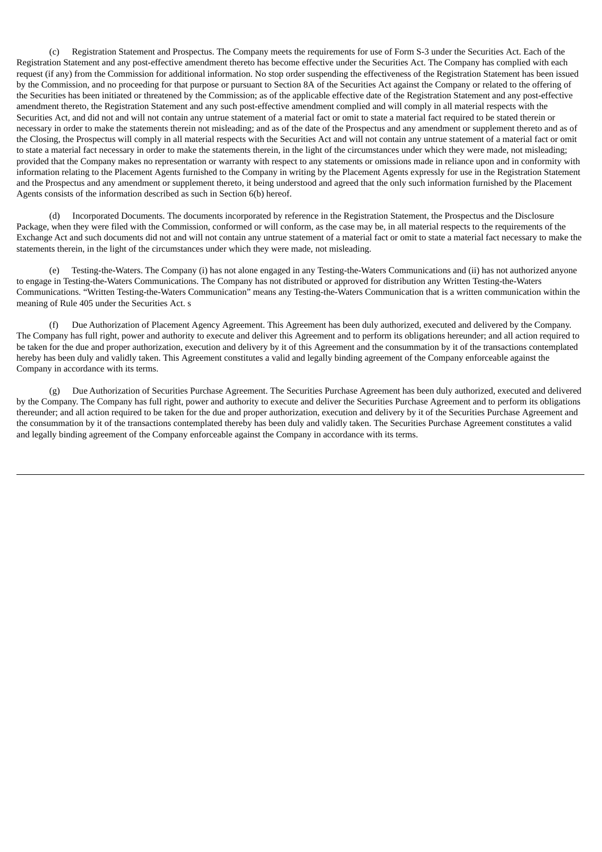(c) Registration Statement and Prospectus. The Company meets the requirements for use of Form S-3 under the Securities Act. Each of the Registration Statement and any post-effective amendment thereto has become effective under the Securities Act. The Company has complied with each request (if any) from the Commission for additional information. No stop order suspending the effectiveness of the Registration Statement has been issued by the Commission, and no proceeding for that purpose or pursuant to Section 8A of the Securities Act against the Company or related to the offering of the Securities has been initiated or threatened by the Commission; as of the applicable effective date of the Registration Statement and any post-effective amendment thereto, the Registration Statement and any such post-effective amendment complied and will comply in all material respects with the Securities Act, and did not and will not contain any untrue statement of a material fact or omit to state a material fact required to be stated therein or necessary in order to make the statements therein not misleading; and as of the date of the Prospectus and any amendment or supplement thereto and as of the Closing, the Prospectus will comply in all material respects with the Securities Act and will not contain any untrue statement of a material fact or omit to state a material fact necessary in order to make the statements therein, in the light of the circumstances under which they were made, not misleading; provided that the Company makes no representation or warranty with respect to any statements or omissions made in reliance upon and in conformity with information relating to the Placement Agents furnished to the Company in writing by the Placement Agents expressly for use in the Registration Statement and the Prospectus and any amendment or supplement thereto, it being understood and agreed that the only such information furnished by the Placement Agents consists of the information described as such in Section 6(b) hereof.

(d) Incorporated Documents. The documents incorporated by reference in the Registration Statement, the Prospectus and the Disclosure Package, when they were filed with the Commission, conformed or will conform, as the case may be, in all material respects to the requirements of the Exchange Act and such documents did not and will not contain any untrue statement of a material fact or omit to state a material fact necessary to make the statements therein, in the light of the circumstances under which they were made, not misleading.

(e) Testing-the-Waters. The Company (i) has not alone engaged in any Testing-the-Waters Communications and (ii) has not authorized anyone to engage in Testing-the-Waters Communications. The Company has not distributed or approved for distribution any Written Testing-the-Waters Communications. "Written Testing-the-Waters Communication" means any Testing-the-Waters Communication that is a written communication within the meaning of Rule 405 under the Securities Act. s

(f) Due Authorization of Placement Agency Agreement. This Agreement has been duly authorized, executed and delivered by the Company. The Company has full right, power and authority to execute and deliver this Agreement and to perform its obligations hereunder; and all action required to be taken for the due and proper authorization, execution and delivery by it of this Agreement and the consummation by it of the transactions contemplated hereby has been duly and validly taken. This Agreement constitutes a valid and legally binding agreement of the Company enforceable against the Company in accordance with its terms.

Due Authorization of Securities Purchase Agreement. The Securities Purchase Agreement has been duly authorized, executed and delivered by the Company. The Company has full right, power and authority to execute and deliver the Securities Purchase Agreement and to perform its obligations thereunder; and all action required to be taken for the due and proper authorization, execution and delivery by it of the Securities Purchase Agreement and the consummation by it of the transactions contemplated thereby has been duly and validly taken. The Securities Purchase Agreement constitutes a valid and legally binding agreement of the Company enforceable against the Company in accordance with its terms.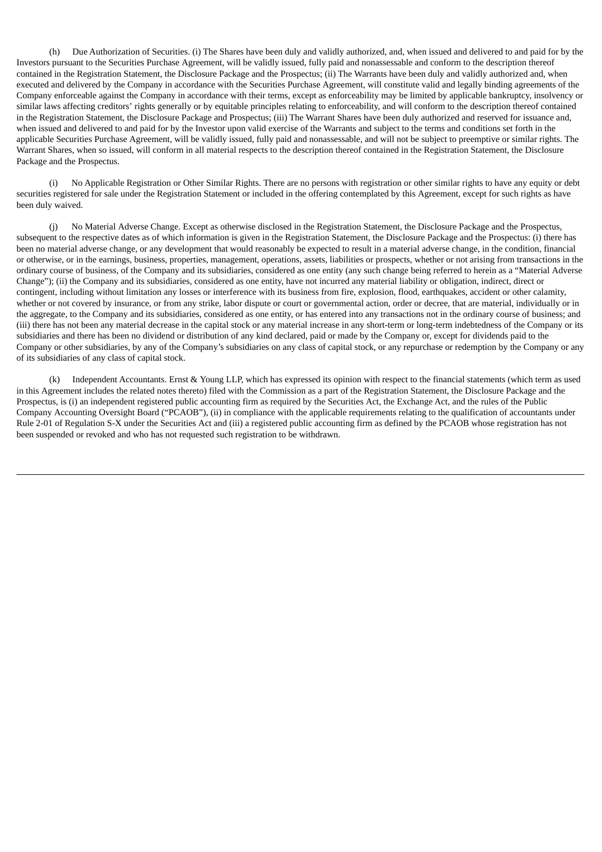(h) Due Authorization of Securities. (i) The Shares have been duly and validly authorized, and, when issued and delivered to and paid for by the Investors pursuant to the Securities Purchase Agreement, will be validly issued, fully paid and nonassessable and conform to the description thereof contained in the Registration Statement, the Disclosure Package and the Prospectus; (ii) The Warrants have been duly and validly authorized and, when executed and delivered by the Company in accordance with the Securities Purchase Agreement, will constitute valid and legally binding agreements of the Company enforceable against the Company in accordance with their terms, except as enforceability may be limited by applicable bankruptcy, insolvency or similar laws affecting creditors' rights generally or by equitable principles relating to enforceability, and will conform to the description thereof contained in the Registration Statement, the Disclosure Package and Prospectus; (iii) The Warrant Shares have been duly authorized and reserved for issuance and, when issued and delivered to and paid for by the Investor upon valid exercise of the Warrants and subject to the terms and conditions set forth in the applicable Securities Purchase Agreement, will be validly issued, fully paid and nonassessable, and will not be subject to preemptive or similar rights. The Warrant Shares, when so issued, will conform in all material respects to the description thereof contained in the Registration Statement, the Disclosure Package and the Prospectus.

(i) No Applicable Registration or Other Similar Rights. There are no persons with registration or other similar rights to have any equity or debt securities registered for sale under the Registration Statement or included in the offering contemplated by this Agreement, except for such rights as have been duly waived.

(j) No Material Adverse Change. Except as otherwise disclosed in the Registration Statement, the Disclosure Package and the Prospectus, subsequent to the respective dates as of which information is given in the Registration Statement, the Disclosure Package and the Prospectus: (i) there has been no material adverse change, or any development that would reasonably be expected to result in a material adverse change, in the condition, financial or otherwise, or in the earnings, business, properties, management, operations, assets, liabilities or prospects, whether or not arising from transactions in the ordinary course of business, of the Company and its subsidiaries, considered as one entity (any such change being referred to herein as a "Material Adverse Change"); (ii) the Company and its subsidiaries, considered as one entity, have not incurred any material liability or obligation, indirect, direct or contingent, including without limitation any losses or interference with its business from fire, explosion, flood, earthquakes, accident or other calamity, whether or not covered by insurance, or from any strike, labor dispute or court or governmental action, order or decree, that are material, individually or in the aggregate, to the Company and its subsidiaries, considered as one entity, or has entered into any transactions not in the ordinary course of business; and (iii) there has not been any material decrease in the capital stock or any material increase in any short-term or long-term indebtedness of the Company or its subsidiaries and there has been no dividend or distribution of any kind declared, paid or made by the Company or, except for dividends paid to the Company or other subsidiaries, by any of the Company's subsidiaries on any class of capital stock, or any repurchase or redemption by the Company or any of its subsidiaries of any class of capital stock.

(k) Independent Accountants. Ernst & Young LLP, which has expressed its opinion with respect to the financial statements (which term as used in this Agreement includes the related notes thereto) filed with the Commission as a part of the Registration Statement, the Disclosure Package and the Prospectus, is (i) an independent registered public accounting firm as required by the Securities Act, the Exchange Act, and the rules of the Public Company Accounting Oversight Board ("PCAOB"), (ii) in compliance with the applicable requirements relating to the qualification of accountants under Rule 2-01 of Regulation S-X under the Securities Act and (iii) a registered public accounting firm as defined by the PCAOB whose registration has not been suspended or revoked and who has not requested such registration to be withdrawn.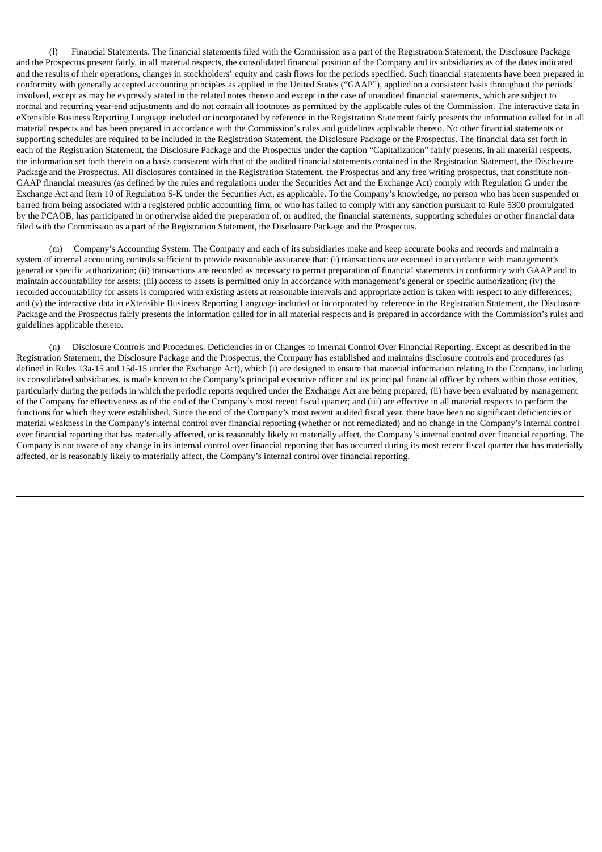(l) Financial Statements. The financial statements filed with the Commission as a part of the Registration Statement, the Disclosure Package and the Prospectus present fairly, in all material respects, the consolidated financial position of the Company and its subsidiaries as of the dates indicated and the results of their operations, changes in stockholders' equity and cash flows for the periods specified. Such financial statements have been prepared in conformity with generally accepted accounting principles as applied in the United States ("GAAP"), applied on a consistent basis throughout the periods involved, except as may be expressly stated in the related notes thereto and except in the case of unaudited financial statements, which are subject to normal and recurring year-end adjustments and do not contain all footnotes as permitted by the applicable rules of the Commission. The interactive data in eXtensible Business Reporting Language included or incorporated by reference in the Registration Statement fairly presents the information called for in all material respects and has been prepared in accordance with the Commission's rules and guidelines applicable thereto. No other financial statements or supporting schedules are required to be included in the Registration Statement, the Disclosure Package or the Prospectus. The financial data set forth in each of the Registration Statement, the Disclosure Package and the Prospectus under the caption "Capitalization" fairly presents, in all material respects, the information set forth therein on a basis consistent with that of the audited financial statements contained in the Registration Statement, the Disclosure Package and the Prospectus. All disclosures contained in the Registration Statement, the Prospectus and any free writing prospectus, that constitute non-GAAP financial measures (as defined by the rules and regulations under the Securities Act and the Exchange Act) comply with Regulation G under the Exchange Act and Item 10 of Regulation S-K under the Securities Act, as applicable. To the Company's knowledge, no person who has been suspended or barred from being associated with a registered public accounting firm, or who has failed to comply with any sanction pursuant to Rule 5300 promulgated by the PCAOB, has participated in or otherwise aided the preparation of, or audited, the financial statements, supporting schedules or other financial data filed with the Commission as a part of the Registration Statement, the Disclosure Package and the Prospectus.

(m) Company's Accounting System. The Company and each of its subsidiaries make and keep accurate books and records and maintain a system of internal accounting controls sufficient to provide reasonable assurance that: (i) transactions are executed in accordance with management's general or specific authorization; (ii) transactions are recorded as necessary to permit preparation of financial statements in conformity with GAAP and to maintain accountability for assets; (iii) access to assets is permitted only in accordance with management's general or specific authorization; (iv) the recorded accountability for assets is compared with existing assets at reasonable intervals and appropriate action is taken with respect to any differences; and (v) the interactive data in eXtensible Business Reporting Language included or incorporated by reference in the Registration Statement, the Disclosure Package and the Prospectus fairly presents the information called for in all material respects and is prepared in accordance with the Commission's rules and guidelines applicable thereto.

(n) Disclosure Controls and Procedures. Deficiencies in or Changes to Internal Control Over Financial Reporting. Except as described in the Registration Statement, the Disclosure Package and the Prospectus, the Company has established and maintains disclosure controls and procedures (as defined in Rules 13a-15 and 15d-15 under the Exchange Act), which (i) are designed to ensure that material information relating to the Company, including its consolidated subsidiaries, is made known to the Company's principal executive officer and its principal financial officer by others within those entities, particularly during the periods in which the periodic reports required under the Exchange Act are being prepared; (ii) have been evaluated by management of the Company for effectiveness as of the end of the Company's most recent fiscal quarter; and (iii) are effective in all material respects to perform the functions for which they were established. Since the end of the Company's most recent audited fiscal year, there have been no significant deficiencies or material weakness in the Company's internal control over financial reporting (whether or not remediated) and no change in the Company's internal control over financial reporting that has materially affected, or is reasonably likely to materially affect, the Company's internal control over financial reporting. The Company is not aware of any change in its internal control over financial reporting that has occurred during its most recent fiscal quarter that has materially affected, or is reasonably likely to materially affect, the Company's internal control over financial reporting.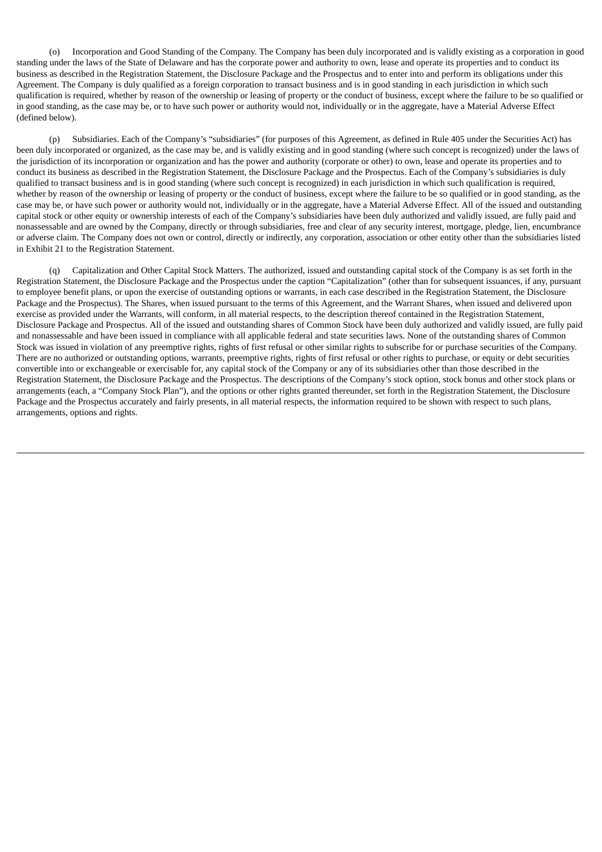(o) Incorporation and Good Standing of the Company. The Company has been duly incorporated and is validly existing as a corporation in good standing under the laws of the State of Delaware and has the corporate power and authority to own, lease and operate its properties and to conduct its business as described in the Registration Statement, the Disclosure Package and the Prospectus and to enter into and perform its obligations under this Agreement. The Company is duly qualified as a foreign corporation to transact business and is in good standing in each jurisdiction in which such qualification is required, whether by reason of the ownership or leasing of property or the conduct of business, except where the failure to be so qualified or in good standing, as the case may be, or to have such power or authority would not, individually or in the aggregate, have a Material Adverse Effect (defined below).

(p) Subsidiaries. Each of the Company's "subsidiaries" (for purposes of this Agreement, as defined in Rule 405 under the Securities Act) has been duly incorporated or organized, as the case may be, and is validly existing and in good standing (where such concept is recognized) under the laws of the jurisdiction of its incorporation or organization and has the power and authority (corporate or other) to own, lease and operate its properties and to conduct its business as described in the Registration Statement, the Disclosure Package and the Prospectus. Each of the Company's subsidiaries is duly qualified to transact business and is in good standing (where such concept is recognized) in each jurisdiction in which such qualification is required, whether by reason of the ownership or leasing of property or the conduct of business, except where the failure to be so qualified or in good standing, as the case may be, or have such power or authority would not, individually or in the aggregate, have a Material Adverse Effect. All of the issued and outstanding capital stock or other equity or ownership interests of each of the Company's subsidiaries have been duly authorized and validly issued, are fully paid and nonassessable and are owned by the Company, directly or through subsidiaries, free and clear of any security interest, mortgage, pledge, lien, encumbrance or adverse claim. The Company does not own or control, directly or indirectly, any corporation, association or other entity other than the subsidiaries listed in Exhibit 21 to the Registration Statement.

(q) Capitalization and Other Capital Stock Matters. The authorized, issued and outstanding capital stock of the Company is as set forth in the Registration Statement, the Disclosure Package and the Prospectus under the caption "Capitalization" (other than for subsequent issuances, if any, pursuant to employee benefit plans, or upon the exercise of outstanding options or warrants, in each case described in the Registration Statement, the Disclosure Package and the Prospectus). The Shares, when issued pursuant to the terms of this Agreement, and the Warrant Shares, when issued and delivered upon exercise as provided under the Warrants, will conform, in all material respects, to the description thereof contained in the Registration Statement, Disclosure Package and Prospectus. All of the issued and outstanding shares of Common Stock have been duly authorized and validly issued, are fully paid and nonassessable and have been issued in compliance with all applicable federal and state securities laws. None of the outstanding shares of Common Stock was issued in violation of any preemptive rights, rights of first refusal or other similar rights to subscribe for or purchase securities of the Company. There are no authorized or outstanding options, warrants, preemptive rights, rights of first refusal or other rights to purchase, or equity or debt securities convertible into or exchangeable or exercisable for, any capital stock of the Company or any of its subsidiaries other than those described in the Registration Statement, the Disclosure Package and the Prospectus. The descriptions of the Company's stock option, stock bonus and other stock plans or arrangements (each, a "Company Stock Plan"), and the options or other rights granted thereunder, set forth in the Registration Statement, the Disclosure Package and the Prospectus accurately and fairly presents, in all material respects, the information required to be shown with respect to such plans, arrangements, options and rights.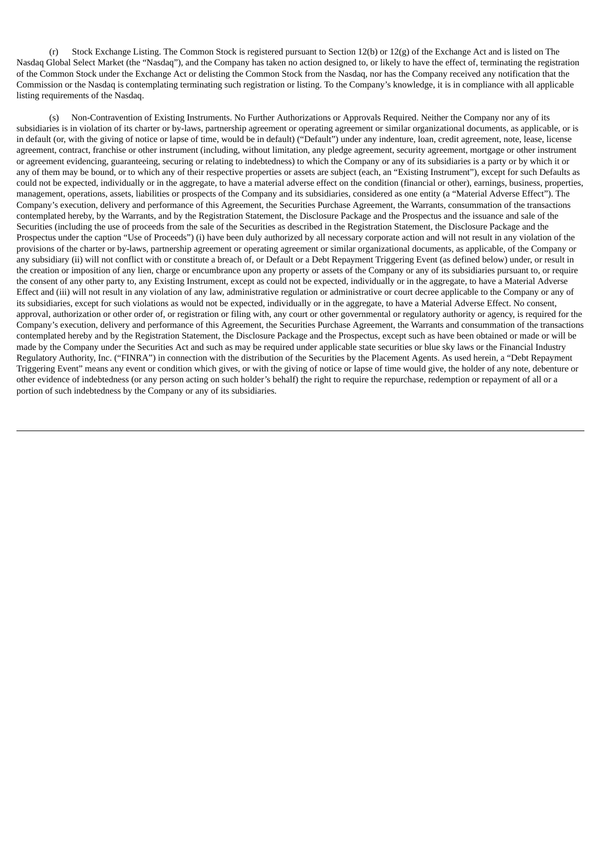(r) Stock Exchange Listing. The Common Stock is registered pursuant to Section 12(b) or 12(g) of the Exchange Act and is listed on The Nasdaq Global Select Market (the "Nasdaq"), and the Company has taken no action designed to, or likely to have the effect of, terminating the registration of the Common Stock under the Exchange Act or delisting the Common Stock from the Nasdaq, nor has the Company received any notification that the Commission or the Nasdaq is contemplating terminating such registration or listing. To the Company's knowledge, it is in compliance with all applicable listing requirements of the Nasdaq.

(s) Non-Contravention of Existing Instruments. No Further Authorizations or Approvals Required. Neither the Company nor any of its subsidiaries is in violation of its charter or by-laws, partnership agreement or operating agreement or similar organizational documents, as applicable, or is in default (or, with the giving of notice or lapse of time, would be in default) ("Default") under any indenture, loan, credit agreement, note, lease, license agreement, contract, franchise or other instrument (including, without limitation, any pledge agreement, security agreement, mortgage or other instrument or agreement evidencing, guaranteeing, securing or relating to indebtedness) to which the Company or any of its subsidiaries is a party or by which it or any of them may be bound, or to which any of their respective properties or assets are subject (each, an "Existing Instrument"), except for such Defaults as could not be expected, individually or in the aggregate, to have a material adverse effect on the condition (financial or other), earnings, business, properties, management, operations, assets, liabilities or prospects of the Company and its subsidiaries, considered as one entity (a "Material Adverse Effect"). The Company's execution, delivery and performance of this Agreement, the Securities Purchase Agreement, the Warrants, consummation of the transactions contemplated hereby, by the Warrants, and by the Registration Statement, the Disclosure Package and the Prospectus and the issuance and sale of the Securities (including the use of proceeds from the sale of the Securities as described in the Registration Statement, the Disclosure Package and the Prospectus under the caption "Use of Proceeds") (i) have been duly authorized by all necessary corporate action and will not result in any violation of the provisions of the charter or by-laws, partnership agreement or operating agreement or similar organizational documents, as applicable, of the Company or any subsidiary (ii) will not conflict with or constitute a breach of, or Default or a Debt Repayment Triggering Event (as defined below) under, or result in the creation or imposition of any lien, charge or encumbrance upon any property or assets of the Company or any of its subsidiaries pursuant to, or require the consent of any other party to, any Existing Instrument, except as could not be expected, individually or in the aggregate, to have a Material Adverse Effect and (iii) will not result in any violation of any law, administrative regulation or administrative or court decree applicable to the Company or any of its subsidiaries, except for such violations as would not be expected, individually or in the aggregate, to have a Material Adverse Effect. No consent, approval, authorization or other order of, or registration or filing with, any court or other governmental or regulatory authority or agency, is required for the Company's execution, delivery and performance of this Agreement, the Securities Purchase Agreement, the Warrants and consummation of the transactions contemplated hereby and by the Registration Statement, the Disclosure Package and the Prospectus, except such as have been obtained or made or will be made by the Company under the Securities Act and such as may be required under applicable state securities or blue sky laws or the Financial Industry Regulatory Authority, Inc. ("FINRA") in connection with the distribution of the Securities by the Placement Agents. As used herein, a "Debt Repayment Triggering Event" means any event or condition which gives, or with the giving of notice or lapse of time would give, the holder of any note, debenture or other evidence of indebtedness (or any person acting on such holder's behalf) the right to require the repurchase, redemption or repayment of all or a portion of such indebtedness by the Company or any of its subsidiaries.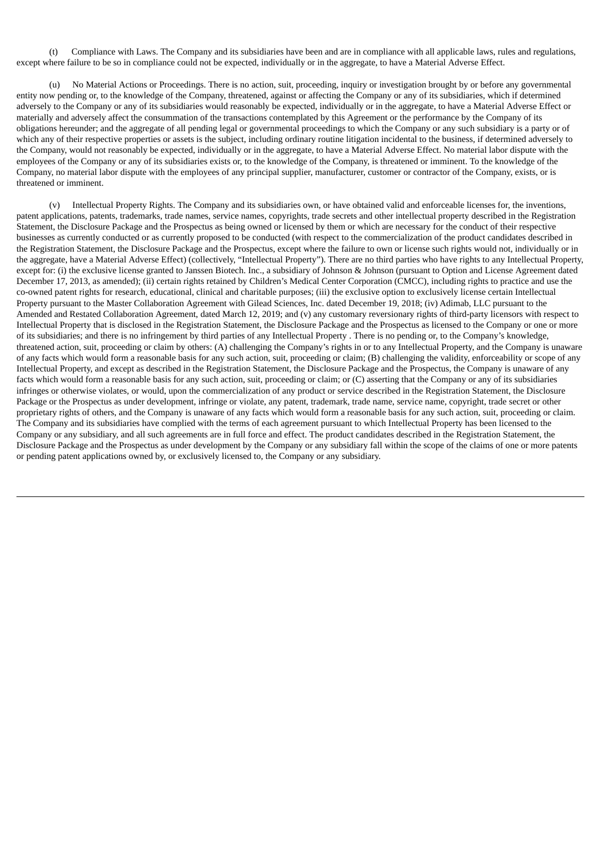(t) Compliance with Laws. The Company and its subsidiaries have been and are in compliance with all applicable laws, rules and regulations, except where failure to be so in compliance could not be expected, individually or in the aggregate, to have a Material Adverse Effect.

No Material Actions or Proceedings. There is no action, suit, proceeding, inquiry or investigation brought by or before any governmental entity now pending or, to the knowledge of the Company, threatened, against or affecting the Company or any of its subsidiaries, which if determined adversely to the Company or any of its subsidiaries would reasonably be expected, individually or in the aggregate, to have a Material Adverse Effect or materially and adversely affect the consummation of the transactions contemplated by this Agreement or the performance by the Company of its obligations hereunder; and the aggregate of all pending legal or governmental proceedings to which the Company or any such subsidiary is a party or of which any of their respective properties or assets is the subject, including ordinary routine litigation incidental to the business, if determined adversely to the Company, would not reasonably be expected, individually or in the aggregate, to have a Material Adverse Effect. No material labor dispute with the employees of the Company or any of its subsidiaries exists or, to the knowledge of the Company, is threatened or imminent. To the knowledge of the Company, no material labor dispute with the employees of any principal supplier, manufacturer, customer or contractor of the Company, exists, or is threatened or imminent.

(v) Intellectual Property Rights. The Company and its subsidiaries own, or have obtained valid and enforceable licenses for, the inventions, patent applications, patents, trademarks, trade names, service names, copyrights, trade secrets and other intellectual property described in the Registration Statement, the Disclosure Package and the Prospectus as being owned or licensed by them or which are necessary for the conduct of their respective businesses as currently conducted or as currently proposed to be conducted (with respect to the commercialization of the product candidates described in the Registration Statement, the Disclosure Package and the Prospectus, except where the failure to own or license such rights would not, individually or in the aggregate, have a Material Adverse Effect) (collectively, "Intellectual Property"). There are no third parties who have rights to any Intellectual Property, except for: (i) the exclusive license granted to Janssen Biotech. Inc., a subsidiary of Johnson & Johnson (pursuant to Option and License Agreement dated December 17, 2013, as amended); (ii) certain rights retained by Children's Medical Center Corporation (CMCC), including rights to practice and use the co-owned patent rights for research, educational, clinical and charitable purposes; (iii) the exclusive option to exclusively license certain Intellectual Property pursuant to the Master Collaboration Agreement with Gilead Sciences, Inc. dated December 19, 2018; (iv) Adimab, LLC pursuant to the Amended and Restated Collaboration Agreement, dated March 12, 2019; and (v) any customary reversionary rights of third-party licensors with respect to Intellectual Property that is disclosed in the Registration Statement, the Disclosure Package and the Prospectus as licensed to the Company or one or more of its subsidiaries; and there is no infringement by third parties of any Intellectual Property . There is no pending or, to the Company's knowledge, threatened action, suit, proceeding or claim by others: (A) challenging the Company's rights in or to any Intellectual Property, and the Company is unaware of any facts which would form a reasonable basis for any such action, suit, proceeding or claim; (B) challenging the validity, enforceability or scope of any Intellectual Property, and except as described in the Registration Statement, the Disclosure Package and the Prospectus, the Company is unaware of any facts which would form a reasonable basis for any such action, suit, proceeding or claim; or (C) asserting that the Company or any of its subsidiaries infringes or otherwise violates, or would, upon the commercialization of any product or service described in the Registration Statement, the Disclosure Package or the Prospectus as under development, infringe or violate, any patent, trademark, trade name, service name, copyright, trade secret or other proprietary rights of others, and the Company is unaware of any facts which would form a reasonable basis for any such action, suit, proceeding or claim. The Company and its subsidiaries have complied with the terms of each agreement pursuant to which Intellectual Property has been licensed to the Company or any subsidiary, and all such agreements are in full force and effect. The product candidates described in the Registration Statement, the Disclosure Package and the Prospectus as under development by the Company or any subsidiary fall within the scope of the claims of one or more patents or pending patent applications owned by, or exclusively licensed to, the Company or any subsidiary.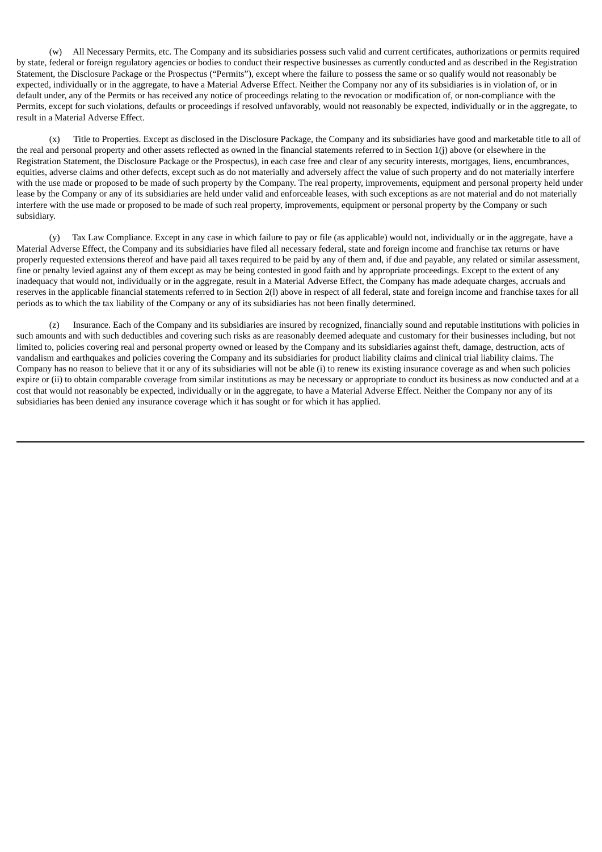(w) All Necessary Permits, etc. The Company and its subsidiaries possess such valid and current certificates, authorizations or permits required by state, federal or foreign regulatory agencies or bodies to conduct their respective businesses as currently conducted and as described in the Registration Statement, the Disclosure Package or the Prospectus ("Permits"), except where the failure to possess the same or so qualify would not reasonably be expected, individually or in the aggregate, to have a Material Adverse Effect. Neither the Company nor any of its subsidiaries is in violation of, or in default under, any of the Permits or has received any notice of proceedings relating to the revocation or modification of, or non-compliance with the Permits, except for such violations, defaults or proceedings if resolved unfavorably, would not reasonably be expected, individually or in the aggregate, to result in a Material Adverse Effect.

(x) Title to Properties. Except as disclosed in the Disclosure Package, the Company and its subsidiaries have good and marketable title to all of the real and personal property and other assets reflected as owned in the financial statements referred to in Section 1(j) above (or elsewhere in the Registration Statement, the Disclosure Package or the Prospectus), in each case free and clear of any security interests, mortgages, liens, encumbrances, equities, adverse claims and other defects, except such as do not materially and adversely affect the value of such property and do not materially interfere with the use made or proposed to be made of such property by the Company. The real property, improvements, equipment and personal property held under lease by the Company or any of its subsidiaries are held under valid and enforceable leases, with such exceptions as are not material and do not materially interfere with the use made or proposed to be made of such real property, improvements, equipment or personal property by the Company or such subsidiary.

(y) Tax Law Compliance. Except in any case in which failure to pay or file (as applicable) would not, individually or in the aggregate, have a Material Adverse Effect, the Company and its subsidiaries have filed all necessary federal, state and foreign income and franchise tax returns or have properly requested extensions thereof and have paid all taxes required to be paid by any of them and, if due and payable, any related or similar assessment, fine or penalty levied against any of them except as may be being contested in good faith and by appropriate proceedings. Except to the extent of any inadequacy that would not, individually or in the aggregate, result in a Material Adverse Effect, the Company has made adequate charges, accruals and reserves in the applicable financial statements referred to in Section 2(l) above in respect of all federal, state and foreign income and franchise taxes for all periods as to which the tax liability of the Company or any of its subsidiaries has not been finally determined.

(z) Insurance. Each of the Company and its subsidiaries are insured by recognized, financially sound and reputable institutions with policies in such amounts and with such deductibles and covering such risks as are reasonably deemed adequate and customary for their businesses including, but not limited to, policies covering real and personal property owned or leased by the Company and its subsidiaries against theft, damage, destruction, acts of vandalism and earthquakes and policies covering the Company and its subsidiaries for product liability claims and clinical trial liability claims. The Company has no reason to believe that it or any of its subsidiaries will not be able (i) to renew its existing insurance coverage as and when such policies expire or (ii) to obtain comparable coverage from similar institutions as may be necessary or appropriate to conduct its business as now conducted and at a cost that would not reasonably be expected, individually or in the aggregate, to have a Material Adverse Effect. Neither the Company nor any of its subsidiaries has been denied any insurance coverage which it has sought or for which it has applied.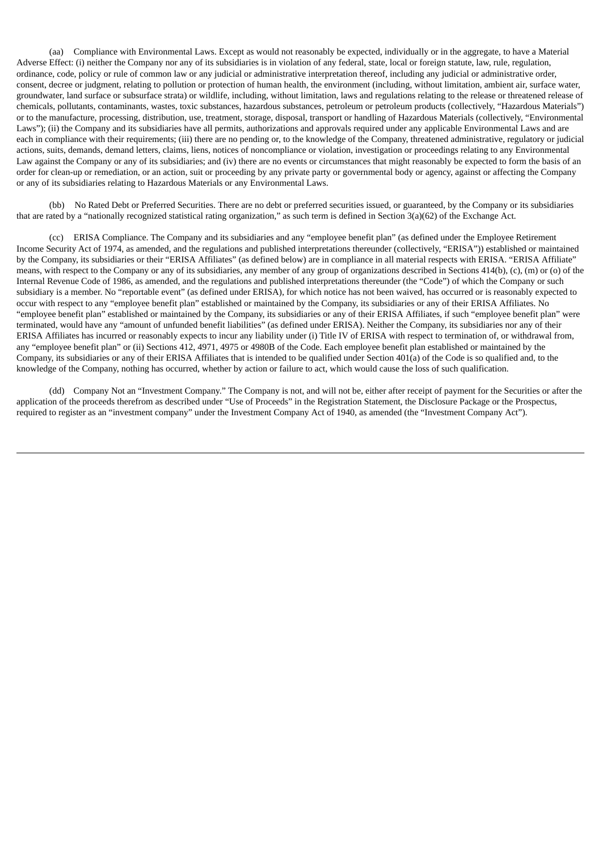(aa) Compliance with Environmental Laws. Except as would not reasonably be expected, individually or in the aggregate, to have a Material Adverse Effect: (i) neither the Company nor any of its subsidiaries is in violation of any federal, state, local or foreign statute, law, rule, regulation, ordinance, code, policy or rule of common law or any judicial or administrative interpretation thereof, including any judicial or administrative order, consent, decree or judgment, relating to pollution or protection of human health, the environment (including, without limitation, ambient air, surface water, groundwater, land surface or subsurface strata) or wildlife, including, without limitation, laws and regulations relating to the release or threatened release of chemicals, pollutants, contaminants, wastes, toxic substances, hazardous substances, petroleum or petroleum products (collectively, "Hazardous Materials") or to the manufacture, processing, distribution, use, treatment, storage, disposal, transport or handling of Hazardous Materials (collectively, "Environmental Laws"); (ii) the Company and its subsidiaries have all permits, authorizations and approvals required under any applicable Environmental Laws and are each in compliance with their requirements; (iii) there are no pending or, to the knowledge of the Company, threatened administrative, regulatory or judicial actions, suits, demands, demand letters, claims, liens, notices of noncompliance or violation, investigation or proceedings relating to any Environmental Law against the Company or any of its subsidiaries; and (iv) there are no events or circumstances that might reasonably be expected to form the basis of an order for clean-up or remediation, or an action, suit or proceeding by any private party or governmental body or agency, against or affecting the Company or any of its subsidiaries relating to Hazardous Materials or any Environmental Laws.

(bb) No Rated Debt or Preferred Securities. There are no debt or preferred securities issued, or guaranteed, by the Company or its subsidiaries that are rated by a "nationally recognized statistical rating organization," as such term is defined in Section 3(a)(62) of the Exchange Act.

(cc) ERISA Compliance. The Company and its subsidiaries and any "employee benefit plan" (as defined under the Employee Retirement Income Security Act of 1974, as amended, and the regulations and published interpretations thereunder (collectively, "ERISA")) established or maintained by the Company, its subsidiaries or their "ERISA Affiliates" (as defined below) are in compliance in all material respects with ERISA. "ERISA Affiliate" means, with respect to the Company or any of its subsidiaries, any member of any group of organizations described in Sections 414(b), (c), (m) or (o) of the Internal Revenue Code of 1986, as amended, and the regulations and published interpretations thereunder (the "Code") of which the Company or such subsidiary is a member. No "reportable event" (as defined under ERISA), for which notice has not been waived, has occurred or is reasonably expected to occur with respect to any "employee benefit plan" established or maintained by the Company, its subsidiaries or any of their ERISA Affiliates. No "employee benefit plan" established or maintained by the Company, its subsidiaries or any of their ERISA Affiliates, if such "employee benefit plan" were terminated, would have any "amount of unfunded benefit liabilities" (as defined under ERISA). Neither the Company, its subsidiaries nor any of their ERISA Affiliates has incurred or reasonably expects to incur any liability under (i) Title IV of ERISA with respect to termination of, or withdrawal from, any "employee benefit plan" or (ii) Sections 412, 4971, 4975 or 4980B of the Code. Each employee benefit plan established or maintained by the Company, its subsidiaries or any of their ERISA Affiliates that is intended to be qualified under Section 401(a) of the Code is so qualified and, to the knowledge of the Company, nothing has occurred, whether by action or failure to act, which would cause the loss of such qualification.

(dd) Company Not an "Investment Company." The Company is not, and will not be, either after receipt of payment for the Securities or after the application of the proceeds therefrom as described under "Use of Proceeds" in the Registration Statement, the Disclosure Package or the Prospectus, required to register as an "investment company" under the Investment Company Act of 1940, as amended (the "Investment Company Act").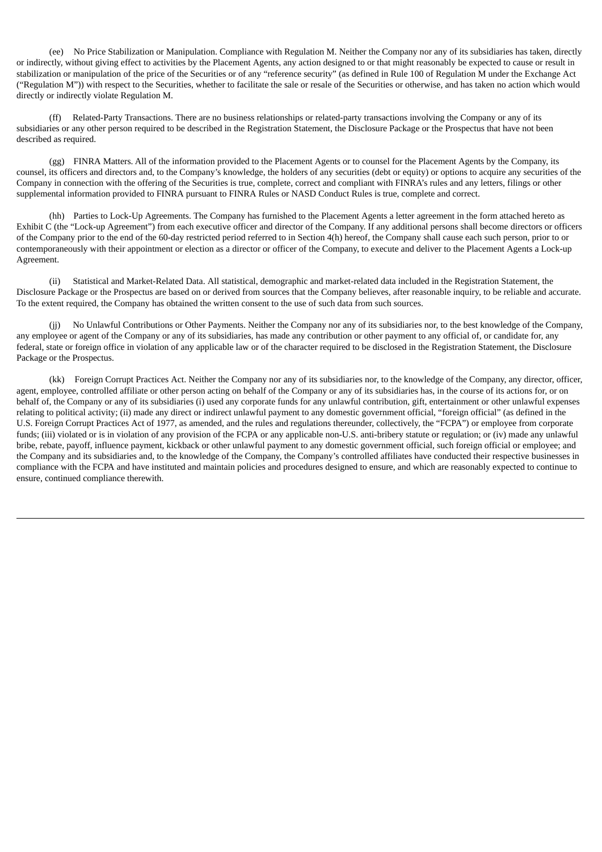(ee) No Price Stabilization or Manipulation. Compliance with Regulation M. Neither the Company nor any of its subsidiaries has taken, directly or indirectly, without giving effect to activities by the Placement Agents, any action designed to or that might reasonably be expected to cause or result in stabilization or manipulation of the price of the Securities or of any "reference security" (as defined in Rule 100 of Regulation M under the Exchange Act ("Regulation M")) with respect to the Securities, whether to facilitate the sale or resale of the Securities or otherwise, and has taken no action which would directly or indirectly violate Regulation M.

(ff) Related-Party Transactions. There are no business relationships or related-party transactions involving the Company or any of its subsidiaries or any other person required to be described in the Registration Statement, the Disclosure Package or the Prospectus that have not been described as required.

(gg) FINRA Matters. All of the information provided to the Placement Agents or to counsel for the Placement Agents by the Company, its counsel, its officers and directors and, to the Company's knowledge, the holders of any securities (debt or equity) or options to acquire any securities of the Company in connection with the offering of the Securities is true, complete, correct and compliant with FINRA's rules and any letters, filings or other supplemental information provided to FINRA pursuant to FINRA Rules or NASD Conduct Rules is true, complete and correct.

(hh) Parties to Lock-Up Agreements. The Company has furnished to the Placement Agents a letter agreement in the form attached hereto as Exhibit C (the "Lock-up Agreement") from each executive officer and director of the Company. If any additional persons shall become directors or officers of the Company prior to the end of the 60-day restricted period referred to in Section 4(h) hereof, the Company shall cause each such person, prior to or contemporaneously with their appointment or election as a director or officer of the Company, to execute and deliver to the Placement Agents a Lock-up Agreement.

(ii) Statistical and Market-Related Data. All statistical, demographic and market-related data included in the Registration Statement, the Disclosure Package or the Prospectus are based on or derived from sources that the Company believes, after reasonable inquiry, to be reliable and accurate. To the extent required, the Company has obtained the written consent to the use of such data from such sources.

(jj) No Unlawful Contributions or Other Payments. Neither the Company nor any of its subsidiaries nor, to the best knowledge of the Company, any employee or agent of the Company or any of its subsidiaries, has made any contribution or other payment to any official of, or candidate for, any federal, state or foreign office in violation of any applicable law or of the character required to be disclosed in the Registration Statement, the Disclosure Package or the Prospectus.

(kk) Foreign Corrupt Practices Act. Neither the Company nor any of its subsidiaries nor, to the knowledge of the Company, any director, officer, agent, employee, controlled affiliate or other person acting on behalf of the Company or any of its subsidiaries has, in the course of its actions for, or on behalf of, the Company or any of its subsidiaries (i) used any corporate funds for any unlawful contribution, gift, entertainment or other unlawful expenses relating to political activity; (ii) made any direct or indirect unlawful payment to any domestic government official, "foreign official" (as defined in the U.S. Foreign Corrupt Practices Act of 1977, as amended, and the rules and regulations thereunder, collectively, the "FCPA") or employee from corporate funds; (iii) violated or is in violation of any provision of the FCPA or any applicable non-U.S. anti-bribery statute or regulation; or (iv) made any unlawful bribe, rebate, payoff, influence payment, kickback or other unlawful payment to any domestic government official, such foreign official or employee; and the Company and its subsidiaries and, to the knowledge of the Company, the Company's controlled affiliates have conducted their respective businesses in compliance with the FCPA and have instituted and maintain policies and procedures designed to ensure, and which are reasonably expected to continue to ensure, continued compliance therewith.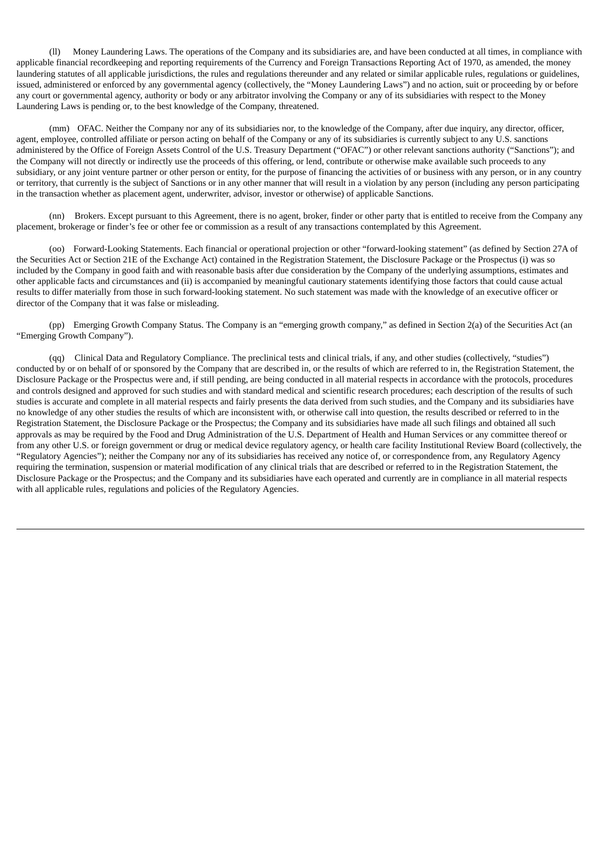(ll) Money Laundering Laws. The operations of the Company and its subsidiaries are, and have been conducted at all times, in compliance with applicable financial recordkeeping and reporting requirements of the Currency and Foreign Transactions Reporting Act of 1970, as amended, the money laundering statutes of all applicable jurisdictions, the rules and regulations thereunder and any related or similar applicable rules, regulations or guidelines, issued, administered or enforced by any governmental agency (collectively, the "Money Laundering Laws") and no action, suit or proceeding by or before any court or governmental agency, authority or body or any arbitrator involving the Company or any of its subsidiaries with respect to the Money Laundering Laws is pending or, to the best knowledge of the Company, threatened.

(mm) OFAC. Neither the Company nor any of its subsidiaries nor, to the knowledge of the Company, after due inquiry, any director, officer, agent, employee, controlled affiliate or person acting on behalf of the Company or any of its subsidiaries is currently subject to any U.S. sanctions administered by the Office of Foreign Assets Control of the U.S. Treasury Department ("OFAC") or other relevant sanctions authority ("Sanctions"); and the Company will not directly or indirectly use the proceeds of this offering, or lend, contribute or otherwise make available such proceeds to any subsidiary, or any joint venture partner or other person or entity, for the purpose of financing the activities of or business with any person, or in any country or territory, that currently is the subject of Sanctions or in any other manner that will result in a violation by any person (including any person participating in the transaction whether as placement agent, underwriter, advisor, investor or otherwise) of applicable Sanctions.

(nn) Brokers. Except pursuant to this Agreement, there is no agent, broker, finder or other party that is entitled to receive from the Company any placement, brokerage or finder's fee or other fee or commission as a result of any transactions contemplated by this Agreement.

(oo) Forward-Looking Statements. Each financial or operational projection or other "forward-looking statement" (as defined by Section 27A of the Securities Act or Section 21E of the Exchange Act) contained in the Registration Statement, the Disclosure Package or the Prospectus (i) was so included by the Company in good faith and with reasonable basis after due consideration by the Company of the underlying assumptions, estimates and other applicable facts and circumstances and (ii) is accompanied by meaningful cautionary statements identifying those factors that could cause actual results to differ materially from those in such forward-looking statement. No such statement was made with the knowledge of an executive officer or director of the Company that it was false or misleading.

(pp) Emerging Growth Company Status. The Company is an "emerging growth company," as defined in Section 2(a) of the Securities Act (an "Emerging Growth Company").

(qq) Clinical Data and Regulatory Compliance. The preclinical tests and clinical trials, if any, and other studies (collectively, "studies") conducted by or on behalf of or sponsored by the Company that are described in, or the results of which are referred to in, the Registration Statement, the Disclosure Package or the Prospectus were and, if still pending, are being conducted in all material respects in accordance with the protocols, procedures and controls designed and approved for such studies and with standard medical and scientific research procedures; each description of the results of such studies is accurate and complete in all material respects and fairly presents the data derived from such studies, and the Company and its subsidiaries have no knowledge of any other studies the results of which are inconsistent with, or otherwise call into question, the results described or referred to in the Registration Statement, the Disclosure Package or the Prospectus; the Company and its subsidiaries have made all such filings and obtained all such approvals as may be required by the Food and Drug Administration of the U.S. Department of Health and Human Services or any committee thereof or from any other U.S. or foreign government or drug or medical device regulatory agency, or health care facility Institutional Review Board (collectively, the "Regulatory Agencies"); neither the Company nor any of its subsidiaries has received any notice of, or correspondence from, any Regulatory Agency requiring the termination, suspension or material modification of any clinical trials that are described or referred to in the Registration Statement, the Disclosure Package or the Prospectus; and the Company and its subsidiaries have each operated and currently are in compliance in all material respects with all applicable rules, regulations and policies of the Regulatory Agencies.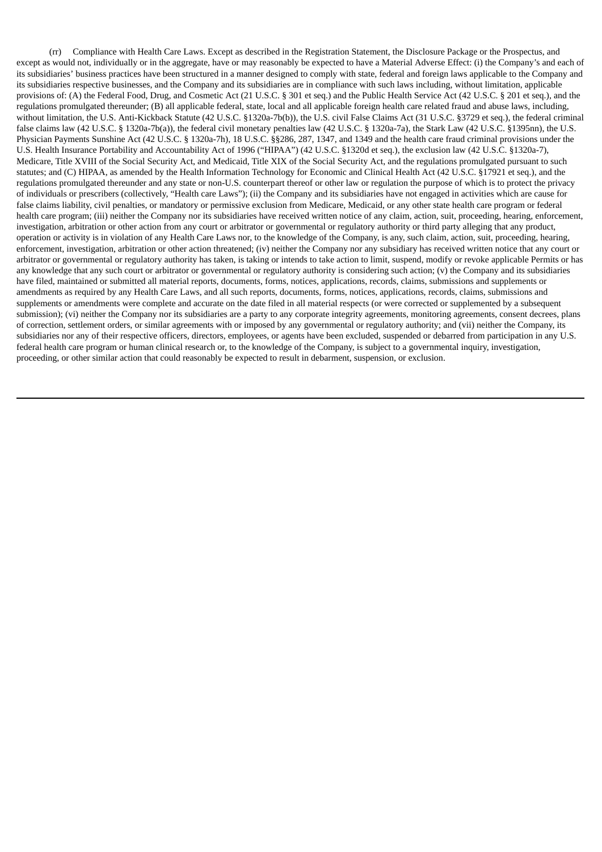(rr) Compliance with Health Care Laws. Except as described in the Registration Statement, the Disclosure Package or the Prospectus, and except as would not, individually or in the aggregate, have or may reasonably be expected to have a Material Adverse Effect: (i) the Company's and each of its subsidiaries' business practices have been structured in a manner designed to comply with state, federal and foreign laws applicable to the Company and its subsidiaries respective businesses, and the Company and its subsidiaries are in compliance with such laws including, without limitation, applicable provisions of: (A) the Federal Food, Drug, and Cosmetic Act (21 U.S.C. § 301 et seq.) and the Public Health Service Act (42 U.S.C. § 201 et seq.), and the regulations promulgated thereunder; (B) all applicable federal, state, local and all applicable foreign health care related fraud and abuse laws, including, without limitation, the U.S. Anti-Kickback Statute (42 U.S.C. §1320a-7b(b)), the U.S. civil False Claims Act (31 U.S.C. §3729 et seq.), the federal criminal false claims law (42 U.S.C. § 1320a-7b(a)), the federal civil monetary penalties law (42 U.S.C. § 1320a-7a), the Stark Law (42 U.S.C. §1395nn), the U.S. Physician Payments Sunshine Act (42 U.S.C. § 1320a-7h), 18 U.S.C. §§286, 287, 1347, and 1349 and the health care fraud criminal provisions under the U.S. Health Insurance Portability and Accountability Act of 1996 ("HIPAA") (42 U.S.C. §1320d et seq.), the exclusion law (42 U.S.C. §1320a-7), Medicare, Title XVIII of the Social Security Act, and Medicaid, Title XIX of the Social Security Act, and the regulations promulgated pursuant to such statutes; and (C) HIPAA, as amended by the Health Information Technology for Economic and Clinical Health Act (42 U.S.C. §17921 et seq.), and the regulations promulgated thereunder and any state or non-U.S. counterpart thereof or other law or regulation the purpose of which is to protect the privacy of individuals or prescribers (collectively, "Health care Laws"); (ii) the Company and its subsidiaries have not engaged in activities which are cause for false claims liability, civil penalties, or mandatory or permissive exclusion from Medicare, Medicaid, or any other state health care program or federal health care program; (iii) neither the Company nor its subsidiaries have received written notice of any claim, action, suit, proceeding, hearing, enforcement, investigation, arbitration or other action from any court or arbitrator or governmental or regulatory authority or third party alleging that any product, operation or activity is in violation of any Health Care Laws nor, to the knowledge of the Company, is any, such claim, action, suit, proceeding, hearing, enforcement, investigation, arbitration or other action threatened; (iv) neither the Company nor any subsidiary has received written notice that any court or arbitrator or governmental or regulatory authority has taken, is taking or intends to take action to limit, suspend, modify or revoke applicable Permits or has any knowledge that any such court or arbitrator or governmental or regulatory authority is considering such action; (v) the Company and its subsidiaries have filed, maintained or submitted all material reports, documents, forms, notices, applications, records, claims, submissions and supplements or amendments as required by any Health Care Laws, and all such reports, documents, forms, notices, applications, records, claims, submissions and supplements or amendments were complete and accurate on the date filed in all material respects (or were corrected or supplemented by a subsequent submission); (vi) neither the Company nor its subsidiaries are a party to any corporate integrity agreements, monitoring agreements, consent decrees, plans of correction, settlement orders, or similar agreements with or imposed by any governmental or regulatory authority; and (vii) neither the Company, its subsidiaries nor any of their respective officers, directors, employees, or agents have been excluded, suspended or debarred from participation in any U.S. federal health care program or human clinical research or, to the knowledge of the Company, is subject to a governmental inquiry, investigation, proceeding, or other similar action that could reasonably be expected to result in debarment, suspension, or exclusion.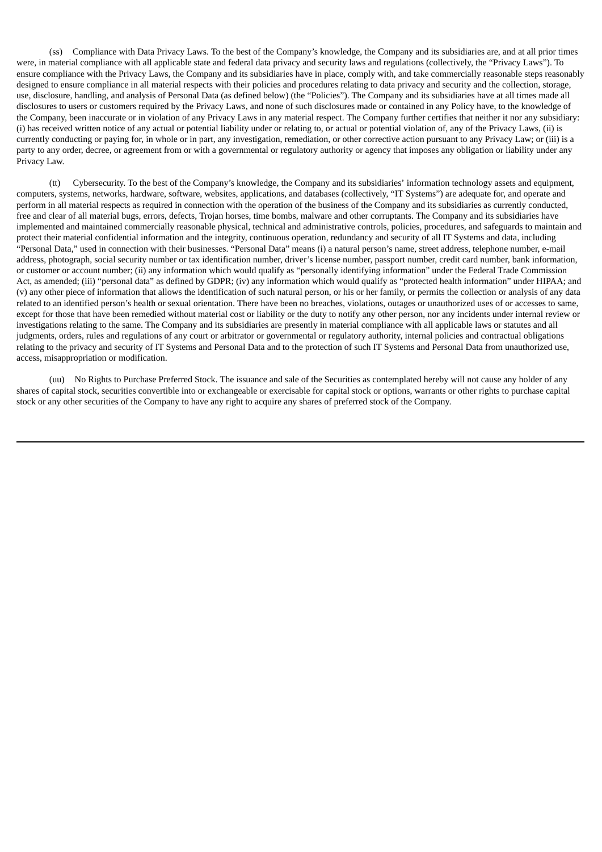(ss) Compliance with Data Privacy Laws. To the best of the Company's knowledge, the Company and its subsidiaries are, and at all prior times were, in material compliance with all applicable state and federal data privacy and security laws and regulations (collectively, the "Privacy Laws"). To ensure compliance with the Privacy Laws, the Company and its subsidiaries have in place, comply with, and take commercially reasonable steps reasonably designed to ensure compliance in all material respects with their policies and procedures relating to data privacy and security and the collection, storage, use, disclosure, handling, and analysis of Personal Data (as defined below) (the "Policies"). The Company and its subsidiaries have at all times made all disclosures to users or customers required by the Privacy Laws, and none of such disclosures made or contained in any Policy have, to the knowledge of the Company, been inaccurate or in violation of any Privacy Laws in any material respect. The Company further certifies that neither it nor any subsidiary: (i) has received written notice of any actual or potential liability under or relating to, or actual or potential violation of, any of the Privacy Laws, (ii) is currently conducting or paying for, in whole or in part, any investigation, remediation, or other corrective action pursuant to any Privacy Law; or (iii) is a party to any order, decree, or agreement from or with a governmental or regulatory authority or agency that imposes any obligation or liability under any Privacy Law.

(tt) Cybersecurity. To the best of the Company's knowledge, the Company and its subsidiaries' information technology assets and equipment, computers, systems, networks, hardware, software, websites, applications, and databases (collectively, "IT Systems") are adequate for, and operate and perform in all material respects as required in connection with the operation of the business of the Company and its subsidiaries as currently conducted, free and clear of all material bugs, errors, defects, Trojan horses, time bombs, malware and other corruptants. The Company and its subsidiaries have implemented and maintained commercially reasonable physical, technical and administrative controls, policies, procedures, and safeguards to maintain and protect their material confidential information and the integrity, continuous operation, redundancy and security of all IT Systems and data, including "Personal Data," used in connection with their businesses. "Personal Data" means (i) a natural person's name, street address, telephone number, e-mail address, photograph, social security number or tax identification number, driver's license number, passport number, credit card number, bank information, or customer or account number; (ii) any information which would qualify as "personally identifying information" under the Federal Trade Commission Act, as amended; (iii) "personal data" as defined by GDPR; (iv) any information which would qualify as "protected health information" under HIPAA; and (v) any other piece of information that allows the identification of such natural person, or his or her family, or permits the collection or analysis of any data related to an identified person's health or sexual orientation. There have been no breaches, violations, outages or unauthorized uses of or accesses to same, except for those that have been remedied without material cost or liability or the duty to notify any other person, nor any incidents under internal review or investigations relating to the same. The Company and its subsidiaries are presently in material compliance with all applicable laws or statutes and all judgments, orders, rules and regulations of any court or arbitrator or governmental or regulatory authority, internal policies and contractual obligations relating to the privacy and security of IT Systems and Personal Data and to the protection of such IT Systems and Personal Data from unauthorized use, access, misappropriation or modification.

(uu) No Rights to Purchase Preferred Stock. The issuance and sale of the Securities as contemplated hereby will not cause any holder of any shares of capital stock, securities convertible into or exchangeable or exercisable for capital stock or options, warrants or other rights to purchase capital stock or any other securities of the Company to have any right to acquire any shares of preferred stock of the Company.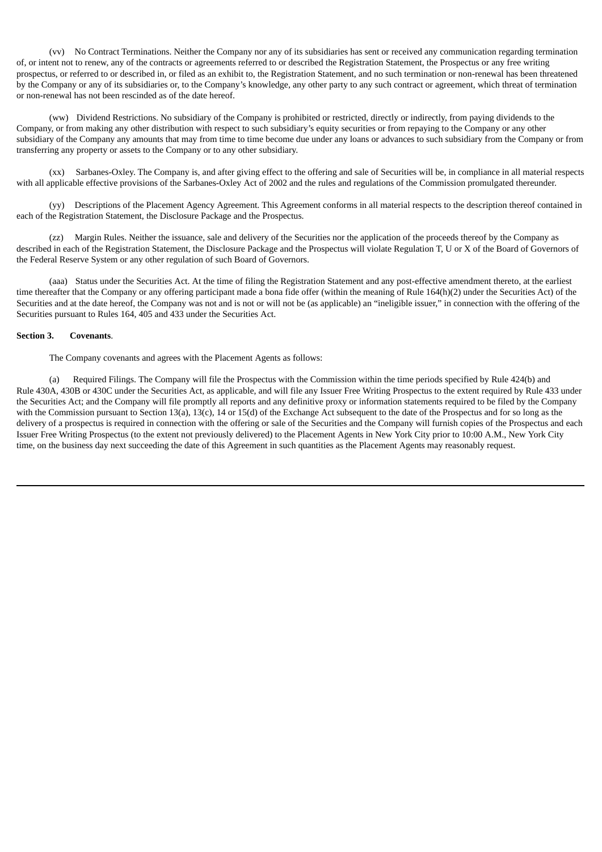(vv) No Contract Terminations. Neither the Company nor any of its subsidiaries has sent or received any communication regarding termination of, or intent not to renew, any of the contracts or agreements referred to or described the Registration Statement, the Prospectus or any free writing prospectus, or referred to or described in, or filed as an exhibit to, the Registration Statement, and no such termination or non-renewal has been threatened by the Company or any of its subsidiaries or, to the Company's knowledge, any other party to any such contract or agreement, which threat of termination or non-renewal has not been rescinded as of the date hereof.

(ww) Dividend Restrictions. No subsidiary of the Company is prohibited or restricted, directly or indirectly, from paying dividends to the Company, or from making any other distribution with respect to such subsidiary's equity securities or from repaying to the Company or any other subsidiary of the Company any amounts that may from time to time become due under any loans or advances to such subsidiary from the Company or from transferring any property or assets to the Company or to any other subsidiary.

(xx) Sarbanes-Oxley. The Company is, and after giving effect to the offering and sale of Securities will be, in compliance in all material respects with all applicable effective provisions of the Sarbanes-Oxley Act of 2002 and the rules and regulations of the Commission promulgated thereunder.

(yy) Descriptions of the Placement Agency Agreement. This Agreement conforms in all material respects to the description thereof contained in each of the Registration Statement, the Disclosure Package and the Prospectus.

(zz) Margin Rules. Neither the issuance, sale and delivery of the Securities nor the application of the proceeds thereof by the Company as described in each of the Registration Statement, the Disclosure Package and the Prospectus will violate Regulation T, U or X of the Board of Governors of the Federal Reserve System or any other regulation of such Board of Governors.

(aaa) Status under the Securities Act. At the time of filing the Registration Statement and any post-effective amendment thereto, at the earliest time thereafter that the Company or any offering participant made a bona fide offer (within the meaning of Rule 164(h)(2) under the Securities Act) of the Securities and at the date hereof, the Company was not and is not or will not be (as applicable) an "ineligible issuer," in connection with the offering of the Securities pursuant to Rules 164, 405 and 433 under the Securities Act.

### **Section 3. Covenants**.

The Company covenants and agrees with the Placement Agents as follows:

(a) Required Filings. The Company will file the Prospectus with the Commission within the time periods specified by Rule 424(b) and Rule 430A, 430B or 430C under the Securities Act, as applicable, and will file any Issuer Free Writing Prospectus to the extent required by Rule 433 under the Securities Act; and the Company will file promptly all reports and any definitive proxy or information statements required to be filed by the Company with the Commission pursuant to Section 13(a), 13(c), 14 or 15(d) of the Exchange Act subsequent to the date of the Prospectus and for so long as the delivery of a prospectus is required in connection with the offering or sale of the Securities and the Company will furnish copies of the Prospectus and each Issuer Free Writing Prospectus (to the extent not previously delivered) to the Placement Agents in New York City prior to 10:00 A.M., New York City time, on the business day next succeeding the date of this Agreement in such quantities as the Placement Agents may reasonably request.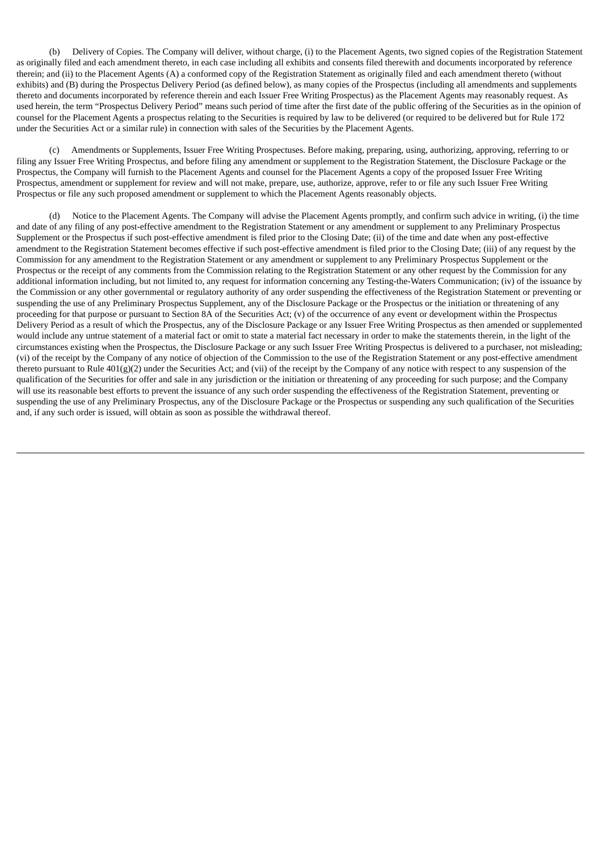(b) Delivery of Copies. The Company will deliver, without charge, (i) to the Placement Agents, two signed copies of the Registration Statement as originally filed and each amendment thereto, in each case including all exhibits and consents filed therewith and documents incorporated by reference therein; and (ii) to the Placement Agents (A) a conformed copy of the Registration Statement as originally filed and each amendment thereto (without exhibits) and (B) during the Prospectus Delivery Period (as defined below), as many copies of the Prospectus (including all amendments and supplements thereto and documents incorporated by reference therein and each Issuer Free Writing Prospectus) as the Placement Agents may reasonably request. As used herein, the term "Prospectus Delivery Period" means such period of time after the first date of the public offering of the Securities as in the opinion of counsel for the Placement Agents a prospectus relating to the Securities is required by law to be delivered (or required to be delivered but for Rule 172 under the Securities Act or a similar rule) in connection with sales of the Securities by the Placement Agents.

(c) Amendments or Supplements, Issuer Free Writing Prospectuses. Before making, preparing, using, authorizing, approving, referring to or filing any Issuer Free Writing Prospectus, and before filing any amendment or supplement to the Registration Statement, the Disclosure Package or the Prospectus, the Company will furnish to the Placement Agents and counsel for the Placement Agents a copy of the proposed Issuer Free Writing Prospectus, amendment or supplement for review and will not make, prepare, use, authorize, approve, refer to or file any such Issuer Free Writing Prospectus or file any such proposed amendment or supplement to which the Placement Agents reasonably objects.

(d) Notice to the Placement Agents. The Company will advise the Placement Agents promptly, and confirm such advice in writing, (i) the time and date of any filing of any post-effective amendment to the Registration Statement or any amendment or supplement to any Preliminary Prospectus Supplement or the Prospectus if such post-effective amendment is filed prior to the Closing Date; (ii) of the time and date when any post-effective amendment to the Registration Statement becomes effective if such post-effective amendment is filed prior to the Closing Date; (iii) of any request by the Commission for any amendment to the Registration Statement or any amendment or supplement to any Preliminary Prospectus Supplement or the Prospectus or the receipt of any comments from the Commission relating to the Registration Statement or any other request by the Commission for any additional information including, but not limited to, any request for information concerning any Testing-the-Waters Communication; (iv) of the issuance by the Commission or any other governmental or regulatory authority of any order suspending the effectiveness of the Registration Statement or preventing or suspending the use of any Preliminary Prospectus Supplement, any of the Disclosure Package or the Prospectus or the initiation or threatening of any proceeding for that purpose or pursuant to Section 8A of the Securities Act; (v) of the occurrence of any event or development within the Prospectus Delivery Period as a result of which the Prospectus, any of the Disclosure Package or any Issuer Free Writing Prospectus as then amended or supplemented would include any untrue statement of a material fact or omit to state a material fact necessary in order to make the statements therein, in the light of the circumstances existing when the Prospectus, the Disclosure Package or any such Issuer Free Writing Prospectus is delivered to a purchaser, not misleading; (vi) of the receipt by the Company of any notice of objection of the Commission to the use of the Registration Statement or any post-effective amendment thereto pursuant to Rule  $401(g)(2)$  under the Securities Act; and (vii) of the receipt by the Company of any notice with respect to any suspension of the qualification of the Securities for offer and sale in any jurisdiction or the initiation or threatening of any proceeding for such purpose; and the Company will use its reasonable best efforts to prevent the issuance of any such order suspending the effectiveness of the Registration Statement, preventing or suspending the use of any Preliminary Prospectus, any of the Disclosure Package or the Prospectus or suspending any such qualification of the Securities and, if any such order is issued, will obtain as soon as possible the withdrawal thereof.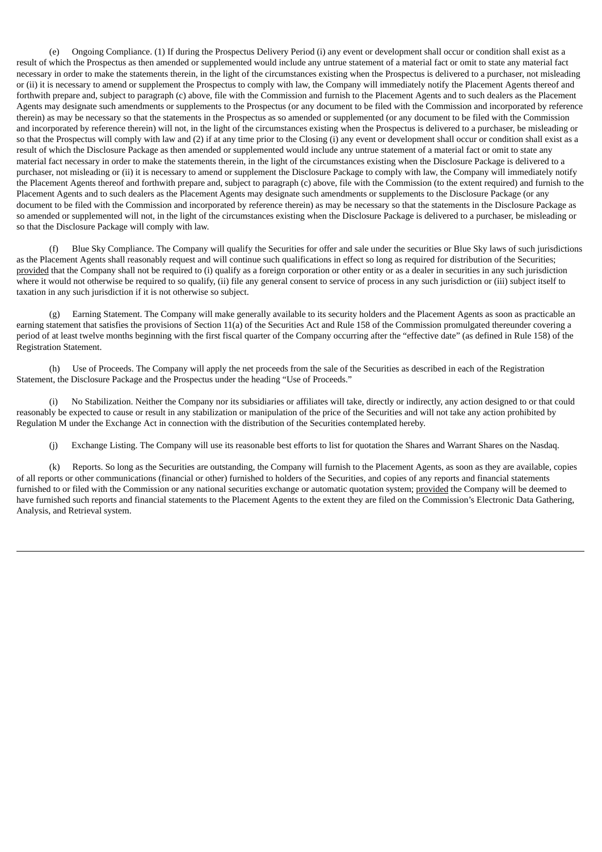(e) Ongoing Compliance. (1) If during the Prospectus Delivery Period (i) any event or development shall occur or condition shall exist as a result of which the Prospectus as then amended or supplemented would include any untrue statement of a material fact or omit to state any material fact necessary in order to make the statements therein, in the light of the circumstances existing when the Prospectus is delivered to a purchaser, not misleading or (ii) it is necessary to amend or supplement the Prospectus to comply with law, the Company will immediately notify the Placement Agents thereof and forthwith prepare and, subject to paragraph (c) above, file with the Commission and furnish to the Placement Agents and to such dealers as the Placement Agents may designate such amendments or supplements to the Prospectus (or any document to be filed with the Commission and incorporated by reference therein) as may be necessary so that the statements in the Prospectus as so amended or supplemented (or any document to be filed with the Commission and incorporated by reference therein) will not, in the light of the circumstances existing when the Prospectus is delivered to a purchaser, be misleading or so that the Prospectus will comply with law and (2) if at any time prior to the Closing (i) any event or development shall occur or condition shall exist as a result of which the Disclosure Package as then amended or supplemented would include any untrue statement of a material fact or omit to state any material fact necessary in order to make the statements therein, in the light of the circumstances existing when the Disclosure Package is delivered to a purchaser, not misleading or (ii) it is necessary to amend or supplement the Disclosure Package to comply with law, the Company will immediately notify the Placement Agents thereof and forthwith prepare and, subject to paragraph (c) above, file with the Commission (to the extent required) and furnish to the Placement Agents and to such dealers as the Placement Agents may designate such amendments or supplements to the Disclosure Package (or any document to be filed with the Commission and incorporated by reference therein) as may be necessary so that the statements in the Disclosure Package as so amended or supplemented will not, in the light of the circumstances existing when the Disclosure Package is delivered to a purchaser, be misleading or so that the Disclosure Package will comply with law.

Blue Sky Compliance. The Company will qualify the Securities for offer and sale under the securities or Blue Sky laws of such jurisdictions as the Placement Agents shall reasonably request and will continue such qualifications in effect so long as required for distribution of the Securities; provided that the Company shall not be required to (i) qualify as a foreign corporation or other entity or as a dealer in securities in any such jurisdiction where it would not otherwise be required to so qualify, (ii) file any general consent to service of process in any such jurisdiction or (iii) subject itself to taxation in any such jurisdiction if it is not otherwise so subject.

Earning Statement. The Company will make generally available to its security holders and the Placement Agents as soon as practicable an earning statement that satisfies the provisions of Section 11(a) of the Securities Act and Rule 158 of the Commission promulgated thereunder covering a period of at least twelve months beginning with the first fiscal quarter of the Company occurring after the "effective date" (as defined in Rule 158) of the Registration Statement.

(h) Use of Proceeds. The Company will apply the net proceeds from the sale of the Securities as described in each of the Registration Statement, the Disclosure Package and the Prospectus under the heading "Use of Proceeds."

(i) No Stabilization. Neither the Company nor its subsidiaries or affiliates will take, directly or indirectly, any action designed to or that could reasonably be expected to cause or result in any stabilization or manipulation of the price of the Securities and will not take any action prohibited by Regulation M under the Exchange Act in connection with the distribution of the Securities contemplated hereby.

(j) Exchange Listing. The Company will use its reasonable best efforts to list for quotation the Shares and Warrant Shares on the Nasdaq.

(k) Reports. So long as the Securities are outstanding, the Company will furnish to the Placement Agents, as soon as they are available, copies of all reports or other communications (financial or other) furnished to holders of the Securities, and copies of any reports and financial statements furnished to or filed with the Commission or any national securities exchange or automatic quotation system; provided the Company will be deemed to have furnished such reports and financial statements to the Placement Agents to the extent they are filed on the Commission's Electronic Data Gathering, Analysis, and Retrieval system.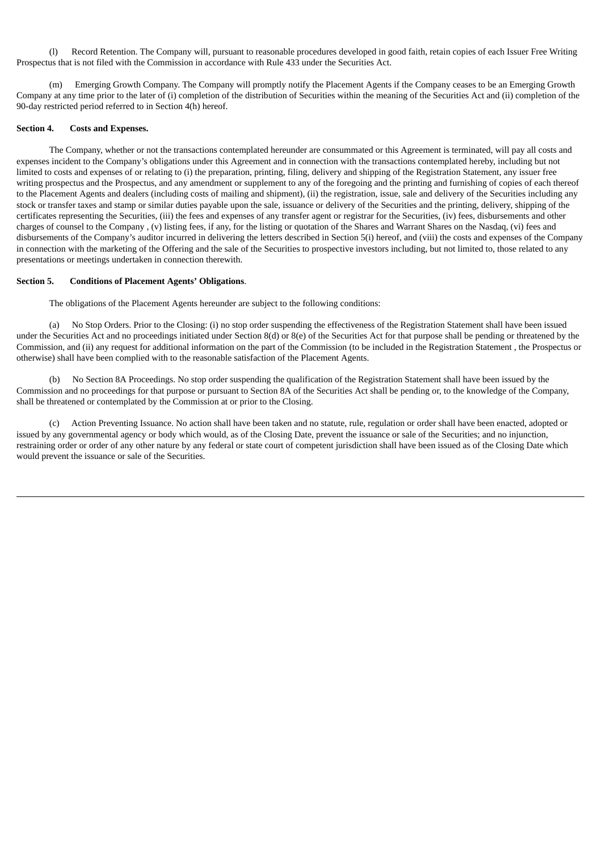(l) Record Retention. The Company will, pursuant to reasonable procedures developed in good faith, retain copies of each Issuer Free Writing Prospectus that is not filed with the Commission in accordance with Rule 433 under the Securities Act.

(m) Emerging Growth Company. The Company will promptly notify the Placement Agents if the Company ceases to be an Emerging Growth Company at any time prior to the later of (i) completion of the distribution of Securities within the meaning of the Securities Act and (ii) completion of the 90-day restricted period referred to in Section 4(h) hereof.

#### **Section 4. Costs and Expenses.**

The Company, whether or not the transactions contemplated hereunder are consummated or this Agreement is terminated, will pay all costs and expenses incident to the Company's obligations under this Agreement and in connection with the transactions contemplated hereby, including but not limited to costs and expenses of or relating to (i) the preparation, printing, filing, delivery and shipping of the Registration Statement, any issuer free writing prospectus and the Prospectus, and any amendment or supplement to any of the foregoing and the printing and furnishing of copies of each thereof to the Placement Agents and dealers (including costs of mailing and shipment), (ii) the registration, issue, sale and delivery of the Securities including any stock or transfer taxes and stamp or similar duties payable upon the sale, issuance or delivery of the Securities and the printing, delivery, shipping of the certificates representing the Securities, (iii) the fees and expenses of any transfer agent or registrar for the Securities, (iv) fees, disbursements and other charges of counsel to the Company , (v) listing fees, if any, for the listing or quotation of the Shares and Warrant Shares on the Nasdaq, (vi) fees and disbursements of the Company's auditor incurred in delivering the letters described in Section 5(i) hereof, and (viii) the costs and expenses of the Company in connection with the marketing of the Offering and the sale of the Securities to prospective investors including, but not limited to, those related to any presentations or meetings undertaken in connection therewith.

#### **Section 5. Conditions of Placement Agents' Obligations**.

The obligations of the Placement Agents hereunder are subject to the following conditions:

(a) No Stop Orders. Prior to the Closing: (i) no stop order suspending the effectiveness of the Registration Statement shall have been issued under the Securities Act and no proceedings initiated under Section 8(d) or 8(e) of the Securities Act for that purpose shall be pending or threatened by the Commission, and (ii) any request for additional information on the part of the Commission (to be included in the Registration Statement , the Prospectus or otherwise) shall have been complied with to the reasonable satisfaction of the Placement Agents.

(b) No Section 8A Proceedings. No stop order suspending the qualification of the Registration Statement shall have been issued by the Commission and no proceedings for that purpose or pursuant to Section 8A of the Securities Act shall be pending or, to the knowledge of the Company, shall be threatened or contemplated by the Commission at or prior to the Closing.

(c) Action Preventing Issuance. No action shall have been taken and no statute, rule, regulation or order shall have been enacted, adopted or issued by any governmental agency or body which would, as of the Closing Date, prevent the issuance or sale of the Securities; and no injunction, restraining order or order of any other nature by any federal or state court of competent jurisdiction shall have been issued as of the Closing Date which would prevent the issuance or sale of the Securities.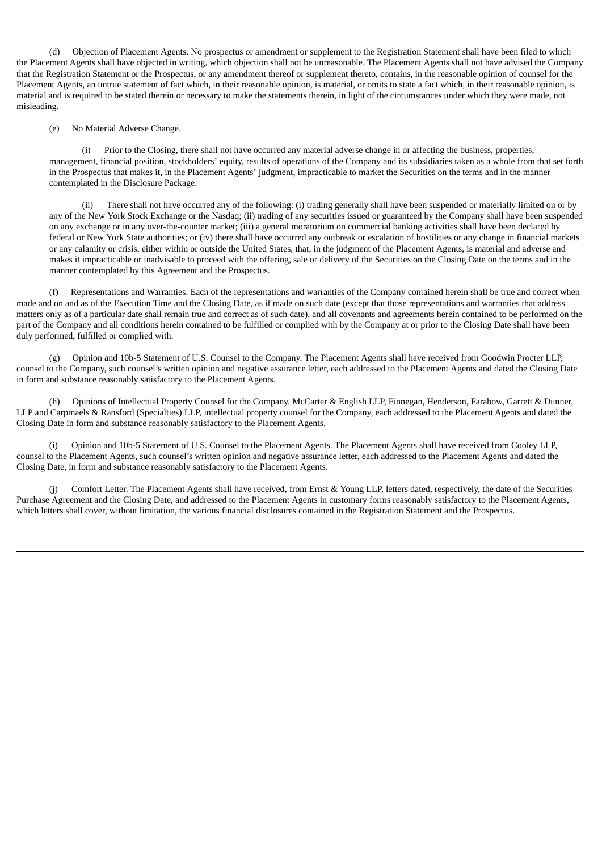(d) Objection of Placement Agents. No prospectus or amendment or supplement to the Registration Statement shall have been filed to which the Placement Agents shall have objected in writing, which objection shall not be unreasonable. The Placement Agents shall not have advised the Company that the Registration Statement or the Prospectus, or any amendment thereof or supplement thereto, contains, in the reasonable opinion of counsel for the Placement Agents, an untrue statement of fact which, in their reasonable opinion, is material, or omits to state a fact which, in their reasonable opinion, is material and is required to be stated therein or necessary to make the statements therein, in light of the circumstances under which they were made, not misleading.

(e) No Material Adverse Change.

(i) Prior to the Closing, there shall not have occurred any material adverse change in or affecting the business, properties, management, financial position, stockholders' equity, results of operations of the Company and its subsidiaries taken as a whole from that set forth in the Prospectus that makes it, in the Placement Agents' judgment, impracticable to market the Securities on the terms and in the manner contemplated in the Disclosure Package.

(ii) There shall not have occurred any of the following: (i) trading generally shall have been suspended or materially limited on or by any of the New York Stock Exchange or the Nasdaq; (ii) trading of any securities issued or guaranteed by the Company shall have been suspended on any exchange or in any over-the-counter market; (iii) a general moratorium on commercial banking activities shall have been declared by federal or New York State authorities; or (iv) there shall have occurred any outbreak or escalation of hostilities or any change in financial markets or any calamity or crisis, either within or outside the United States, that, in the judgment of the Placement Agents, is material and adverse and makes it impracticable or inadvisable to proceed with the offering, sale or delivery of the Securities on the Closing Date on the terms and in the manner contemplated by this Agreement and the Prospectus.

(f) Representations and Warranties. Each of the representations and warranties of the Company contained herein shall be true and correct when made and on and as of the Execution Time and the Closing Date, as if made on such date (except that those representations and warranties that address matters only as of a particular date shall remain true and correct as of such date), and all covenants and agreements herein contained to be performed on the part of the Company and all conditions herein contained to be fulfilled or complied with by the Company at or prior to the Closing Date shall have been duly performed, fulfilled or complied with.

(g) Opinion and 10b-5 Statement of U.S. Counsel to the Company. The Placement Agents shall have received from Goodwin Procter LLP, counsel to the Company, such counsel's written opinion and negative assurance letter, each addressed to the Placement Agents and dated the Closing Date in form and substance reasonably satisfactory to the Placement Agents.

(h) Opinions of Intellectual Property Counsel for the Company. McCarter & English LLP, Finnegan, Henderson, Farabow, Garrett & Dunner, LLP and Carpmaels & Ransford (Specialties) LLP, intellectual property counsel for the Company, each addressed to the Placement Agents and dated the Closing Date in form and substance reasonably satisfactory to the Placement Agents.

(i) Opinion and 10b-5 Statement of U.S. Counsel to the Placement Agents. The Placement Agents shall have received from Cooley LLP, counsel to the Placement Agents, such counsel's written opinion and negative assurance letter, each addressed to the Placement Agents and dated the Closing Date, in form and substance reasonably satisfactory to the Placement Agents.

(j) Comfort Letter. The Placement Agents shall have received, from Ernst & Young LLP, letters dated, respectively, the date of the Securities Purchase Agreement and the Closing Date, and addressed to the Placement Agents in customary forms reasonably satisfactory to the Placement Agents, which letters shall cover, without limitation, the various financial disclosures contained in the Registration Statement and the Prospectus.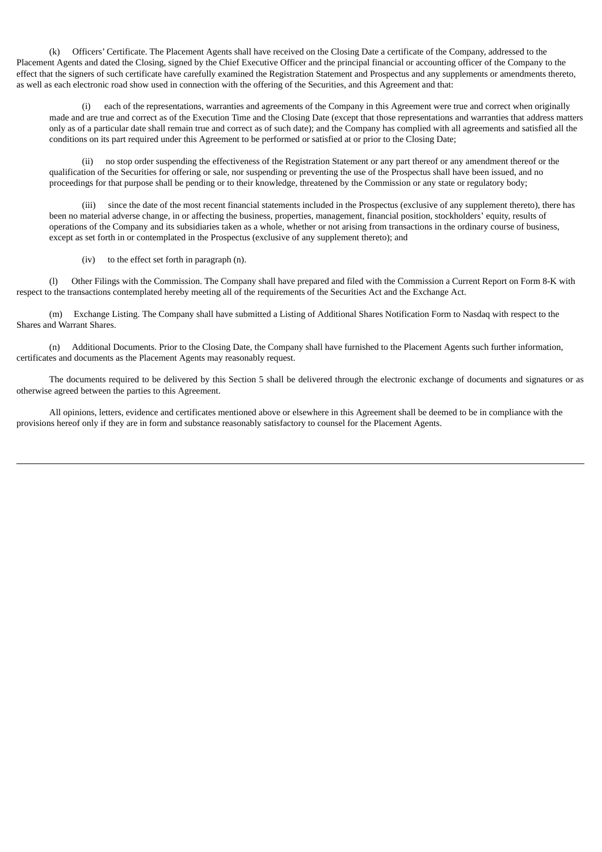(k) Officers' Certificate. The Placement Agents shall have received on the Closing Date a certificate of the Company, addressed to the Placement Agents and dated the Closing, signed by the Chief Executive Officer and the principal financial or accounting officer of the Company to the effect that the signers of such certificate have carefully examined the Registration Statement and Prospectus and any supplements or amendments thereto, as well as each electronic road show used in connection with the offering of the Securities, and this Agreement and that:

(i) each of the representations, warranties and agreements of the Company in this Agreement were true and correct when originally made and are true and correct as of the Execution Time and the Closing Date (except that those representations and warranties that address matters only as of a particular date shall remain true and correct as of such date); and the Company has complied with all agreements and satisfied all the conditions on its part required under this Agreement to be performed or satisfied at or prior to the Closing Date;

(ii) no stop order suspending the effectiveness of the Registration Statement or any part thereof or any amendment thereof or the qualification of the Securities for offering or sale, nor suspending or preventing the use of the Prospectus shall have been issued, and no proceedings for that purpose shall be pending or to their knowledge, threatened by the Commission or any state or regulatory body;

(iii) since the date of the most recent financial statements included in the Prospectus (exclusive of any supplement thereto), there has been no material adverse change, in or affecting the business, properties, management, financial position, stockholders' equity, results of operations of the Company and its subsidiaries taken as a whole, whether or not arising from transactions in the ordinary course of business, except as set forth in or contemplated in the Prospectus (exclusive of any supplement thereto); and

(iv) to the effect set forth in paragraph (n).

(l) Other Filings with the Commission. The Company shall have prepared and filed with the Commission a Current Report on Form 8-K with respect to the transactions contemplated hereby meeting all of the requirements of the Securities Act and the Exchange Act.

(m) Exchange Listing. The Company shall have submitted a Listing of Additional Shares Notification Form to Nasdaq with respect to the Shares and Warrant Shares.

(n) Additional Documents. Prior to the Closing Date, the Company shall have furnished to the Placement Agents such further information, certificates and documents as the Placement Agents may reasonably request.

The documents required to be delivered by this Section 5 shall be delivered through the electronic exchange of documents and signatures or as otherwise agreed between the parties to this Agreement.

All opinions, letters, evidence and certificates mentioned above or elsewhere in this Agreement shall be deemed to be in compliance with the provisions hereof only if they are in form and substance reasonably satisfactory to counsel for the Placement Agents.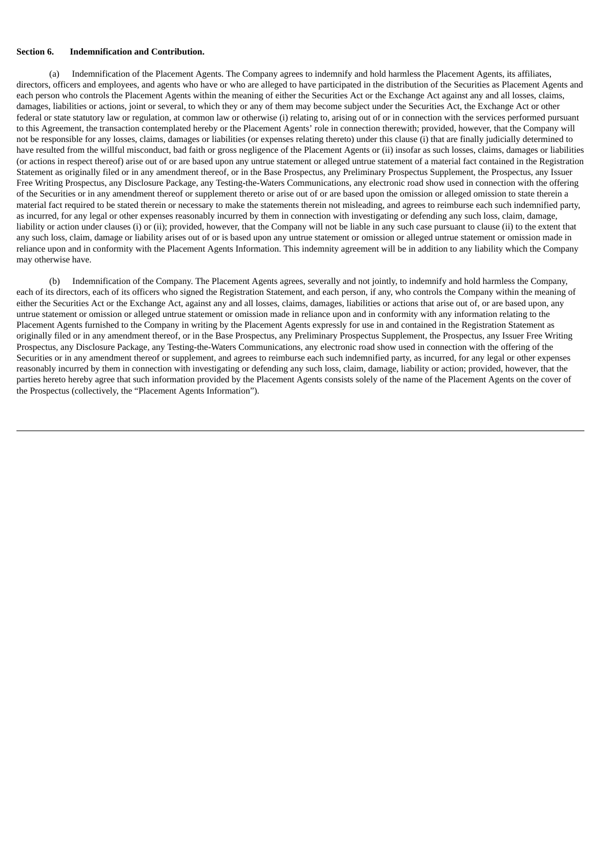#### **Section 6. Indemnification and Contribution.**

(a) Indemnification of the Placement Agents. The Company agrees to indemnify and hold harmless the Placement Agents, its affiliates, directors, officers and employees, and agents who have or who are alleged to have participated in the distribution of the Securities as Placement Agents and each person who controls the Placement Agents within the meaning of either the Securities Act or the Exchange Act against any and all losses, claims, damages, liabilities or actions, joint or several, to which they or any of them may become subject under the Securities Act, the Exchange Act or other federal or state statutory law or regulation, at common law or otherwise (i) relating to, arising out of or in connection with the services performed pursuant to this Agreement, the transaction contemplated hereby or the Placement Agents' role in connection therewith; provided, however, that the Company will not be responsible for any losses, claims, damages or liabilities (or expenses relating thereto) under this clause (i) that are finally judicially determined to have resulted from the willful misconduct, bad faith or gross negligence of the Placement Agents or (ii) insofar as such losses, claims, damages or liabilities (or actions in respect thereof) arise out of or are based upon any untrue statement or alleged untrue statement of a material fact contained in the Registration Statement as originally filed or in any amendment thereof, or in the Base Prospectus, any Preliminary Prospectus Supplement, the Prospectus, any Issuer Free Writing Prospectus, any Disclosure Package, any Testing-the-Waters Communications, any electronic road show used in connection with the offering of the Securities or in any amendment thereof or supplement thereto or arise out of or are based upon the omission or alleged omission to state therein a material fact required to be stated therein or necessary to make the statements therein not misleading, and agrees to reimburse each such indemnified party, as incurred, for any legal or other expenses reasonably incurred by them in connection with investigating or defending any such loss, claim, damage, liability or action under clauses (i) or (ii); provided, however, that the Company will not be liable in any such case pursuant to clause (ii) to the extent that any such loss, claim, damage or liability arises out of or is based upon any untrue statement or omission or alleged untrue statement or omission made in reliance upon and in conformity with the Placement Agents Information. This indemnity agreement will be in addition to any liability which the Company may otherwise have.

(b) Indemnification of the Company. The Placement Agents agrees, severally and not jointly, to indemnify and hold harmless the Company, each of its directors, each of its officers who signed the Registration Statement, and each person, if any, who controls the Company within the meaning of either the Securities Act or the Exchange Act, against any and all losses, claims, damages, liabilities or actions that arise out of, or are based upon, any untrue statement or omission or alleged untrue statement or omission made in reliance upon and in conformity with any information relating to the Placement Agents furnished to the Company in writing by the Placement Agents expressly for use in and contained in the Registration Statement as originally filed or in any amendment thereof, or in the Base Prospectus, any Preliminary Prospectus Supplement, the Prospectus, any Issuer Free Writing Prospectus, any Disclosure Package, any Testing-the-Waters Communications, any electronic road show used in connection with the offering of the Securities or in any amendment thereof or supplement, and agrees to reimburse each such indemnified party, as incurred, for any legal or other expenses reasonably incurred by them in connection with investigating or defending any such loss, claim, damage, liability or action; provided, however, that the parties hereto hereby agree that such information provided by the Placement Agents consists solely of the name of the Placement Agents on the cover of the Prospectus (collectively, the "Placement Agents Information").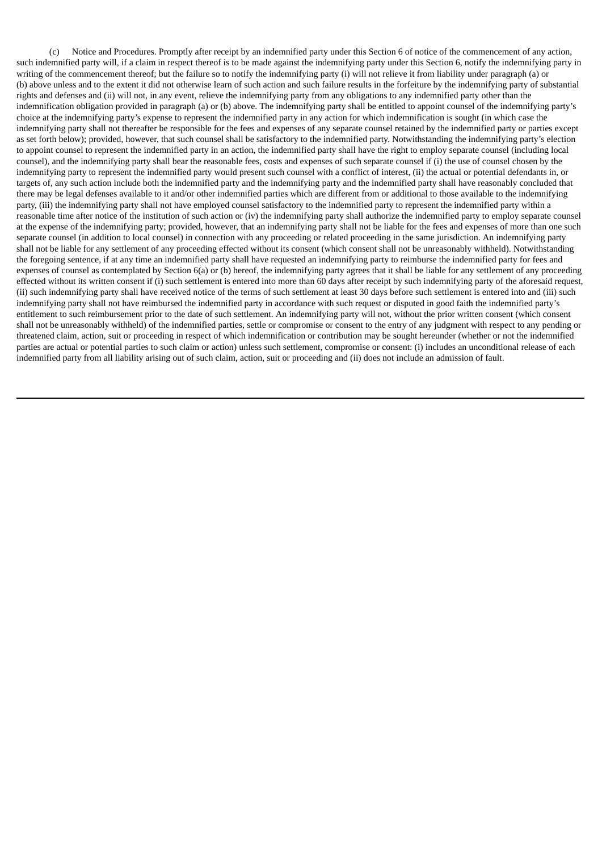(c) Notice and Procedures. Promptly after receipt by an indemnified party under this Section 6 of notice of the commencement of any action, such indemnified party will, if a claim in respect thereof is to be made against the indemnifying party under this Section 6, notify the indemnifying party in writing of the commencement thereof; but the failure so to notify the indemnifying party (i) will not relieve it from liability under paragraph (a) or (b) above unless and to the extent it did not otherwise learn of such action and such failure results in the forfeiture by the indemnifying party of substantial rights and defenses and (ii) will not, in any event, relieve the indemnifying party from any obligations to any indemnified party other than the indemnification obligation provided in paragraph (a) or (b) above. The indemnifying party shall be entitled to appoint counsel of the indemnifying party's choice at the indemnifying party's expense to represent the indemnified party in any action for which indemnification is sought (in which case the indemnifying party shall not thereafter be responsible for the fees and expenses of any separate counsel retained by the indemnified party or parties except as set forth below); provided, however, that such counsel shall be satisfactory to the indemnified party. Notwithstanding the indemnifying party's election to appoint counsel to represent the indemnified party in an action, the indemnified party shall have the right to employ separate counsel (including local counsel), and the indemnifying party shall bear the reasonable fees, costs and expenses of such separate counsel if (i) the use of counsel chosen by the indemnifying party to represent the indemnified party would present such counsel with a conflict of interest, (ii) the actual or potential defendants in, or targets of, any such action include both the indemnified party and the indemnifying party and the indemnified party shall have reasonably concluded that there may be legal defenses available to it and/or other indemnified parties which are different from or additional to those available to the indemnifying party, (iii) the indemnifying party shall not have employed counsel satisfactory to the indemnified party to represent the indemnified party within a reasonable time after notice of the institution of such action or (iv) the indemnifying party shall authorize the indemnified party to employ separate counsel at the expense of the indemnifying party; provided, however, that an indemnifying party shall not be liable for the fees and expenses of more than one such separate counsel (in addition to local counsel) in connection with any proceeding or related proceeding in the same jurisdiction. An indemnifying party shall not be liable for any settlement of any proceeding effected without its consent (which consent shall not be unreasonably withheld). Notwithstanding the foregoing sentence, if at any time an indemnified party shall have requested an indemnifying party to reimburse the indemnified party for fees and expenses of counsel as contemplated by Section 6(a) or (b) hereof, the indemnifying party agrees that it shall be liable for any settlement of any proceeding effected without its written consent if (i) such settlement is entered into more than 60 days after receipt by such indemnifying party of the aforesaid request, (ii) such indemnifying party shall have received notice of the terms of such settlement at least 30 days before such settlement is entered into and (iii) such indemnifying party shall not have reimbursed the indemnified party in accordance with such request or disputed in good faith the indemnified party's entitlement to such reimbursement prior to the date of such settlement. An indemnifying party will not, without the prior written consent (which consent shall not be unreasonably withheld) of the indemnified parties, settle or compromise or consent to the entry of any judgment with respect to any pending or threatened claim, action, suit or proceeding in respect of which indemnification or contribution may be sought hereunder (whether or not the indemnified parties are actual or potential parties to such claim or action) unless such settlement, compromise or consent: (i) includes an unconditional release of each indemnified party from all liability arising out of such claim, action, suit or proceeding and (ii) does not include an admission of fault.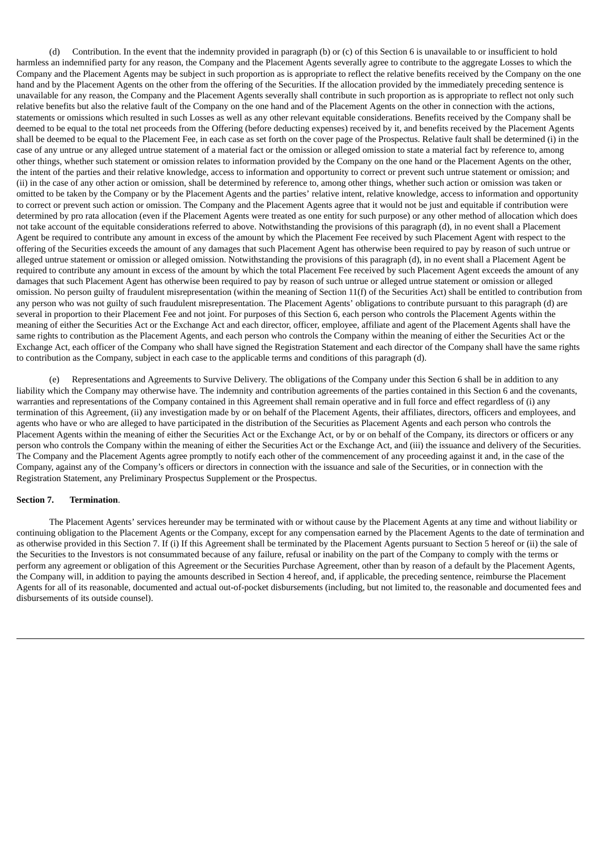(d) Contribution. In the event that the indemnity provided in paragraph (b) or (c) of this Section 6 is unavailable to or insufficient to hold harmless an indemnified party for any reason, the Company and the Placement Agents severally agree to contribute to the aggregate Losses to which the Company and the Placement Agents may be subject in such proportion as is appropriate to reflect the relative benefits received by the Company on the one hand and by the Placement Agents on the other from the offering of the Securities. If the allocation provided by the immediately preceding sentence is unavailable for any reason, the Company and the Placement Agents severally shall contribute in such proportion as is appropriate to reflect not only such relative benefits but also the relative fault of the Company on the one hand and of the Placement Agents on the other in connection with the actions, statements or omissions which resulted in such Losses as well as any other relevant equitable considerations. Benefits received by the Company shall be deemed to be equal to the total net proceeds from the Offering (before deducting expenses) received by it, and benefits received by the Placement Agents shall be deemed to be equal to the Placement Fee, in each case as set forth on the cover page of the Prospectus. Relative fault shall be determined (i) in the case of any untrue or any alleged untrue statement of a material fact or the omission or alleged omission to state a material fact by reference to, among other things, whether such statement or omission relates to information provided by the Company on the one hand or the Placement Agents on the other, the intent of the parties and their relative knowledge, access to information and opportunity to correct or prevent such untrue statement or omission; and (ii) in the case of any other action or omission, shall be determined by reference to, among other things, whether such action or omission was taken or omitted to be taken by the Company or by the Placement Agents and the parties' relative intent, relative knowledge, access to information and opportunity to correct or prevent such action or omission. The Company and the Placement Agents agree that it would not be just and equitable if contribution were determined by pro rata allocation (even if the Placement Agents were treated as one entity for such purpose) or any other method of allocation which does not take account of the equitable considerations referred to above. Notwithstanding the provisions of this paragraph (d), in no event shall a Placement Agent be required to contribute any amount in excess of the amount by which the Placement Fee received by such Placement Agent with respect to the offering of the Securities exceeds the amount of any damages that such Placement Agent has otherwise been required to pay by reason of such untrue or alleged untrue statement or omission or alleged omission. Notwithstanding the provisions of this paragraph (d), in no event shall a Placement Agent be required to contribute any amount in excess of the amount by which the total Placement Fee received by such Placement Agent exceeds the amount of any damages that such Placement Agent has otherwise been required to pay by reason of such untrue or alleged untrue statement or omission or alleged omission. No person guilty of fraudulent misrepresentation (within the meaning of Section 11(f) of the Securities Act) shall be entitled to contribution from any person who was not guilty of such fraudulent misrepresentation. The Placement Agents' obligations to contribute pursuant to this paragraph (d) are several in proportion to their Placement Fee and not joint. For purposes of this Section 6, each person who controls the Placement Agents within the meaning of either the Securities Act or the Exchange Act and each director, officer, employee, affiliate and agent of the Placement Agents shall have the same rights to contribution as the Placement Agents, and each person who controls the Company within the meaning of either the Securities Act or the Exchange Act, each officer of the Company who shall have signed the Registration Statement and each director of the Company shall have the same rights to contribution as the Company, subject in each case to the applicable terms and conditions of this paragraph (d).

(e) Representations and Agreements to Survive Delivery. The obligations of the Company under this Section 6 shall be in addition to any liability which the Company may otherwise have. The indemnity and contribution agreements of the parties contained in this Section 6 and the covenants, warranties and representations of the Company contained in this Agreement shall remain operative and in full force and effect regardless of (i) any termination of this Agreement, (ii) any investigation made by or on behalf of the Placement Agents, their affiliates, directors, officers and employees, and agents who have or who are alleged to have participated in the distribution of the Securities as Placement Agents and each person who controls the Placement Agents within the meaning of either the Securities Act or the Exchange Act, or by or on behalf of the Company, its directors or officers or any person who controls the Company within the meaning of either the Securities Act or the Exchange Act, and (iii) the issuance and delivery of the Securities. The Company and the Placement Agents agree promptly to notify each other of the commencement of any proceeding against it and, in the case of the Company, against any of the Company's officers or directors in connection with the issuance and sale of the Securities, or in connection with the Registration Statement, any Preliminary Prospectus Supplement or the Prospectus.

#### **Section 7. Termination**.

The Placement Agents' services hereunder may be terminated with or without cause by the Placement Agents at any time and without liability or continuing obligation to the Placement Agents or the Company, except for any compensation earned by the Placement Agents to the date of termination and as otherwise provided in this Section 7. If (i) If this Agreement shall be terminated by the Placement Agents pursuant to Section 5 hereof or (ii) the sale of the Securities to the Investors is not consummated because of any failure, refusal or inability on the part of the Company to comply with the terms or perform any agreement or obligation of this Agreement or the Securities Purchase Agreement, other than by reason of a default by the Placement Agents, the Company will, in addition to paying the amounts described in Section 4 hereof, and, if applicable, the preceding sentence, reimburse the Placement Agents for all of its reasonable, documented and actual out-of-pocket disbursements (including, but not limited to, the reasonable and documented fees and disbursements of its outside counsel).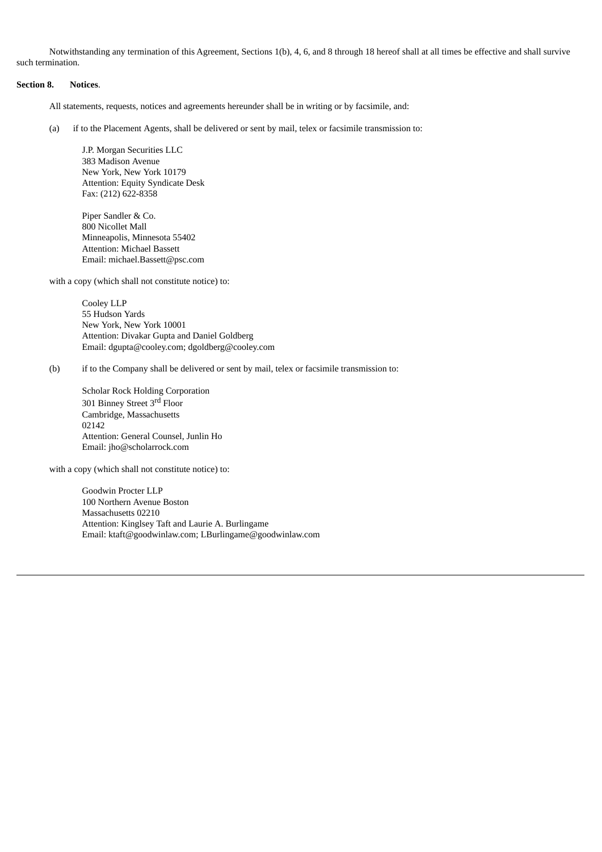Notwithstanding any termination of this Agreement, Sections 1(b), 4, 6, and 8 through 18 hereof shall at all times be effective and shall survive such termination.

#### **Section 8. Notices**.

All statements, requests, notices and agreements hereunder shall be in writing or by facsimile, and:

(a) if to the Placement Agents, shall be delivered or sent by mail, telex or facsimile transmission to:

J.P. Morgan Securities LLC 383 Madison Avenue New York, New York 10179 Attention: Equity Syndicate Desk Fax: (212) 622-8358

Piper Sandler & Co. 800 Nicollet Mall Minneapolis, Minnesota 55402 Attention: Michael Bassett Email: michael.Bassett@psc.com

with a copy (which shall not constitute notice) to:

Cooley LLP 55 Hudson Yards New York, New York 10001 Attention: Divakar Gupta and Daniel Goldberg Email: dgupta@cooley.com; dgoldberg@cooley.com

(b) if to the Company shall be delivered or sent by mail, telex or facsimile transmission to:

Scholar Rock Holding Corporation 301 Binney Street 3<sup>rd</sup> Floor Cambridge, Massachusetts 02142 Attention: General Counsel, Junlin Ho Email: jho@scholarrock.com

with a copy (which shall not constitute notice) to:

Goodwin Procter LLP 100 Northern Avenue Boston Massachusetts 02210 Attention: Kinglsey Taft and Laurie A. Burlingame Email: ktaft@goodwinlaw.com; LBurlingame@goodwinlaw.com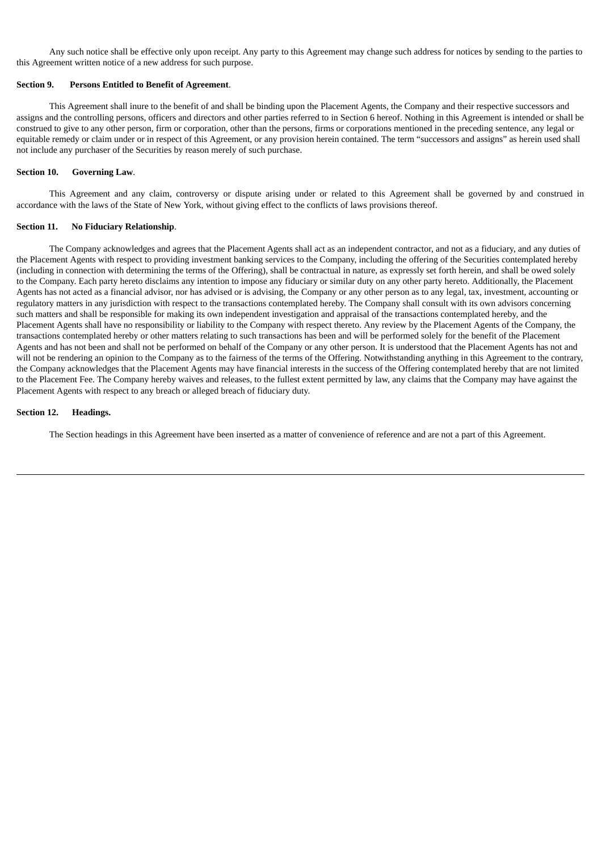Any such notice shall be effective only upon receipt. Any party to this Agreement may change such address for notices by sending to the parties to this Agreement written notice of a new address for such purpose.

#### **Section 9. Persons Entitled to Benefit of Agreement**.

This Agreement shall inure to the benefit of and shall be binding upon the Placement Agents, the Company and their respective successors and assigns and the controlling persons, officers and directors and other parties referred to in Section 6 hereof. Nothing in this Agreement is intended or shall be construed to give to any other person, firm or corporation, other than the persons, firms or corporations mentioned in the preceding sentence, any legal or equitable remedy or claim under or in respect of this Agreement, or any provision herein contained. The term "successors and assigns" as herein used shall not include any purchaser of the Securities by reason merely of such purchase.

#### **Section 10. Governing Law**.

This Agreement and any claim, controversy or dispute arising under or related to this Agreement shall be governed by and construed in accordance with the laws of the State of New York, without giving effect to the conflicts of laws provisions thereof.

#### **Section 11. No Fiduciary Relationship**.

The Company acknowledges and agrees that the Placement Agents shall act as an independent contractor, and not as a fiduciary, and any duties of the Placement Agents with respect to providing investment banking services to the Company, including the offering of the Securities contemplated hereby (including in connection with determining the terms of the Offering), shall be contractual in nature, as expressly set forth herein, and shall be owed solely to the Company. Each party hereto disclaims any intention to impose any fiduciary or similar duty on any other party hereto. Additionally, the Placement Agents has not acted as a financial advisor, nor has advised or is advising, the Company or any other person as to any legal, tax, investment, accounting or regulatory matters in any jurisdiction with respect to the transactions contemplated hereby. The Company shall consult with its own advisors concerning such matters and shall be responsible for making its own independent investigation and appraisal of the transactions contemplated hereby, and the Placement Agents shall have no responsibility or liability to the Company with respect thereto. Any review by the Placement Agents of the Company, the transactions contemplated hereby or other matters relating to such transactions has been and will be performed solely for the benefit of the Placement Agents and has not been and shall not be performed on behalf of the Company or any other person. It is understood that the Placement Agents has not and will not be rendering an opinion to the Company as to the fairness of the terms of the Offering. Notwithstanding anything in this Agreement to the contrary, the Company acknowledges that the Placement Agents may have financial interests in the success of the Offering contemplated hereby that are not limited to the Placement Fee. The Company hereby waives and releases, to the fullest extent permitted by law, any claims that the Company may have against the Placement Agents with respect to any breach or alleged breach of fiduciary duty.

#### **Section 12. Headings.**

The Section headings in this Agreement have been inserted as a matter of convenience of reference and are not a part of this Agreement.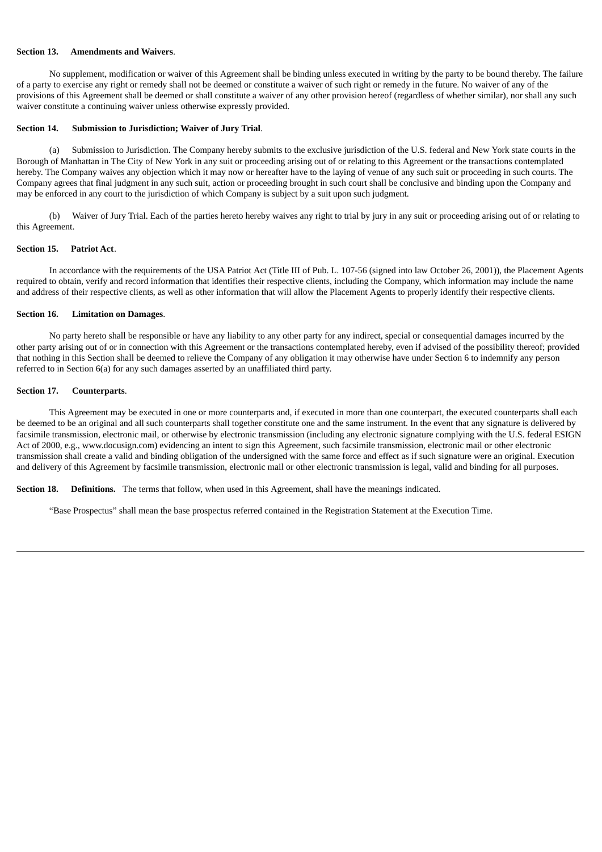#### **Section 13. Amendments and Waivers**.

No supplement, modification or waiver of this Agreement shall be binding unless executed in writing by the party to be bound thereby. The failure of a party to exercise any right or remedy shall not be deemed or constitute a waiver of such right or remedy in the future. No waiver of any of the provisions of this Agreement shall be deemed or shall constitute a waiver of any other provision hereof (regardless of whether similar), nor shall any such waiver constitute a continuing waiver unless otherwise expressly provided.

#### **Section 14. Submission to Jurisdiction; Waiver of Jury Trial**.

(a) Submission to Jurisdiction. The Company hereby submits to the exclusive jurisdiction of the U.S. federal and New York state courts in the Borough of Manhattan in The City of New York in any suit or proceeding arising out of or relating to this Agreement or the transactions contemplated hereby. The Company waives any objection which it may now or hereafter have to the laying of venue of any such suit or proceeding in such courts. The Company agrees that final judgment in any such suit, action or proceeding brought in such court shall be conclusive and binding upon the Company and may be enforced in any court to the jurisdiction of which Company is subject by a suit upon such judgment.

(b) Waiver of Jury Trial. Each of the parties hereto hereby waives any right to trial by jury in any suit or proceeding arising out of or relating to this Agreement.

#### **Section 15. Patriot Act**.

In accordance with the requirements of the USA Patriot Act (Title III of Pub. L. 107-56 (signed into law October 26, 2001)), the Placement Agents required to obtain, verify and record information that identifies their respective clients, including the Company, which information may include the name and address of their respective clients, as well as other information that will allow the Placement Agents to properly identify their respective clients.

#### **Section 16. Limitation on Damages**.

No party hereto shall be responsible or have any liability to any other party for any indirect, special or consequential damages incurred by the other party arising out of or in connection with this Agreement or the transactions contemplated hereby, even if advised of the possibility thereof; provided that nothing in this Section shall be deemed to relieve the Company of any obligation it may otherwise have under Section 6 to indemnify any person referred to in Section 6(a) for any such damages asserted by an unaffiliated third party.

#### **Section 17. Counterparts**.

This Agreement may be executed in one or more counterparts and, if executed in more than one counterpart, the executed counterparts shall each be deemed to be an original and all such counterparts shall together constitute one and the same instrument. In the event that any signature is delivered by facsimile transmission, electronic mail, or otherwise by electronic transmission (including any electronic signature complying with the U.S. federal ESIGN Act of 2000, e.g., www.docusign.com) evidencing an intent to sign this Agreement, such facsimile transmission, electronic mail or other electronic transmission shall create a valid and binding obligation of the undersigned with the same force and effect as if such signature were an original. Execution and delivery of this Agreement by facsimile transmission, electronic mail or other electronic transmission is legal, valid and binding for all purposes.

**Section 18. Definitions.** The terms that follow, when used in this Agreement, shall have the meanings indicated.

"Base Prospectus" shall mean the base prospectus referred contained in the Registration Statement at the Execution Time.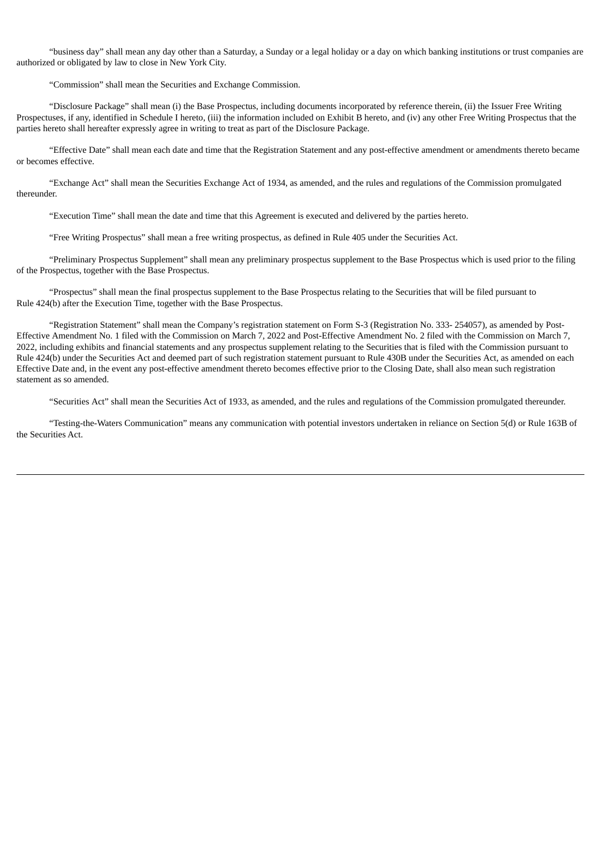"business day" shall mean any day other than a Saturday, a Sunday or a legal holiday or a day on which banking institutions or trust companies are authorized or obligated by law to close in New York City.

"Commission" shall mean the Securities and Exchange Commission.

"Disclosure Package" shall mean (i) the Base Prospectus, including documents incorporated by reference therein, (ii) the Issuer Free Writing Prospectuses, if any, identified in Schedule I hereto, (iii) the information included on Exhibit B hereto, and (iv) any other Free Writing Prospectus that the parties hereto shall hereafter expressly agree in writing to treat as part of the Disclosure Package.

"Effective Date" shall mean each date and time that the Registration Statement and any post-effective amendment or amendments thereto became or becomes effective.

"Exchange Act" shall mean the Securities Exchange Act of 1934, as amended, and the rules and regulations of the Commission promulgated thereunder.

"Execution Time" shall mean the date and time that this Agreement is executed and delivered by the parties hereto.

"Free Writing Prospectus" shall mean a free writing prospectus, as defined in Rule 405 under the Securities Act.

"Preliminary Prospectus Supplement" shall mean any preliminary prospectus supplement to the Base Prospectus which is used prior to the filing of the Prospectus, together with the Base Prospectus.

"Prospectus" shall mean the final prospectus supplement to the Base Prospectus relating to the Securities that will be filed pursuant to Rule 424(b) after the Execution Time, together with the Base Prospectus.

"Registration Statement" shall mean the Company's registration statement on Form S-3 (Registration No. 333- 254057), as amended by Post-Effective Amendment No. 1 filed with the Commission on March 7, 2022 and Post-Effective Amendment No. 2 filed with the Commission on March 7, 2022, including exhibits and financial statements and any prospectus supplement relating to the Securities that is filed with the Commission pursuant to Rule 424(b) under the Securities Act and deemed part of such registration statement pursuant to Rule 430B under the Securities Act, as amended on each Effective Date and, in the event any post-effective amendment thereto becomes effective prior to the Closing Date, shall also mean such registration statement as so amended.

"Securities Act" shall mean the Securities Act of 1933, as amended, and the rules and regulations of the Commission promulgated thereunder.

"Testing-the-Waters Communication" means any communication with potential investors undertaken in reliance on Section 5(d) or Rule 163B of the Securities Act.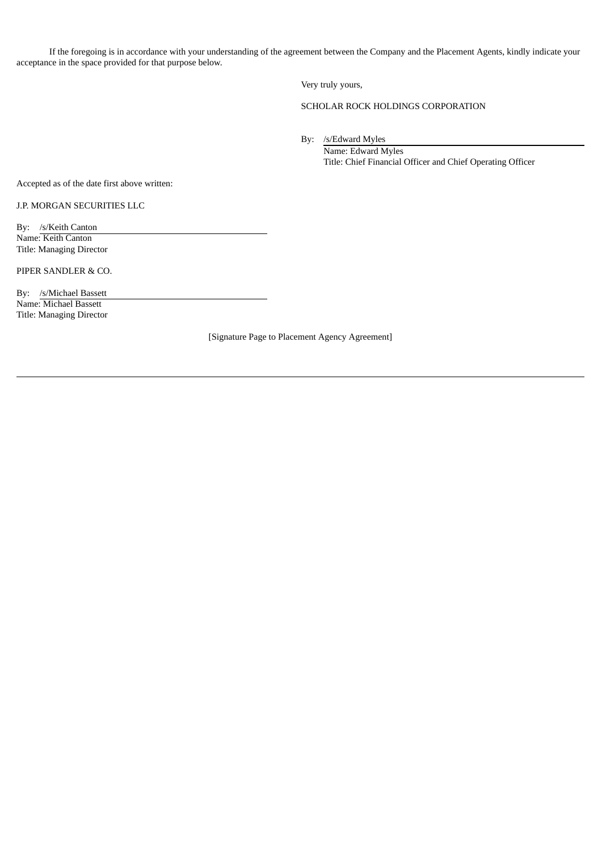If the foregoing is in accordance with your understanding of the agreement between the Company and the Placement Agents, kindly indicate your acceptance in the space provided for that purpose below.

Very truly yours,

SCHOLAR ROCK HOLDINGS CORPORATION

By: /s/Edward Myles

Name: Edward Myles Title: Chief Financial Officer and Chief Operating Officer

Accepted as of the date first above written:

J.P. MORGAN SECURITIES LLC

By: /s/Keith Canton Name: Keith Canton Title: Managing Director

PIPER SANDLER & CO.

By: /s/Michael Bassett Name: Michael Bassett Title: Managing Director

[Signature Page to Placement Agency Agreement]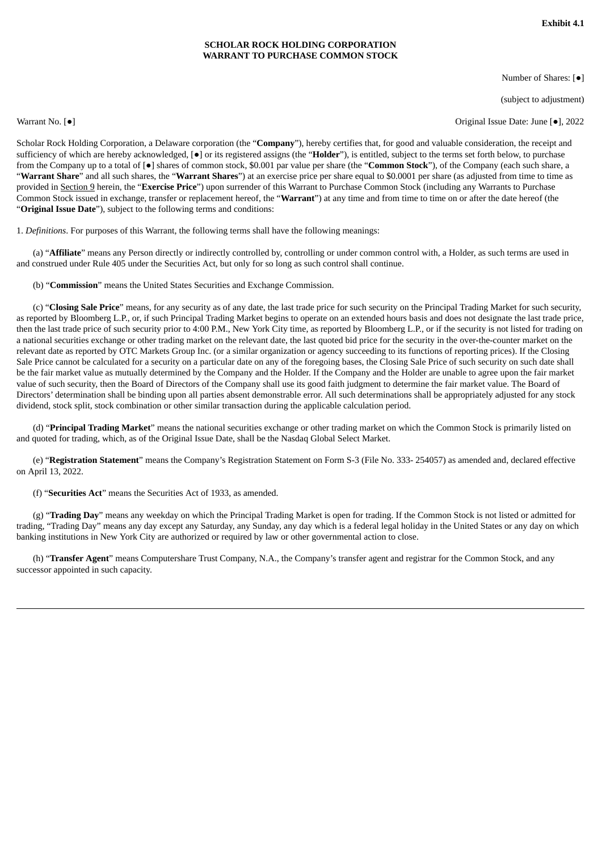### **SCHOLAR ROCK HOLDING CORPORATION WARRANT TO PURCHASE COMMON STOCK**

Number of Shares: [●]

(subject to adjustment)

<span id="page-33-0"></span>Warrant No. [●] Original Issue Date: June [●], 2022

Scholar Rock Holding Corporation, a Delaware corporation (the "**Company**"), hereby certifies that, for good and valuable consideration, the receipt and sufficiency of which are hereby acknowledged, [●] or its registered assigns (the "**Holder**"), is entitled, subject to the terms set forth below, to purchase from the Company up to a total of [●] shares of common stock, \$0.001 par value per share (the "**Common Stock**"), of the Company (each such share, a "**Warrant Share**" and all such shares, the "**Warrant Shares**") at an exercise price per share equal to \$0.0001 per share (as adjusted from time to time as provided in Section 9 herein, the "**Exercise Price**") upon surrender of this Warrant to Purchase Common Stock (including any Warrants to Purchase Common Stock issued in exchange, transfer or replacement hereof, the "**Warrant**") at any time and from time to time on or after the date hereof (the "**Original Issue Date**"), subject to the following terms and conditions:

1. *Definitions*. For purposes of this Warrant, the following terms shall have the following meanings:

(a) "**Affiliate**" means any Person directly or indirectly controlled by, controlling or under common control with, a Holder, as such terms are used in and construed under Rule 405 under the Securities Act, but only for so long as such control shall continue.

(b) "**Commission**" means the United States Securities and Exchange Commission.

(c) "**Closing Sale Price**" means, for any security as of any date, the last trade price for such security on the Principal Trading Market for such security, as reported by Bloomberg L.P., or, if such Principal Trading Market begins to operate on an extended hours basis and does not designate the last trade price, then the last trade price of such security prior to 4:00 P.M., New York City time, as reported by Bloomberg L.P., or if the security is not listed for trading on a national securities exchange or other trading market on the relevant date, the last quoted bid price for the security in the over-the-counter market on the relevant date as reported by OTC Markets Group Inc. (or a similar organization or agency succeeding to its functions of reporting prices). If the Closing Sale Price cannot be calculated for a security on a particular date on any of the foregoing bases, the Closing Sale Price of such security on such date shall be the fair market value as mutually determined by the Company and the Holder. If the Company and the Holder are unable to agree upon the fair market value of such security, then the Board of Directors of the Company shall use its good faith judgment to determine the fair market value. The Board of Directors' determination shall be binding upon all parties absent demonstrable error. All such determinations shall be appropriately adjusted for any stock dividend, stock split, stock combination or other similar transaction during the applicable calculation period.

(d) "**Principal Trading Market**" means the national securities exchange or other trading market on which the Common Stock is primarily listed on and quoted for trading, which, as of the Original Issue Date, shall be the Nasdaq Global Select Market.

(e) "**Registration Statement**" means the Company's Registration Statement on Form S-3 (File No. 333- 254057) as amended and, declared effective on April 13, 2022.

(f) "**Securities Act**" means the Securities Act of 1933, as amended.

(g) "**Trading Day**" means any weekday on which the Principal Trading Market is open for trading. If the Common Stock is not listed or admitted for trading, "Trading Day" means any day except any Saturday, any Sunday, any day which is a federal legal holiday in the United States or any day on which banking institutions in New York City are authorized or required by law or other governmental action to close.

(h) "**Transfer Agent**" means Computershare Trust Company, N.A., the Company's transfer agent and registrar for the Common Stock, and any successor appointed in such capacity.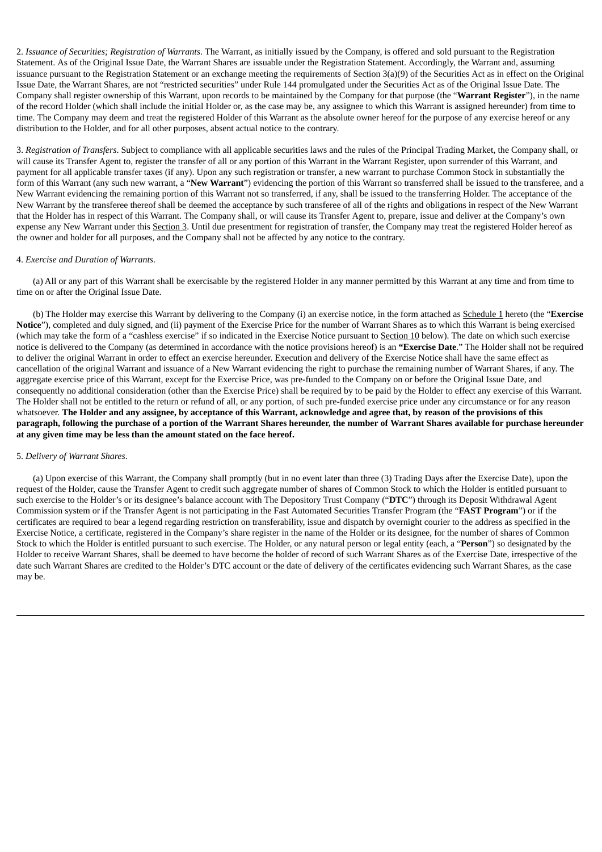2. *Issuance of Securities; Registration of Warrants*. The Warrant, as initially issued by the Company, is offered and sold pursuant to the Registration Statement. As of the Original Issue Date, the Warrant Shares are issuable under the Registration Statement. Accordingly, the Warrant and, assuming issuance pursuant to the Registration Statement or an exchange meeting the requirements of Section 3(a)(9) of the Securities Act as in effect on the Original Issue Date, the Warrant Shares, are not "restricted securities" under Rule 144 promulgated under the Securities Act as of the Original Issue Date. The Company shall register ownership of this Warrant, upon records to be maintained by the Company for that purpose (the "**Warrant Register**"), in the name of the record Holder (which shall include the initial Holder or, as the case may be, any assignee to which this Warrant is assigned hereunder) from time to time. The Company may deem and treat the registered Holder of this Warrant as the absolute owner hereof for the purpose of any exercise hereof or any distribution to the Holder, and for all other purposes, absent actual notice to the contrary.

3. *Registration of Transfers*. Subject to compliance with all applicable securities laws and the rules of the Principal Trading Market, the Company shall, or will cause its Transfer Agent to, register the transfer of all or any portion of this Warrant in the Warrant Register, upon surrender of this Warrant, and payment for all applicable transfer taxes (if any). Upon any such registration or transfer, a new warrant to purchase Common Stock in substantially the form of this Warrant (any such new warrant, a "**New Warrant**") evidencing the portion of this Warrant so transferred shall be issued to the transferee, and a New Warrant evidencing the remaining portion of this Warrant not so transferred, if any, shall be issued to the transferring Holder. The acceptance of the New Warrant by the transferee thereof shall be deemed the acceptance by such transferee of all of the rights and obligations in respect of the New Warrant that the Holder has in respect of this Warrant. The Company shall, or will cause its Transfer Agent to, prepare, issue and deliver at the Company's own expense any New Warrant under this Section 3. Until due presentment for registration of transfer, the Company may treat the registered Holder hereof as the owner and holder for all purposes, and the Company shall not be affected by any notice to the contrary.

#### 4. *Exercise and Duration of Warrants*.

(a) All or any part of this Warrant shall be exercisable by the registered Holder in any manner permitted by this Warrant at any time and from time to time on or after the Original Issue Date.

(b) The Holder may exercise this Warrant by delivering to the Company (i) an exercise notice, in the form attached as Schedule 1 hereto (the "**Exercise Notice**"), completed and duly signed, and (ii) payment of the Exercise Price for the number of Warrant Shares as to which this Warrant is being exercised (which may take the form of a "cashless exercise" if so indicated in the Exercise Notice pursuant to Section 10 below). The date on which such exercise notice is delivered to the Company (as determined in accordance with the notice provisions hereof) is an **"Exercise Date**." The Holder shall not be required to deliver the original Warrant in order to effect an exercise hereunder. Execution and delivery of the Exercise Notice shall have the same effect as cancellation of the original Warrant and issuance of a New Warrant evidencing the right to purchase the remaining number of Warrant Shares, if any. The aggregate exercise price of this Warrant, except for the Exercise Price, was pre-funded to the Company on or before the Original Issue Date, and consequently no additional consideration (other than the Exercise Price) shall be required by to be paid by the Holder to effect any exercise of this Warrant. The Holder shall not be entitled to the return or refund of all, or any portion, of such pre-funded exercise price under any circumstance or for any reason whatsoever. The Holder and any assignee, by acceptance of this Warrant, acknowledge and agree that, by reason of the provisions of this paragraph, following the purchase of a portion of the Warrant Shares hereunder, the number of Warrant Shares available for purchase hereunder **at any given time may be less than the amount stated on the face hereof.**

#### 5. *Delivery of Warrant Shares*.

(a) Upon exercise of this Warrant, the Company shall promptly (but in no event later than three (3) Trading Days after the Exercise Date), upon the request of the Holder, cause the Transfer Agent to credit such aggregate number of shares of Common Stock to which the Holder is entitled pursuant to such exercise to the Holder's or its designee's balance account with The Depository Trust Company ("**DTC**") through its Deposit Withdrawal Agent Commission system or if the Transfer Agent is not participating in the Fast Automated Securities Transfer Program (the "**FAST Program**") or if the certificates are required to bear a legend regarding restriction on transferability, issue and dispatch by overnight courier to the address as specified in the Exercise Notice, a certificate, registered in the Company's share register in the name of the Holder or its designee, for the number of shares of Common Stock to which the Holder is entitled pursuant to such exercise. The Holder, or any natural person or legal entity (each, a "**Person**") so designated by the Holder to receive Warrant Shares, shall be deemed to have become the holder of record of such Warrant Shares as of the Exercise Date, irrespective of the date such Warrant Shares are credited to the Holder's DTC account or the date of delivery of the certificates evidencing such Warrant Shares, as the case may be.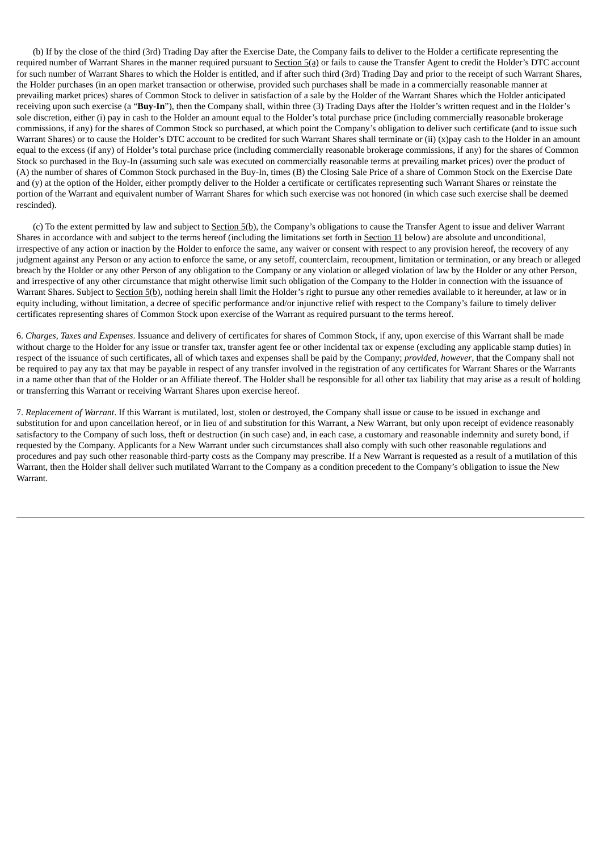(b) If by the close of the third (3rd) Trading Day after the Exercise Date, the Company fails to deliver to the Holder a certificate representing the required number of Warrant Shares in the manner required pursuant to Section 5(a) or fails to cause the Transfer Agent to credit the Holder's DTC account for such number of Warrant Shares to which the Holder is entitled, and if after such third (3rd) Trading Day and prior to the receipt of such Warrant Shares, the Holder purchases (in an open market transaction or otherwise, provided such purchases shall be made in a commercially reasonable manner at prevailing market prices) shares of Common Stock to deliver in satisfaction of a sale by the Holder of the Warrant Shares which the Holder anticipated receiving upon such exercise (a "**Buy-In**"), then the Company shall, within three (3) Trading Days after the Holder's written request and in the Holder's sole discretion, either (i) pay in cash to the Holder an amount equal to the Holder's total purchase price (including commercially reasonable brokerage commissions, if any) for the shares of Common Stock so purchased, at which point the Company's obligation to deliver such certificate (and to issue such Warrant Shares) or to cause the Holder's DTC account to be credited for such Warrant Shares shall terminate or (ii) (x)pay cash to the Holder in an amount equal to the excess (if any) of Holder's total purchase price (including commercially reasonable brokerage commissions, if any) for the shares of Common Stock so purchased in the Buy-In (assuming such sale was executed on commercially reasonable terms at prevailing market prices) over the product of (A) the number of shares of Common Stock purchased in the Buy-In, times (B) the Closing Sale Price of a share of Common Stock on the Exercise Date and (y) at the option of the Holder, either promptly deliver to the Holder a certificate or certificates representing such Warrant Shares or reinstate the portion of the Warrant and equivalent number of Warrant Shares for which such exercise was not honored (in which case such exercise shall be deemed rescinded).

(c) To the extent permitted by law and subject to Section  $5(b)$ , the Company's obligations to cause the Transfer Agent to issue and deliver Warrant Shares in accordance with and subject to the terms hereof (including the limitations set forth in Section 11 below) are absolute and unconditional, irrespective of any action or inaction by the Holder to enforce the same, any waiver or consent with respect to any provision hereof, the recovery of any judgment against any Person or any action to enforce the same, or any setoff, counterclaim, recoupment, limitation or termination, or any breach or alleged breach by the Holder or any other Person of any obligation to the Company or any violation or alleged violation of law by the Holder or any other Person, and irrespective of any other circumstance that might otherwise limit such obligation of the Company to the Holder in connection with the issuance of Warrant Shares. Subject to Section 5(b), nothing herein shall limit the Holder's right to pursue any other remedies available to it hereunder, at law or in equity including, without limitation, a decree of specific performance and/or injunctive relief with respect to the Company's failure to timely deliver certificates representing shares of Common Stock upon exercise of the Warrant as required pursuant to the terms hereof.

6. *Charges, Taxes and Expenses*. Issuance and delivery of certificates for shares of Common Stock, if any, upon exercise of this Warrant shall be made without charge to the Holder for any issue or transfer tax, transfer agent fee or other incidental tax or expense (excluding any applicable stamp duties) in respect of the issuance of such certificates, all of which taxes and expenses shall be paid by the Company; *provided*, *however*, that the Company shall not be required to pay any tax that may be payable in respect of any transfer involved in the registration of any certificates for Warrant Shares or the Warrants in a name other than that of the Holder or an Affiliate thereof. The Holder shall be responsible for all other tax liability that may arise as a result of holding or transferring this Warrant or receiving Warrant Shares upon exercise hereof.

7. *Replacement of Warrant*. If this Warrant is mutilated, lost, stolen or destroyed, the Company shall issue or cause to be issued in exchange and substitution for and upon cancellation hereof, or in lieu of and substitution for this Warrant, a New Warrant, but only upon receipt of evidence reasonably satisfactory to the Company of such loss, theft or destruction (in such case) and, in each case, a customary and reasonable indemnity and surety bond, if requested by the Company. Applicants for a New Warrant under such circumstances shall also comply with such other reasonable regulations and procedures and pay such other reasonable third-party costs as the Company may prescribe. If a New Warrant is requested as a result of a mutilation of this Warrant, then the Holder shall deliver such mutilated Warrant to the Company as a condition precedent to the Company's obligation to issue the New Warrant.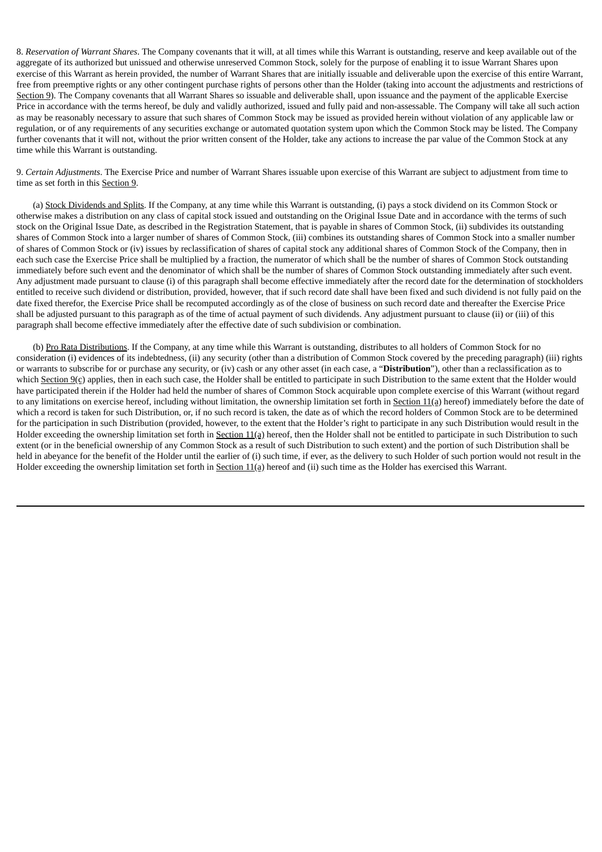8. *Reservation of Warrant Shares*. The Company covenants that it will, at all times while this Warrant is outstanding, reserve and keep available out of the aggregate of its authorized but unissued and otherwise unreserved Common Stock, solely for the purpose of enabling it to issue Warrant Shares upon exercise of this Warrant as herein provided, the number of Warrant Shares that are initially issuable and deliverable upon the exercise of this entire Warrant, free from preemptive rights or any other contingent purchase rights of persons other than the Holder (taking into account the adjustments and restrictions of Section 9). The Company covenants that all Warrant Shares so issuable and deliverable shall, upon issuance and the payment of the applicable Exercise Price in accordance with the terms hereof, be duly and validly authorized, issued and fully paid and non-assessable. The Company will take all such action as may be reasonably necessary to assure that such shares of Common Stock may be issued as provided herein without violation of any applicable law or regulation, or of any requirements of any securities exchange or automated quotation system upon which the Common Stock may be listed. The Company further covenants that it will not, without the prior written consent of the Holder, take any actions to increase the par value of the Common Stock at any time while this Warrant is outstanding.

9. *Certain Adjustments*. The Exercise Price and number of Warrant Shares issuable upon exercise of this Warrant are subject to adjustment from time to time as set forth in this Section 9.

(a) Stock Dividends and Splits. If the Company, at any time while this Warrant is outstanding, (i) pays a stock dividend on its Common Stock or otherwise makes a distribution on any class of capital stock issued and outstanding on the Original Issue Date and in accordance with the terms of such stock on the Original Issue Date, as described in the Registration Statement, that is payable in shares of Common Stock, (ii) subdivides its outstanding shares of Common Stock into a larger number of shares of Common Stock, (iii) combines its outstanding shares of Common Stock into a smaller number of shares of Common Stock or (iv) issues by reclassification of shares of capital stock any additional shares of Common Stock of the Company, then in each such case the Exercise Price shall be multiplied by a fraction, the numerator of which shall be the number of shares of Common Stock outstanding immediately before such event and the denominator of which shall be the number of shares of Common Stock outstanding immediately after such event. Any adjustment made pursuant to clause (i) of this paragraph shall become effective immediately after the record date for the determination of stockholders entitled to receive such dividend or distribution, provided, however, that if such record date shall have been fixed and such dividend is not fully paid on the date fixed therefor, the Exercise Price shall be recomputed accordingly as of the close of business on such record date and thereafter the Exercise Price shall be adjusted pursuant to this paragraph as of the time of actual payment of such dividends. Any adjustment pursuant to clause (ii) or (iii) of this paragraph shall become effective immediately after the effective date of such subdivision or combination.

(b) Pro Rata Distributions. If the Company, at any time while this Warrant is outstanding, distributes to all holders of Common Stock for no consideration (i) evidences of its indebtedness, (ii) any security (other than a distribution of Common Stock covered by the preceding paragraph) (iii) rights or warrants to subscribe for or purchase any security, or (iv) cash or any other asset (in each case, a "**Distribution**"), other than a reclassification as to which  $S$ ection  $9(c)$  applies, then in each such case, the Holder shall be entitled to participate in such Distribution to the same extent that the Holder would have participated therein if the Holder had held the number of shares of Common Stock acquirable upon complete exercise of this Warrant (without regard to any limitations on exercise hereof, including without limitation, the ownership limitation set forth in Section 11(a) hereof) immediately before the date of which a record is taken for such Distribution, or, if no such record is taken, the date as of which the record holders of Common Stock are to be determined for the participation in such Distribution (provided, however, to the extent that the Holder's right to participate in any such Distribution would result in the Holder exceeding the ownership limitation set forth in Section 11(a) hereof, then the Holder shall not be entitled to participate in such Distribution to such extent (or in the beneficial ownership of any Common Stock as a result of such Distribution to such extent) and the portion of such Distribution shall be held in abeyance for the benefit of the Holder until the earlier of (i) such time, if ever, as the delivery to such Holder of such portion would not result in the Holder exceeding the ownership limitation set forth in Section 11(a) hereof and (ii) such time as the Holder has exercised this Warrant.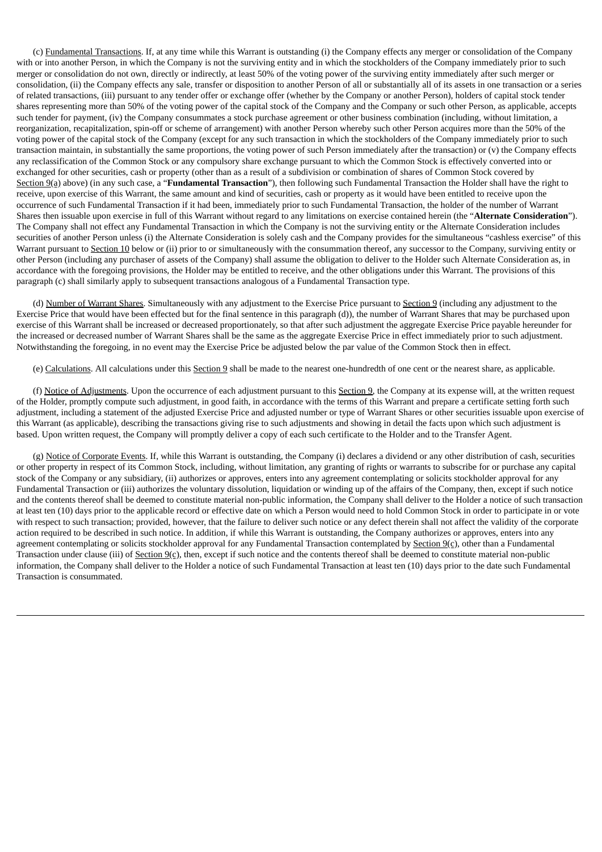(c) Fundamental Transactions. If, at any time while this Warrant is outstanding (i) the Company effects any merger or consolidation of the Company with or into another Person, in which the Company is not the surviving entity and in which the stockholders of the Company immediately prior to such merger or consolidation do not own, directly or indirectly, at least 50% of the voting power of the surviving entity immediately after such merger or consolidation, (ii) the Company effects any sale, transfer or disposition to another Person of all or substantially all of its assets in one transaction or a series of related transactions, (iii) pursuant to any tender offer or exchange offer (whether by the Company or another Person), holders of capital stock tender shares representing more than 50% of the voting power of the capital stock of the Company and the Company or such other Person, as applicable, accepts such tender for payment, (iv) the Company consummates a stock purchase agreement or other business combination (including, without limitation, a reorganization, recapitalization, spin-off or scheme of arrangement) with another Person whereby such other Person acquires more than the 50% of the voting power of the capital stock of the Company (except for any such transaction in which the stockholders of the Company immediately prior to such transaction maintain, in substantially the same proportions, the voting power of such Person immediately after the transaction) or (v) the Company effects any reclassification of the Common Stock or any compulsory share exchange pursuant to which the Common Stock is effectively converted into or exchanged for other securities, cash or property (other than as a result of a subdivision or combination of shares of Common Stock covered by Section 9(a) above) (in any such case, a "**Fundamental Transaction**"), then following such Fundamental Transaction the Holder shall have the right to receive, upon exercise of this Warrant, the same amount and kind of securities, cash or property as it would have been entitled to receive upon the occurrence of such Fundamental Transaction if it had been, immediately prior to such Fundamental Transaction, the holder of the number of Warrant Shares then issuable upon exercise in full of this Warrant without regard to any limitations on exercise contained herein (the "**Alternate Consideration**"). The Company shall not effect any Fundamental Transaction in which the Company is not the surviving entity or the Alternate Consideration includes securities of another Person unless (i) the Alternate Consideration is solely cash and the Company provides for the simultaneous "cashless exercise" of this Warrant pursuant to Section 10 below or (ii) prior to or simultaneously with the consummation thereof, any successor to the Company, surviving entity or other Person (including any purchaser of assets of the Company) shall assume the obligation to deliver to the Holder such Alternate Consideration as, in accordance with the foregoing provisions, the Holder may be entitled to receive, and the other obligations under this Warrant. The provisions of this paragraph (c) shall similarly apply to subsequent transactions analogous of a Fundamental Transaction type.

(d) Number of Warrant Shares. Simultaneously with any adjustment to the Exercise Price pursuant to Section 9 (including any adjustment to the Exercise Price that would have been effected but for the final sentence in this paragraph (d)), the number of Warrant Shares that may be purchased upon exercise of this Warrant shall be increased or decreased proportionately, so that after such adjustment the aggregate Exercise Price payable hereunder for the increased or decreased number of Warrant Shares shall be the same as the aggregate Exercise Price in effect immediately prior to such adjustment. Notwithstanding the foregoing, in no event may the Exercise Price be adjusted below the par value of the Common Stock then in effect.

(e) Calculations. All calculations under this Section 9 shall be made to the nearest one-hundredth of one cent or the nearest share, as applicable.

(f) Notice of Adjustments. Upon the occurrence of each adjustment pursuant to this Section 9, the Company at its expense will, at the written request of the Holder, promptly compute such adjustment, in good faith, in accordance with the terms of this Warrant and prepare a certificate setting forth such adjustment, including a statement of the adjusted Exercise Price and adjusted number or type of Warrant Shares or other securities issuable upon exercise of this Warrant (as applicable), describing the transactions giving rise to such adjustments and showing in detail the facts upon which such adjustment is based. Upon written request, the Company will promptly deliver a copy of each such certificate to the Holder and to the Transfer Agent.

(g) Notice of Corporate Events. If, while this Warrant is outstanding, the Company (i) declares a dividend or any other distribution of cash, securities or other property in respect of its Common Stock, including, without limitation, any granting of rights or warrants to subscribe for or purchase any capital stock of the Company or any subsidiary, (ii) authorizes or approves, enters into any agreement contemplating or solicits stockholder approval for any Fundamental Transaction or (iii) authorizes the voluntary dissolution, liquidation or winding up of the affairs of the Company, then, except if such notice and the contents thereof shall be deemed to constitute material non-public information, the Company shall deliver to the Holder a notice of such transaction at least ten (10) days prior to the applicable record or effective date on which a Person would need to hold Common Stock in order to participate in or vote with respect to such transaction; provided, however, that the failure to deliver such notice or any defect therein shall not affect the validity of the corporate action required to be described in such notice. In addition, if while this Warrant is outstanding, the Company authorizes or approves, enters into any agreement contemplating or solicits stockholder approval for any Fundamental Transaction contemplated by **Section 9(c)**, other than a Fundamental Transaction under clause (iii) of  $Section\ 9(c)$ , then, except if such notice and the contents thereof shall be deemed to constitute material non-public information, the Company shall deliver to the Holder a notice of such Fundamental Transaction at least ten (10) days prior to the date such Fundamental Transaction is consummated.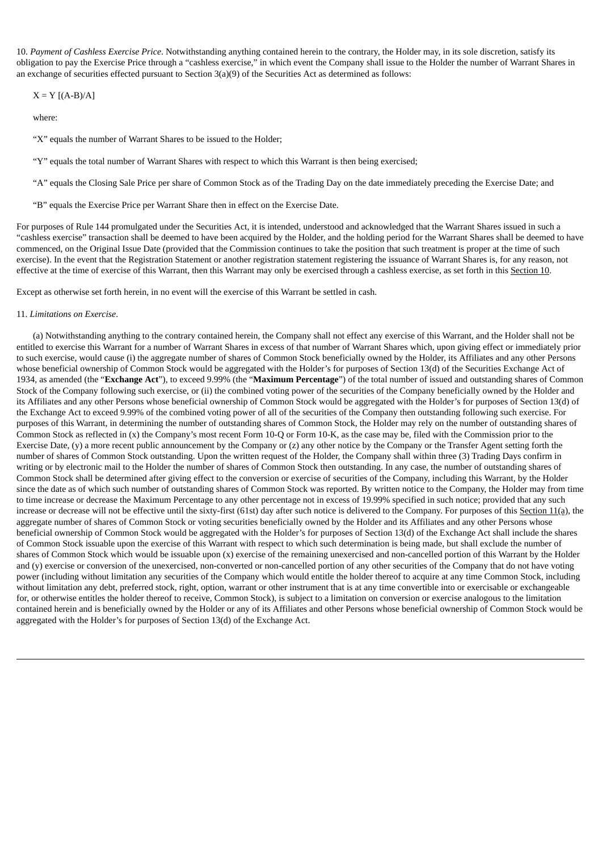10. *Payment of Cashless Exercise Price*. Notwithstanding anything contained herein to the contrary, the Holder may, in its sole discretion, satisfy its obligation to pay the Exercise Price through a "cashless exercise," in which event the Company shall issue to the Holder the number of Warrant Shares in an exchange of securities effected pursuant to Section 3(a)(9) of the Securities Act as determined as follows:

 $X = Y [(A-B)/A]$ 

where:

"X" equals the number of Warrant Shares to be issued to the Holder;

"Y" equals the total number of Warrant Shares with respect to which this Warrant is then being exercised;

"A" equals the Closing Sale Price per share of Common Stock as of the Trading Day on the date immediately preceding the Exercise Date; and

"B" equals the Exercise Price per Warrant Share then in effect on the Exercise Date.

For purposes of Rule 144 promulgated under the Securities Act, it is intended, understood and acknowledged that the Warrant Shares issued in such a "cashless exercise" transaction shall be deemed to have been acquired by the Holder, and the holding period for the Warrant Shares shall be deemed to have commenced, on the Original Issue Date (provided that the Commission continues to take the position that such treatment is proper at the time of such exercise). In the event that the Registration Statement or another registration statement registering the issuance of Warrant Shares is, for any reason, not effective at the time of exercise of this Warrant, then this Warrant may only be exercised through a cashless exercise, as set forth in this Section 10.

Except as otherwise set forth herein, in no event will the exercise of this Warrant be settled in cash.

#### 11. *Limitations on Exercise*.

(a) Notwithstanding anything to the contrary contained herein, the Company shall not effect any exercise of this Warrant, and the Holder shall not be entitled to exercise this Warrant for a number of Warrant Shares in excess of that number of Warrant Shares which, upon giving effect or immediately prior to such exercise, would cause (i) the aggregate number of shares of Common Stock beneficially owned by the Holder, its Affiliates and any other Persons whose beneficial ownership of Common Stock would be aggregated with the Holder's for purposes of Section 13(d) of the Securities Exchange Act of 1934, as amended (the "**Exchange Act**"), to exceed 9.99% (the "**Maximum Percentage**") of the total number of issued and outstanding shares of Common Stock of the Company following such exercise, or (ii) the combined voting power of the securities of the Company beneficially owned by the Holder and its Affiliates and any other Persons whose beneficial ownership of Common Stock would be aggregated with the Holder's for purposes of Section 13(d) of the Exchange Act to exceed 9.99% of the combined voting power of all of the securities of the Company then outstanding following such exercise. For purposes of this Warrant, in determining the number of outstanding shares of Common Stock, the Holder may rely on the number of outstanding shares of Common Stock as reflected in (x) the Company's most recent Form 10-Q or Form 10-K, as the case may be, filed with the Commission prior to the Exercise Date, (y) a more recent public announcement by the Company or (z) any other notice by the Company or the Transfer Agent setting forth the number of shares of Common Stock outstanding. Upon the written request of the Holder, the Company shall within three (3) Trading Days confirm in writing or by electronic mail to the Holder the number of shares of Common Stock then outstanding. In any case, the number of outstanding shares of Common Stock shall be determined after giving effect to the conversion or exercise of securities of the Company, including this Warrant, by the Holder since the date as of which such number of outstanding shares of Common Stock was reported. By written notice to the Company, the Holder may from time to time increase or decrease the Maximum Percentage to any other percentage not in excess of 19.99% specified in such notice; provided that any such increase or decrease will not be effective until the sixty-first (61st) day after such notice is delivered to the Company. For purposes of this Section 11(a), the aggregate number of shares of Common Stock or voting securities beneficially owned by the Holder and its Affiliates and any other Persons whose beneficial ownership of Common Stock would be aggregated with the Holder's for purposes of Section 13(d) of the Exchange Act shall include the shares of Common Stock issuable upon the exercise of this Warrant with respect to which such determination is being made, but shall exclude the number of shares of Common Stock which would be issuable upon (x) exercise of the remaining unexercised and non-cancelled portion of this Warrant by the Holder and (y) exercise or conversion of the unexercised, non-converted or non-cancelled portion of any other securities of the Company that do not have voting power (including without limitation any securities of the Company which would entitle the holder thereof to acquire at any time Common Stock, including without limitation any debt, preferred stock, right, option, warrant or other instrument that is at any time convertible into or exercisable or exchangeable for, or otherwise entitles the holder thereof to receive, Common Stock), is subject to a limitation on conversion or exercise analogous to the limitation contained herein and is beneficially owned by the Holder or any of its Affiliates and other Persons whose beneficial ownership of Common Stock would be aggregated with the Holder's for purposes of Section 13(d) of the Exchange Act.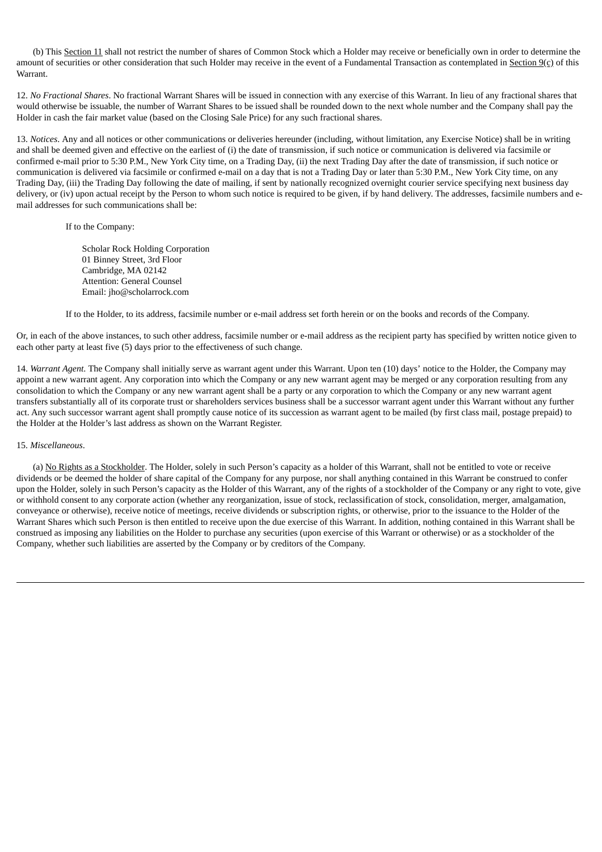(b) This Section 11 shall not restrict the number of shares of Common Stock which a Holder may receive or beneficially own in order to determine the amount of securities or other consideration that such Holder may receive in the event of a Fundamental Transaction as contemplated in Section 9(c) of this Warrant.

12. *No Fractional Shares*. No fractional Warrant Shares will be issued in connection with any exercise of this Warrant. In lieu of any fractional shares that would otherwise be issuable, the number of Warrant Shares to be issued shall be rounded down to the next whole number and the Company shall pay the Holder in cash the fair market value (based on the Closing Sale Price) for any such fractional shares.

13. *Notices*. Any and all notices or other communications or deliveries hereunder (including, without limitation, any Exercise Notice) shall be in writing and shall be deemed given and effective on the earliest of (i) the date of transmission, if such notice or communication is delivered via facsimile or confirmed e-mail prior to 5:30 P.M., New York City time, on a Trading Day, (ii) the next Trading Day after the date of transmission, if such notice or communication is delivered via facsimile or confirmed e-mail on a day that is not a Trading Day or later than 5:30 P.M., New York City time, on any Trading Day, (iii) the Trading Day following the date of mailing, if sent by nationally recognized overnight courier service specifying next business day delivery, or (iv) upon actual receipt by the Person to whom such notice is required to be given, if by hand delivery. The addresses, facsimile numbers and email addresses for such communications shall be:

If to the Company:

Scholar Rock Holding Corporation 01 Binney Street, 3rd Floor Cambridge, MA 02142 Attention: General Counsel Email: jho@scholarrock.com

If to the Holder, to its address, facsimile number or e-mail address set forth herein or on the books and records of the Company.

Or, in each of the above instances, to such other address, facsimile number or e-mail address as the recipient party has specified by written notice given to each other party at least five (5) days prior to the effectiveness of such change.

14. *Warrant Agent*. The Company shall initially serve as warrant agent under this Warrant. Upon ten (10) days' notice to the Holder, the Company may appoint a new warrant agent. Any corporation into which the Company or any new warrant agent may be merged or any corporation resulting from any consolidation to which the Company or any new warrant agent shall be a party or any corporation to which the Company or any new warrant agent transfers substantially all of its corporate trust or shareholders services business shall be a successor warrant agent under this Warrant without any further act. Any such successor warrant agent shall promptly cause notice of its succession as warrant agent to be mailed (by first class mail, postage prepaid) to the Holder at the Holder's last address as shown on the Warrant Register.

# 15. *Miscellaneous*.

(a) No Rights as a Stockholder. The Holder, solely in such Person's capacity as a holder of this Warrant, shall not be entitled to vote or receive dividends or be deemed the holder of share capital of the Company for any purpose, nor shall anything contained in this Warrant be construed to confer upon the Holder, solely in such Person's capacity as the Holder of this Warrant, any of the rights of a stockholder of the Company or any right to vote, give or withhold consent to any corporate action (whether any reorganization, issue of stock, reclassification of stock, consolidation, merger, amalgamation, conveyance or otherwise), receive notice of meetings, receive dividends or subscription rights, or otherwise, prior to the issuance to the Holder of the Warrant Shares which such Person is then entitled to receive upon the due exercise of this Warrant. In addition, nothing contained in this Warrant shall be construed as imposing any liabilities on the Holder to purchase any securities (upon exercise of this Warrant or otherwise) or as a stockholder of the Company, whether such liabilities are asserted by the Company or by creditors of the Company.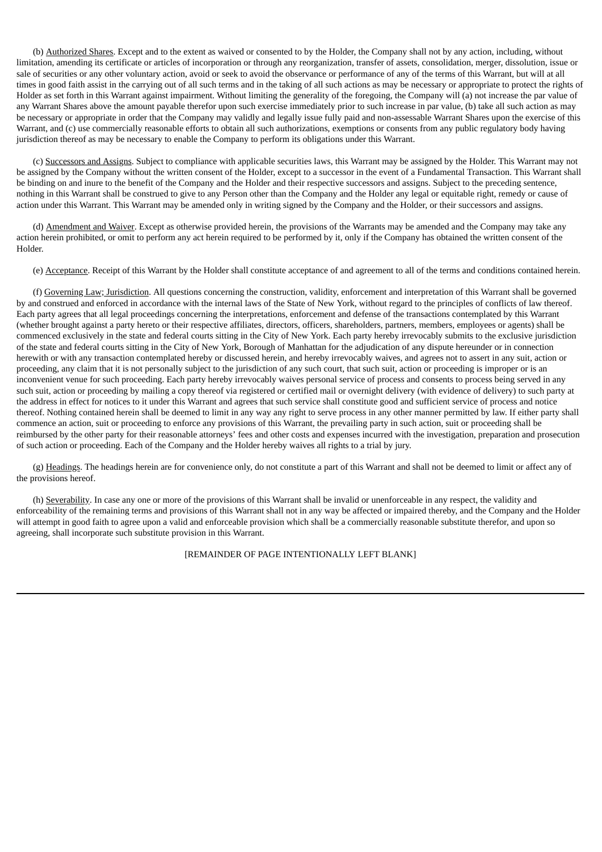(b) Authorized Shares. Except and to the extent as waived or consented to by the Holder, the Company shall not by any action, including, without limitation, amending its certificate or articles of incorporation or through any reorganization, transfer of assets, consolidation, merger, dissolution, issue or sale of securities or any other voluntary action, avoid or seek to avoid the observance or performance of any of the terms of this Warrant, but will at all times in good faith assist in the carrying out of all such terms and in the taking of all such actions as may be necessary or appropriate to protect the rights of Holder as set forth in this Warrant against impairment. Without limiting the generality of the foregoing, the Company will (a) not increase the par value of any Warrant Shares above the amount payable therefor upon such exercise immediately prior to such increase in par value, (b) take all such action as may be necessary or appropriate in order that the Company may validly and legally issue fully paid and non-assessable Warrant Shares upon the exercise of this Warrant, and (c) use commercially reasonable efforts to obtain all such authorizations, exemptions or consents from any public regulatory body having jurisdiction thereof as may be necessary to enable the Company to perform its obligations under this Warrant.

(c) Successors and Assigns. Subject to compliance with applicable securities laws, this Warrant may be assigned by the Holder. This Warrant may not be assigned by the Company without the written consent of the Holder, except to a successor in the event of a Fundamental Transaction. This Warrant shall be binding on and inure to the benefit of the Company and the Holder and their respective successors and assigns. Subject to the preceding sentence, nothing in this Warrant shall be construed to give to any Person other than the Company and the Holder any legal or equitable right, remedy or cause of action under this Warrant. This Warrant may be amended only in writing signed by the Company and the Holder, or their successors and assigns.

(d) Amendment and Waiver. Except as otherwise provided herein, the provisions of the Warrants may be amended and the Company may take any action herein prohibited, or omit to perform any act herein required to be performed by it, only if the Company has obtained the written consent of the Holder.

(e) Acceptance. Receipt of this Warrant by the Holder shall constitute acceptance of and agreement to all of the terms and conditions contained herein.

(f) Governing Law; Jurisdiction. All questions concerning the construction, validity, enforcement and interpretation of this Warrant shall be governed by and construed and enforced in accordance with the internal laws of the State of New York, without regard to the principles of conflicts of law thereof. Each party agrees that all legal proceedings concerning the interpretations, enforcement and defense of the transactions contemplated by this Warrant (whether brought against a party hereto or their respective affiliates, directors, officers, shareholders, partners, members, employees or agents) shall be commenced exclusively in the state and federal courts sitting in the City of New York. Each party hereby irrevocably submits to the exclusive jurisdiction of the state and federal courts sitting in the City of New York, Borough of Manhattan for the adjudication of any dispute hereunder or in connection herewith or with any transaction contemplated hereby or discussed herein, and hereby irrevocably waives, and agrees not to assert in any suit, action or proceeding, any claim that it is not personally subject to the jurisdiction of any such court, that such suit, action or proceeding is improper or is an inconvenient venue for such proceeding. Each party hereby irrevocably waives personal service of process and consents to process being served in any such suit, action or proceeding by mailing a copy thereof via registered or certified mail or overnight delivery (with evidence of delivery) to such party at the address in effect for notices to it under this Warrant and agrees that such service shall constitute good and sufficient service of process and notice thereof. Nothing contained herein shall be deemed to limit in any way any right to serve process in any other manner permitted by law. If either party shall commence an action, suit or proceeding to enforce any provisions of this Warrant, the prevailing party in such action, suit or proceeding shall be reimbursed by the other party for their reasonable attorneys' fees and other costs and expenses incurred with the investigation, preparation and prosecution of such action or proceeding. Each of the Company and the Holder hereby waives all rights to a trial by jury.

(g) Headings. The headings herein are for convenience only, do not constitute a part of this Warrant and shall not be deemed to limit or affect any of the provisions hereof.

(h) Severability. In case any one or more of the provisions of this Warrant shall be invalid or unenforceable in any respect, the validity and enforceability of the remaining terms and provisions of this Warrant shall not in any way be affected or impaired thereby, and the Company and the Holder will attempt in good faith to agree upon a valid and enforceable provision which shall be a commercially reasonable substitute therefor, and upon so agreeing, shall incorporate such substitute provision in this Warrant.

[REMAINDER OF PAGE INTENTIONALLY LEFT BLANK]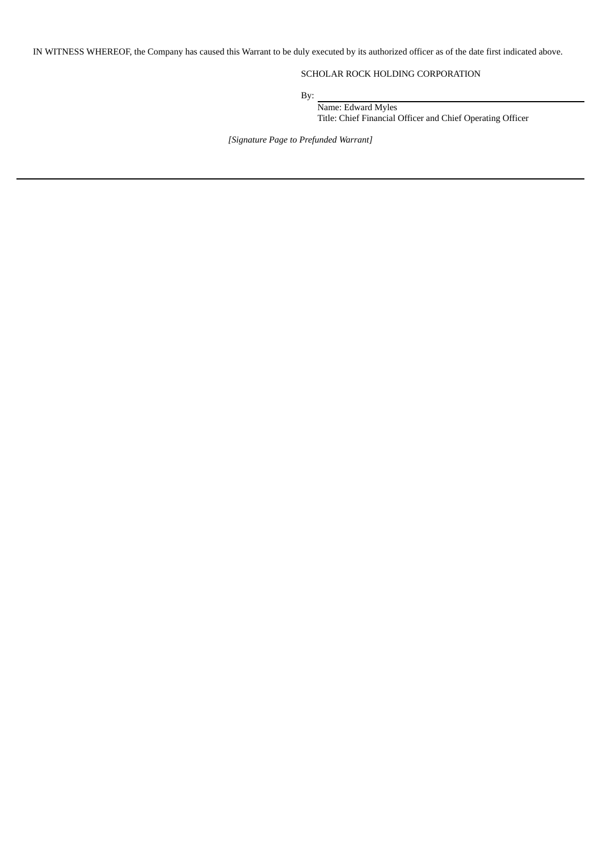IN WITNESS WHEREOF, the Company has caused this Warrant to be duly executed by its authorized officer as of the date first indicated above.

# SCHOLAR ROCK HOLDING CORPORATION

By:

Name: Edward Myles Title: Chief Financial Officer and Chief Operating Officer

*[Signature Page to Prefunded Warrant]*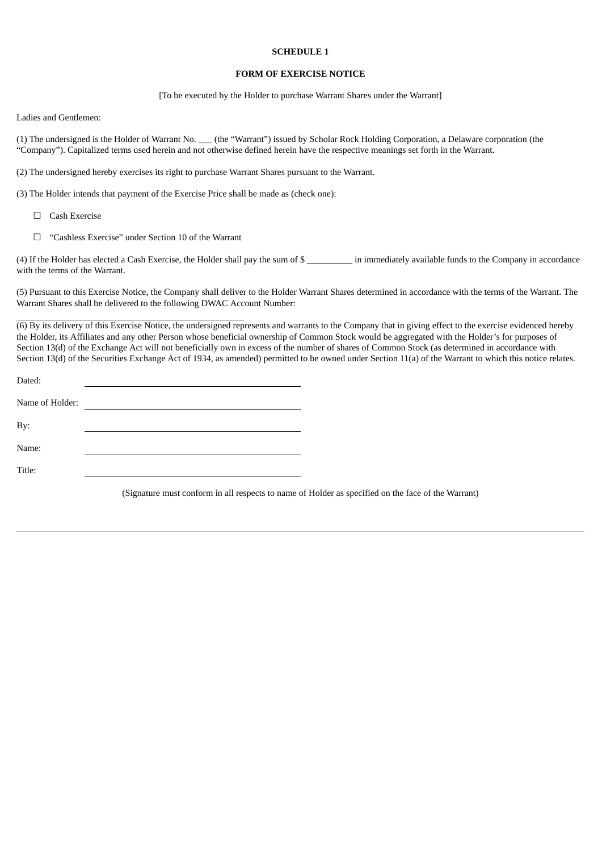## **SCHEDULE 1**

#### **FORM OF EXERCISE NOTICE**

[To be executed by the Holder to purchase Warrant Shares under the Warrant]

Ladies and Gentlemen:

(1) The undersigned is the Holder of Warrant No. \_\_\_ (the "Warrant") issued by Scholar Rock Holding Corporation, a Delaware corporation (the "Company"). Capitalized terms used herein and not otherwise defined herein have the respective meanings set forth in the Warrant.

(2) The undersigned hereby exercises its right to purchase Warrant Shares pursuant to the Warrant.

(3) The Holder intends that payment of the Exercise Price shall be made as (check one):

- ☐ Cash Exercise
- ☐ "Cashless Exercise" under Section 10 of the Warrant

(4) If the Holder has elected a Cash Exercise, the Holder shall pay the sum of \$ \_\_\_\_\_\_\_\_\_\_\_ in immediately available funds to the Company in accordance with the terms of the Warrant.

(5) Pursuant to this Exercise Notice, the Company shall deliver to the Holder Warrant Shares determined in accordance with the terms of the Warrant. The Warrant Shares shall be delivered to the following DWAC Account Number:

(6) By its delivery of this Exercise Notice, the undersigned represents and warrants to the Company that in giving effect to the exercise evidenced hereby the Holder, its Affiliates and any other Person whose beneficial ownership of Common Stock would be aggregated with the Holder's for purposes of Section 13(d) of the Exchange Act will not beneficially own in excess of the number of shares of Common Stock (as determined in accordance with Section 13(d) of the Securities Exchange Act of 1934, as amended) permitted to be owned under Section 11(a) of the Warrant to which this notice relates.

Holder as specified on the face of the Warrant)

| Dated:          |                                                    |
|-----------------|----------------------------------------------------|
| Name of Holder: |                                                    |
| By:             |                                                    |
| Name:           |                                                    |
| Title:          |                                                    |
|                 | (Signature must conform in all respects to name of |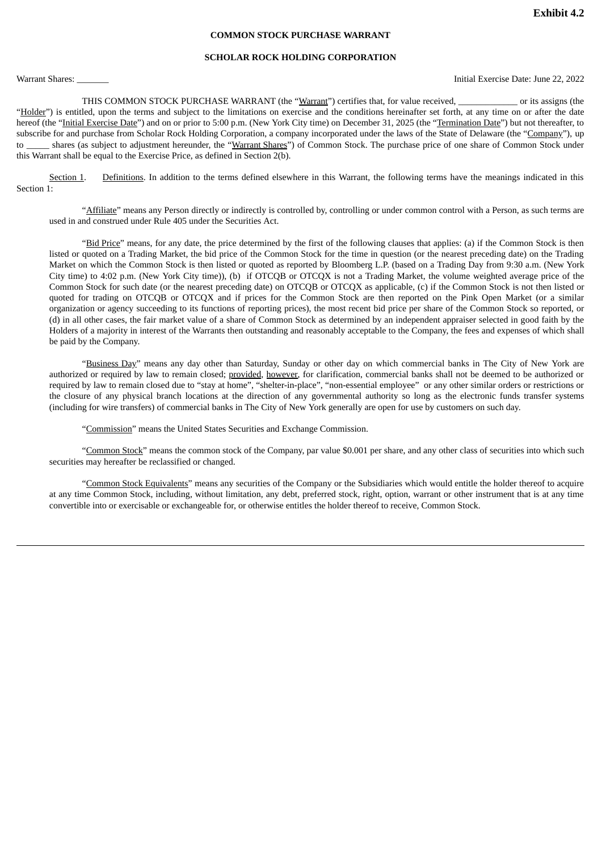#### **COMMON STOCK PURCHASE WARRANT**

## **SCHOLAR ROCK HOLDING CORPORATION**

Warrant Shares: \_\_\_\_\_\_\_ Initial Exercise Date: June 22, 2022

THIS COMMON STOCK PURCHASE WARRANT (the "Warrant") certifies that, for value received, \_\_\_\_\_\_\_\_\_\_\_ or its assigns (the "Holder") is entitled, upon the terms and subject to the limitations on exercise and the conditions hereinafter set forth, at any time on or after the date hereof (the "Initial Exercise Date") and on or prior to 5:00 p.m. (New York City time) on December 31, 2025 (the "Termination Date") but not thereafter, to subscribe for and purchase from Scholar Rock Holding Corporation, a company incorporated under the laws of the State of Delaware (the "Company"), up to shares (as subject to adjustment hereunder, the "Warrant Shares") of Common Stock. The purchase price of one share of Common Stock under this Warrant shall be equal to the Exercise Price, as defined in Section 2(b).

Section 1. Definitions. In addition to the terms defined elsewhere in this Warrant, the following terms have the meanings indicated in this Section 1:

"Affiliate" means any Person directly or indirectly is controlled by, controlling or under common control with a Person, as such terms are used in and construed under Rule 405 under the Securities Act.

"Bid Price" means, for any date, the price determined by the first of the following clauses that applies: (a) if the Common Stock is then listed or quoted on a Trading Market, the bid price of the Common Stock for the time in question (or the nearest preceding date) on the Trading Market on which the Common Stock is then listed or quoted as reported by Bloomberg L.P. (based on a Trading Day from 9:30 a.m. (New York City time) to 4:02 p.m. (New York City time)), (b) if OTCQB or OTCQX is not a Trading Market, the volume weighted average price of the Common Stock for such date (or the nearest preceding date) on OTCQB or OTCQX as applicable, (c) if the Common Stock is not then listed or quoted for trading on OTCQB or OTCQX and if prices for the Common Stock are then reported on the Pink Open Market (or a similar organization or agency succeeding to its functions of reporting prices), the most recent bid price per share of the Common Stock so reported, or (d) in all other cases, the fair market value of a share of Common Stock as determined by an independent appraiser selected in good faith by the Holders of a majority in interest of the Warrants then outstanding and reasonably acceptable to the Company, the fees and expenses of which shall be paid by the Company.

"Business Day" means any day other than Saturday, Sunday or other day on which commercial banks in The City of New York are authorized or required by law to remain closed; provided, however, for clarification, commercial banks shall not be deemed to be authorized or required by law to remain closed due to "stay at home", "shelter-in-place", "non-essential employee" or any other similar orders or restrictions or the closure of any physical branch locations at the direction of any governmental authority so long as the electronic funds transfer systems (including for wire transfers) of commercial banks in The City of New York generally are open for use by customers on such day.

"Commission" means the United States Securities and Exchange Commission.

"Common Stock" means the common stock of the Company, par value \$0.001 per share, and any other class of securities into which such securities may hereafter be reclassified or changed.

"Common Stock Equivalents" means any securities of the Company or the Subsidiaries which would entitle the holder thereof to acquire at any time Common Stock, including, without limitation, any debt, preferred stock, right, option, warrant or other instrument that is at any time convertible into or exercisable or exchangeable for, or otherwise entitles the holder thereof to receive, Common Stock.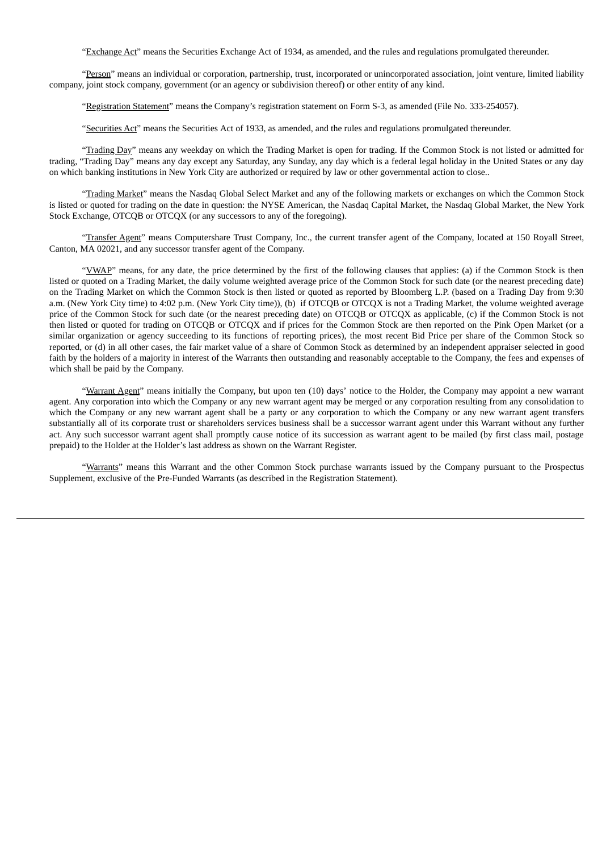"Exchange Act" means the Securities Exchange Act of 1934, as amended, and the rules and regulations promulgated thereunder.

"Person" means an individual or corporation, partnership, trust, incorporated or unincorporated association, joint venture, limited liability company, joint stock company, government (or an agency or subdivision thereof) or other entity of any kind.

"Registration Statement" means the Company's registration statement on Form S-3, as amended (File No. 333-254057).

"Securities Act" means the Securities Act of 1933, as amended, and the rules and regulations promulgated thereunder.

"Trading Day" means any weekday on which the Trading Market is open for trading. If the Common Stock is not listed or admitted for trading, "Trading Day" means any day except any Saturday, any Sunday, any day which is a federal legal holiday in the United States or any day on which banking institutions in New York City are authorized or required by law or other governmental action to close..

"Trading Market" means the Nasdaq Global Select Market and any of the following markets or exchanges on which the Common Stock is listed or quoted for trading on the date in question: the NYSE American, the Nasdaq Capital Market, the Nasdaq Global Market, the New York Stock Exchange, OTCQB or OTCQX (or any successors to any of the foregoing).

"Transfer Agent" means Computershare Trust Company, Inc., the current transfer agent of the Company, located at 150 Royall Street, Canton, MA 02021, and any successor transfer agent of the Company.

"VWAP" means, for any date, the price determined by the first of the following clauses that applies: (a) if the Common Stock is then listed or quoted on a Trading Market, the daily volume weighted average price of the Common Stock for such date (or the nearest preceding date) on the Trading Market on which the Common Stock is then listed or quoted as reported by Bloomberg L.P. (based on a Trading Day from 9:30 a.m. (New York City time) to 4:02 p.m. (New York City time)), (b) if OTCQB or OTCQX is not a Trading Market, the volume weighted average price of the Common Stock for such date (or the nearest preceding date) on OTCQB or OTCQX as applicable, (c) if the Common Stock is not then listed or quoted for trading on OTCQB or OTCQX and if prices for the Common Stock are then reported on the Pink Open Market (or a similar organization or agency succeeding to its functions of reporting prices), the most recent Bid Price per share of the Common Stock so reported, or (d) in all other cases, the fair market value of a share of Common Stock as determined by an independent appraiser selected in good faith by the holders of a majority in interest of the Warrants then outstanding and reasonably acceptable to the Company, the fees and expenses of which shall be paid by the Company.

"Warrant Agent" means initially the Company, but upon ten (10) days' notice to the Holder, the Company may appoint a new warrant agent. Any corporation into which the Company or any new warrant agent may be merged or any corporation resulting from any consolidation to which the Company or any new warrant agent shall be a party or any corporation to which the Company or any new warrant agent transfers substantially all of its corporate trust or shareholders services business shall be a successor warrant agent under this Warrant without any further act. Any such successor warrant agent shall promptly cause notice of its succession as warrant agent to be mailed (by first class mail, postage prepaid) to the Holder at the Holder's last address as shown on the Warrant Register.

"Warrants" means this Warrant and the other Common Stock purchase warrants issued by the Company pursuant to the Prospectus Supplement, exclusive of the Pre-Funded Warrants (as described in the Registration Statement).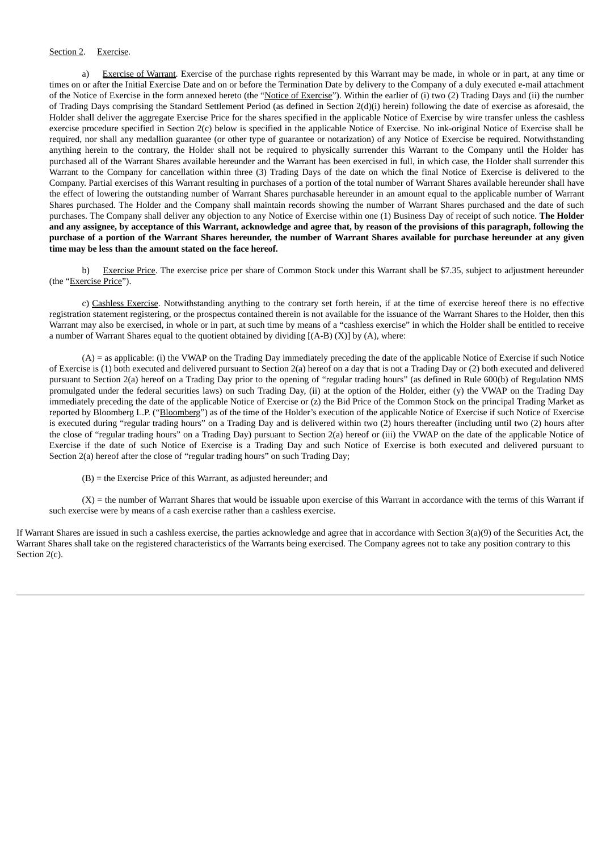## Section 2. Exercise.

a) Exercise of Warrant. Exercise of the purchase rights represented by this Warrant may be made, in whole or in part, at any time or times on or after the Initial Exercise Date and on or before the Termination Date by delivery to the Company of a duly executed e-mail attachment of the Notice of Exercise in the form annexed hereto (the "Notice of Exercise"). Within the earlier of (i) two (2) Trading Days and (ii) the number of Trading Days comprising the Standard Settlement Period (as defined in Section 2(d)(i) herein) following the date of exercise as aforesaid, the Holder shall deliver the aggregate Exercise Price for the shares specified in the applicable Notice of Exercise by wire transfer unless the cashless exercise procedure specified in Section 2(c) below is specified in the applicable Notice of Exercise. No ink-original Notice of Exercise shall be required, nor shall any medallion guarantee (or other type of guarantee or notarization) of any Notice of Exercise be required. Notwithstanding anything herein to the contrary, the Holder shall not be required to physically surrender this Warrant to the Company until the Holder has purchased all of the Warrant Shares available hereunder and the Warrant has been exercised in full, in which case, the Holder shall surrender this Warrant to the Company for cancellation within three (3) Trading Days of the date on which the final Notice of Exercise is delivered to the Company. Partial exercises of this Warrant resulting in purchases of a portion of the total number of Warrant Shares available hereunder shall have the effect of lowering the outstanding number of Warrant Shares purchasable hereunder in an amount equal to the applicable number of Warrant Shares purchased. The Holder and the Company shall maintain records showing the number of Warrant Shares purchased and the date of such purchases. The Company shall deliver any objection to any Notice of Exercise within one (1) Business Day of receipt of such notice. **The Holder** and any assignee, by acceptance of this Warrant, acknowledge and agree that, by reason of the provisions of this paragraph, following the purchase of a portion of the Warrant Shares hereunder, the number of Warrant Shares available for purchase hereunder at any given **time may be less than the amount stated on the face hereof.**

b) Exercise Price. The exercise price per share of Common Stock under this Warrant shall be \$7.35, subject to adjustment hereunder (the "Exercise Price").

c) Cashless Exercise. Notwithstanding anything to the contrary set forth herein, if at the time of exercise hereof there is no effective registration statement registering, or the prospectus contained therein is not available for the issuance of the Warrant Shares to the Holder, then this Warrant may also be exercised, in whole or in part, at such time by means of a "cashless exercise" in which the Holder shall be entitled to receive a number of Warrant Shares equal to the quotient obtained by dividing  $[(A-B)(X)]$  by  $(A)$ , where:

(A) = as applicable: (i) the VWAP on the Trading Day immediately preceding the date of the applicable Notice of Exercise if such Notice of Exercise is (1) both executed and delivered pursuant to Section 2(a) hereof on a day that is not a Trading Day or (2) both executed and delivered pursuant to Section 2(a) hereof on a Trading Day prior to the opening of "regular trading hours" (as defined in Rule 600(b) of Regulation NMS promulgated under the federal securities laws) on such Trading Day, (ii) at the option of the Holder, either (y) the VWAP on the Trading Day immediately preceding the date of the applicable Notice of Exercise or (z) the Bid Price of the Common Stock on the principal Trading Market as reported by Bloomberg L.P. ("Bloomberg") as of the time of the Holder's execution of the applicable Notice of Exercise if such Notice of Exercise is executed during "regular trading hours" on a Trading Day and is delivered within two (2) hours thereafter (including until two (2) hours after the close of "regular trading hours" on a Trading Day) pursuant to Section 2(a) hereof or (iii) the VWAP on the date of the applicable Notice of Exercise if the date of such Notice of Exercise is a Trading Day and such Notice of Exercise is both executed and delivered pursuant to Section 2(a) hereof after the close of "regular trading hours" on such Trading Day;

(B) = the Exercise Price of this Warrant, as adjusted hereunder; and

(X) = the number of Warrant Shares that would be issuable upon exercise of this Warrant in accordance with the terms of this Warrant if such exercise were by means of a cash exercise rather than a cashless exercise.

If Warrant Shares are issued in such a cashless exercise, the parties acknowledge and agree that in accordance with Section 3(a)(9) of the Securities Act, the Warrant Shares shall take on the registered characteristics of the Warrants being exercised. The Company agrees not to take any position contrary to this Section 2(c).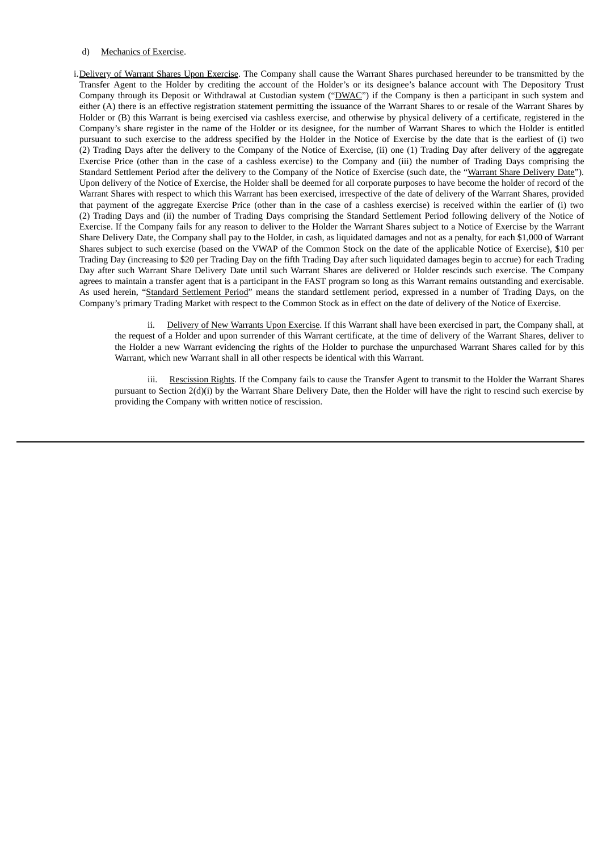## d) Mechanics of Exercise.

i.Delivery of Warrant Shares Upon Exercise. The Company shall cause the Warrant Shares purchased hereunder to be transmitted by the Transfer Agent to the Holder by crediting the account of the Holder's or its designee's balance account with The Depository Trust Company through its Deposit or Withdrawal at Custodian system ("DWAC") if the Company is then a participant in such system and either (A) there is an effective registration statement permitting the issuance of the Warrant Shares to or resale of the Warrant Shares by Holder or (B) this Warrant is being exercised via cashless exercise, and otherwise by physical delivery of a certificate, registered in the Company's share register in the name of the Holder or its designee, for the number of Warrant Shares to which the Holder is entitled pursuant to such exercise to the address specified by the Holder in the Notice of Exercise by the date that is the earliest of (i) two (2) Trading Days after the delivery to the Company of the Notice of Exercise, (ii) one (1) Trading Day after delivery of the aggregate Exercise Price (other than in the case of a cashless exercise) to the Company and (iii) the number of Trading Days comprising the Standard Settlement Period after the delivery to the Company of the Notice of Exercise (such date, the "Warrant Share Delivery Date"). Upon delivery of the Notice of Exercise, the Holder shall be deemed for all corporate purposes to have become the holder of record of the Warrant Shares with respect to which this Warrant has been exercised, irrespective of the date of delivery of the Warrant Shares, provided that payment of the aggregate Exercise Price (other than in the case of a cashless exercise) is received within the earlier of (i) two (2) Trading Days and (ii) the number of Trading Days comprising the Standard Settlement Period following delivery of the Notice of Exercise. If the Company fails for any reason to deliver to the Holder the Warrant Shares subject to a Notice of Exercise by the Warrant Share Delivery Date, the Company shall pay to the Holder, in cash, as liquidated damages and not as a penalty, for each \$1,000 of Warrant Shares subject to such exercise (based on the VWAP of the Common Stock on the date of the applicable Notice of Exercise), \$10 per Trading Day (increasing to \$20 per Trading Day on the fifth Trading Day after such liquidated damages begin to accrue) for each Trading Day after such Warrant Share Delivery Date until such Warrant Shares are delivered or Holder rescinds such exercise. The Company agrees to maintain a transfer agent that is a participant in the FAST program so long as this Warrant remains outstanding and exercisable. As used herein, "Standard Settlement Period" means the standard settlement period, expressed in a number of Trading Days, on the Company's primary Trading Market with respect to the Common Stock as in effect on the date of delivery of the Notice of Exercise.

ii. Delivery of New Warrants Upon Exercise. If this Warrant shall have been exercised in part, the Company shall, at the request of a Holder and upon surrender of this Warrant certificate, at the time of delivery of the Warrant Shares, deliver to the Holder a new Warrant evidencing the rights of the Holder to purchase the unpurchased Warrant Shares called for by this Warrant, which new Warrant shall in all other respects be identical with this Warrant.

Rescission Rights. If the Company fails to cause the Transfer Agent to transmit to the Holder the Warrant Shares pursuant to Section 2(d)(i) by the Warrant Share Delivery Date, then the Holder will have the right to rescind such exercise by providing the Company with written notice of rescission.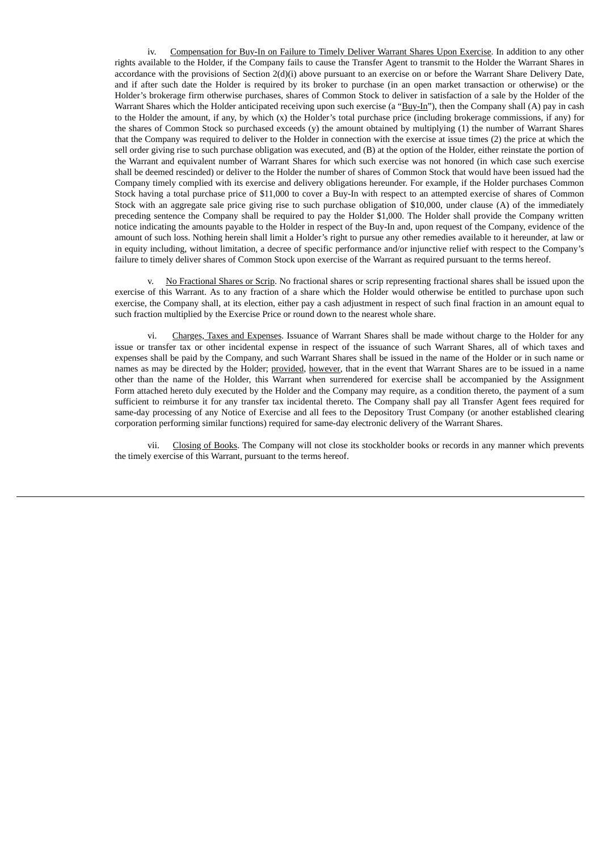iv. Compensation for Buy-In on Failure to Timely Deliver Warrant Shares Upon Exercise. In addition to any other rights available to the Holder, if the Company fails to cause the Transfer Agent to transmit to the Holder the Warrant Shares in accordance with the provisions of Section 2(d)(i) above pursuant to an exercise on or before the Warrant Share Delivery Date, and if after such date the Holder is required by its broker to purchase (in an open market transaction or otherwise) or the Holder's brokerage firm otherwise purchases, shares of Common Stock to deliver in satisfaction of a sale by the Holder of the Warrant Shares which the Holder anticipated receiving upon such exercise (a " $\frac{B_V - In}{n}$ "), then the Company shall (A) pay in cash to the Holder the amount, if any, by which (x) the Holder's total purchase price (including brokerage commissions, if any) for the shares of Common Stock so purchased exceeds (y) the amount obtained by multiplying (1) the number of Warrant Shares that the Company was required to deliver to the Holder in connection with the exercise at issue times (2) the price at which the sell order giving rise to such purchase obligation was executed, and (B) at the option of the Holder, either reinstate the portion of the Warrant and equivalent number of Warrant Shares for which such exercise was not honored (in which case such exercise shall be deemed rescinded) or deliver to the Holder the number of shares of Common Stock that would have been issued had the Company timely complied with its exercise and delivery obligations hereunder. For example, if the Holder purchases Common Stock having a total purchase price of \$11,000 to cover a Buy-In with respect to an attempted exercise of shares of Common Stock with an aggregate sale price giving rise to such purchase obligation of \$10,000, under clause (A) of the immediately preceding sentence the Company shall be required to pay the Holder \$1,000. The Holder shall provide the Company written notice indicating the amounts payable to the Holder in respect of the Buy-In and, upon request of the Company, evidence of the amount of such loss. Nothing herein shall limit a Holder's right to pursue any other remedies available to it hereunder, at law or in equity including, without limitation, a decree of specific performance and/or injunctive relief with respect to the Company's failure to timely deliver shares of Common Stock upon exercise of the Warrant as required pursuant to the terms hereof.

No Fractional Shares or Scrip. No fractional shares or scrip representing fractional shares shall be issued upon the exercise of this Warrant. As to any fraction of a share which the Holder would otherwise be entitled to purchase upon such exercise, the Company shall, at its election, either pay a cash adjustment in respect of such final fraction in an amount equal to such fraction multiplied by the Exercise Price or round down to the nearest whole share.

vi. Charges, Taxes and Expenses. Issuance of Warrant Shares shall be made without charge to the Holder for any issue or transfer tax or other incidental expense in respect of the issuance of such Warrant Shares, all of which taxes and expenses shall be paid by the Company, and such Warrant Shares shall be issued in the name of the Holder or in such name or names as may be directed by the Holder; provided, however, that in the event that Warrant Shares are to be issued in a name other than the name of the Holder, this Warrant when surrendered for exercise shall be accompanied by the Assignment Form attached hereto duly executed by the Holder and the Company may require, as a condition thereto, the payment of a sum sufficient to reimburse it for any transfer tax incidental thereto. The Company shall pay all Transfer Agent fees required for same-day processing of any Notice of Exercise and all fees to the Depository Trust Company (or another established clearing corporation performing similar functions) required for same-day electronic delivery of the Warrant Shares.

vii. Closing of Books. The Company will not close its stockholder books or records in any manner which prevents the timely exercise of this Warrant, pursuant to the terms hereof.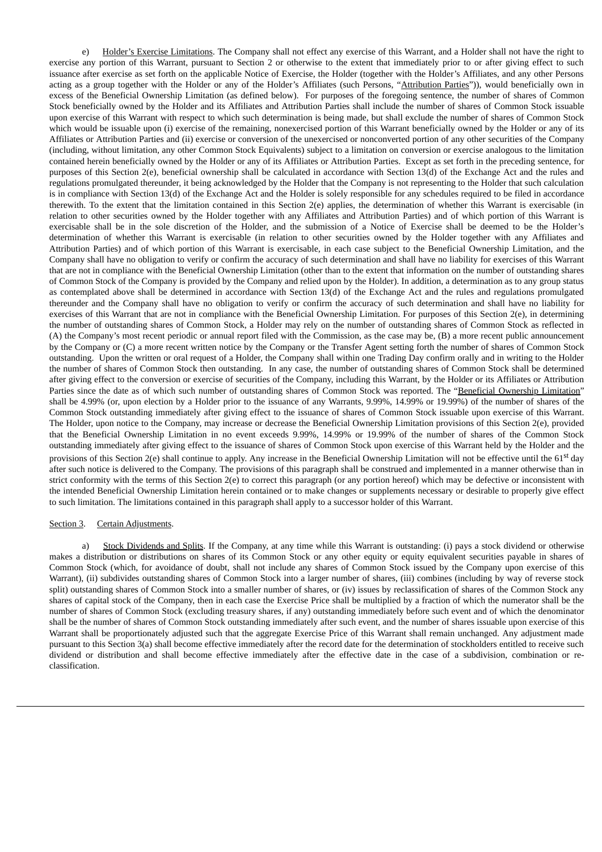e) Holder's Exercise Limitations. The Company shall not effect any exercise of this Warrant, and a Holder shall not have the right to exercise any portion of this Warrant, pursuant to Section 2 or otherwise to the extent that immediately prior to or after giving effect to such issuance after exercise as set forth on the applicable Notice of Exercise, the Holder (together with the Holder's Affiliates, and any other Persons acting as a group together with the Holder or any of the Holder's Affiliates (such Persons, "Attribution Parties")), would beneficially own in excess of the Beneficial Ownership Limitation (as defined below). For purposes of the foregoing sentence, the number of shares of Common Stock beneficially owned by the Holder and its Affiliates and Attribution Parties shall include the number of shares of Common Stock issuable upon exercise of this Warrant with respect to which such determination is being made, but shall exclude the number of shares of Common Stock which would be issuable upon (i) exercise of the remaining, nonexercised portion of this Warrant beneficially owned by the Holder or any of its Affiliates or Attribution Parties and (ii) exercise or conversion of the unexercised or nonconverted portion of any other securities of the Company (including, without limitation, any other Common Stock Equivalents) subject to a limitation on conversion or exercise analogous to the limitation contained herein beneficially owned by the Holder or any of its Affiliates or Attribution Parties. Except as set forth in the preceding sentence, for purposes of this Section 2(e), beneficial ownership shall be calculated in accordance with Section 13(d) of the Exchange Act and the rules and regulations promulgated thereunder, it being acknowledged by the Holder that the Company is not representing to the Holder that such calculation is in compliance with Section 13(d) of the Exchange Act and the Holder is solely responsible for any schedules required to be filed in accordance therewith. To the extent that the limitation contained in this Section 2(e) applies, the determination of whether this Warrant is exercisable (in relation to other securities owned by the Holder together with any Affiliates and Attribution Parties) and of which portion of this Warrant is exercisable shall be in the sole discretion of the Holder, and the submission of a Notice of Exercise shall be deemed to be the Holder's determination of whether this Warrant is exercisable (in relation to other securities owned by the Holder together with any Affiliates and Attribution Parties) and of which portion of this Warrant is exercisable, in each case subject to the Beneficial Ownership Limitation, and the Company shall have no obligation to verify or confirm the accuracy of such determination and shall have no liability for exercises of this Warrant that are not in compliance with the Beneficial Ownership Limitation (other than to the extent that information on the number of outstanding shares of Common Stock of the Company is provided by the Company and relied upon by the Holder). In addition, a determination as to any group status as contemplated above shall be determined in accordance with Section 13(d) of the Exchange Act and the rules and regulations promulgated thereunder and the Company shall have no obligation to verify or confirm the accuracy of such determination and shall have no liability for exercises of this Warrant that are not in compliance with the Beneficial Ownership Limitation. For purposes of this Section 2(e), in determining the number of outstanding shares of Common Stock, a Holder may rely on the number of outstanding shares of Common Stock as reflected in (A) the Company's most recent periodic or annual report filed with the Commission, as the case may be, (B) a more recent public announcement by the Company or (C) a more recent written notice by the Company or the Transfer Agent setting forth the number of shares of Common Stock outstanding. Upon the written or oral request of a Holder, the Company shall within one Trading Day confirm orally and in writing to the Holder the number of shares of Common Stock then outstanding. In any case, the number of outstanding shares of Common Stock shall be determined after giving effect to the conversion or exercise of securities of the Company, including this Warrant, by the Holder or its Affiliates or Attribution Parties since the date as of which such number of outstanding shares of Common Stock was reported. The "Beneficial Ownership Limitation" shall be 4.99% (or, upon election by a Holder prior to the issuance of any Warrants, 9.99%, 14.99% or 19.99%) of the number of shares of the Common Stock outstanding immediately after giving effect to the issuance of shares of Common Stock issuable upon exercise of this Warrant. The Holder, upon notice to the Company, may increase or decrease the Beneficial Ownership Limitation provisions of this Section 2(e), provided that the Beneficial Ownership Limitation in no event exceeds 9.99%, 14.99% or 19.99% of the number of shares of the Common Stock outstanding immediately after giving effect to the issuance of shares of Common Stock upon exercise of this Warrant held by the Holder and the provisions of this Section 2(e) shall continue to apply. Any increase in the Beneficial Ownership Limitation will not be effective until the 61<sup>st</sup> day after such notice is delivered to the Company. The provisions of this paragraph shall be construed and implemented in a manner otherwise than in strict conformity with the terms of this Section 2(e) to correct this paragraph (or any portion hereof) which may be defective or inconsistent with the intended Beneficial Ownership Limitation herein contained or to make changes or supplements necessary or desirable to properly give effect to such limitation. The limitations contained in this paragraph shall apply to a successor holder of this Warrant.

#### Section 3. Certain Adjustments.

a) Stock Dividends and Splits. If the Company, at any time while this Warrant is outstanding: (i) pays a stock dividend or otherwise makes a distribution or distributions on shares of its Common Stock or any other equity or equity equivalent securities payable in shares of Common Stock (which, for avoidance of doubt, shall not include any shares of Common Stock issued by the Company upon exercise of this Warrant), (ii) subdivides outstanding shares of Common Stock into a larger number of shares, (iii) combines (including by way of reverse stock split) outstanding shares of Common Stock into a smaller number of shares, or (iv) issues by reclassification of shares of the Common Stock any shares of capital stock of the Company, then in each case the Exercise Price shall be multiplied by a fraction of which the numerator shall be the number of shares of Common Stock (excluding treasury shares, if any) outstanding immediately before such event and of which the denominator shall be the number of shares of Common Stock outstanding immediately after such event, and the number of shares issuable upon exercise of this Warrant shall be proportionately adjusted such that the aggregate Exercise Price of this Warrant shall remain unchanged. Any adjustment made pursuant to this Section 3(a) shall become effective immediately after the record date for the determination of stockholders entitled to receive such dividend or distribution and shall become effective immediately after the effective date in the case of a subdivision, combination or reclassification.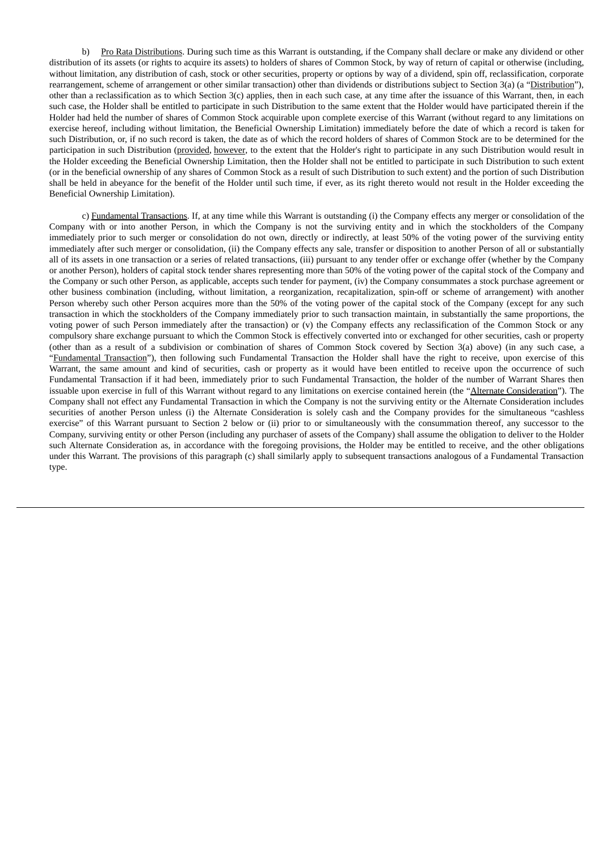b) Pro Rata Distributions. During such time as this Warrant is outstanding, if the Company shall declare or make any dividend or other distribution of its assets (or rights to acquire its assets) to holders of shares of Common Stock, by way of return of capital or otherwise (including, without limitation, any distribution of cash, stock or other securities, property or options by way of a dividend, spin off, reclassification, corporate rearrangement, scheme of arrangement or other similar transaction) other than dividends or distributions subject to Section 3(a) (a "Distribution"), other than a reclassification as to which Section 3(c) applies, then in each such case, at any time after the issuance of this Warrant, then, in each such case, the Holder shall be entitled to participate in such Distribution to the same extent that the Holder would have participated therein if the Holder had held the number of shares of Common Stock acquirable upon complete exercise of this Warrant (without regard to any limitations on exercise hereof, including without limitation, the Beneficial Ownership Limitation) immediately before the date of which a record is taken for such Distribution, or, if no such record is taken, the date as of which the record holders of shares of Common Stock are to be determined for the participation in such Distribution (provided, however, to the extent that the Holder's right to participate in any such Distribution would result in the Holder exceeding the Beneficial Ownership Limitation, then the Holder shall not be entitled to participate in such Distribution to such extent (or in the beneficial ownership of any shares of Common Stock as a result of such Distribution to such extent) and the portion of such Distribution shall be held in abeyance for the benefit of the Holder until such time, if ever, as its right thereto would not result in the Holder exceeding the Beneficial Ownership Limitation).

c) Fundamental Transactions. If, at any time while this Warrant is outstanding (i) the Company effects any merger or consolidation of the Company with or into another Person, in which the Company is not the surviving entity and in which the stockholders of the Company immediately prior to such merger or consolidation do not own, directly or indirectly, at least 50% of the voting power of the surviving entity immediately after such merger or consolidation, (ii) the Company effects any sale, transfer or disposition to another Person of all or substantially all of its assets in one transaction or a series of related transactions, (iii) pursuant to any tender offer or exchange offer (whether by the Company or another Person), holders of capital stock tender shares representing more than 50% of the voting power of the capital stock of the Company and the Company or such other Person, as applicable, accepts such tender for payment, (iv) the Company consummates a stock purchase agreement or other business combination (including, without limitation, a reorganization, recapitalization, spin-off or scheme of arrangement) with another Person whereby such other Person acquires more than the 50% of the voting power of the capital stock of the Company (except for any such transaction in which the stockholders of the Company immediately prior to such transaction maintain, in substantially the same proportions, the voting power of such Person immediately after the transaction) or (v) the Company effects any reclassification of the Common Stock or any compulsory share exchange pursuant to which the Common Stock is effectively converted into or exchanged for other securities, cash or property (other than as a result of a subdivision or combination of shares of Common Stock covered by Section 3(a) above) (in any such case, a "Fundamental Transaction"), then following such Fundamental Transaction the Holder shall have the right to receive, upon exercise of this Warrant, the same amount and kind of securities, cash or property as it would have been entitled to receive upon the occurrence of such Fundamental Transaction if it had been, immediately prior to such Fundamental Transaction, the holder of the number of Warrant Shares then issuable upon exercise in full of this Warrant without regard to any limitations on exercise contained herein (the "Alternate Consideration"). The Company shall not effect any Fundamental Transaction in which the Company is not the surviving entity or the Alternate Consideration includes securities of another Person unless (i) the Alternate Consideration is solely cash and the Company provides for the simultaneous "cashless exercise" of this Warrant pursuant to Section 2 below or (ii) prior to or simultaneously with the consummation thereof, any successor to the Company, surviving entity or other Person (including any purchaser of assets of the Company) shall assume the obligation to deliver to the Holder such Alternate Consideration as, in accordance with the foregoing provisions, the Holder may be entitled to receive, and the other obligations under this Warrant. The provisions of this paragraph (c) shall similarly apply to subsequent transactions analogous of a Fundamental Transaction type.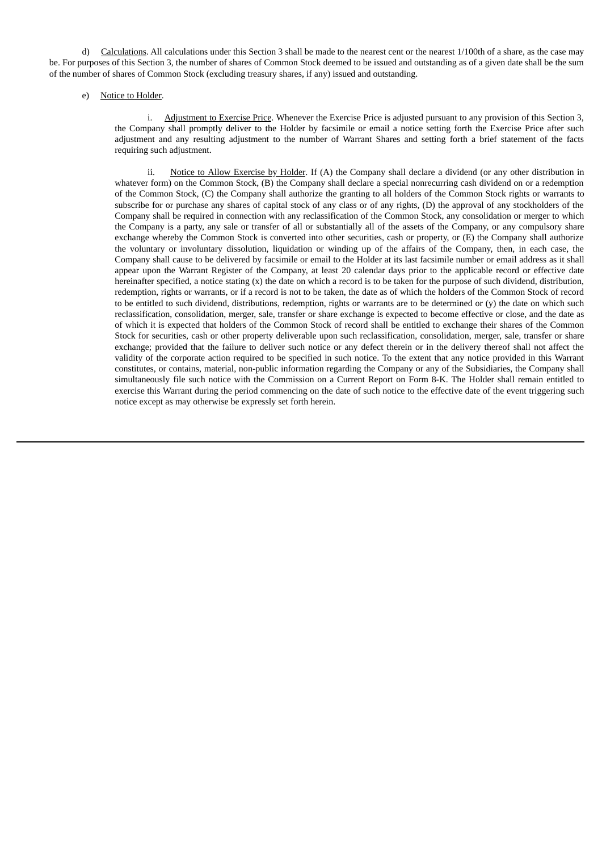d) Calculations. All calculations under this Section 3 shall be made to the nearest cent or the nearest 1/100th of a share, as the case may be. For purposes of this Section 3, the number of shares of Common Stock deemed to be issued and outstanding as of a given date shall be the sum of the number of shares of Common Stock (excluding treasury shares, if any) issued and outstanding.

# e) Notice to Holder.

i. Adjustment to Exercise Price. Whenever the Exercise Price is adjusted pursuant to any provision of this Section 3, the Company shall promptly deliver to the Holder by facsimile or email a notice setting forth the Exercise Price after such adjustment and any resulting adjustment to the number of Warrant Shares and setting forth a brief statement of the facts requiring such adjustment.

ii. Notice to Allow Exercise by Holder. If (A) the Company shall declare a dividend (or any other distribution in whatever form) on the Common Stock, (B) the Company shall declare a special nonrecurring cash dividend on or a redemption of the Common Stock, (C) the Company shall authorize the granting to all holders of the Common Stock rights or warrants to subscribe for or purchase any shares of capital stock of any class or of any rights, (D) the approval of any stockholders of the Company shall be required in connection with any reclassification of the Common Stock, any consolidation or merger to which the Company is a party, any sale or transfer of all or substantially all of the assets of the Company, or any compulsory share exchange whereby the Common Stock is converted into other securities, cash or property, or (E) the Company shall authorize the voluntary or involuntary dissolution, liquidation or winding up of the affairs of the Company, then, in each case, the Company shall cause to be delivered by facsimile or email to the Holder at its last facsimile number or email address as it shall appear upon the Warrant Register of the Company, at least 20 calendar days prior to the applicable record or effective date hereinafter specified, a notice stating (x) the date on which a record is to be taken for the purpose of such dividend, distribution, redemption, rights or warrants, or if a record is not to be taken, the date as of which the holders of the Common Stock of record to be entitled to such dividend, distributions, redemption, rights or warrants are to be determined or (y) the date on which such reclassification, consolidation, merger, sale, transfer or share exchange is expected to become effective or close, and the date as of which it is expected that holders of the Common Stock of record shall be entitled to exchange their shares of the Common Stock for securities, cash or other property deliverable upon such reclassification, consolidation, merger, sale, transfer or share exchange; provided that the failure to deliver such notice or any defect therein or in the delivery thereof shall not affect the validity of the corporate action required to be specified in such notice. To the extent that any notice provided in this Warrant constitutes, or contains, material, non-public information regarding the Company or any of the Subsidiaries, the Company shall simultaneously file such notice with the Commission on a Current Report on Form 8-K. The Holder shall remain entitled to exercise this Warrant during the period commencing on the date of such notice to the effective date of the event triggering such notice except as may otherwise be expressly set forth herein.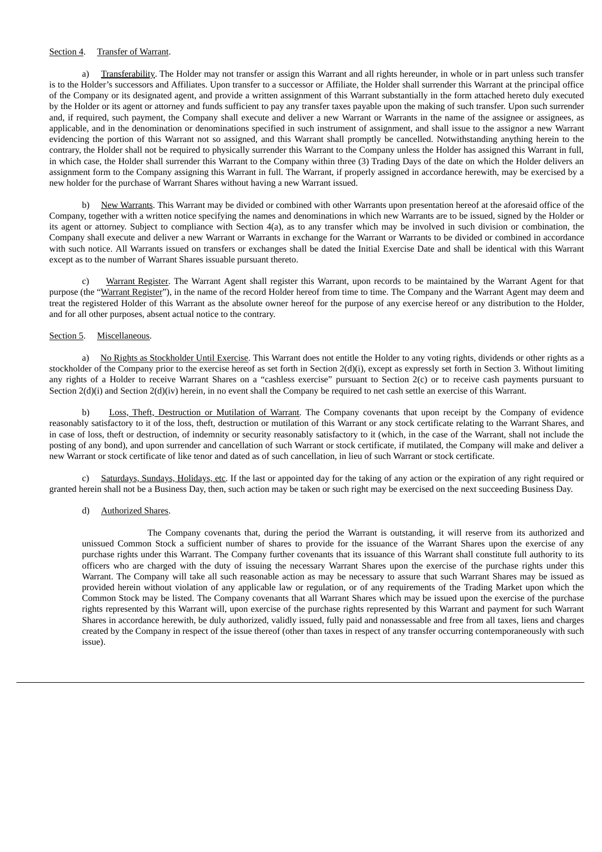## Section 4. Transfer of Warrant.

a) Transferability. The Holder may not transfer or assign this Warrant and all rights hereunder, in whole or in part unless such transfer is to the Holder's successors and Affiliates. Upon transfer to a successor or Affiliate, the Holder shall surrender this Warrant at the principal office of the Company or its designated agent, and provide a written assignment of this Warrant substantially in the form attached hereto duly executed by the Holder or its agent or attorney and funds sufficient to pay any transfer taxes payable upon the making of such transfer. Upon such surrender and, if required, such payment, the Company shall execute and deliver a new Warrant or Warrants in the name of the assignee or assignees, as applicable, and in the denomination or denominations specified in such instrument of assignment, and shall issue to the assignor a new Warrant evidencing the portion of this Warrant not so assigned, and this Warrant shall promptly be cancelled. Notwithstanding anything herein to the contrary, the Holder shall not be required to physically surrender this Warrant to the Company unless the Holder has assigned this Warrant in full, in which case, the Holder shall surrender this Warrant to the Company within three (3) Trading Days of the date on which the Holder delivers an assignment form to the Company assigning this Warrant in full. The Warrant, if properly assigned in accordance herewith, may be exercised by a new holder for the purchase of Warrant Shares without having a new Warrant issued.

b) New Warrants. This Warrant may be divided or combined with other Warrants upon presentation hereof at the aforesaid office of the Company, together with a written notice specifying the names and denominations in which new Warrants are to be issued, signed by the Holder or its agent or attorney. Subject to compliance with Section 4(a), as to any transfer which may be involved in such division or combination, the Company shall execute and deliver a new Warrant or Warrants in exchange for the Warrant or Warrants to be divided or combined in accordance with such notice. All Warrants issued on transfers or exchanges shall be dated the Initial Exercise Date and shall be identical with this Warrant except as to the number of Warrant Shares issuable pursuant thereto.

c) Warrant Register. The Warrant Agent shall register this Warrant, upon records to be maintained by the Warrant Agent for that purpose (the "Warrant Register"), in the name of the record Holder hereof from time to time. The Company and the Warrant Agent may deem and treat the registered Holder of this Warrant as the absolute owner hereof for the purpose of any exercise hereof or any distribution to the Holder, and for all other purposes, absent actual notice to the contrary.

# Section 5. Miscellaneous.

a) No Rights as Stockholder Until Exercise. This Warrant does not entitle the Holder to any voting rights, dividends or other rights as a stockholder of the Company prior to the exercise hereof as set forth in Section 2(d)(i), except as expressly set forth in Section 3. Without limiting any rights of a Holder to receive Warrant Shares on a "cashless exercise" pursuant to Section 2(c) or to receive cash payments pursuant to Section  $2(d)(i)$  and Section  $2(d)(iv)$  herein, in no event shall the Company be required to net cash settle an exercise of this Warrant.

b) Loss, Theft, Destruction or Mutilation of Warrant. The Company covenants that upon receipt by the Company of evidence reasonably satisfactory to it of the loss, theft, destruction or mutilation of this Warrant or any stock certificate relating to the Warrant Shares, and in case of loss, theft or destruction, of indemnity or security reasonably satisfactory to it (which, in the case of the Warrant, shall not include the posting of any bond), and upon surrender and cancellation of such Warrant or stock certificate, if mutilated, the Company will make and deliver a new Warrant or stock certificate of like tenor and dated as of such cancellation, in lieu of such Warrant or stock certificate.

c) Saturdays, Sundays, Holidays, etc. If the last or appointed day for the taking of any action or the expiration of any right required or granted herein shall not be a Business Day, then, such action may be taken or such right may be exercised on the next succeeding Business Day.

#### d) Authorized Shares.

The Company covenants that, during the period the Warrant is outstanding, it will reserve from its authorized and unissued Common Stock a sufficient number of shares to provide for the issuance of the Warrant Shares upon the exercise of any purchase rights under this Warrant. The Company further covenants that its issuance of this Warrant shall constitute full authority to its officers who are charged with the duty of issuing the necessary Warrant Shares upon the exercise of the purchase rights under this Warrant. The Company will take all such reasonable action as may be necessary to assure that such Warrant Shares may be issued as provided herein without violation of any applicable law or regulation, or of any requirements of the Trading Market upon which the Common Stock may be listed. The Company covenants that all Warrant Shares which may be issued upon the exercise of the purchase rights represented by this Warrant will, upon exercise of the purchase rights represented by this Warrant and payment for such Warrant Shares in accordance herewith, be duly authorized, validly issued, fully paid and nonassessable and free from all taxes, liens and charges created by the Company in respect of the issue thereof (other than taxes in respect of any transfer occurring contemporaneously with such issue).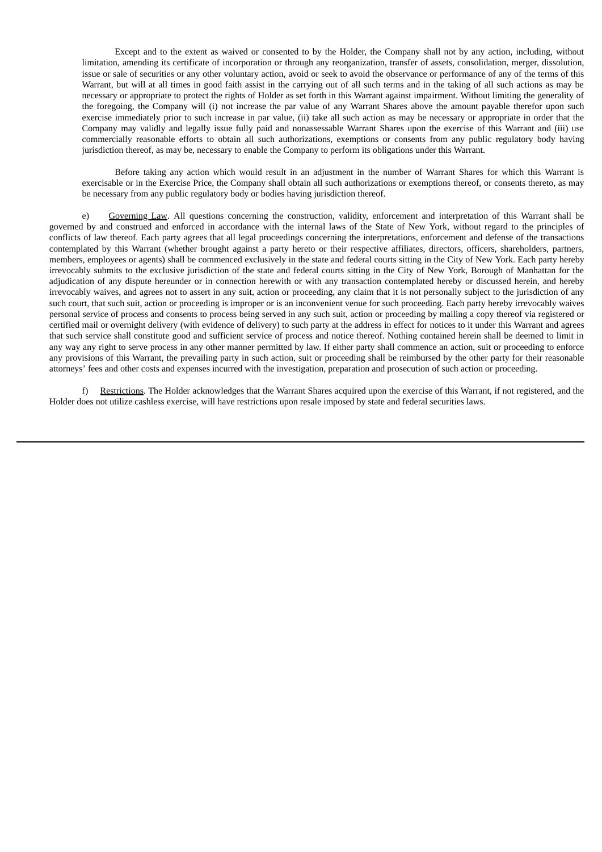Except and to the extent as waived or consented to by the Holder, the Company shall not by any action, including, without limitation, amending its certificate of incorporation or through any reorganization, transfer of assets, consolidation, merger, dissolution, issue or sale of securities or any other voluntary action, avoid or seek to avoid the observance or performance of any of the terms of this Warrant, but will at all times in good faith assist in the carrying out of all such terms and in the taking of all such actions as may be necessary or appropriate to protect the rights of Holder as set forth in this Warrant against impairment. Without limiting the generality of the foregoing, the Company will (i) not increase the par value of any Warrant Shares above the amount payable therefor upon such exercise immediately prior to such increase in par value, (ii) take all such action as may be necessary or appropriate in order that the Company may validly and legally issue fully paid and nonassessable Warrant Shares upon the exercise of this Warrant and (iii) use commercially reasonable efforts to obtain all such authorizations, exemptions or consents from any public regulatory body having jurisdiction thereof, as may be, necessary to enable the Company to perform its obligations under this Warrant.

Before taking any action which would result in an adjustment in the number of Warrant Shares for which this Warrant is exercisable or in the Exercise Price, the Company shall obtain all such authorizations or exemptions thereof, or consents thereto, as may be necessary from any public regulatory body or bodies having jurisdiction thereof.

e) Governing Law. All questions concerning the construction, validity, enforcement and interpretation of this Warrant shall be governed by and construed and enforced in accordance with the internal laws of the State of New York, without regard to the principles of conflicts of law thereof. Each party agrees that all legal proceedings concerning the interpretations, enforcement and defense of the transactions contemplated by this Warrant (whether brought against a party hereto or their respective affiliates, directors, officers, shareholders, partners, members, employees or agents) shall be commenced exclusively in the state and federal courts sitting in the City of New York. Each party hereby irrevocably submits to the exclusive jurisdiction of the state and federal courts sitting in the City of New York, Borough of Manhattan for the adjudication of any dispute hereunder or in connection herewith or with any transaction contemplated hereby or discussed herein, and hereby irrevocably waives, and agrees not to assert in any suit, action or proceeding, any claim that it is not personally subject to the jurisdiction of any such court, that such suit, action or proceeding is improper or is an inconvenient venue for such proceeding. Each party hereby irrevocably waives personal service of process and consents to process being served in any such suit, action or proceeding by mailing a copy thereof via registered or certified mail or overnight delivery (with evidence of delivery) to such party at the address in effect for notices to it under this Warrant and agrees that such service shall constitute good and sufficient service of process and notice thereof. Nothing contained herein shall be deemed to limit in any way any right to serve process in any other manner permitted by law. If either party shall commence an action, suit or proceeding to enforce any provisions of this Warrant, the prevailing party in such action, suit or proceeding shall be reimbursed by the other party for their reasonable attorneys' fees and other costs and expenses incurred with the investigation, preparation and prosecution of such action or proceeding.

f) Restrictions. The Holder acknowledges that the Warrant Shares acquired upon the exercise of this Warrant, if not registered, and the Holder does not utilize cashless exercise, will have restrictions upon resale imposed by state and federal securities laws.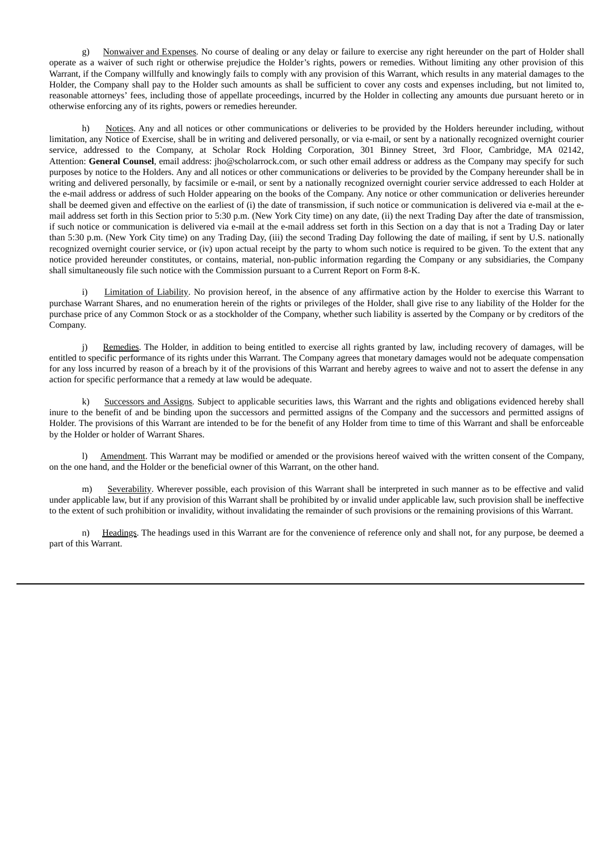g) Nonwaiver and Expenses. No course of dealing or any delay or failure to exercise any right hereunder on the part of Holder shall operate as a waiver of such right or otherwise prejudice the Holder's rights, powers or remedies. Without limiting any other provision of this Warrant, if the Company willfully and knowingly fails to comply with any provision of this Warrant, which results in any material damages to the Holder, the Company shall pay to the Holder such amounts as shall be sufficient to cover any costs and expenses including, but not limited to, reasonable attorneys' fees, including those of appellate proceedings, incurred by the Holder in collecting any amounts due pursuant hereto or in otherwise enforcing any of its rights, powers or remedies hereunder.

h) Notices. Any and all notices or other communications or deliveries to be provided by the Holders hereunder including, without limitation, any Notice of Exercise, shall be in writing and delivered personally, or via e-mail, or sent by a nationally recognized overnight courier service, addressed to the Company, at Scholar Rock Holding Corporation, 301 Binney Street, 3rd Floor, Cambridge, MA 02142, Attention: **General Counsel**, email address: jho@scholarrock.com, or such other email address or address as the Company may specify for such purposes by notice to the Holders. Any and all notices or other communications or deliveries to be provided by the Company hereunder shall be in writing and delivered personally, by facsimile or e-mail, or sent by a nationally recognized overnight courier service addressed to each Holder at the e-mail address or address of such Holder appearing on the books of the Company. Any notice or other communication or deliveries hereunder shall be deemed given and effective on the earliest of (i) the date of transmission, if such notice or communication is delivered via e-mail at the email address set forth in this Section prior to 5:30 p.m. (New York City time) on any date, (ii) the next Trading Day after the date of transmission, if such notice or communication is delivered via e-mail at the e-mail address set forth in this Section on a day that is not a Trading Day or later than 5:30 p.m. (New York City time) on any Trading Day, (iii) the second Trading Day following the date of mailing, if sent by U.S. nationally recognized overnight courier service, or (iv) upon actual receipt by the party to whom such notice is required to be given. To the extent that any notice provided hereunder constitutes, or contains, material, non-public information regarding the Company or any subsidiaries, the Company shall simultaneously file such notice with the Commission pursuant to a Current Report on Form 8-K.

Limitation of Liability. No provision hereof, in the absence of any affirmative action by the Holder to exercise this Warrant to purchase Warrant Shares, and no enumeration herein of the rights or privileges of the Holder, shall give rise to any liability of the Holder for the purchase price of any Common Stock or as a stockholder of the Company, whether such liability is asserted by the Company or by creditors of the Company.

i) Remedies. The Holder, in addition to being entitled to exercise all rights granted by law, including recovery of damages, will be entitled to specific performance of its rights under this Warrant. The Company agrees that monetary damages would not be adequate compensation for any loss incurred by reason of a breach by it of the provisions of this Warrant and hereby agrees to waive and not to assert the defense in any action for specific performance that a remedy at law would be adequate.

k) Successors and Assigns. Subject to applicable securities laws, this Warrant and the rights and obligations evidenced hereby shall inure to the benefit of and be binding upon the successors and permitted assigns of the Company and the successors and permitted assigns of Holder. The provisions of this Warrant are intended to be for the benefit of any Holder from time to time of this Warrant and shall be enforceable by the Holder or holder of Warrant Shares.

l) Amendment. This Warrant may be modified or amended or the provisions hereof waived with the written consent of the Company, on the one hand, and the Holder or the beneficial owner of this Warrant, on the other hand.

m) Severability. Wherever possible, each provision of this Warrant shall be interpreted in such manner as to be effective and valid under applicable law, but if any provision of this Warrant shall be prohibited by or invalid under applicable law, such provision shall be ineffective to the extent of such prohibition or invalidity, without invalidating the remainder of such provisions or the remaining provisions of this Warrant.

n) Headings. The headings used in this Warrant are for the convenience of reference only and shall not, for any purpose, be deemed a part of this Warrant.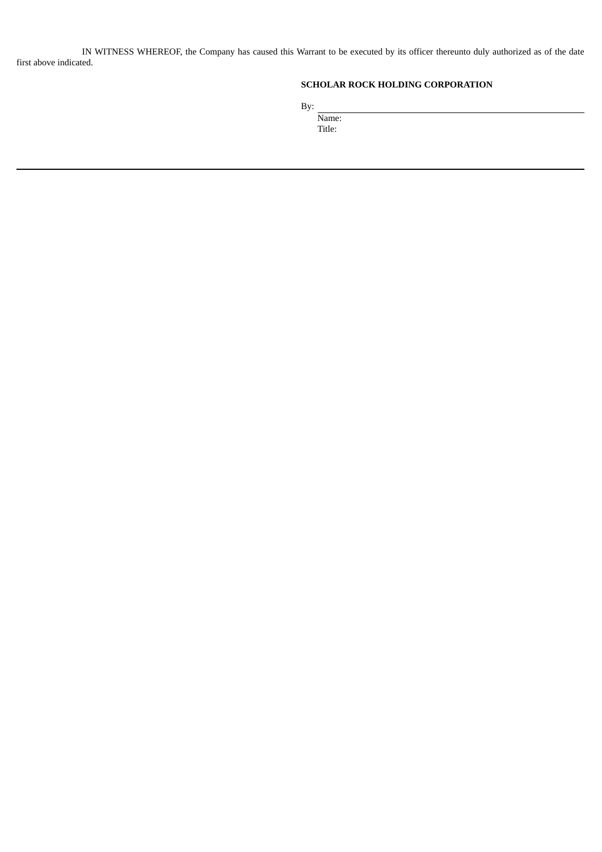IN WITNESS WHEREOF, the Company has caused this Warrant to be executed by its officer thereunto duly authorized as of the date first above indicated.

# **SCHOLAR ROCK HOLDING CORPORATION**

By:

Name: Title: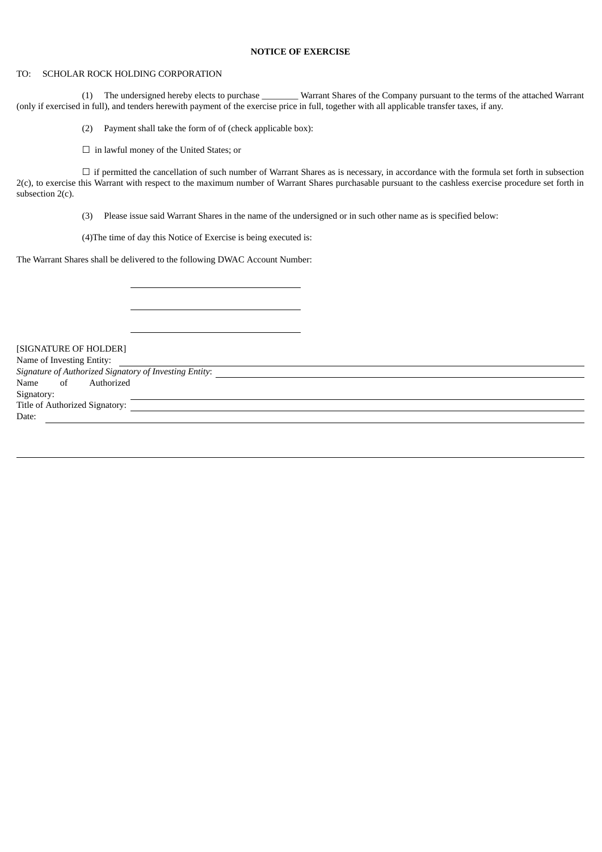# **NOTICE OF EXERCISE**

# TO: SCHOLAR ROCK HOLDING CORPORATION

(1) The undersigned hereby elects to purchase \_\_\_\_\_\_\_\_ Warrant Shares of the Company pursuant to the terms of the attached Warrant (only if exercised in full), and tenders herewith payment of the exercise price in full, together with all applicable transfer taxes, if any.

(2) Payment shall take the form of of (check applicable box):

☐ in lawful money of the United States; or

 $\Box$  if permitted the cancellation of such number of Warrant Shares as is necessary, in accordance with the formula set forth in subsection 2(c), to exercise this Warrant with respect to the maximum number of Warrant Shares purchasable pursuant to the cashless exercise procedure set forth in subsection 2(c).

(3) Please issue said Warrant Shares in the name of the undersigned or in such other name as is specified below:

(4)The time of day this Notice of Exercise is being executed is:

The Warrant Shares shall be delivered to the following DWAC Account Number:

| [SIGNATURE OF HOLDER]          |                                                        |  |  |  |
|--------------------------------|--------------------------------------------------------|--|--|--|
| Name of Investing Entity:      |                                                        |  |  |  |
|                                | Signature of Authorized Signatory of Investing Entity: |  |  |  |
| of<br>Name                     | Authorized                                             |  |  |  |
| Signatory:                     |                                                        |  |  |  |
| Title of Authorized Signatory: |                                                        |  |  |  |
| Date:                          |                                                        |  |  |  |
|                                |                                                        |  |  |  |
|                                |                                                        |  |  |  |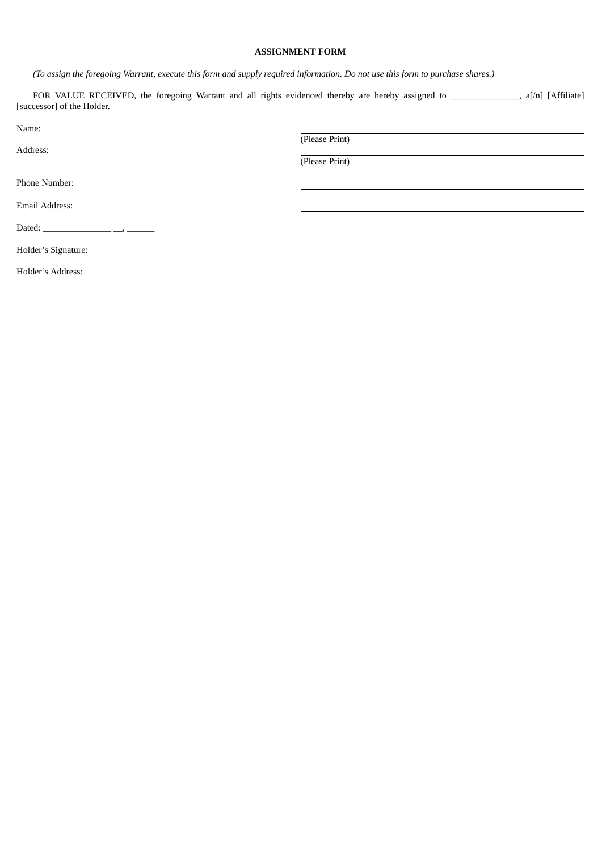# **ASSIGNMENT FORM**

(To assign the foregoing Warrant, execute this form and supply required information. Do not use this form to purchase shares.)

| FOR VALUE RECEIVED, the foregoing Warrant and all rights evidenced thereby are hereby assigned to |  |  |  |  |  | a[/n] [Affiliate] |
|---------------------------------------------------------------------------------------------------|--|--|--|--|--|-------------------|
| [successor] of the Holder.                                                                        |  |  |  |  |  |                   |

Name:

Address:

(Please Print)

(Please Print)

Phone Number:

Email Address:

Dated: \_\_\_\_\_\_\_\_\_\_\_\_\_\_\_ \_\_, \_\_\_\_\_\_

Holder's Signature:

Holder's Address: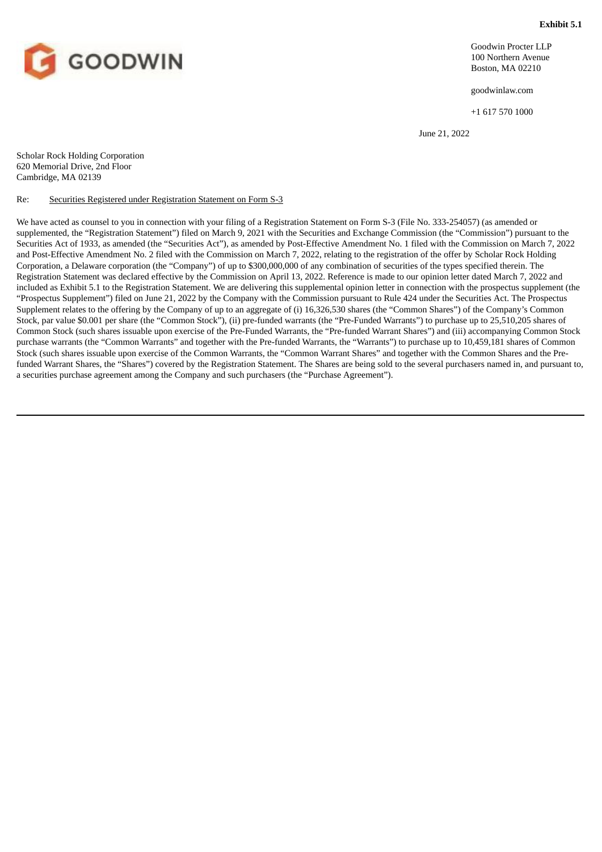



Goodwin Procter LLP 100 Northern Avenue Boston, MA 02210

goodwinlaw.com

+1 617 570 1000

June 21, 2022

Scholar Rock Holding Corporation 620 Memorial Drive, 2nd Floor Cambridge, MA 02139

# Re: Securities Registered under Registration Statement on Form S-3

We have acted as counsel to you in connection with your filing of a Registration Statement on Form S-3 (File No. 333-254057) (as amended or supplemented, the "Registration Statement") filed on March 9, 2021 with the Securities and Exchange Commission (the "Commission") pursuant to the Securities Act of 1933, as amended (the "Securities Act"), as amended by Post-Effective Amendment No. 1 filed with the Commission on March 7, 2022 and Post-Effective Amendment No. 2 filed with the Commission on March 7, 2022, relating to the registration of the offer by Scholar Rock Holding Corporation, a Delaware corporation (the "Company") of up to \$300,000,000 of any combination of securities of the types specified therein. The Registration Statement was declared effective by the Commission on April 13, 2022. Reference is made to our opinion letter dated March 7, 2022 and included as Exhibit 5.1 to the Registration Statement. We are delivering this supplemental opinion letter in connection with the prospectus supplement (the "Prospectus Supplement") filed on June 21, 2022 by the Company with the Commission pursuant to Rule 424 under the Securities Act. The Prospectus Supplement relates to the offering by the Company of up to an aggregate of (i) 16,326,530 shares (the "Common Shares") of the Company's Common Stock, par value \$0.001 per share (the "Common Stock"), (ii) pre-funded warrants (the "Pre-Funded Warrants") to purchase up to 25,510,205 shares of Common Stock (such shares issuable upon exercise of the Pre-Funded Warrants, the "Pre-funded Warrant Shares") and (iii) accompanying Common Stock purchase warrants (the "Common Warrants" and together with the Pre-funded Warrants, the "Warrants") to purchase up to 10,459,181 shares of Common Stock (such shares issuable upon exercise of the Common Warrants, the "Common Warrant Shares" and together with the Common Shares and the Prefunded Warrant Shares, the "Shares") covered by the Registration Statement. The Shares are being sold to the several purchasers named in, and pursuant to, a securities purchase agreement among the Company and such purchasers (the "Purchase Agreement").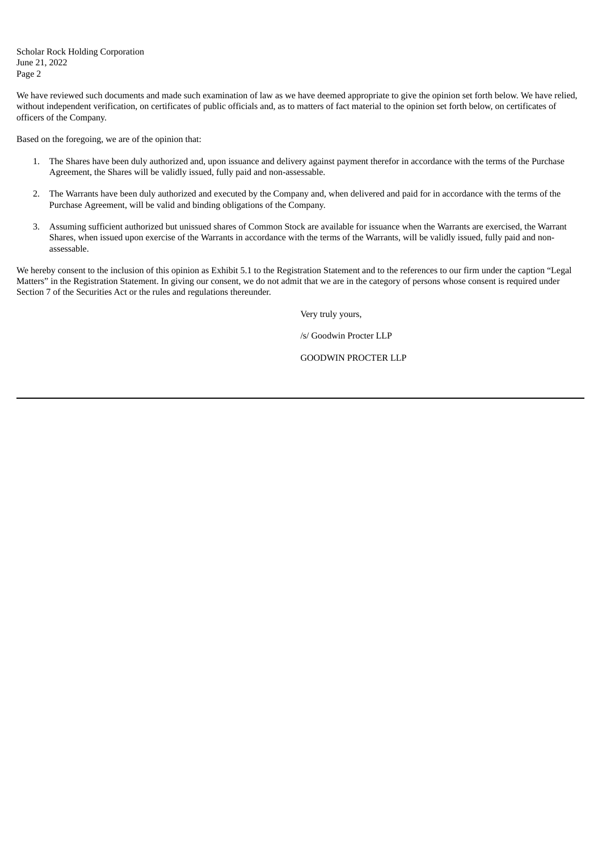Scholar Rock Holding Corporation June 21, 2022 Page 2

We have reviewed such documents and made such examination of law as we have deemed appropriate to give the opinion set forth below. We have relied, without independent verification, on certificates of public officials and, as to matters of fact material to the opinion set forth below, on certificates of officers of the Company.

Based on the foregoing, we are of the opinion that:

- 1. The Shares have been duly authorized and, upon issuance and delivery against payment therefor in accordance with the terms of the Purchase Agreement, the Shares will be validly issued, fully paid and non-assessable.
- 2. The Warrants have been duly authorized and executed by the Company and, when delivered and paid for in accordance with the terms of the Purchase Agreement, will be valid and binding obligations of the Company.
- 3. Assuming sufficient authorized but unissued shares of Common Stock are available for issuance when the Warrants are exercised, the Warrant Shares, when issued upon exercise of the Warrants in accordance with the terms of the Warrants, will be validly issued, fully paid and nonassessable.

We hereby consent to the inclusion of this opinion as Exhibit 5.1 to the Registration Statement and to the references to our firm under the caption "Legal Matters" in the Registration Statement. In giving our consent, we do not admit that we are in the category of persons whose consent is required under Section 7 of the Securities Act or the rules and regulations thereunder.

> Very truly yours, /s/ Goodwin Procter LLP

GOODWIN PROCTER LLP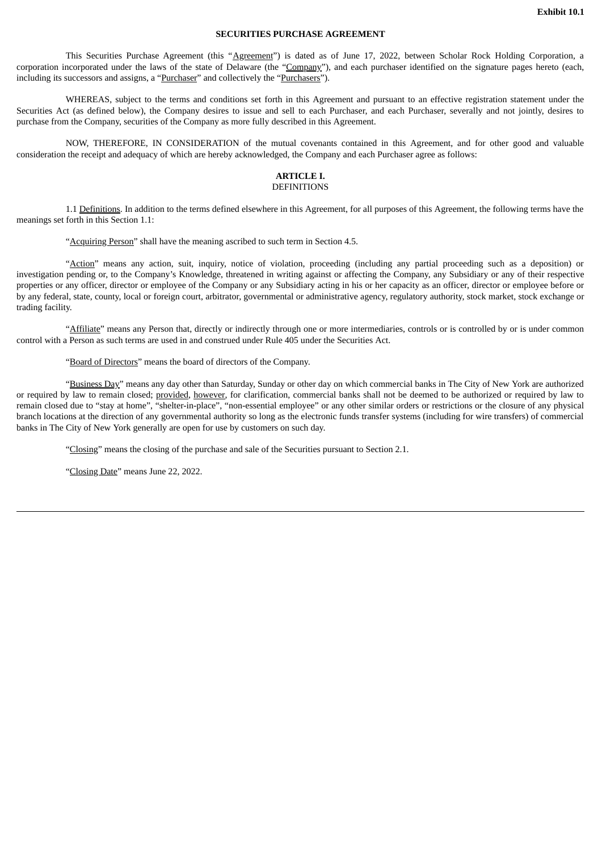# **SECURITIES PURCHASE AGREEMENT**

This Securities Purchase Agreement (this "Agreement") is dated as of June 17, 2022, between Scholar Rock Holding Corporation, a corporation incorporated under the laws of the state of Delaware (the "Company"), and each purchaser identified on the signature pages hereto (each, including its successors and assigns, a "Purchaser" and collectively the "Purchasers").

WHEREAS, subject to the terms and conditions set forth in this Agreement and pursuant to an effective registration statement under the Securities Act (as defined below), the Company desires to issue and sell to each Purchaser, and each Purchaser, severally and not jointly, desires to purchase from the Company, securities of the Company as more fully described in this Agreement.

NOW, THEREFORE, IN CONSIDERATION of the mutual covenants contained in this Agreement, and for other good and valuable consideration the receipt and adequacy of which are hereby acknowledged, the Company and each Purchaser agree as follows:

## **ARTICLE I.** DEFINITIONS

1.1 Definitions. In addition to the terms defined elsewhere in this Agreement, for all purposes of this Agreement, the following terms have the meanings set forth in this Section 1.1:

"Acquiring Person" shall have the meaning ascribed to such term in Section 4.5.

"Action" means any action, suit, inquiry, notice of violation, proceeding (including any partial proceeding such as a deposition) or investigation pending or, to the Company's Knowledge, threatened in writing against or affecting the Company, any Subsidiary or any of their respective properties or any officer, director or employee of the Company or any Subsidiary acting in his or her capacity as an officer, director or employee before or by any federal, state, county, local or foreign court, arbitrator, governmental or administrative agency, regulatory authority, stock market, stock exchange or trading facility.

"Affiliate" means any Person that, directly or indirectly through one or more intermediaries, controls or is controlled by or is under common control with a Person as such terms are used in and construed under Rule 405 under the Securities Act.

"Board of Directors" means the board of directors of the Company.

"Business Day" means any day other than Saturday, Sunday or other day on which commercial banks in The City of New York are authorized or required by law to remain closed; provided, however, for clarification, commercial banks shall not be deemed to be authorized or required by law to remain closed due to "stay at home", "shelter-in-place", "non-essential employee" or any other similar orders or restrictions or the closure of any physical branch locations at the direction of any governmental authority so long as the electronic funds transfer systems (including for wire transfers) of commercial banks in The City of New York generally are open for use by customers on such day.

"Closing" means the closing of the purchase and sale of the Securities pursuant to Section 2.1.

"Closing Date" means June 22, 2022.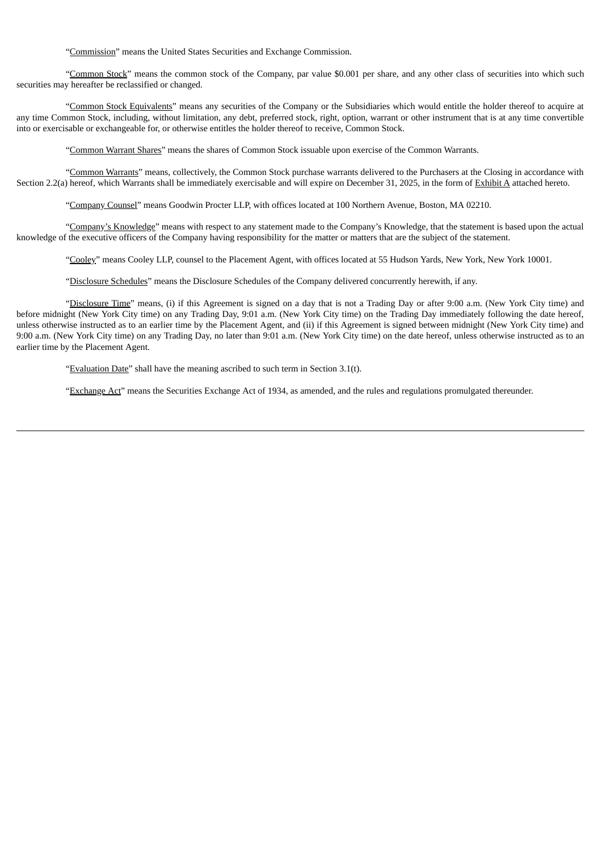"Commission" means the United States Securities and Exchange Commission.

"Common Stock" means the common stock of the Company, par value \$0.001 per share, and any other class of securities into which such securities may hereafter be reclassified or changed.

"Common Stock Equivalents" means any securities of the Company or the Subsidiaries which would entitle the holder thereof to acquire at any time Common Stock, including, without limitation, any debt, preferred stock, right, option, warrant or other instrument that is at any time convertible into or exercisable or exchangeable for, or otherwise entitles the holder thereof to receive, Common Stock.

"Common Warrant Shares" means the shares of Common Stock issuable upon exercise of the Common Warrants.

"Common Warrants" means, collectively, the Common Stock purchase warrants delivered to the Purchasers at the Closing in accordance with Section 2.2(a) hereof, which Warrants shall be immediately exercisable and will expire on December 31, 2025, in the form of  $Exhibit A$  attached hereto.

"Company Counsel" means Goodwin Procter LLP, with offices located at 100 Northern Avenue, Boston, MA 02210.

"Company's Knowledge" means with respect to any statement made to the Company's Knowledge, that the statement is based upon the actual knowledge of the executive officers of the Company having responsibility for the matter or matters that are the subject of the statement.

"Cooley" means Cooley LLP, counsel to the Placement Agent, with offices located at 55 Hudson Yards, New York, New York 10001.

"Disclosure Schedules" means the Disclosure Schedules of the Company delivered concurrently herewith, if any.

"Disclosure Time" means, (i) if this Agreement is signed on a day that is not a Trading Day or after 9:00 a.m. (New York City time) and before midnight (New York City time) on any Trading Day, 9:01 a.m. (New York City time) on the Trading Day immediately following the date hereof, unless otherwise instructed as to an earlier time by the Placement Agent, and (ii) if this Agreement is signed between midnight (New York City time) and 9:00 a.m. (New York City time) on any Trading Day, no later than 9:01 a.m. (New York City time) on the date hereof, unless otherwise instructed as to an earlier time by the Placement Agent.

"Evaluation Date" shall have the meaning ascribed to such term in Section 3.1(t).

"Exchange Act" means the Securities Exchange Act of 1934, as amended, and the rules and regulations promulgated thereunder.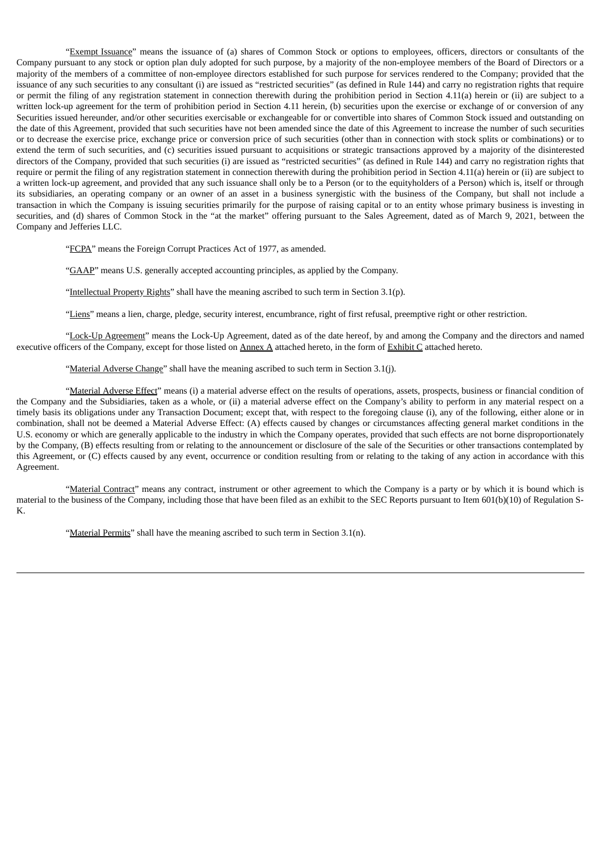"Exempt Issuance" means the issuance of (a) shares of Common Stock or options to employees, officers, directors or consultants of the Company pursuant to any stock or option plan duly adopted for such purpose, by a majority of the non-employee members of the Board of Directors or a majority of the members of a committee of non-employee directors established for such purpose for services rendered to the Company; provided that the issuance of any such securities to any consultant (i) are issued as "restricted securities" (as defined in Rule 144) and carry no registration rights that require or permit the filing of any registration statement in connection therewith during the prohibition period in Section 4.11(a) herein or (ii) are subject to a written lock-up agreement for the term of prohibition period in Section 4.11 herein, (b) securities upon the exercise or exchange of or conversion of any Securities issued hereunder, and/or other securities exercisable or exchangeable for or convertible into shares of Common Stock issued and outstanding on the date of this Agreement, provided that such securities have not been amended since the date of this Agreement to increase the number of such securities or to decrease the exercise price, exchange price or conversion price of such securities (other than in connection with stock splits or combinations) or to extend the term of such securities, and (c) securities issued pursuant to acquisitions or strategic transactions approved by a majority of the disinterested directors of the Company, provided that such securities (i) are issued as "restricted securities" (as defined in Rule 144) and carry no registration rights that require or permit the filing of any registration statement in connection therewith during the prohibition period in Section 4.11(a) herein or (ii) are subject to a written lock-up agreement, and provided that any such issuance shall only be to a Person (or to the equityholders of a Person) which is, itself or through its subsidiaries, an operating company or an owner of an asset in a business synergistic with the business of the Company, but shall not include a transaction in which the Company is issuing securities primarily for the purpose of raising capital or to an entity whose primary business is investing in securities, and (d) shares of Common Stock in the "at the market" offering pursuant to the Sales Agreement, dated as of March 9, 2021, between the Company and Jefferies LLC.

"FCPA" means the Foreign Corrupt Practices Act of 1977, as amended.

"GAAP" means U.S. generally accepted accounting principles, as applied by the Company.

"Intellectual Property Rights" shall have the meaning ascribed to such term in Section  $3.1(p)$ .

"Liens" means a lien, charge, pledge, security interest, encumbrance, right of first refusal, preemptive right or other restriction.

"Lock-Up Agreement" means the Lock-Up Agreement, dated as of the date hereof, by and among the Company and the directors and named executive officers of the Company, except for those listed on Annex A attached hereto, in the form of Exhibit C attached hereto.

"Material Adverse Change" shall have the meaning ascribed to such term in Section 3.1(j).

"Material Adverse Effect" means (i) a material adverse effect on the results of operations, assets, prospects, business or financial condition of the Company and the Subsidiaries, taken as a whole, or (ii) a material adverse effect on the Company's ability to perform in any material respect on a timely basis its obligations under any Transaction Document; except that, with respect to the foregoing clause (i), any of the following, either alone or in combination, shall not be deemed a Material Adverse Effect: (A) effects caused by changes or circumstances affecting general market conditions in the U.S. economy or which are generally applicable to the industry in which the Company operates, provided that such effects are not borne disproportionately by the Company, (B) effects resulting from or relating to the announcement or disclosure of the sale of the Securities or other transactions contemplated by this Agreement, or (C) effects caused by any event, occurrence or condition resulting from or relating to the taking of any action in accordance with this Agreement.

"Material Contract" means any contract, instrument or other agreement to which the Company is a party or by which it is bound which is material to the business of the Company, including those that have been filed as an exhibit to the SEC Reports pursuant to Item 601(b)(10) of Regulation S-K.

"Material Permits" shall have the meaning ascribed to such term in Section 3.1(n).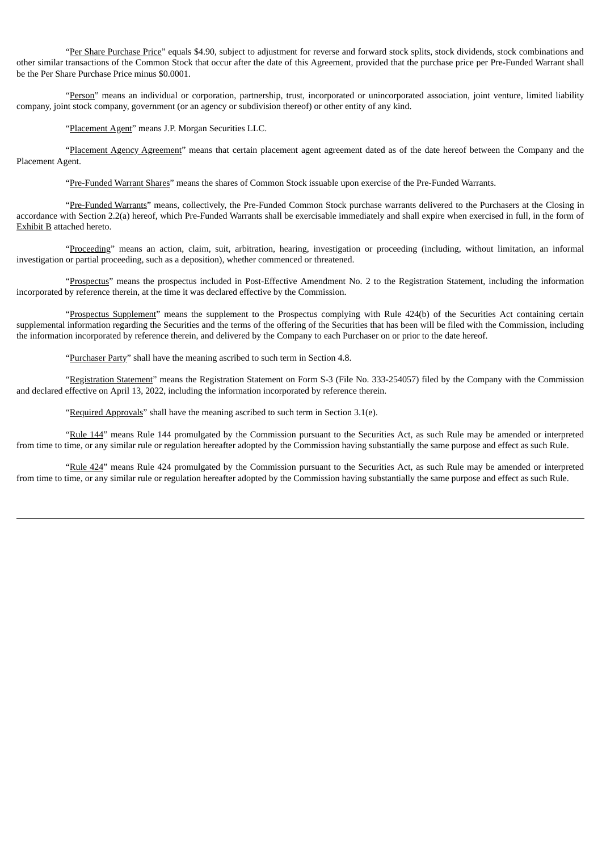"Per Share Purchase Price" equals \$4.90, subject to adjustment for reverse and forward stock splits, stock dividends, stock combinations and other similar transactions of the Common Stock that occur after the date of this Agreement, provided that the purchase price per Pre-Funded Warrant shall be the Per Share Purchase Price minus \$0.0001.

"Person" means an individual or corporation, partnership, trust, incorporated or unincorporated association, joint venture, limited liability company, joint stock company, government (or an agency or subdivision thereof) or other entity of any kind.

"Placement Agent" means J.P. Morgan Securities LLC.

"Placement Agency Agreement" means that certain placement agent agreement dated as of the date hereof between the Company and the Placement Agent.

"Pre-Funded Warrant Shares" means the shares of Common Stock issuable upon exercise of the Pre-Funded Warrants.

"Pre-Funded Warrants" means, collectively, the Pre-Funded Common Stock purchase warrants delivered to the Purchasers at the Closing in accordance with Section 2.2(a) hereof, which Pre-Funded Warrants shall be exercisable immediately and shall expire when exercised in full, in the form of Exhibit B attached hereto.

"Proceeding" means an action, claim, suit, arbitration, hearing, investigation or proceeding (including, without limitation, an informal investigation or partial proceeding, such as a deposition), whether commenced or threatened.

"Prospectus" means the prospectus included in Post-Effective Amendment No. 2 to the Registration Statement, including the information incorporated by reference therein, at the time it was declared effective by the Commission.

"Prospectus Supplement" means the supplement to the Prospectus complying with Rule 424(b) of the Securities Act containing certain supplemental information regarding the Securities and the terms of the offering of the Securities that has been will be filed with the Commission, including the information incorporated by reference therein, and delivered by the Company to each Purchaser on or prior to the date hereof.

"Purchaser Party" shall have the meaning ascribed to such term in Section 4.8.

"Registration Statement" means the Registration Statement on Form S-3 (File No. 333-254057) filed by the Company with the Commission and declared effective on April 13, 2022, including the information incorporated by reference therein.

"Required Approvals" shall have the meaning ascribed to such term in Section 3.1(e).

"Rule 144" means Rule 144 promulgated by the Commission pursuant to the Securities Act, as such Rule may be amended or interpreted from time to time, or any similar rule or regulation hereafter adopted by the Commission having substantially the same purpose and effect as such Rule.

"Rule 424" means Rule 424 promulgated by the Commission pursuant to the Securities Act, as such Rule may be amended or interpreted from time to time, or any similar rule or regulation hereafter adopted by the Commission having substantially the same purpose and effect as such Rule.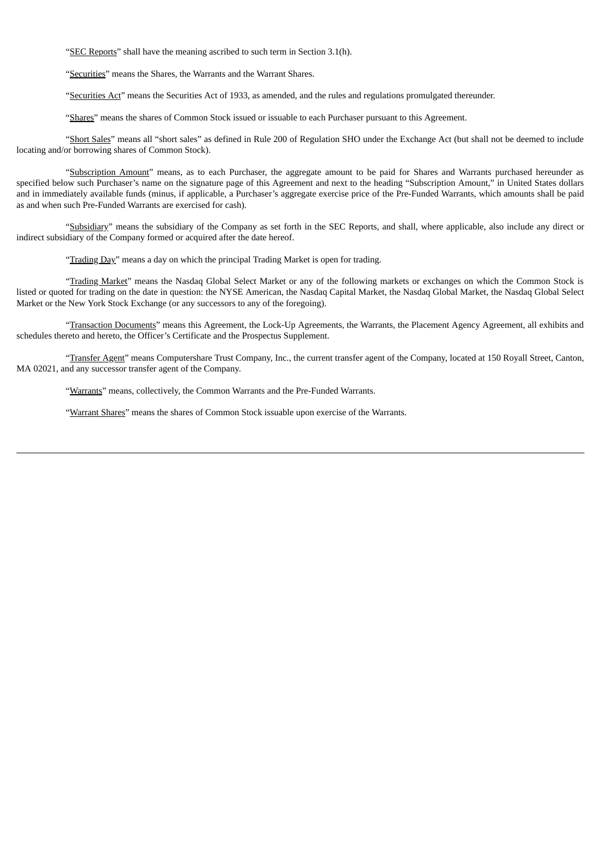"SEC Reports" shall have the meaning ascribed to such term in Section 3.1(h).

"Securities" means the Shares, the Warrants and the Warrant Shares.

"Securities Act" means the Securities Act of 1933, as amended, and the rules and regulations promulgated thereunder.

"Shares" means the shares of Common Stock issued or issuable to each Purchaser pursuant to this Agreement.

"Short Sales" means all "short sales" as defined in Rule 200 of Regulation SHO under the Exchange Act (but shall not be deemed to include locating and/or borrowing shares of Common Stock).

"Subscription Amount" means, as to each Purchaser, the aggregate amount to be paid for Shares and Warrants purchased hereunder as specified below such Purchaser's name on the signature page of this Agreement and next to the heading "Subscription Amount," in United States dollars and in immediately available funds (minus, if applicable, a Purchaser's aggregate exercise price of the Pre-Funded Warrants, which amounts shall be paid as and when such Pre-Funded Warrants are exercised for cash).

"Subsidiary" means the subsidiary of the Company as set forth in the SEC Reports, and shall, where applicable, also include any direct or indirect subsidiary of the Company formed or acquired after the date hereof.

"Trading Day" means a day on which the principal Trading Market is open for trading.

"Trading Market" means the Nasdaq Global Select Market or any of the following markets or exchanges on which the Common Stock is listed or quoted for trading on the date in question: the NYSE American, the Nasdaq Capital Market, the Nasdaq Global Market, the Nasdaq Global Select Market or the New York Stock Exchange (or any successors to any of the foregoing).

"Transaction Documents" means this Agreement, the Lock-Up Agreements, the Warrants, the Placement Agency Agreement, all exhibits and schedules thereto and hereto, the Officer's Certificate and the Prospectus Supplement.

"Transfer Agent" means Computershare Trust Company, Inc., the current transfer agent of the Company, located at 150 Royall Street, Canton, MA 02021, and any successor transfer agent of the Company.

"Warrants" means, collectively, the Common Warrants and the Pre-Funded Warrants.

"Warrant Shares" means the shares of Common Stock issuable upon exercise of the Warrants.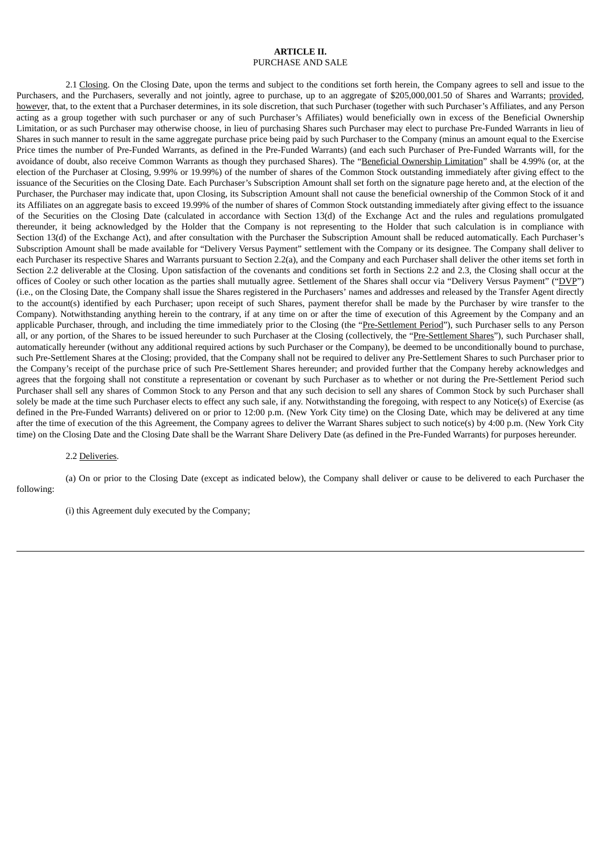# **ARTICLE II.** PURCHASE AND SALE

2.1 Closing. On the Closing Date, upon the terms and subject to the conditions set forth herein, the Company agrees to sell and issue to the Purchasers, and the Purchasers, severally and not jointly, agree to purchase, up to an aggregate of \$205,000,001.50 of Shares and Warrants; provided, however, that, to the extent that a Purchaser determines, in its sole discretion, that such Purchaser (together with such Purchaser's Affiliates, and any Person acting as a group together with such purchaser or any of such Purchaser's Affiliates) would beneficially own in excess of the Beneficial Ownership Limitation, or as such Purchaser may otherwise choose, in lieu of purchasing Shares such Purchaser may elect to purchase Pre-Funded Warrants in lieu of Shares in such manner to result in the same aggregate purchase price being paid by such Purchaser to the Company (minus an amount equal to the Exercise Price times the number of Pre-Funded Warrants, as defined in the Pre-Funded Warrants) (and each such Purchaser of Pre-Funded Warrants will, for the avoidance of doubt, also receive Common Warrants as though they purchased Shares). The "Beneficial Ownership Limitation" shall be 4.99% (or, at the election of the Purchaser at Closing, 9.99% or 19.99%) of the number of shares of the Common Stock outstanding immediately after giving effect to the issuance of the Securities on the Closing Date. Each Purchaser's Subscription Amount shall set forth on the signature page hereto and, at the election of the Purchaser, the Purchaser may indicate that, upon Closing, its Subscription Amount shall not cause the beneficial ownership of the Common Stock of it and its Affiliates on an aggregate basis to exceed 19.99% of the number of shares of Common Stock outstanding immediately after giving effect to the issuance of the Securities on the Closing Date (calculated in accordance with Section 13(d) of the Exchange Act and the rules and regulations promulgated thereunder, it being acknowledged by the Holder that the Company is not representing to the Holder that such calculation is in compliance with Section 13(d) of the Exchange Act), and after consultation with the Purchaser the Subscription Amount shall be reduced automatically. Each Purchaser's Subscription Amount shall be made available for "Delivery Versus Payment" settlement with the Company or its designee. The Company shall deliver to each Purchaser its respective Shares and Warrants pursuant to Section 2.2(a), and the Company and each Purchaser shall deliver the other items set forth in Section 2.2 deliverable at the Closing. Upon satisfaction of the covenants and conditions set forth in Sections 2.2 and 2.3, the Closing shall occur at the offices of Cooley or such other location as the parties shall mutually agree. Settlement of the Shares shall occur via "Delivery Versus Payment" ("DVP") (i.e., on the Closing Date, the Company shall issue the Shares registered in the Purchasers' names and addresses and released by the Transfer Agent directly to the account(s) identified by each Purchaser; upon receipt of such Shares, payment therefor shall be made by the Purchaser by wire transfer to the Company). Notwithstanding anything herein to the contrary, if at any time on or after the time of execution of this Agreement by the Company and an applicable Purchaser, through, and including the time immediately prior to the Closing (the "Pre-Settlement Period"), such Purchaser sells to any Person all, or any portion, of the Shares to be issued hereunder to such Purchaser at the Closing (collectively, the "Pre-Settlement Shares"), such Purchaser shall, automatically hereunder (without any additional required actions by such Purchaser or the Company), be deemed to be unconditionally bound to purchase, such Pre-Settlement Shares at the Closing; provided, that the Company shall not be required to deliver any Pre-Settlement Shares to such Purchaser prior to the Company's receipt of the purchase price of such Pre-Settlement Shares hereunder; and provided further that the Company hereby acknowledges and agrees that the forgoing shall not constitute a representation or covenant by such Purchaser as to whether or not during the Pre-Settlement Period such Purchaser shall sell any shares of Common Stock to any Person and that any such decision to sell any shares of Common Stock by such Purchaser shall solely be made at the time such Purchaser elects to effect any such sale, if any. Notwithstanding the foregoing, with respect to any Notice(s) of Exercise (as defined in the Pre-Funded Warrants) delivered on or prior to 12:00 p.m. (New York City time) on the Closing Date, which may be delivered at any time after the time of execution of the this Agreement, the Company agrees to deliver the Warrant Shares subject to such notice(s) by 4:00 p.m. (New York City time) on the Closing Date and the Closing Date shall be the Warrant Share Delivery Date (as defined in the Pre-Funded Warrants) for purposes hereunder.

## 2.2 Deliveries.

(a) On or prior to the Closing Date (except as indicated below), the Company shall deliver or cause to be delivered to each Purchaser the following:

(i) this Agreement duly executed by the Company;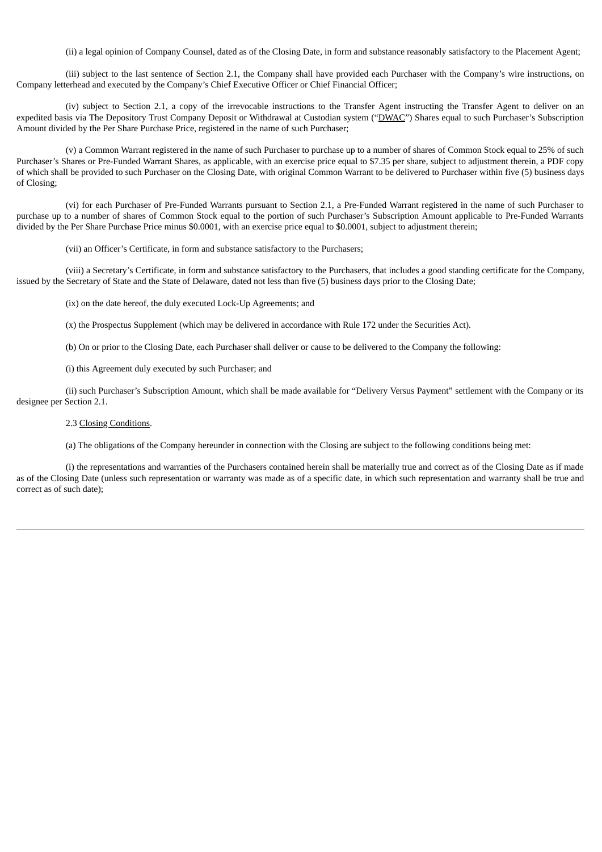(ii) a legal opinion of Company Counsel, dated as of the Closing Date, in form and substance reasonably satisfactory to the Placement Agent;

(iii) subject to the last sentence of Section 2.1, the Company shall have provided each Purchaser with the Company's wire instructions, on Company letterhead and executed by the Company's Chief Executive Officer or Chief Financial Officer;

(iv) subject to Section 2.1, a copy of the irrevocable instructions to the Transfer Agent instructing the Transfer Agent to deliver on an expedited basis via The Depository Trust Company Deposit or Withdrawal at Custodian system ("DWAC") Shares equal to such Purchaser's Subscription Amount divided by the Per Share Purchase Price, registered in the name of such Purchaser;

(v) a Common Warrant registered in the name of such Purchaser to purchase up to a number of shares of Common Stock equal to 25% of such Purchaser's Shares or Pre-Funded Warrant Shares, as applicable, with an exercise price equal to \$7.35 per share, subject to adjustment therein, a PDF copy of which shall be provided to such Purchaser on the Closing Date, with original Common Warrant to be delivered to Purchaser within five (5) business days of Closing;

(vi) for each Purchaser of Pre-Funded Warrants pursuant to Section 2.1, a Pre-Funded Warrant registered in the name of such Purchaser to purchase up to a number of shares of Common Stock equal to the portion of such Purchaser's Subscription Amount applicable to Pre-Funded Warrants divided by the Per Share Purchase Price minus \$0.0001, with an exercise price equal to \$0.0001, subject to adjustment therein;

(vii) an Officer's Certificate, in form and substance satisfactory to the Purchasers;

(viii) a Secretary's Certificate, in form and substance satisfactory to the Purchasers, that includes a good standing certificate for the Company, issued by the Secretary of State and the State of Delaware, dated not less than five (5) business days prior to the Closing Date;

(ix) on the date hereof, the duly executed Lock-Up Agreements; and

(x) the Prospectus Supplement (which may be delivered in accordance with Rule 172 under the Securities Act).

(b) On or prior to the Closing Date, each Purchaser shall deliver or cause to be delivered to the Company the following:

(i) this Agreement duly executed by such Purchaser; and

(ii) such Purchaser's Subscription Amount, which shall be made available for "Delivery Versus Payment" settlement with the Company or its designee per Section 2.1.

#### 2.3 Closing Conditions.

(a) The obligations of the Company hereunder in connection with the Closing are subject to the following conditions being met:

(i) the representations and warranties of the Purchasers contained herein shall be materially true and correct as of the Closing Date as if made as of the Closing Date (unless such representation or warranty was made as of a specific date, in which such representation and warranty shall be true and correct as of such date);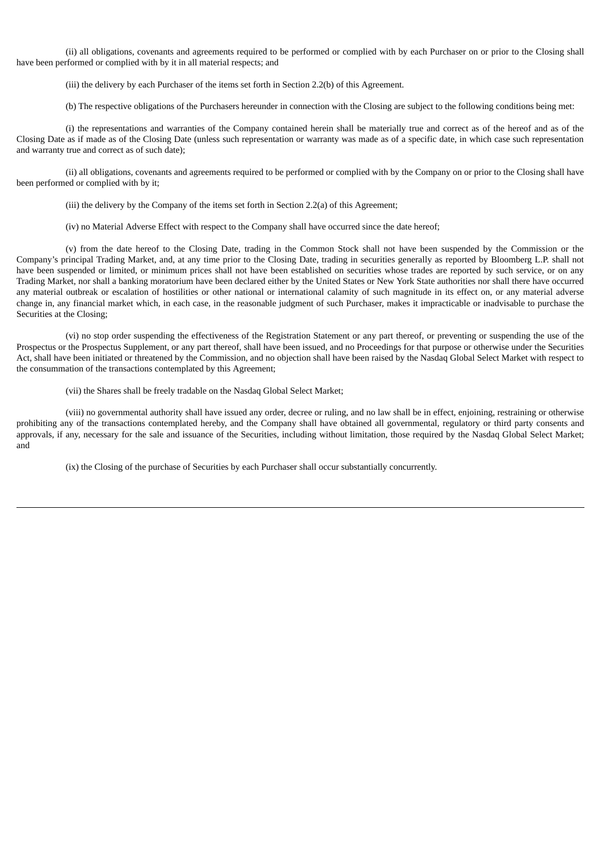(ii) all obligations, covenants and agreements required to be performed or complied with by each Purchaser on or prior to the Closing shall have been performed or complied with by it in all material respects: and

(iii) the delivery by each Purchaser of the items set forth in Section 2.2(b) of this Agreement.

(b) The respective obligations of the Purchasers hereunder in connection with the Closing are subject to the following conditions being met:

(i) the representations and warranties of the Company contained herein shall be materially true and correct as of the hereof and as of the Closing Date as if made as of the Closing Date (unless such representation or warranty was made as of a specific date, in which case such representation and warranty true and correct as of such date);

(ii) all obligations, covenants and agreements required to be performed or complied with by the Company on or prior to the Closing shall have been performed or complied with by it;

(iii) the delivery by the Company of the items set forth in Section 2.2(a) of this Agreement;

(iv) no Material Adverse Effect with respect to the Company shall have occurred since the date hereof;

(v) from the date hereof to the Closing Date, trading in the Common Stock shall not have been suspended by the Commission or the Company's principal Trading Market, and, at any time prior to the Closing Date, trading in securities generally as reported by Bloomberg L.P. shall not have been suspended or limited, or minimum prices shall not have been established on securities whose trades are reported by such service, or on any Trading Market, nor shall a banking moratorium have been declared either by the United States or New York State authorities nor shall there have occurred any material outbreak or escalation of hostilities or other national or international calamity of such magnitude in its effect on, or any material adverse change in, any financial market which, in each case, in the reasonable judgment of such Purchaser, makes it impracticable or inadvisable to purchase the Securities at the Closing;

(vi) no stop order suspending the effectiveness of the Registration Statement or any part thereof, or preventing or suspending the use of the Prospectus or the Prospectus Supplement, or any part thereof, shall have been issued, and no Proceedings for that purpose or otherwise under the Securities Act, shall have been initiated or threatened by the Commission, and no objection shall have been raised by the Nasdaq Global Select Market with respect to the consummation of the transactions contemplated by this Agreement;

(vii) the Shares shall be freely tradable on the Nasdaq Global Select Market;

(viii) no governmental authority shall have issued any order, decree or ruling, and no law shall be in effect, enjoining, restraining or otherwise prohibiting any of the transactions contemplated hereby, and the Company shall have obtained all governmental, regulatory or third party consents and approvals, if any, necessary for the sale and issuance of the Securities, including without limitation, those required by the Nasdaq Global Select Market; and

(ix) the Closing of the purchase of Securities by each Purchaser shall occur substantially concurrently.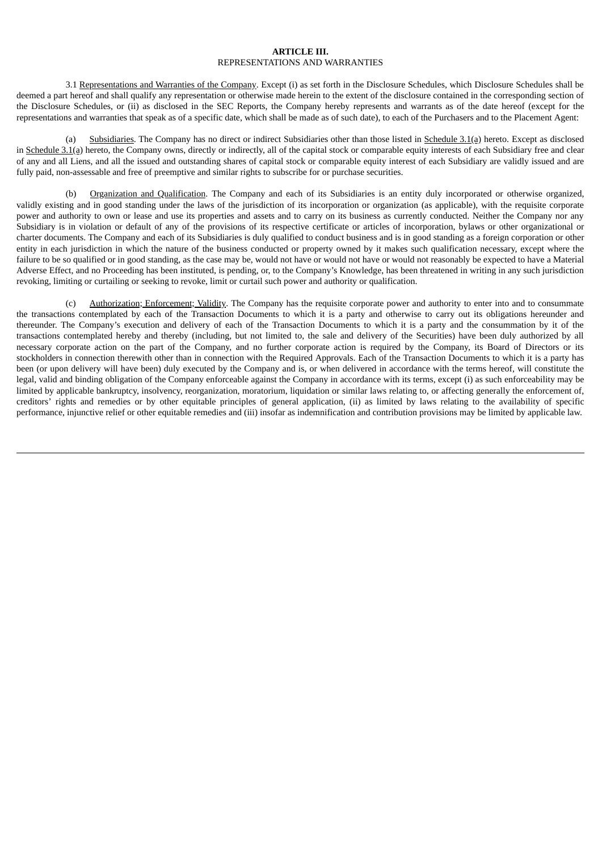## **ARTICLE III.** REPRESENTATIONS AND WARRANTIES

3.1 Representations and Warranties of the Company. Except (i) as set forth in the Disclosure Schedules, which Disclosure Schedules shall be deemed a part hereof and shall qualify any representation or otherwise made herein to the extent of the disclosure contained in the corresponding section of the Disclosure Schedules, or (ii) as disclosed in the SEC Reports, the Company hereby represents and warrants as of the date hereof (except for the representations and warranties that speak as of a specific date, which shall be made as of such date), to each of the Purchasers and to the Placement Agent:

(a) Subsidiaries. The Company has no direct or indirect Subsidiaries other than those listed in Schedule 3.1(a) hereto. Except as disclosed in Schedule 3.1(a) hereto, the Company owns, directly or indirectly, all of the capital stock or comparable equity interests of each Subsidiary free and clear of any and all Liens, and all the issued and outstanding shares of capital stock or comparable equity interest of each Subsidiary are validly issued and are fully paid, non-assessable and free of preemptive and similar rights to subscribe for or purchase securities.

(b) Organization and Qualification. The Company and each of its Subsidiaries is an entity duly incorporated or otherwise organized, validly existing and in good standing under the laws of the jurisdiction of its incorporation or organization (as applicable), with the requisite corporate power and authority to own or lease and use its properties and assets and to carry on its business as currently conducted. Neither the Company nor any Subsidiary is in violation or default of any of the provisions of its respective certificate or articles of incorporation, bylaws or other organizational or charter documents. The Company and each of its Subsidiaries is duly qualified to conduct business and is in good standing as a foreign corporation or other entity in each jurisdiction in which the nature of the business conducted or property owned by it makes such qualification necessary, except where the failure to be so qualified or in good standing, as the case may be, would not have or would not have or would not reasonably be expected to have a Material Adverse Effect, and no Proceeding has been instituted, is pending, or, to the Company's Knowledge, has been threatened in writing in any such jurisdiction revoking, limiting or curtailing or seeking to revoke, limit or curtail such power and authority or qualification.

(c) Authorization; Enforcement; Validity. The Company has the requisite corporate power and authority to enter into and to consummate the transactions contemplated by each of the Transaction Documents to which it is a party and otherwise to carry out its obligations hereunder and thereunder. The Company's execution and delivery of each of the Transaction Documents to which it is a party and the consummation by it of the transactions contemplated hereby and thereby (including, but not limited to, the sale and delivery of the Securities) have been duly authorized by all necessary corporate action on the part of the Company, and no further corporate action is required by the Company, its Board of Directors or its stockholders in connection therewith other than in connection with the Required Approvals. Each of the Transaction Documents to which it is a party has been (or upon delivery will have been) duly executed by the Company and is, or when delivered in accordance with the terms hereof, will constitute the legal, valid and binding obligation of the Company enforceable against the Company in accordance with its terms, except (i) as such enforceability may be limited by applicable bankruptcy, insolvency, reorganization, moratorium, liquidation or similar laws relating to, or affecting generally the enforcement of, creditors' rights and remedies or by other equitable principles of general application, (ii) as limited by laws relating to the availability of specific performance, injunctive relief or other equitable remedies and (iii) insofar as indemnification and contribution provisions may be limited by applicable law.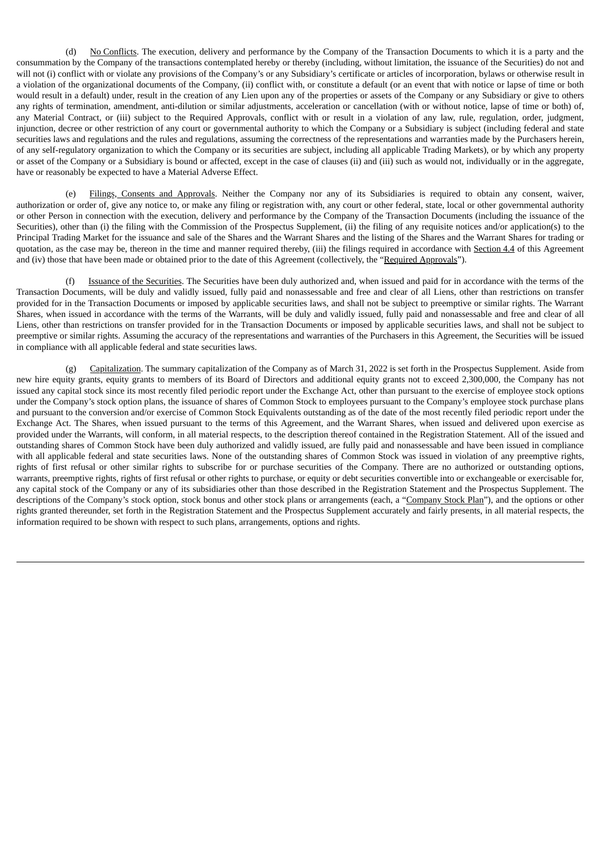(d) No Conflicts. The execution, delivery and performance by the Company of the Transaction Documents to which it is a party and the consummation by the Company of the transactions contemplated hereby or thereby (including, without limitation, the issuance of the Securities) do not and will not (i) conflict with or violate any provisions of the Company's or any Subsidiary's certificate or articles of incorporation, bylaws or otherwise result in a violation of the organizational documents of the Company, (ii) conflict with, or constitute a default (or an event that with notice or lapse of time or both would result in a default) under, result in the creation of any Lien upon any of the properties or assets of the Company or any Subsidiary or give to others any rights of termination, amendment, anti-dilution or similar adjustments, acceleration or cancellation (with or without notice, lapse of time or both) of, any Material Contract, or (iii) subject to the Required Approvals, conflict with or result in a violation of any law, rule, regulation, order, judgment, injunction, decree or other restriction of any court or governmental authority to which the Company or a Subsidiary is subject (including federal and state securities laws and regulations and the rules and regulations, assuming the correctness of the representations and warranties made by the Purchasers herein, of any self-regulatory organization to which the Company or its securities are subject, including all applicable Trading Markets), or by which any property or asset of the Company or a Subsidiary is bound or affected, except in the case of clauses (ii) and (iii) such as would not, individually or in the aggregate, have or reasonably be expected to have a Material Adverse Effect.

(e) Filings, Consents and Approvals. Neither the Company nor any of its Subsidiaries is required to obtain any consent, waiver, authorization or order of, give any notice to, or make any filing or registration with, any court or other federal, state, local or other governmental authority or other Person in connection with the execution, delivery and performance by the Company of the Transaction Documents (including the issuance of the Securities), other than (i) the filing with the Commission of the Prospectus Supplement, (ii) the filing of any requisite notices and/or application(s) to the Principal Trading Market for the issuance and sale of the Shares and the Warrant Shares and the listing of the Shares and the Warrant Shares for trading or quotation, as the case may be, thereon in the time and manner required thereby, (iii) the filings required in accordance with Section 4.4 of this Agreement and (iv) those that have been made or obtained prior to the date of this Agreement (collectively, the "Required Approvals").

(f) Issuance of the Securities. The Securities have been duly authorized and, when issued and paid for in accordance with the terms of the Transaction Documents, will be duly and validly issued, fully paid and nonassessable and free and clear of all Liens, other than restrictions on transfer provided for in the Transaction Documents or imposed by applicable securities laws, and shall not be subject to preemptive or similar rights. The Warrant Shares, when issued in accordance with the terms of the Warrants, will be duly and validly issued, fully paid and nonassessable and free and clear of all Liens, other than restrictions on transfer provided for in the Transaction Documents or imposed by applicable securities laws, and shall not be subject to preemptive or similar rights. Assuming the accuracy of the representations and warranties of the Purchasers in this Agreement, the Securities will be issued in compliance with all applicable federal and state securities laws.

(g) Capitalization. The summary capitalization of the Company as of March 31, 2022 is set forth in the Prospectus Supplement. Aside from new hire equity grants, equity grants to members of its Board of Directors and additional equity grants not to exceed 2,300,000, the Company has not issued any capital stock since its most recently filed periodic report under the Exchange Act, other than pursuant to the exercise of employee stock options under the Company's stock option plans, the issuance of shares of Common Stock to employees pursuant to the Company's employee stock purchase plans and pursuant to the conversion and/or exercise of Common Stock Equivalents outstanding as of the date of the most recently filed periodic report under the Exchange Act. The Shares, when issued pursuant to the terms of this Agreement, and the Warrant Shares, when issued and delivered upon exercise as provided under the Warrants, will conform, in all material respects, to the description thereof contained in the Registration Statement. All of the issued and outstanding shares of Common Stock have been duly authorized and validly issued, are fully paid and nonassessable and have been issued in compliance with all applicable federal and state securities laws. None of the outstanding shares of Common Stock was issued in violation of any preemptive rights, rights of first refusal or other similar rights to subscribe for or purchase securities of the Company. There are no authorized or outstanding options, warrants, preemptive rights, rights of first refusal or other rights to purchase, or equity or debt securities convertible into or exchangeable or exercisable for, any capital stock of the Company or any of its subsidiaries other than those described in the Registration Statement and the Prospectus Supplement. The descriptions of the Company's stock option, stock bonus and other stock plans or arrangements (each, a "Company Stock Plan"), and the options or other rights granted thereunder, set forth in the Registration Statement and the Prospectus Supplement accurately and fairly presents, in all material respects, the information required to be shown with respect to such plans, arrangements, options and rights.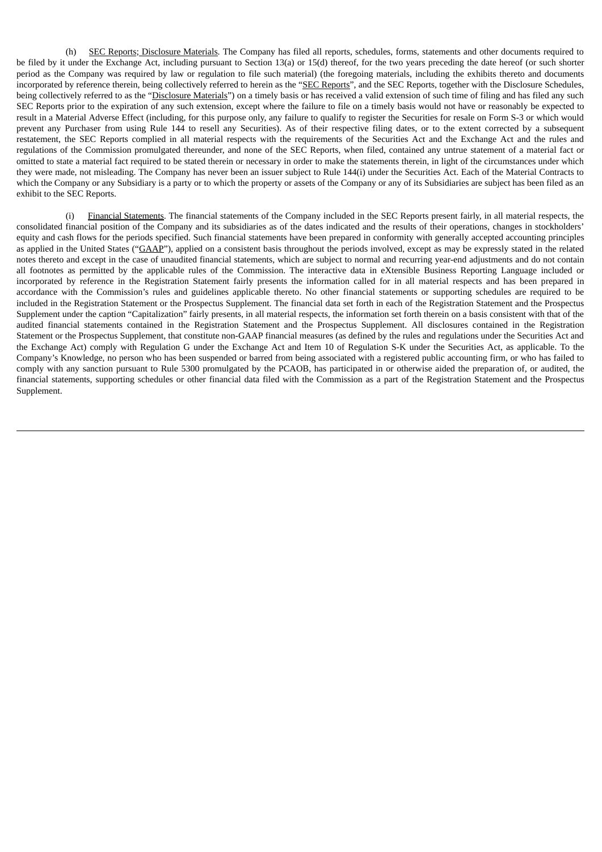(h) SEC Reports; Disclosure Materials. The Company has filed all reports, schedules, forms, statements and other documents required to be filed by it under the Exchange Act, including pursuant to Section 13(a) or 15(d) thereof, for the two years preceding the date hereof (or such shorter period as the Company was required by law or regulation to file such material) (the foregoing materials, including the exhibits thereto and documents incorporated by reference therein, being collectively referred to herein as the "SEC Reports", and the SEC Reports, together with the Disclosure Schedules, being collectively referred to as the "Disclosure Materials") on a timely basis or has received a valid extension of such time of filing and has filed any such SEC Reports prior to the expiration of any such extension, except where the failure to file on a timely basis would not have or reasonably be expected to result in a Material Adverse Effect (including, for this purpose only, any failure to qualify to register the Securities for resale on Form S-3 or which would prevent any Purchaser from using Rule 144 to resell any Securities). As of their respective filing dates, or to the extent corrected by a subsequent restatement, the SEC Reports complied in all material respects with the requirements of the Securities Act and the Exchange Act and the rules and regulations of the Commission promulgated thereunder, and none of the SEC Reports, when filed, contained any untrue statement of a material fact or omitted to state a material fact required to be stated therein or necessary in order to make the statements therein, in light of the circumstances under which they were made, not misleading. The Company has never been an issuer subject to Rule 144(i) under the Securities Act. Each of the Material Contracts to which the Company or any Subsidiary is a party or to which the property or assets of the Company or any of its Subsidiaries are subject has been filed as an exhibit to the SEC Reports.

(i) Financial Statements. The financial statements of the Company included in the SEC Reports present fairly, in all material respects, the consolidated financial position of the Company and its subsidiaries as of the dates indicated and the results of their operations, changes in stockholders' equity and cash flows for the periods specified. Such financial statements have been prepared in conformity with generally accepted accounting principles as applied in the United States ("GAAP"), applied on a consistent basis throughout the periods involved, except as may be expressly stated in the related notes thereto and except in the case of unaudited financial statements, which are subject to normal and recurring year-end adjustments and do not contain all footnotes as permitted by the applicable rules of the Commission. The interactive data in eXtensible Business Reporting Language included or incorporated by reference in the Registration Statement fairly presents the information called for in all material respects and has been prepared in accordance with the Commission's rules and guidelines applicable thereto. No other financial statements or supporting schedules are required to be included in the Registration Statement or the Prospectus Supplement. The financial data set forth in each of the Registration Statement and the Prospectus Supplement under the caption "Capitalization" fairly presents, in all material respects, the information set forth therein on a basis consistent with that of the audited financial statements contained in the Registration Statement and the Prospectus Supplement. All disclosures contained in the Registration Statement or the Prospectus Supplement, that constitute non-GAAP financial measures (as defined by the rules and regulations under the Securities Act and the Exchange Act) comply with Regulation G under the Exchange Act and Item 10 of Regulation S-K under the Securities Act, as applicable. To the Company's Knowledge, no person who has been suspended or barred from being associated with a registered public accounting firm, or who has failed to comply with any sanction pursuant to Rule 5300 promulgated by the PCAOB, has participated in or otherwise aided the preparation of, or audited, the financial statements, supporting schedules or other financial data filed with the Commission as a part of the Registration Statement and the Prospectus Supplement.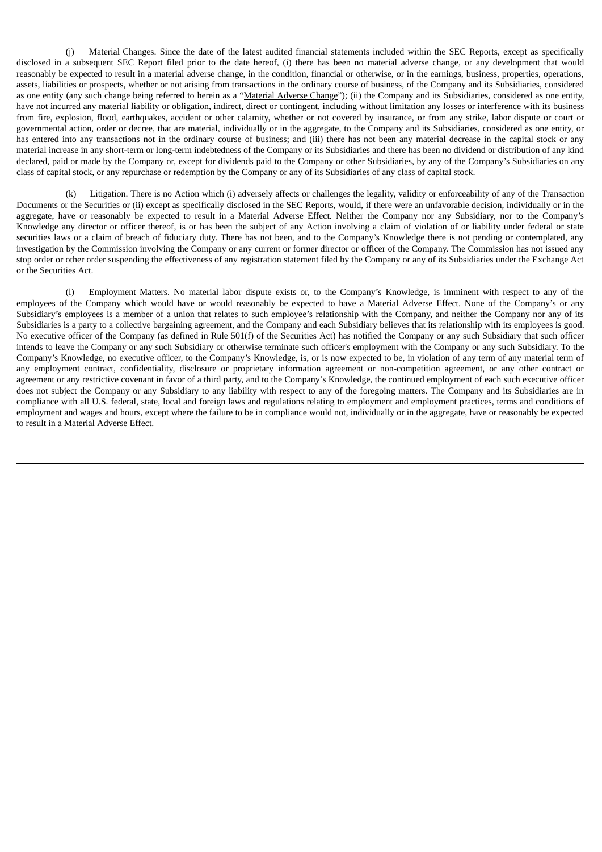(j) Material Changes. Since the date of the latest audited financial statements included within the SEC Reports, except as specifically disclosed in a subsequent SEC Report filed prior to the date hereof, (i) there has been no material adverse change, or any development that would reasonably be expected to result in a material adverse change, in the condition, financial or otherwise, or in the earnings, business, properties, operations, assets, liabilities or prospects, whether or not arising from transactions in the ordinary course of business, of the Company and its Subsidiaries, considered as one entity (any such change being referred to herein as a "Material Adverse Change"); (ii) the Company and its Subsidiaries, considered as one entity, have not incurred any material liability or obligation, indirect, direct or contingent, including without limitation any losses or interference with its business from fire, explosion, flood, earthquakes, accident or other calamity, whether or not covered by insurance, or from any strike, labor dispute or court or governmental action, order or decree, that are material, individually or in the aggregate, to the Company and its Subsidiaries, considered as one entity, or has entered into any transactions not in the ordinary course of business; and (iii) there has not been any material decrease in the capital stock or any material increase in any short-term or long-term indebtedness of the Company or its Subsidiaries and there has been no dividend or distribution of any kind declared, paid or made by the Company or, except for dividends paid to the Company or other Subsidiaries, by any of the Company's Subsidiaries on any class of capital stock, or any repurchase or redemption by the Company or any of its Subsidiaries of any class of capital stock.

(k) Litigation. There is no Action which (i) adversely affects or challenges the legality, validity or enforceability of any of the Transaction Documents or the Securities or (ii) except as specifically disclosed in the SEC Reports, would, if there were an unfavorable decision, individually or in the aggregate, have or reasonably be expected to result in a Material Adverse Effect. Neither the Company nor any Subsidiary, nor to the Company's Knowledge any director or officer thereof, is or has been the subject of any Action involving a claim of violation of or liability under federal or state securities laws or a claim of breach of fiduciary duty. There has not been, and to the Company's Knowledge there is not pending or contemplated, any investigation by the Commission involving the Company or any current or former director or officer of the Company. The Commission has not issued any stop order or other order suspending the effectiveness of any registration statement filed by the Company or any of its Subsidiaries under the Exchange Act or the Securities Act.

(l) Employment Matters. No material labor dispute exists or, to the Company's Knowledge, is imminent with respect to any of the employees of the Company which would have or would reasonably be expected to have a Material Adverse Effect. None of the Company's or any Subsidiary's employees is a member of a union that relates to such employee's relationship with the Company, and neither the Company nor any of its Subsidiaries is a party to a collective bargaining agreement, and the Company and each Subsidiary believes that its relationship with its employees is good. No executive officer of the Company (as defined in Rule 501(f) of the Securities Act) has notified the Company or any such Subsidiary that such officer intends to leave the Company or any such Subsidiary or otherwise terminate such officer's employment with the Company or any such Subsidiary. To the Company's Knowledge, no executive officer, to the Company's Knowledge, is, or is now expected to be, in violation of any term of any material term of any employment contract, confidentiality, disclosure or proprietary information agreement or non-competition agreement, or any other contract or agreement or any restrictive covenant in favor of a third party, and to the Company's Knowledge, the continued employment of each such executive officer does not subject the Company or any Subsidiary to any liability with respect to any of the foregoing matters. The Company and its Subsidiaries are in compliance with all U.S. federal, state, local and foreign laws and regulations relating to employment and employment practices, terms and conditions of employment and wages and hours, except where the failure to be in compliance would not, individually or in the aggregate, have or reasonably be expected to result in a Material Adverse Effect.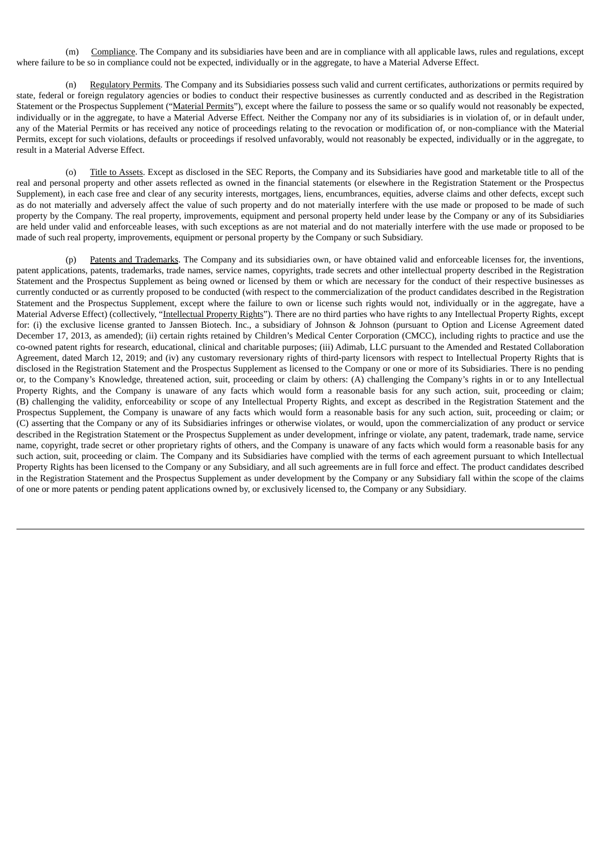(m) Compliance. The Company and its subsidiaries have been and are in compliance with all applicable laws, rules and regulations, except where failure to be so in compliance could not be expected, individually or in the aggregate, to have a Material Adverse Effect.

(n) Regulatory Permits. The Company and its Subsidiaries possess such valid and current certificates, authorizations or permits required by state, federal or foreign regulatory agencies or bodies to conduct their respective businesses as currently conducted and as described in the Registration Statement or the Prospectus Supplement ("Material Permits"), except where the failure to possess the same or so qualify would not reasonably be expected, individually or in the aggregate, to have a Material Adverse Effect. Neither the Company nor any of its subsidiaries is in violation of, or in default under, any of the Material Permits or has received any notice of proceedings relating to the revocation or modification of, or non-compliance with the Material Permits, except for such violations, defaults or proceedings if resolved unfavorably, would not reasonably be expected, individually or in the aggregate, to result in a Material Adverse Effect.

(o) Title to Assets. Except as disclosed in the SEC Reports, the Company and its Subsidiaries have good and marketable title to all of the real and personal property and other assets reflected as owned in the financial statements (or elsewhere in the Registration Statement or the Prospectus Supplement), in each case free and clear of any security interests, mortgages, liens, encumbrances, equities, adverse claims and other defects, except such as do not materially and adversely affect the value of such property and do not materially interfere with the use made or proposed to be made of such property by the Company. The real property, improvements, equipment and personal property held under lease by the Company or any of its Subsidiaries are held under valid and enforceable leases, with such exceptions as are not material and do not materially interfere with the use made or proposed to be made of such real property, improvements, equipment or personal property by the Company or such Subsidiary.

(p) Patents and Trademarks. The Company and its subsidiaries own, or have obtained valid and enforceable licenses for, the inventions, patent applications, patents, trademarks, trade names, service names, copyrights, trade secrets and other intellectual property described in the Registration Statement and the Prospectus Supplement as being owned or licensed by them or which are necessary for the conduct of their respective businesses as currently conducted or as currently proposed to be conducted (with respect to the commercialization of the product candidates described in the Registration Statement and the Prospectus Supplement, except where the failure to own or license such rights would not, individually or in the aggregate, have a Material Adverse Effect) (collectively, "Intellectual Property Rights"). There are no third parties who have rights to any Intellectual Property Rights, except for: (i) the exclusive license granted to Janssen Biotech. Inc., a subsidiary of Johnson & Johnson (pursuant to Option and License Agreement dated December 17, 2013, as amended); (ii) certain rights retained by Children's Medical Center Corporation (CMCC), including rights to practice and use the co-owned patent rights for research, educational, clinical and charitable purposes; (iii) Adimab, LLC pursuant to the Amended and Restated Collaboration Agreement, dated March 12, 2019; and (iv) any customary reversionary rights of third-party licensors with respect to Intellectual Property Rights that is disclosed in the Registration Statement and the Prospectus Supplement as licensed to the Company or one or more of its Subsidiaries. There is no pending or, to the Company's Knowledge, threatened action, suit, proceeding or claim by others: (A) challenging the Company's rights in or to any Intellectual Property Rights, and the Company is unaware of any facts which would form a reasonable basis for any such action, suit, proceeding or claim; (B) challenging the validity, enforceability or scope of any Intellectual Property Rights, and except as described in the Registration Statement and the Prospectus Supplement, the Company is unaware of any facts which would form a reasonable basis for any such action, suit, proceeding or claim; or (C) asserting that the Company or any of its Subsidiaries infringes or otherwise violates, or would, upon the commercialization of any product or service described in the Registration Statement or the Prospectus Supplement as under development, infringe or violate, any patent, trademark, trade name, service name, copyright, trade secret or other proprietary rights of others, and the Company is unaware of any facts which would form a reasonable basis for any such action, suit, proceeding or claim. The Company and its Subsidiaries have complied with the terms of each agreement pursuant to which Intellectual Property Rights has been licensed to the Company or any Subsidiary, and all such agreements are in full force and effect. The product candidates described in the Registration Statement and the Prospectus Supplement as under development by the Company or any Subsidiary fall within the scope of the claims of one or more patents or pending patent applications owned by, or exclusively licensed to, the Company or any Subsidiary.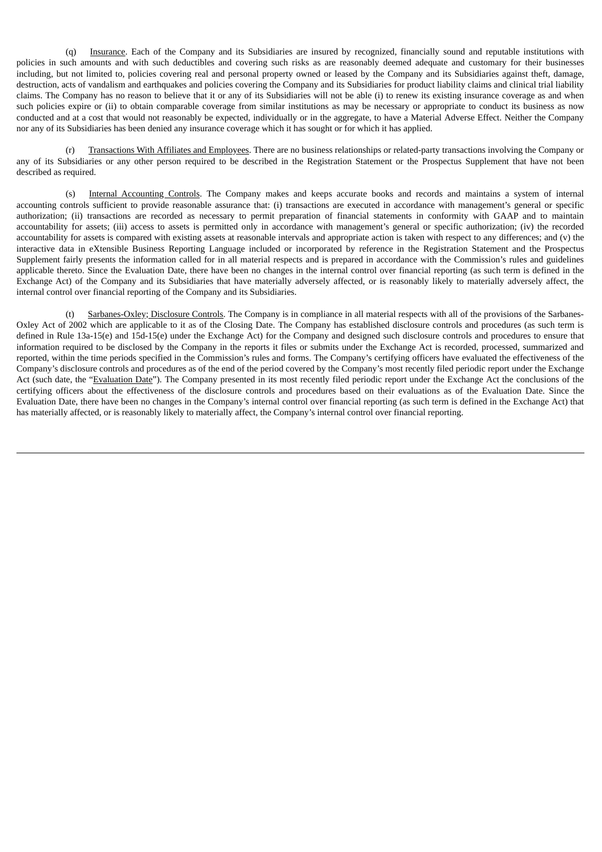(q) Insurance. Each of the Company and its Subsidiaries are insured by recognized, financially sound and reputable institutions with policies in such amounts and with such deductibles and covering such risks as are reasonably deemed adequate and customary for their businesses including, but not limited to, policies covering real and personal property owned or leased by the Company and its Subsidiaries against theft, damage, destruction, acts of vandalism and earthquakes and policies covering the Company and its Subsidiaries for product liability claims and clinical trial liability claims. The Company has no reason to believe that it or any of its Subsidiaries will not be able (i) to renew its existing insurance coverage as and when such policies expire or (ii) to obtain comparable coverage from similar institutions as may be necessary or appropriate to conduct its business as now conducted and at a cost that would not reasonably be expected, individually or in the aggregate, to have a Material Adverse Effect. Neither the Company nor any of its Subsidiaries has been denied any insurance coverage which it has sought or for which it has applied.

(r) Transactions With Affiliates and Employees. There are no business relationships or related-party transactions involving the Company or any of its Subsidiaries or any other person required to be described in the Registration Statement or the Prospectus Supplement that have not been described as required.

(s) Internal Accounting Controls. The Company makes and keeps accurate books and records and maintains a system of internal accounting controls sufficient to provide reasonable assurance that: (i) transactions are executed in accordance with management's general or specific authorization; (ii) transactions are recorded as necessary to permit preparation of financial statements in conformity with GAAP and to maintain accountability for assets; (iii) access to assets is permitted only in accordance with management's general or specific authorization; (iv) the recorded accountability for assets is compared with existing assets at reasonable intervals and appropriate action is taken with respect to any differences; and  $(v)$  the interactive data in eXtensible Business Reporting Language included or incorporated by reference in the Registration Statement and the Prospectus Supplement fairly presents the information called for in all material respects and is prepared in accordance with the Commission's rules and guidelines applicable thereto. Since the Evaluation Date, there have been no changes in the internal control over financial reporting (as such term is defined in the Exchange Act) of the Company and its Subsidiaries that have materially adversely affected, or is reasonably likely to materially adversely affect, the internal control over financial reporting of the Company and its Subsidiaries.

Sarbanes-Oxley; Disclosure Controls. The Company is in compliance in all material respects with all of the provisions of the Sarbanes-Oxley Act of 2002 which are applicable to it as of the Closing Date. The Company has established disclosure controls and procedures (as such term is defined in Rule 13a-15(e) and 15d-15(e) under the Exchange Act) for the Company and designed such disclosure controls and procedures to ensure that information required to be disclosed by the Company in the reports it files or submits under the Exchange Act is recorded, processed, summarized and reported, within the time periods specified in the Commission's rules and forms. The Company's certifying officers have evaluated the effectiveness of the Company's disclosure controls and procedures as of the end of the period covered by the Company's most recently filed periodic report under the Exchange Act (such date, the "Evaluation Date"). The Company presented in its most recently filed periodic report under the Exchange Act the conclusions of the certifying officers about the effectiveness of the disclosure controls and procedures based on their evaluations as of the Evaluation Date. Since the Evaluation Date, there have been no changes in the Company's internal control over financial reporting (as such term is defined in the Exchange Act) that has materially affected, or is reasonably likely to materially affect, the Company's internal control over financial reporting.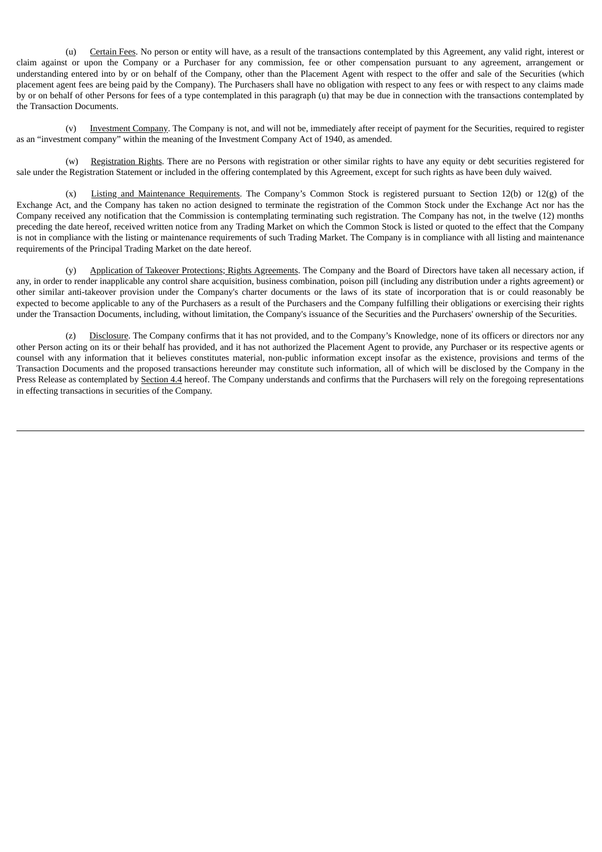(u) Certain Fees. No person or entity will have, as a result of the transactions contemplated by this Agreement, any valid right, interest or claim against or upon the Company or a Purchaser for any commission, fee or other compensation pursuant to any agreement, arrangement or understanding entered into by or on behalf of the Company, other than the Placement Agent with respect to the offer and sale of the Securities (which placement agent fees are being paid by the Company). The Purchasers shall have no obligation with respect to any fees or with respect to any claims made by or on behalf of other Persons for fees of a type contemplated in this paragraph (u) that may be due in connection with the transactions contemplated by the Transaction Documents.

(v) Investment Company. The Company is not, and will not be, immediately after receipt of payment for the Securities, required to register as an "investment company" within the meaning of the Investment Company Act of 1940, as amended.

(w) Registration Rights. There are no Persons with registration or other similar rights to have any equity or debt securities registered for sale under the Registration Statement or included in the offering contemplated by this Agreement, except for such rights as have been duly waived.

(x) Listing and Maintenance Requirements. The Company's Common Stock is registered pursuant to Section 12(b) or 12(g) of the Exchange Act, and the Company has taken no action designed to terminate the registration of the Common Stock under the Exchange Act nor has the Company received any notification that the Commission is contemplating terminating such registration. The Company has not, in the twelve (12) months preceding the date hereof, received written notice from any Trading Market on which the Common Stock is listed or quoted to the effect that the Company is not in compliance with the listing or maintenance requirements of such Trading Market. The Company is in compliance with all listing and maintenance requirements of the Principal Trading Market on the date hereof.

(y) Application of Takeover Protections; Rights Agreements. The Company and the Board of Directors have taken all necessary action, if any, in order to render inapplicable any control share acquisition, business combination, poison pill (including any distribution under a rights agreement) or other similar anti-takeover provision under the Company's charter documents or the laws of its state of incorporation that is or could reasonably be expected to become applicable to any of the Purchasers as a result of the Purchasers and the Company fulfilling their obligations or exercising their rights under the Transaction Documents, including, without limitation, the Company's issuance of the Securities and the Purchasers' ownership of the Securities.

(z) Disclosure. The Company confirms that it has not provided, and to the Company's Knowledge, none of its officers or directors nor any other Person acting on its or their behalf has provided, and it has not authorized the Placement Agent to provide, any Purchaser or its respective agents or counsel with any information that it believes constitutes material, non-public information except insofar as the existence, provisions and terms of the Transaction Documents and the proposed transactions hereunder may constitute such information, all of which will be disclosed by the Company in the Press Release as contemplated by Section 4.4 hereof. The Company understands and confirms that the Purchasers will rely on the foregoing representations in effecting transactions in securities of the Company.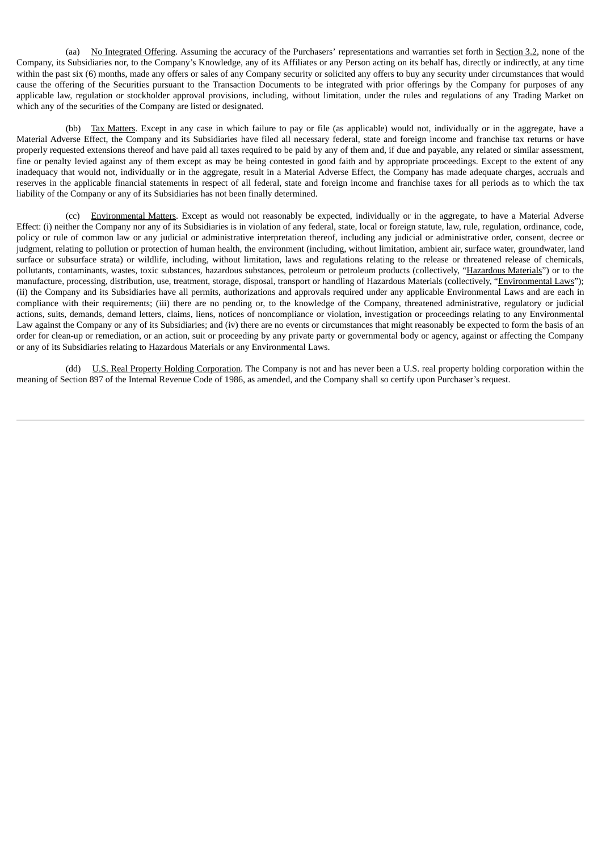(aa) No Integrated Offering. Assuming the accuracy of the Purchasers' representations and warranties set forth in Section 3.2, none of the Company, its Subsidiaries nor, to the Company's Knowledge, any of its Affiliates or any Person acting on its behalf has, directly or indirectly, at any time within the past six (6) months, made any offers or sales of any Company security or solicited any offers to buy any security under circumstances that would cause the offering of the Securities pursuant to the Transaction Documents to be integrated with prior offerings by the Company for purposes of any applicable law, regulation or stockholder approval provisions, including, without limitation, under the rules and regulations of any Trading Market on which any of the securities of the Company are listed or designated.

(bb) Tax Matters. Except in any case in which failure to pay or file (as applicable) would not, individually or in the aggregate, have a Material Adverse Effect, the Company and its Subsidiaries have filed all necessary federal, state and foreign income and franchise tax returns or have properly requested extensions thereof and have paid all taxes required to be paid by any of them and, if due and payable, any related or similar assessment, fine or penalty levied against any of them except as may be being contested in good faith and by appropriate proceedings. Except to the extent of any inadequacy that would not, individually or in the aggregate, result in a Material Adverse Effect, the Company has made adequate charges, accruals and reserves in the applicable financial statements in respect of all federal, state and foreign income and franchise taxes for all periods as to which the tax liability of the Company or any of its Subsidiaries has not been finally determined.

(cc) Environmental Matters. Except as would not reasonably be expected, individually or in the aggregate, to have a Material Adverse Effect: (i) neither the Company nor any of its Subsidiaries is in violation of any federal, state, local or foreign statute, law, rule, regulation, ordinance, code, policy or rule of common law or any judicial or administrative interpretation thereof, including any judicial or administrative order, consent, decree or judgment, relating to pollution or protection of human health, the environment (including, without limitation, ambient air, surface water, groundwater, land surface or subsurface strata) or wildlife, including, without limitation, laws and regulations relating to the release or threatened release of chemicals, pollutants, contaminants, wastes, toxic substances, hazardous substances, petroleum or petroleum products (collectively, "Hazardous Materials") or to the manufacture, processing, distribution, use, treatment, storage, disposal, transport or handling of Hazardous Materials (collectively, "Environmental Laws"); (ii) the Company and its Subsidiaries have all permits, authorizations and approvals required under any applicable Environmental Laws and are each in compliance with their requirements; (iii) there are no pending or, to the knowledge of the Company, threatened administrative, regulatory or judicial actions, suits, demands, demand letters, claims, liens, notices of noncompliance or violation, investigation or proceedings relating to any Environmental Law against the Company or any of its Subsidiaries; and (iv) there are no events or circumstances that might reasonably be expected to form the basis of an order for clean-up or remediation, or an action, suit or proceeding by any private party or governmental body or agency, against or affecting the Company or any of its Subsidiaries relating to Hazardous Materials or any Environmental Laws.

(dd) U.S. Real Property Holding Corporation. The Company is not and has never been a U.S. real property holding corporation within the meaning of Section 897 of the Internal Revenue Code of 1986, as amended, and the Company shall so certify upon Purchaser's request.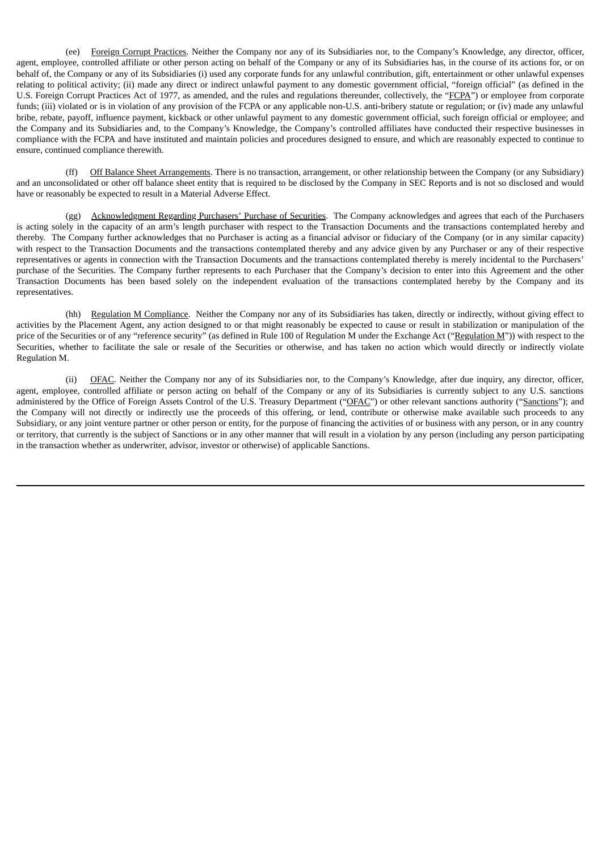(ee) Foreign Corrupt Practices. Neither the Company nor any of its Subsidiaries nor, to the Company's Knowledge, any director, officer, agent, employee, controlled affiliate or other person acting on behalf of the Company or any of its Subsidiaries has, in the course of its actions for, or on behalf of, the Company or any of its Subsidiaries (i) used any corporate funds for any unlawful contribution, gift, entertainment or other unlawful expenses relating to political activity; (ii) made any direct or indirect unlawful payment to any domestic government official, "foreign official" (as defined in the U.S. Foreign Corrupt Practices Act of 1977, as amended, and the rules and regulations thereunder, collectively, the "FCPA") or employee from corporate funds; (iii) violated or is in violation of any provision of the FCPA or any applicable non-U.S. anti-bribery statute or regulation; or (iv) made any unlawful bribe, rebate, payoff, influence payment, kickback or other unlawful payment to any domestic government official, such foreign official or employee; and the Company and its Subsidiaries and, to the Company's Knowledge, the Company's controlled affiliates have conducted their respective businesses in compliance with the FCPA and have instituted and maintain policies and procedures designed to ensure, and which are reasonably expected to continue to ensure, continued compliance therewith.

(ff) Off Balance Sheet Arrangements. There is no transaction, arrangement, or other relationship between the Company (or any Subsidiary) and an unconsolidated or other off balance sheet entity that is required to be disclosed by the Company in SEC Reports and is not so disclosed and would have or reasonably be expected to result in a Material Adverse Effect.

(gg) Acknowledgment Regarding Purchasers' Purchase of Securities. The Company acknowledges and agrees that each of the Purchasers is acting solely in the capacity of an arm's length purchaser with respect to the Transaction Documents and the transactions contemplated hereby and thereby. The Company further acknowledges that no Purchaser is acting as a financial advisor or fiduciary of the Company (or in any similar capacity) with respect to the Transaction Documents and the transactions contemplated thereby and any advice given by any Purchaser or any of their respective representatives or agents in connection with the Transaction Documents and the transactions contemplated thereby is merely incidental to the Purchasers' purchase of the Securities. The Company further represents to each Purchaser that the Company's decision to enter into this Agreement and the other Transaction Documents has been based solely on the independent evaluation of the transactions contemplated hereby by the Company and its representatives.

(hh) Regulation M Compliance. Neither the Company nor any of its Subsidiaries has taken, directly or indirectly, without giving effect to activities by the Placement Agent, any action designed to or that might reasonably be expected to cause or result in stabilization or manipulation of the price of the Securities or of any "reference security" (as defined in Rule 100 of Regulation M under the Exchange Act ("Regulation M")) with respect to the Securities, whether to facilitate the sale or resale of the Securities or otherwise, and has taken no action which would directly or indirectly violate Regulation M.

(ii) OFAC. Neither the Company nor any of its Subsidiaries nor, to the Company's Knowledge, after due inquiry, any director, officer, agent, employee, controlled affiliate or person acting on behalf of the Company or any of its Subsidiaries is currently subject to any U.S. sanctions administered by the Office of Foreign Assets Control of the U.S. Treasury Department ("OFAC") or other relevant sanctions authority ("Sanctions"); and the Company will not directly or indirectly use the proceeds of this offering, or lend, contribute or otherwise make available such proceeds to any Subsidiary, or any joint venture partner or other person or entity, for the purpose of financing the activities of or business with any person, or in any country or territory, that currently is the subject of Sanctions or in any other manner that will result in a violation by any person (including any person participating in the transaction whether as underwriter, advisor, investor or otherwise) of applicable Sanctions.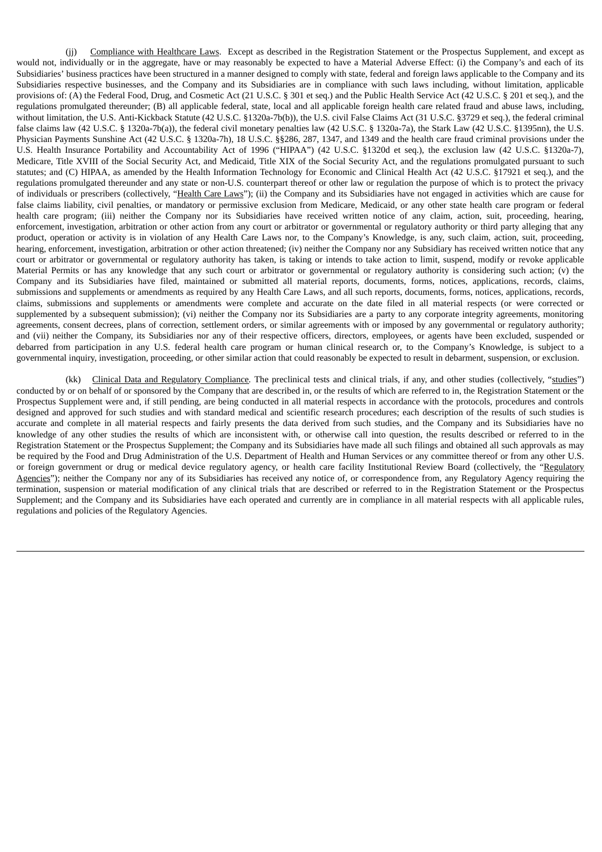(jj) Compliance with Healthcare Laws. Except as described in the Registration Statement or the Prospectus Supplement, and except as would not, individually or in the aggregate, have or may reasonably be expected to have a Material Adverse Effect: (i) the Company's and each of its Subsidiaries' business practices have been structured in a manner designed to comply with state, federal and foreign laws applicable to the Company and its Subsidiaries respective businesses, and the Company and its Subsidiaries are in compliance with such laws including, without limitation, applicable provisions of: (A) the Federal Food, Drug, and Cosmetic Act (21 U.S.C. § 301 et seq.) and the Public Health Service Act (42 U.S.C. § 201 et seq.), and the regulations promulgated thereunder; (B) all applicable federal, state, local and all applicable foreign health care related fraud and abuse laws, including, without limitation, the U.S. Anti-Kickback Statute (42 U.S.C. §1320a-7b(b)), the U.S. civil False Claims Act (31 U.S.C. §3729 et seq.), the federal criminal false claims law (42 U.S.C. § 1320a-7b(a)), the federal civil monetary penalties law (42 U.S.C. § 1320a-7a), the Stark Law (42 U.S.C. §1395nn), the U.S. Physician Payments Sunshine Act (42 U.S.C. § 1320a-7h), 18 U.S.C. §§286, 287, 1347, and 1349 and the health care fraud criminal provisions under the U.S. Health Insurance Portability and Accountability Act of 1996 ("HIPAA") (42 U.S.C. §1320d et seq.), the exclusion law (42 U.S.C. §1320a-7), Medicare, Title XVIII of the Social Security Act, and Medicaid, Title XIX of the Social Security Act, and the regulations promulgated pursuant to such statutes; and (C) HIPAA, as amended by the Health Information Technology for Economic and Clinical Health Act (42 U.S.C. §17921 et seq.), and the regulations promulgated thereunder and any state or non-U.S. counterpart thereof or other law or regulation the purpose of which is to protect the privacy of individuals or prescribers (collectively, "Health Care Laws"); (ii) the Company and its Subsidiaries have not engaged in activities which are cause for false claims liability, civil penalties, or mandatory or permissive exclusion from Medicare, Medicaid, or any other state health care program or federal health care program; (iii) neither the Company nor its Subsidiaries have received written notice of any claim, action, suit, proceeding, hearing, enforcement, investigation, arbitration or other action from any court or arbitrator or governmental or regulatory authority or third party alleging that any product, operation or activity is in violation of any Health Care Laws nor, to the Company's Knowledge, is any, such claim, action, suit, proceeding, hearing, enforcement, investigation, arbitration or other action threatened; (iv) neither the Company nor any Subsidiary has received written notice that any court or arbitrator or governmental or regulatory authority has taken, is taking or intends to take action to limit, suspend, modify or revoke applicable Material Permits or has any knowledge that any such court or arbitrator or governmental or regulatory authority is considering such action; (v) the Company and its Subsidiaries have filed, maintained or submitted all material reports, documents, forms, notices, applications, records, claims, submissions and supplements or amendments as required by any Health Care Laws, and all such reports, documents, forms, notices, applications, records, claims, submissions and supplements or amendments were complete and accurate on the date filed in all material respects (or were corrected or supplemented by a subsequent submission); (vi) neither the Company nor its Subsidiaries are a party to any corporate integrity agreements, monitoring agreements, consent decrees, plans of correction, settlement orders, or similar agreements with or imposed by any governmental or regulatory authority; and (vii) neither the Company, its Subsidiaries nor any of their respective officers, directors, employees, or agents have been excluded, suspended or debarred from participation in any U.S. federal health care program or human clinical research or, to the Company's Knowledge, is subject to a governmental inquiry, investigation, proceeding, or other similar action that could reasonably be expected to result in debarment, suspension, or exclusion.

(kk) Clinical Data and Regulatory Compliance. The preclinical tests and clinical trials, if any, and other studies (collectively, "studies") conducted by or on behalf of or sponsored by the Company that are described in, or the results of which are referred to in, the Registration Statement or the Prospectus Supplement were and, if still pending, are being conducted in all material respects in accordance with the protocols, procedures and controls designed and approved for such studies and with standard medical and scientific research procedures; each description of the results of such studies is accurate and complete in all material respects and fairly presents the data derived from such studies, and the Company and its Subsidiaries have no knowledge of any other studies the results of which are inconsistent with, or otherwise call into question, the results described or referred to in the Registration Statement or the Prospectus Supplement; the Company and its Subsidiaries have made all such filings and obtained all such approvals as may be required by the Food and Drug Administration of the U.S. Department of Health and Human Services or any committee thereof or from any other U.S. or foreign government or drug or medical device regulatory agency, or health care facility Institutional Review Board (collectively, the "Regulatory Agencies"); neither the Company nor any of its Subsidiaries has received any notice of, or correspondence from, any Regulatory Agency requiring the termination, suspension or material modification of any clinical trials that are described or referred to in the Registration Statement or the Prospectus Supplement; and the Company and its Subsidiaries have each operated and currently are in compliance in all material respects with all applicable rules, regulations and policies of the Regulatory Agencies.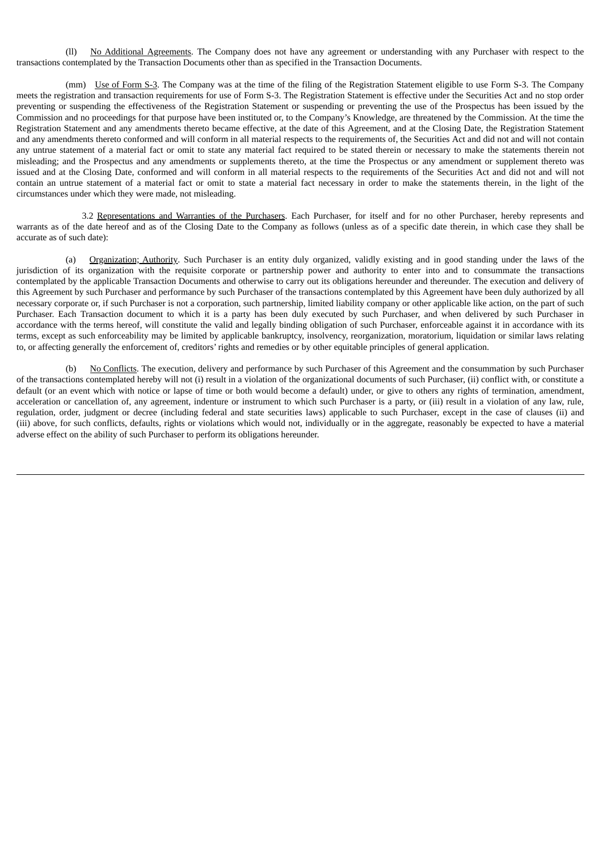(ll) No Additional Agreements. The Company does not have any agreement or understanding with any Purchaser with respect to the transactions contemplated by the Transaction Documents other than as specified in the Transaction Documents.

(mm) Use of Form S-3. The Company was at the time of the filing of the Registration Statement eligible to use Form S-3. The Company meets the registration and transaction requirements for use of Form S-3. The Registration Statement is effective under the Securities Act and no stop order preventing or suspending the effectiveness of the Registration Statement or suspending or preventing the use of the Prospectus has been issued by the Commission and no proceedings for that purpose have been instituted or, to the Company's Knowledge, are threatened by the Commission. At the time the Registration Statement and any amendments thereto became effective, at the date of this Agreement, and at the Closing Date, the Registration Statement and any amendments thereto conformed and will conform in all material respects to the requirements of, the Securities Act and did not and will not contain any untrue statement of a material fact or omit to state any material fact required to be stated therein or necessary to make the statements therein not misleading; and the Prospectus and any amendments or supplements thereto, at the time the Prospectus or any amendment or supplement thereto was issued and at the Closing Date, conformed and will conform in all material respects to the requirements of the Securities Act and did not and will not contain an untrue statement of a material fact or omit to state a material fact necessary in order to make the statements therein, in the light of the circumstances under which they were made, not misleading.

3.2 Representations and Warranties of the Purchasers. Each Purchaser, for itself and for no other Purchaser, hereby represents and warrants as of the date hereof and as of the Closing Date to the Company as follows (unless as of a specific date therein, in which case they shall be accurate as of such date):

(a) Organization; Authority. Such Purchaser is an entity duly organized, validly existing and in good standing under the laws of the jurisdiction of its organization with the requisite corporate or partnership power and authority to enter into and to consummate the transactions contemplated by the applicable Transaction Documents and otherwise to carry out its obligations hereunder and thereunder. The execution and delivery of this Agreement by such Purchaser and performance by such Purchaser of the transactions contemplated by this Agreement have been duly authorized by all necessary corporate or, if such Purchaser is not a corporation, such partnership, limited liability company or other applicable like action, on the part of such Purchaser. Each Transaction document to which it is a party has been duly executed by such Purchaser, and when delivered by such Purchaser in accordance with the terms hereof, will constitute the valid and legally binding obligation of such Purchaser, enforceable against it in accordance with its terms, except as such enforceability may be limited by applicable bankruptcy, insolvency, reorganization, moratorium, liquidation or similar laws relating to, or affecting generally the enforcement of, creditors' rights and remedies or by other equitable principles of general application.

(b) No Conflicts. The execution, delivery and performance by such Purchaser of this Agreement and the consummation by such Purchaser of the transactions contemplated hereby will not (i) result in a violation of the organizational documents of such Purchaser, (ii) conflict with, or constitute a default (or an event which with notice or lapse of time or both would become a default) under, or give to others any rights of termination, amendment, acceleration or cancellation of, any agreement, indenture or instrument to which such Purchaser is a party, or (iii) result in a violation of any law, rule, regulation, order, judgment or decree (including federal and state securities laws) applicable to such Purchaser, except in the case of clauses (ii) and (iii) above, for such conflicts, defaults, rights or violations which would not, individually or in the aggregate, reasonably be expected to have a material adverse effect on the ability of such Purchaser to perform its obligations hereunder.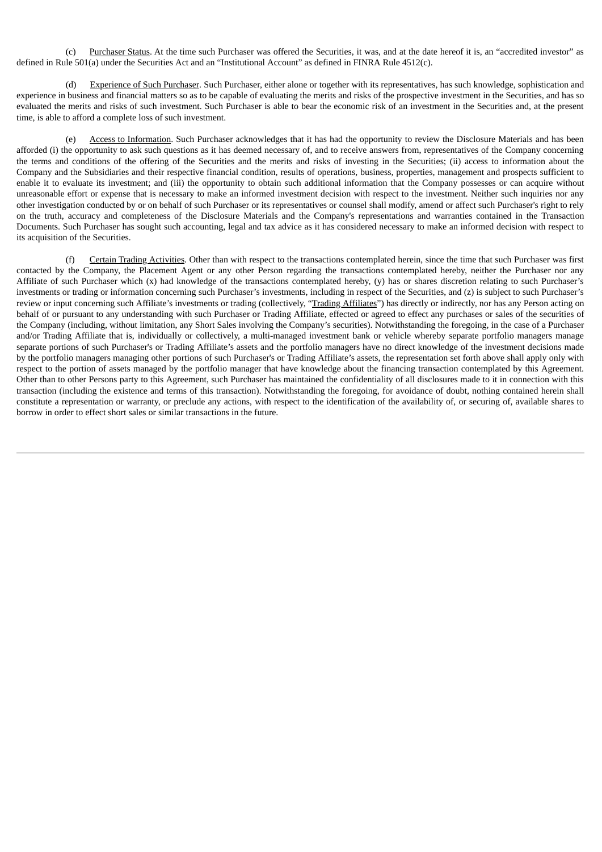(c) Purchaser Status. At the time such Purchaser was offered the Securities, it was, and at the date hereof it is, an "accredited investor" as defined in Rule 501(a) under the Securities Act and an "Institutional Account" as defined in FINRA Rule 4512(c).

(d) Experience of Such Purchaser. Such Purchaser, either alone or together with its representatives, has such knowledge, sophistication and experience in business and financial matters so as to be capable of evaluating the merits and risks of the prospective investment in the Securities, and has so evaluated the merits and risks of such investment. Such Purchaser is able to bear the economic risk of an investment in the Securities and, at the present time, is able to afford a complete loss of such investment.

(e) Access to Information. Such Purchaser acknowledges that it has had the opportunity to review the Disclosure Materials and has been afforded (i) the opportunity to ask such questions as it has deemed necessary of, and to receive answers from, representatives of the Company concerning the terms and conditions of the offering of the Securities and the merits and risks of investing in the Securities; (ii) access to information about the Company and the Subsidiaries and their respective financial condition, results of operations, business, properties, management and prospects sufficient to enable it to evaluate its investment; and (iii) the opportunity to obtain such additional information that the Company possesses or can acquire without unreasonable effort or expense that is necessary to make an informed investment decision with respect to the investment. Neither such inquiries nor any other investigation conducted by or on behalf of such Purchaser or its representatives or counsel shall modify, amend or affect such Purchaser's right to rely on the truth, accuracy and completeness of the Disclosure Materials and the Company's representations and warranties contained in the Transaction Documents. Such Purchaser has sought such accounting, legal and tax advice as it has considered necessary to make an informed decision with respect to its acquisition of the Securities.

(f) Certain Trading Activities. Other than with respect to the transactions contemplated herein, since the time that such Purchaser was first contacted by the Company, the Placement Agent or any other Person regarding the transactions contemplated hereby, neither the Purchaser nor any Affiliate of such Purchaser which (x) had knowledge of the transactions contemplated hereby, (y) has or shares discretion relating to such Purchaser's investments or trading or information concerning such Purchaser's investments, including in respect of the Securities, and (z) is subject to such Purchaser's review or input concerning such Affiliate's investments or trading (collectively, "Trading Affiliates") has directly or indirectly, nor has any Person acting on behalf of or pursuant to any understanding with such Purchaser or Trading Affiliate, effected or agreed to effect any purchases or sales of the securities of the Company (including, without limitation, any Short Sales involving the Company's securities). Notwithstanding the foregoing, in the case of a Purchaser and/or Trading Affiliate that is, individually or collectively, a multi-managed investment bank or vehicle whereby separate portfolio managers manage separate portions of such Purchaser's or Trading Affiliate's assets and the portfolio managers have no direct knowledge of the investment decisions made by the portfolio managers managing other portions of such Purchaser's or Trading Affiliate's assets, the representation set forth above shall apply only with respect to the portion of assets managed by the portfolio manager that have knowledge about the financing transaction contemplated by this Agreement. Other than to other Persons party to this Agreement, such Purchaser has maintained the confidentiality of all disclosures made to it in connection with this transaction (including the existence and terms of this transaction). Notwithstanding the foregoing, for avoidance of doubt, nothing contained herein shall constitute a representation or warranty, or preclude any actions, with respect to the identification of the availability of, or securing of, available shares to borrow in order to effect short sales or similar transactions in the future.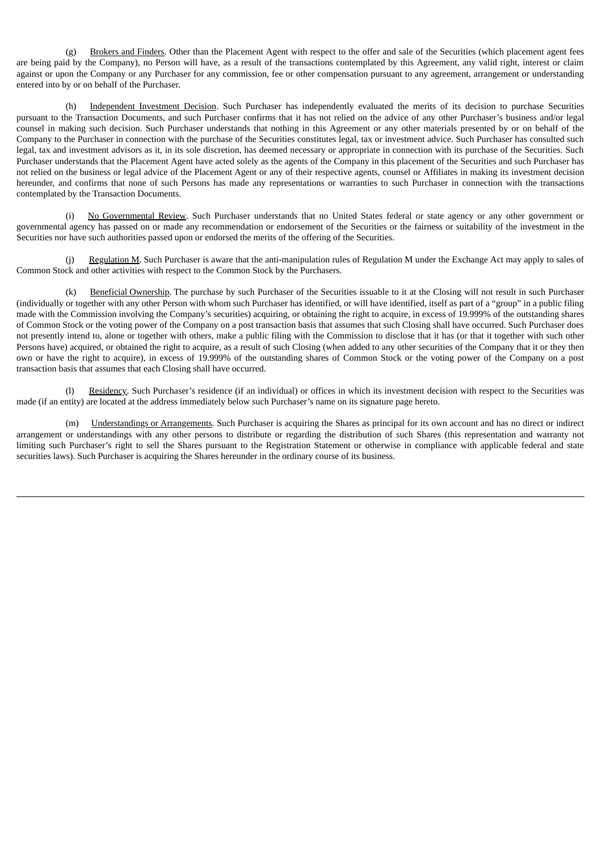(g) Brokers and Finders. Other than the Placement Agent with respect to the offer and sale of the Securities (which placement agent fees are being paid by the Company), no Person will have, as a result of the transactions contemplated by this Agreement, any valid right, interest or claim against or upon the Company or any Purchaser for any commission, fee or other compensation pursuant to any agreement, arrangement or understanding entered into by or on behalf of the Purchaser.

(h) Independent Investment Decision. Such Purchaser has independently evaluated the merits of its decision to purchase Securities pursuant to the Transaction Documents, and such Purchaser confirms that it has not relied on the advice of any other Purchaser's business and/or legal counsel in making such decision. Such Purchaser understands that nothing in this Agreement or any other materials presented by or on behalf of the Company to the Purchaser in connection with the purchase of the Securities constitutes legal, tax or investment advice. Such Purchaser has consulted such legal, tax and investment advisors as it, in its sole discretion, has deemed necessary or appropriate in connection with its purchase of the Securities. Such Purchaser understands that the Placement Agent have acted solely as the agents of the Company in this placement of the Securities and such Purchaser has not relied on the business or legal advice of the Placement Agent or any of their respective agents, counsel or Affiliates in making its investment decision hereunder, and confirms that none of such Persons has made any representations or warranties to such Purchaser in connection with the transactions contemplated by the Transaction Documents.

No Governmental Review. Such Purchaser understands that no United States federal or state agency or any other government or governmental agency has passed on or made any recommendation or endorsement of the Securities or the fairness or suitability of the investment in the Securities nor have such authorities passed upon or endorsed the merits of the offering of the Securities.

(j) Regulation M. Such Purchaser is aware that the anti-manipulation rules of Regulation M under the Exchange Act may apply to sales of Common Stock and other activities with respect to the Common Stock by the Purchasers.

Beneficial Ownership. The purchase by such Purchaser of the Securities issuable to it at the Closing will not result in such Purchaser (individually or together with any other Person with whom such Purchaser has identified, or will have identified, itself as part of a "group" in a public filing made with the Commission involving the Company's securities) acquiring, or obtaining the right to acquire, in excess of 19.999% of the outstanding shares of Common Stock or the voting power of the Company on a post transaction basis that assumes that such Closing shall have occurred. Such Purchaser does not presently intend to, alone or together with others, make a public filing with the Commission to disclose that it has (or that it together with such other Persons have) acquired, or obtained the right to acquire, as a result of such Closing (when added to any other securities of the Company that it or they then own or have the right to acquire), in excess of 19.999% of the outstanding shares of Common Stock or the voting power of the Company on a post transaction basis that assumes that each Closing shall have occurred.

(l) Residency. Such Purchaser's residence (if an individual) or offices in which its investment decision with respect to the Securities was made (if an entity) are located at the address immediately below such Purchaser's name on its signature page hereto.

(m) Understandings or Arrangements. Such Purchaser is acquiring the Shares as principal for its own account and has no direct or indirect arrangement or understandings with any other persons to distribute or regarding the distribution of such Shares (this representation and warranty not limiting such Purchaser's right to sell the Shares pursuant to the Registration Statement or otherwise in compliance with applicable federal and state securities laws). Such Purchaser is acquiring the Shares hereunder in the ordinary course of its business.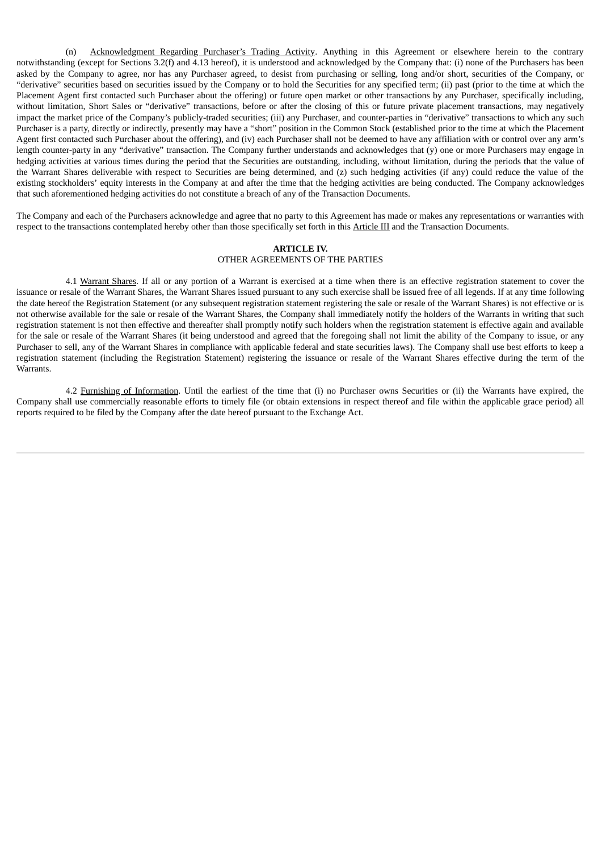(n) Acknowledgment Regarding Purchaser's Trading Activity. Anything in this Agreement or elsewhere herein to the contrary notwithstanding (except for Sections 3.2(f) and 4.13 hereof), it is understood and acknowledged by the Company that: (i) none of the Purchasers has been asked by the Company to agree, nor has any Purchaser agreed, to desist from purchasing or selling, long and/or short, securities of the Company, or "derivative" securities based on securities issued by the Company or to hold the Securities for any specified term; (ii) past (prior to the time at which the Placement Agent first contacted such Purchaser about the offering) or future open market or other transactions by any Purchaser, specifically including, without limitation, Short Sales or "derivative" transactions, before or after the closing of this or future private placement transactions, may negatively impact the market price of the Company's publicly-traded securities; (iii) any Purchaser, and counter-parties in "derivative" transactions to which any such Purchaser is a party, directly or indirectly, presently may have a "short" position in the Common Stock (established prior to the time at which the Placement Agent first contacted such Purchaser about the offering), and (iv) each Purchaser shall not be deemed to have any affiliation with or control over any arm's length counter-party in any "derivative" transaction. The Company further understands and acknowledges that (y) one or more Purchasers may engage in hedging activities at various times during the period that the Securities are outstanding, including, without limitation, during the periods that the value of the Warrant Shares deliverable with respect to Securities are being determined, and (z) such hedging activities (if any) could reduce the value of the existing stockholders' equity interests in the Company at and after the time that the hedging activities are being conducted. The Company acknowledges that such aforementioned hedging activities do not constitute a breach of any of the Transaction Documents.

The Company and each of the Purchasers acknowledge and agree that no party to this Agreement has made or makes any representations or warranties with respect to the transactions contemplated hereby other than those specifically set forth in this Article III and the Transaction Documents.

## **ARTICLE IV.** OTHER AGREEMENTS OF THE PARTIES

4.1 Warrant Shares. If all or any portion of a Warrant is exercised at a time when there is an effective registration statement to cover the issuance or resale of the Warrant Shares, the Warrant Shares issued pursuant to any such exercise shall be issued free of all legends. If at any time following the date hereof the Registration Statement (or any subsequent registration statement registering the sale or resale of the Warrant Shares) is not effective or is not otherwise available for the sale or resale of the Warrant Shares, the Company shall immediately notify the holders of the Warrants in writing that such registration statement is not then effective and thereafter shall promptly notify such holders when the registration statement is effective again and available for the sale or resale of the Warrant Shares (it being understood and agreed that the foregoing shall not limit the ability of the Company to issue, or any Purchaser to sell, any of the Warrant Shares in compliance with applicable federal and state securities laws). The Company shall use best efforts to keep a registration statement (including the Registration Statement) registering the issuance or resale of the Warrant Shares effective during the term of the Warrants.

4.2 Furnishing of Information. Until the earliest of the time that (i) no Purchaser owns Securities or (ii) the Warrants have expired, the Company shall use commercially reasonable efforts to timely file (or obtain extensions in respect thereof and file within the applicable grace period) all reports required to be filed by the Company after the date hereof pursuant to the Exchange Act.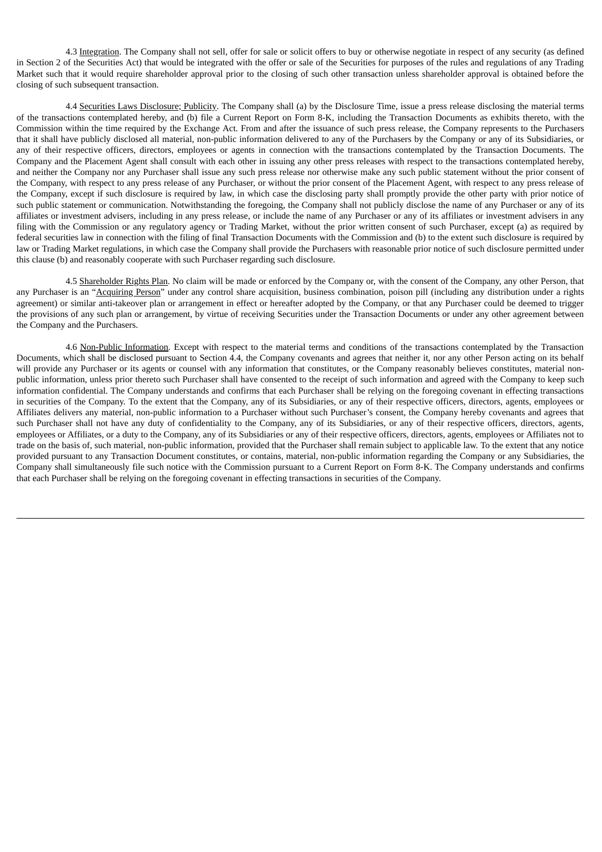4.3 Integration. The Company shall not sell, offer for sale or solicit offers to buy or otherwise negotiate in respect of any security (as defined in Section 2 of the Securities Act) that would be integrated with the offer or sale of the Securities for purposes of the rules and regulations of any Trading Market such that it would require shareholder approval prior to the closing of such other transaction unless shareholder approval is obtained before the closing of such subsequent transaction.

4.4 Securities Laws Disclosure; Publicity. The Company shall (a) by the Disclosure Time, issue a press release disclosing the material terms of the transactions contemplated hereby, and (b) file a Current Report on Form 8-K, including the Transaction Documents as exhibits thereto, with the Commission within the time required by the Exchange Act. From and after the issuance of such press release, the Company represents to the Purchasers that it shall have publicly disclosed all material, non-public information delivered to any of the Purchasers by the Company or any of its Subsidiaries, or any of their respective officers, directors, employees or agents in connection with the transactions contemplated by the Transaction Documents. The Company and the Placement Agent shall consult with each other in issuing any other press releases with respect to the transactions contemplated hereby, and neither the Company nor any Purchaser shall issue any such press release nor otherwise make any such public statement without the prior consent of the Company, with respect to any press release of any Purchaser, or without the prior consent of the Placement Agent, with respect to any press release of the Company, except if such disclosure is required by law, in which case the disclosing party shall promptly provide the other party with prior notice of such public statement or communication. Notwithstanding the foregoing, the Company shall not publicly disclose the name of any Purchaser or any of its affiliates or investment advisers, including in any press release, or include the name of any Purchaser or any of its affiliates or investment advisers in any filing with the Commission or any regulatory agency or Trading Market, without the prior written consent of such Purchaser, except (a) as required by federal securities law in connection with the filing of final Transaction Documents with the Commission and (b) to the extent such disclosure is required by law or Trading Market regulations, in which case the Company shall provide the Purchasers with reasonable prior notice of such disclosure permitted under this clause (b) and reasonably cooperate with such Purchaser regarding such disclosure.

4.5 Shareholder Rights Plan. No claim will be made or enforced by the Company or, with the consent of the Company, any other Person, that any Purchaser is an "Acquiring Person" under any control share acquisition, business combination, poison pill (including any distribution under a rights agreement) or similar anti-takeover plan or arrangement in effect or hereafter adopted by the Company, or that any Purchaser could be deemed to trigger the provisions of any such plan or arrangement, by virtue of receiving Securities under the Transaction Documents or under any other agreement between the Company and the Purchasers.

4.6 Non-Public Information. Except with respect to the material terms and conditions of the transactions contemplated by the Transaction Documents, which shall be disclosed pursuant to Section 4.4, the Company covenants and agrees that neither it, nor any other Person acting on its behalf will provide any Purchaser or its agents or counsel with any information that constitutes, or the Company reasonably believes constitutes, material nonpublic information, unless prior thereto such Purchaser shall have consented to the receipt of such information and agreed with the Company to keep such information confidential. The Company understands and confirms that each Purchaser shall be relying on the foregoing covenant in effecting transactions in securities of the Company. To the extent that the Company, any of its Subsidiaries, or any of their respective officers, directors, agents, employees or Affiliates delivers any material, non-public information to a Purchaser without such Purchaser's consent, the Company hereby covenants and agrees that such Purchaser shall not have any duty of confidentiality to the Company, any of its Subsidiaries, or any of their respective officers, directors, agents, employees or Affiliates, or a duty to the Company, any of its Subsidiaries or any of their respective officers, directors, agents, employees or Affiliates not to trade on the basis of, such material, non-public information, provided that the Purchaser shall remain subject to applicable law. To the extent that any notice provided pursuant to any Transaction Document constitutes, or contains, material, non-public information regarding the Company or any Subsidiaries, the Company shall simultaneously file such notice with the Commission pursuant to a Current Report on Form 8-K. The Company understands and confirms that each Purchaser shall be relying on the foregoing covenant in effecting transactions in securities of the Company.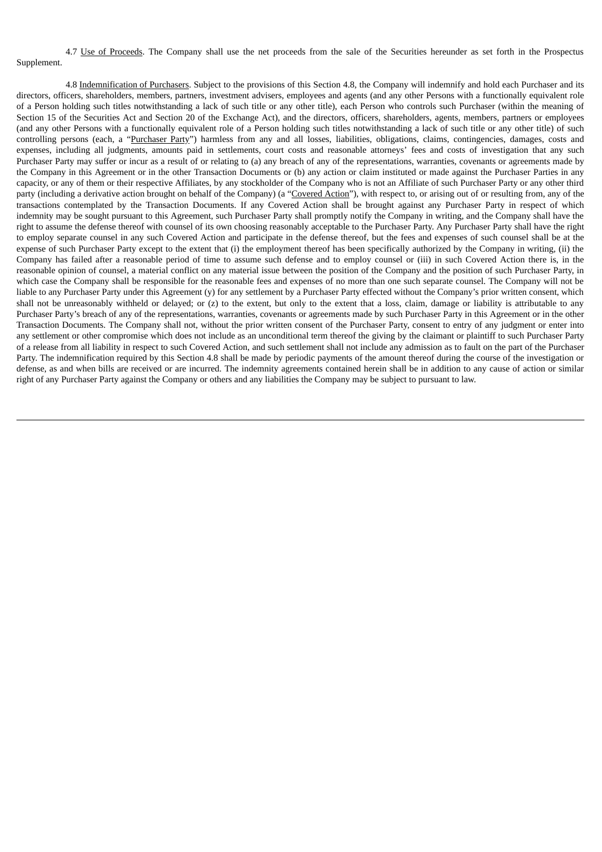4.7 Use of Proceeds. The Company shall use the net proceeds from the sale of the Securities hereunder as set forth in the Prospectus Supplement.

4.8 Indemnification of Purchasers. Subject to the provisions of this Section 4.8, the Company will indemnify and hold each Purchaser and its directors, officers, shareholders, members, partners, investment advisers, employees and agents (and any other Persons with a functionally equivalent role of a Person holding such titles notwithstanding a lack of such title or any other title), each Person who controls such Purchaser (within the meaning of Section 15 of the Securities Act and Section 20 of the Exchange Act), and the directors, officers, shareholders, agents, members, partners or employees (and any other Persons with a functionally equivalent role of a Person holding such titles notwithstanding a lack of such title or any other title) of such controlling persons (each, a "Purchaser Party") harmless from any and all losses, liabilities, obligations, claims, contingencies, damages, costs and expenses, including all judgments, amounts paid in settlements, court costs and reasonable attorneys' fees and costs of investigation that any such Purchaser Party may suffer or incur as a result of or relating to (a) any breach of any of the representations, warranties, covenants or agreements made by the Company in this Agreement or in the other Transaction Documents or (b) any action or claim instituted or made against the Purchaser Parties in any capacity, or any of them or their respective Affiliates, by any stockholder of the Company who is not an Affiliate of such Purchaser Party or any other third party (including a derivative action brought on behalf of the Company) (a "Covered Action"), with respect to, or arising out of or resulting from, any of the transactions contemplated by the Transaction Documents. If any Covered Action shall be brought against any Purchaser Party in respect of which indemnity may be sought pursuant to this Agreement, such Purchaser Party shall promptly notify the Company in writing, and the Company shall have the right to assume the defense thereof with counsel of its own choosing reasonably acceptable to the Purchaser Party. Any Purchaser Party shall have the right to employ separate counsel in any such Covered Action and participate in the defense thereof, but the fees and expenses of such counsel shall be at the expense of such Purchaser Party except to the extent that (i) the employment thereof has been specifically authorized by the Company in writing, (ii) the Company has failed after a reasonable period of time to assume such defense and to employ counsel or (iii) in such Covered Action there is, in the reasonable opinion of counsel, a material conflict on any material issue between the position of the Company and the position of such Purchaser Party, in which case the Company shall be responsible for the reasonable fees and expenses of no more than one such separate counsel. The Company will not be liable to any Purchaser Party under this Agreement (y) for any settlement by a Purchaser Party effected without the Company's prior written consent, which shall not be unreasonably withheld or delayed; or (z) to the extent, but only to the extent that a loss, claim, damage or liability is attributable to any Purchaser Party's breach of any of the representations, warranties, covenants or agreements made by such Purchaser Party in this Agreement or in the other Transaction Documents. The Company shall not, without the prior written consent of the Purchaser Party, consent to entry of any judgment or enter into any settlement or other compromise which does not include as an unconditional term thereof the giving by the claimant or plaintiff to such Purchaser Party of a release from all liability in respect to such Covered Action, and such settlement shall not include any admission as to fault on the part of the Purchaser Party. The indemnification required by this Section 4.8 shall be made by periodic payments of the amount thereof during the course of the investigation or defense, as and when bills are received or are incurred. The indemnity agreements contained herein shall be in addition to any cause of action or similar right of any Purchaser Party against the Company or others and any liabilities the Company may be subject to pursuant to law.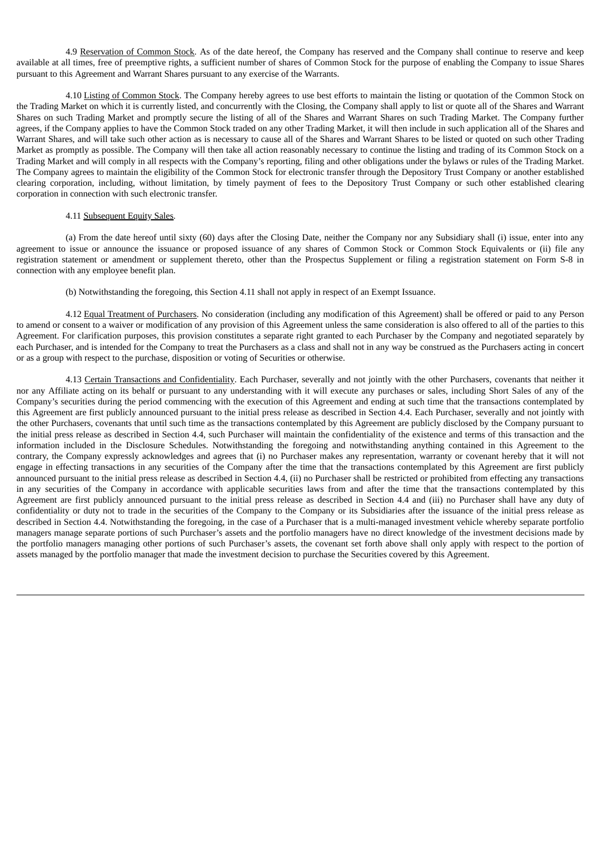4.9 Reservation of Common Stock. As of the date hereof, the Company has reserved and the Company shall continue to reserve and keep available at all times, free of preemptive rights, a sufficient number of shares of Common Stock for the purpose of enabling the Company to issue Shares pursuant to this Agreement and Warrant Shares pursuant to any exercise of the Warrants.

4.10 Listing of Common Stock. The Company hereby agrees to use best efforts to maintain the listing or quotation of the Common Stock on the Trading Market on which it is currently listed, and concurrently with the Closing, the Company shall apply to list or quote all of the Shares and Warrant Shares on such Trading Market and promptly secure the listing of all of the Shares and Warrant Shares on such Trading Market. The Company further agrees, if the Company applies to have the Common Stock traded on any other Trading Market, it will then include in such application all of the Shares and Warrant Shares, and will take such other action as is necessary to cause all of the Shares and Warrant Shares to be listed or quoted on such other Trading Market as promptly as possible. The Company will then take all action reasonably necessary to continue the listing and trading of its Common Stock on a Trading Market and will comply in all respects with the Company's reporting, filing and other obligations under the bylaws or rules of the Trading Market. The Company agrees to maintain the eligibility of the Common Stock for electronic transfer through the Depository Trust Company or another established clearing corporation, including, without limitation, by timely payment of fees to the Depository Trust Company or such other established clearing corporation in connection with such electronic transfer.

## 4.11 Subsequent Equity Sales.

(a) From the date hereof until sixty (60) days after the Closing Date, neither the Company nor any Subsidiary shall (i) issue, enter into any agreement to issue or announce the issuance or proposed issuance of any shares of Common Stock or Common Stock Equivalents or (ii) file any registration statement or amendment or supplement thereto, other than the Prospectus Supplement or filing a registration statement on Form S-8 in connection with any employee benefit plan.

(b) Notwithstanding the foregoing, this Section 4.11 shall not apply in respect of an Exempt Issuance.

4.12 Equal Treatment of Purchasers. No consideration (including any modification of this Agreement) shall be offered or paid to any Person to amend or consent to a waiver or modification of any provision of this Agreement unless the same consideration is also offered to all of the parties to this Agreement. For clarification purposes, this provision constitutes a separate right granted to each Purchaser by the Company and negotiated separately by each Purchaser, and is intended for the Company to treat the Purchasers as a class and shall not in any way be construed as the Purchasers acting in concert or as a group with respect to the purchase, disposition or voting of Securities or otherwise.

4.13 Certain Transactions and Confidentiality. Each Purchaser, severally and not jointly with the other Purchasers, covenants that neither it nor any Affiliate acting on its behalf or pursuant to any understanding with it will execute any purchases or sales, including Short Sales of any of the Company's securities during the period commencing with the execution of this Agreement and ending at such time that the transactions contemplated by this Agreement are first publicly announced pursuant to the initial press release as described in Section 4.4. Each Purchaser, severally and not jointly with the other Purchasers, covenants that until such time as the transactions contemplated by this Agreement are publicly disclosed by the Company pursuant to the initial press release as described in Section 4.4, such Purchaser will maintain the confidentiality of the existence and terms of this transaction and the information included in the Disclosure Schedules. Notwithstanding the foregoing and notwithstanding anything contained in this Agreement to the contrary, the Company expressly acknowledges and agrees that (i) no Purchaser makes any representation, warranty or covenant hereby that it will not engage in effecting transactions in any securities of the Company after the time that the transactions contemplated by this Agreement are first publicly announced pursuant to the initial press release as described in Section 4.4, (ii) no Purchaser shall be restricted or prohibited from effecting any transactions in any securities of the Company in accordance with applicable securities laws from and after the time that the transactions contemplated by this Agreement are first publicly announced pursuant to the initial press release as described in Section 4.4 and (iii) no Purchaser shall have any duty of confidentiality or duty not to trade in the securities of the Company to the Company or its Subsidiaries after the issuance of the initial press release as described in Section 4.4. Notwithstanding the foregoing, in the case of a Purchaser that is a multi-managed investment vehicle whereby separate portfolio managers manage separate portions of such Purchaser's assets and the portfolio managers have no direct knowledge of the investment decisions made by the portfolio managers managing other portions of such Purchaser's assets, the covenant set forth above shall only apply with respect to the portion of assets managed by the portfolio manager that made the investment decision to purchase the Securities covered by this Agreement.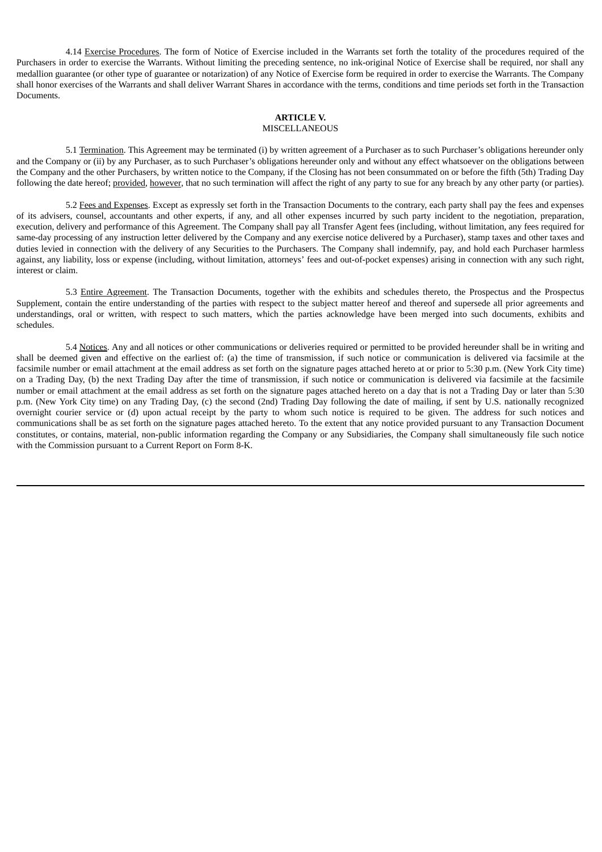4.14 Exercise Procedures. The form of Notice of Exercise included in the Warrants set forth the totality of the procedures required of the Purchasers in order to exercise the Warrants. Without limiting the preceding sentence, no ink-original Notice of Exercise shall be required, nor shall any medallion guarantee (or other type of guarantee or notarization) of any Notice of Exercise form be required in order to exercise the Warrants. The Company shall honor exercises of the Warrants and shall deliver Warrant Shares in accordance with the terms, conditions and time periods set forth in the Transaction **Documents** 

# **ARTICLE V.**

# MISCELLANEOUS

5.1 Termination. This Agreement may be terminated (i) by written agreement of a Purchaser as to such Purchaser's obligations hereunder only and the Company or (ii) by any Purchaser, as to such Purchaser's obligations hereunder only and without any effect whatsoever on the obligations between the Company and the other Purchasers, by written notice to the Company, if the Closing has not been consummated on or before the fifth (5th) Trading Day following the date hereof; provided, however, that no such termination will affect the right of any party to sue for any breach by any other party (or parties).

5.2 Fees and Expenses. Except as expressly set forth in the Transaction Documents to the contrary, each party shall pay the fees and expenses of its advisers, counsel, accountants and other experts, if any, and all other expenses incurred by such party incident to the negotiation, preparation, execution, delivery and performance of this Agreement. The Company shall pay all Transfer Agent fees (including, without limitation, any fees required for same-day processing of any instruction letter delivered by the Company and any exercise notice delivered by a Purchaser), stamp taxes and other taxes and duties levied in connection with the delivery of any Securities to the Purchasers. The Company shall indemnify, pay, and hold each Purchaser harmless against, any liability, loss or expense (including, without limitation, attorneys' fees and out-of-pocket expenses) arising in connection with any such right, interest or claim.

5.3 Entire Agreement. The Transaction Documents, together with the exhibits and schedules thereto, the Prospectus and the Prospectus Supplement, contain the entire understanding of the parties with respect to the subject matter hereof and thereof and supersede all prior agreements and understandings, oral or written, with respect to such matters, which the parties acknowledge have been merged into such documents, exhibits and schedules.

5.4 Notices. Any and all notices or other communications or deliveries required or permitted to be provided hereunder shall be in writing and shall be deemed given and effective on the earliest of: (a) the time of transmission, if such notice or communication is delivered via facsimile at the facsimile number or email attachment at the email address as set forth on the signature pages attached hereto at or prior to 5:30 p.m. (New York City time) on a Trading Day, (b) the next Trading Day after the time of transmission, if such notice or communication is delivered via facsimile at the facsimile number or email attachment at the email address as set forth on the signature pages attached hereto on a day that is not a Trading Day or later than 5:30 p.m. (New York City time) on any Trading Day, (c) the second (2nd) Trading Day following the date of mailing, if sent by U.S. nationally recognized overnight courier service or (d) upon actual receipt by the party to whom such notice is required to be given. The address for such notices and communications shall be as set forth on the signature pages attached hereto. To the extent that any notice provided pursuant to any Transaction Document constitutes, or contains, material, non-public information regarding the Company or any Subsidiaries, the Company shall simultaneously file such notice with the Commission pursuant to a Current Report on Form 8-K.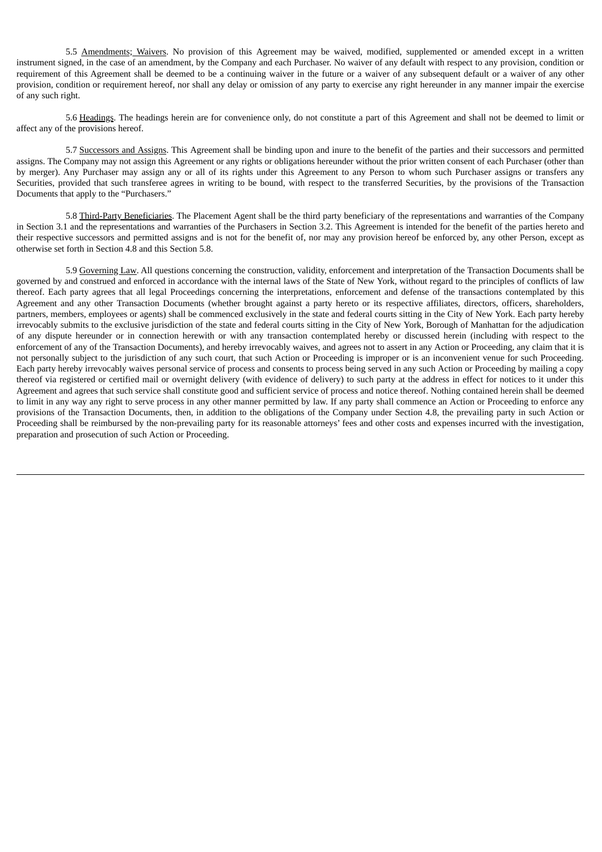5.5 Amendments; Waivers. No provision of this Agreement may be waived, modified, supplemented or amended except in a written instrument signed, in the case of an amendment, by the Company and each Purchaser. No waiver of any default with respect to any provision, condition or requirement of this Agreement shall be deemed to be a continuing waiver in the future or a waiver of any subsequent default or a waiver of any other provision, condition or requirement hereof, nor shall any delay or omission of any party to exercise any right hereunder in any manner impair the exercise of any such right.

5.6 Headings. The headings herein are for convenience only, do not constitute a part of this Agreement and shall not be deemed to limit or affect any of the provisions hereof.

5.7 Successors and Assigns. This Agreement shall be binding upon and inure to the benefit of the parties and their successors and permitted assigns. The Company may not assign this Agreement or any rights or obligations hereunder without the prior written consent of each Purchaser (other than by merger). Any Purchaser may assign any or all of its rights under this Agreement to any Person to whom such Purchaser assigns or transfers any Securities, provided that such transferee agrees in writing to be bound, with respect to the transferred Securities, by the provisions of the Transaction Documents that apply to the "Purchasers."

5.8 Third-Party Beneficiaries. The Placement Agent shall be the third party beneficiary of the representations and warranties of the Company in Section 3.1 and the representations and warranties of the Purchasers in Section 3.2. This Agreement is intended for the benefit of the parties hereto and their respective successors and permitted assigns and is not for the benefit of, nor may any provision hereof be enforced by, any other Person, except as otherwise set forth in Section 4.8 and this Section 5.8.

5.9 Governing Law. All questions concerning the construction, validity, enforcement and interpretation of the Transaction Documents shall be governed by and construed and enforced in accordance with the internal laws of the State of New York, without regard to the principles of conflicts of law thereof. Each party agrees that all legal Proceedings concerning the interpretations, enforcement and defense of the transactions contemplated by this Agreement and any other Transaction Documents (whether brought against a party hereto or its respective affiliates, directors, officers, shareholders, partners, members, employees or agents) shall be commenced exclusively in the state and federal courts sitting in the City of New York. Each party hereby irrevocably submits to the exclusive jurisdiction of the state and federal courts sitting in the City of New York, Borough of Manhattan for the adjudication of any dispute hereunder or in connection herewith or with any transaction contemplated hereby or discussed herein (including with respect to the enforcement of any of the Transaction Documents), and hereby irrevocably waives, and agrees not to assert in any Action or Proceeding, any claim that it is not personally subject to the jurisdiction of any such court, that such Action or Proceeding is improper or is an inconvenient venue for such Proceeding. Each party hereby irrevocably waives personal service of process and consents to process being served in any such Action or Proceeding by mailing a copy thereof via registered or certified mail or overnight delivery (with evidence of delivery) to such party at the address in effect for notices to it under this Agreement and agrees that such service shall constitute good and sufficient service of process and notice thereof. Nothing contained herein shall be deemed to limit in any way any right to serve process in any other manner permitted by law. If any party shall commence an Action or Proceeding to enforce any provisions of the Transaction Documents, then, in addition to the obligations of the Company under Section 4.8, the prevailing party in such Action or Proceeding shall be reimbursed by the non-prevailing party for its reasonable attorneys' fees and other costs and expenses incurred with the investigation, preparation and prosecution of such Action or Proceeding.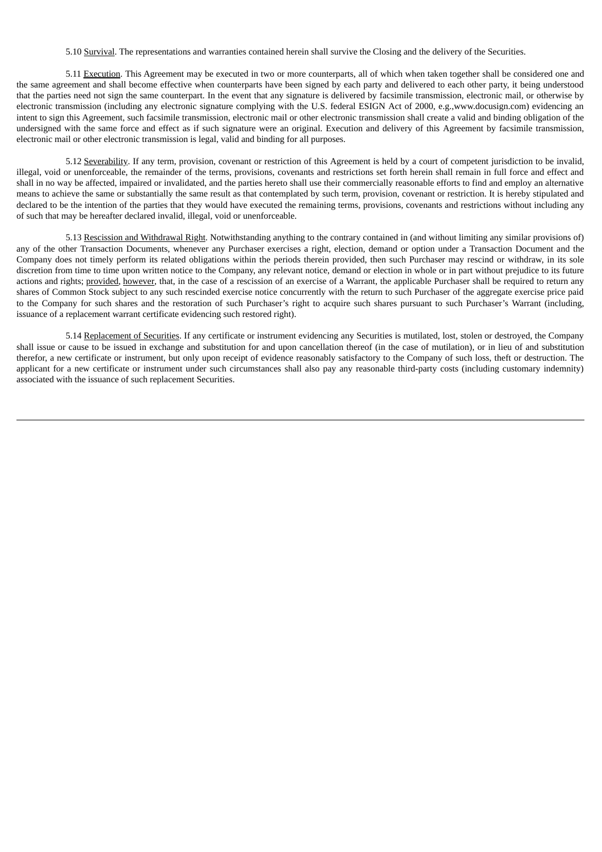5.10 Survival. The representations and warranties contained herein shall survive the Closing and the delivery of the Securities.

5.11 Execution. This Agreement may be executed in two or more counterparts, all of which when taken together shall be considered one and the same agreement and shall become effective when counterparts have been signed by each party and delivered to each other party, it being understood that the parties need not sign the same counterpart. In the event that any signature is delivered by facsimile transmission, electronic mail, or otherwise by electronic transmission (including any electronic signature complying with the U.S. federal ESIGN Act of 2000, e.g.,www.docusign.com) evidencing an intent to sign this Agreement, such facsimile transmission, electronic mail or other electronic transmission shall create a valid and binding obligation of the undersigned with the same force and effect as if such signature were an original. Execution and delivery of this Agreement by facsimile transmission, electronic mail or other electronic transmission is legal, valid and binding for all purposes.

5.12 Severability. If any term, provision, covenant or restriction of this Agreement is held by a court of competent jurisdiction to be invalid, illegal, void or unenforceable, the remainder of the terms, provisions, covenants and restrictions set forth herein shall remain in full force and effect and shall in no way be affected, impaired or invalidated, and the parties hereto shall use their commercially reasonable efforts to find and employ an alternative means to achieve the same or substantially the same result as that contemplated by such term, provision, covenant or restriction. It is hereby stipulated and declared to be the intention of the parties that they would have executed the remaining terms, provisions, covenants and restrictions without including any of such that may be hereafter declared invalid, illegal, void or unenforceable.

5.13 Rescission and Withdrawal Right. Notwithstanding anything to the contrary contained in (and without limiting any similar provisions of) any of the other Transaction Documents, whenever any Purchaser exercises a right, election, demand or option under a Transaction Document and the Company does not timely perform its related obligations within the periods therein provided, then such Purchaser may rescind or withdraw, in its sole discretion from time to time upon written notice to the Company, any relevant notice, demand or election in whole or in part without prejudice to its future actions and rights; provided, however, that, in the case of a rescission of an exercise of a Warrant, the applicable Purchaser shall be required to return any shares of Common Stock subject to any such rescinded exercise notice concurrently with the return to such Purchaser of the aggregate exercise price paid to the Company for such shares and the restoration of such Purchaser's right to acquire such shares pursuant to such Purchaser's Warrant (including, issuance of a replacement warrant certificate evidencing such restored right).

5.14 Replacement of Securities. If any certificate or instrument evidencing any Securities is mutilated, lost, stolen or destroyed, the Company shall issue or cause to be issued in exchange and substitution for and upon cancellation thereof (in the case of mutilation), or in lieu of and substitution therefor, a new certificate or instrument, but only upon receipt of evidence reasonably satisfactory to the Company of such loss, theft or destruction. The applicant for a new certificate or instrument under such circumstances shall also pay any reasonable third-party costs (including customary indemnity) associated with the issuance of such replacement Securities.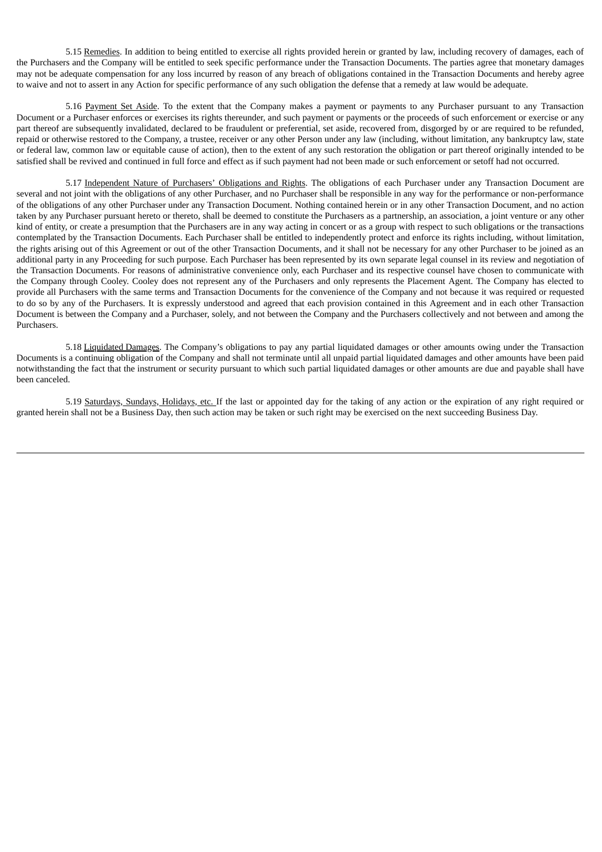5.15 Remedies. In addition to being entitled to exercise all rights provided herein or granted by law, including recovery of damages, each of the Purchasers and the Company will be entitled to seek specific performance under the Transaction Documents. The parties agree that monetary damages may not be adequate compensation for any loss incurred by reason of any breach of obligations contained in the Transaction Documents and hereby agree to waive and not to assert in any Action for specific performance of any such obligation the defense that a remedy at law would be adequate.

5.16 Payment Set Aside. To the extent that the Company makes a payment or payments to any Purchaser pursuant to any Transaction Document or a Purchaser enforces or exercises its rights thereunder, and such payment or payments or the proceeds of such enforcement or exercise or any part thereof are subsequently invalidated, declared to be fraudulent or preferential, set aside, recovered from, disgorged by or are required to be refunded, repaid or otherwise restored to the Company, a trustee, receiver or any other Person under any law (including, without limitation, any bankruptcy law, state or federal law, common law or equitable cause of action), then to the extent of any such restoration the obligation or part thereof originally intended to be satisfied shall be revived and continued in full force and effect as if such payment had not been made or such enforcement or setoff had not occurred.

5.17 Independent Nature of Purchasers' Obligations and Rights. The obligations of each Purchaser under any Transaction Document are several and not joint with the obligations of any other Purchaser, and no Purchaser shall be responsible in any way for the performance or non-performance of the obligations of any other Purchaser under any Transaction Document. Nothing contained herein or in any other Transaction Document, and no action taken by any Purchaser pursuant hereto or thereto, shall be deemed to constitute the Purchasers as a partnership, an association, a joint venture or any other kind of entity, or create a presumption that the Purchasers are in any way acting in concert or as a group with respect to such obligations or the transactions contemplated by the Transaction Documents. Each Purchaser shall be entitled to independently protect and enforce its rights including, without limitation, the rights arising out of this Agreement or out of the other Transaction Documents, and it shall not be necessary for any other Purchaser to be joined as an additional party in any Proceeding for such purpose. Each Purchaser has been represented by its own separate legal counsel in its review and negotiation of the Transaction Documents. For reasons of administrative convenience only, each Purchaser and its respective counsel have chosen to communicate with the Company through Cooley. Cooley does not represent any of the Purchasers and only represents the Placement Agent. The Company has elected to provide all Purchasers with the same terms and Transaction Documents for the convenience of the Company and not because it was required or requested to do so by any of the Purchasers. It is expressly understood and agreed that each provision contained in this Agreement and in each other Transaction Document is between the Company and a Purchaser, solely, and not between the Company and the Purchasers collectively and not between and among the Purchasers.

5.18 Liquidated Damages. The Company's obligations to pay any partial liquidated damages or other amounts owing under the Transaction Documents is a continuing obligation of the Company and shall not terminate until all unpaid partial liquidated damages and other amounts have been paid notwithstanding the fact that the instrument or security pursuant to which such partial liquidated damages or other amounts are due and payable shall have been canceled.

5.19 Saturdays, Sundays, Holidays, etc. If the last or appointed day for the taking of any action or the expiration of any right required or granted herein shall not be a Business Day, then such action may be taken or such right may be exercised on the next succeeding Business Day.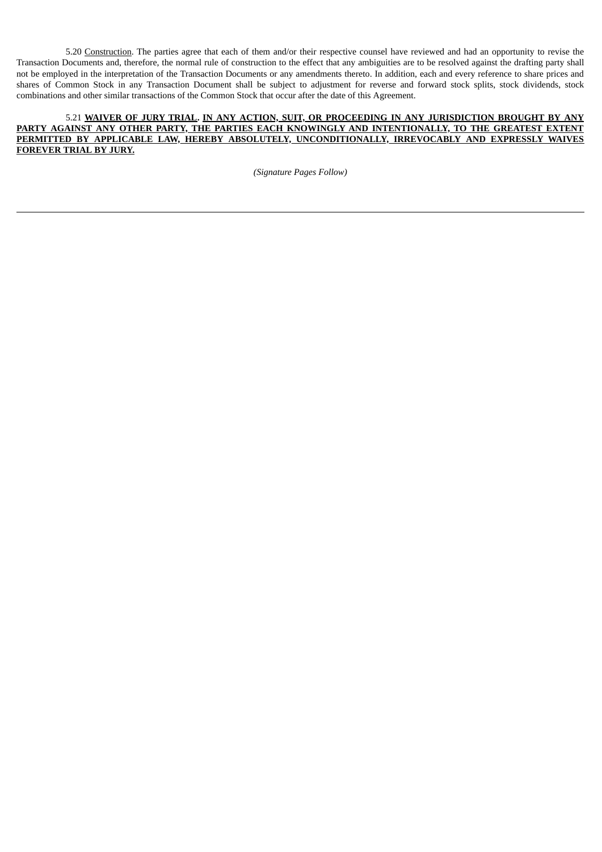5.20 Construction. The parties agree that each of them and/or their respective counsel have reviewed and had an opportunity to revise the Transaction Documents and, therefore, the normal rule of construction to the effect that any ambiguities are to be resolved against the drafting party shall not be employed in the interpretation of the Transaction Documents or any amendments thereto. In addition, each and every reference to share prices and shares of Common Stock in any Transaction Document shall be subject to adjustment for reverse and forward stock splits, stock dividends, stock combinations and other similar transactions of the Common Stock that occur after the date of this Agreement.

5.21 **WAIVER OF JURY TRIAL. IN ANY ACTION, SUIT, OR PROCEEDING IN ANY JURISDICTION BROUGHT BY ANY PARTY AGAINST ANY OTHER PARTY, THE PARTIES EACH KNOWINGLY AND INTENTIONALLY, TO THE GREATEST EXTENT PERMITTED BY APPLICABLE LAW, HEREBY ABSOLUTELY, UNCONDITIONALLY, IRREVOCABLY AND EXPRESSLY WAIVES FOREVER TRIAL BY JURY.**

*(Signature Pages Follow)*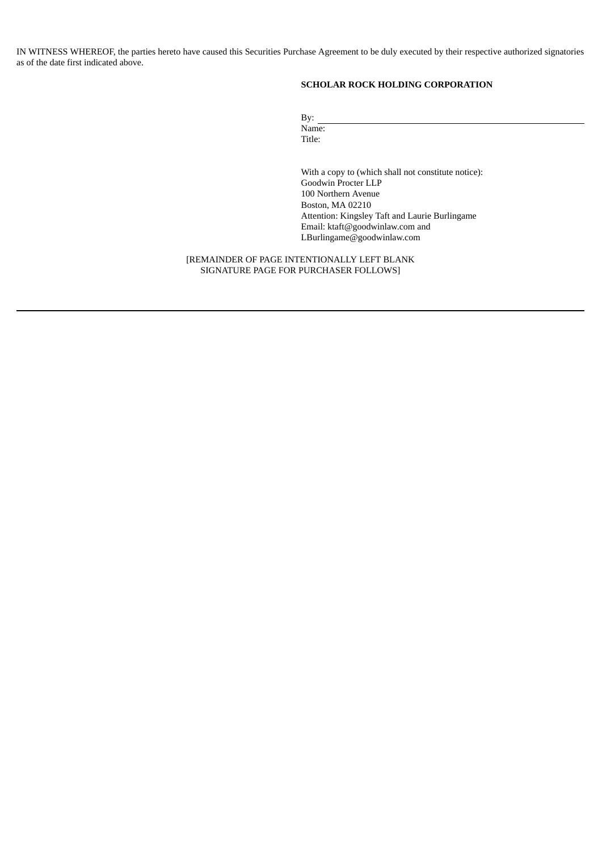IN WITNESS WHEREOF, the parties hereto have caused this Securities Purchase Agreement to be duly executed by their respective authorized signatories as of the date first indicated above.

# **SCHOLAR ROCK HOLDING CORPORATION**

| Bv:    |
|--------|
| Name:  |
| Title: |

With a copy to (which shall not constitute notice): Goodwin Procter LLP 100 Northern Avenue Boston, MA 02210 Attention: Kingsley Taft and Laurie Burlingame Email: ktaft@goodwinlaw.com and LBurlingame@goodwinlaw.com

[REMAINDER OF PAGE INTENTIONALLY LEFT BLANK SIGNATURE PAGE FOR PURCHASER FOLLOWS]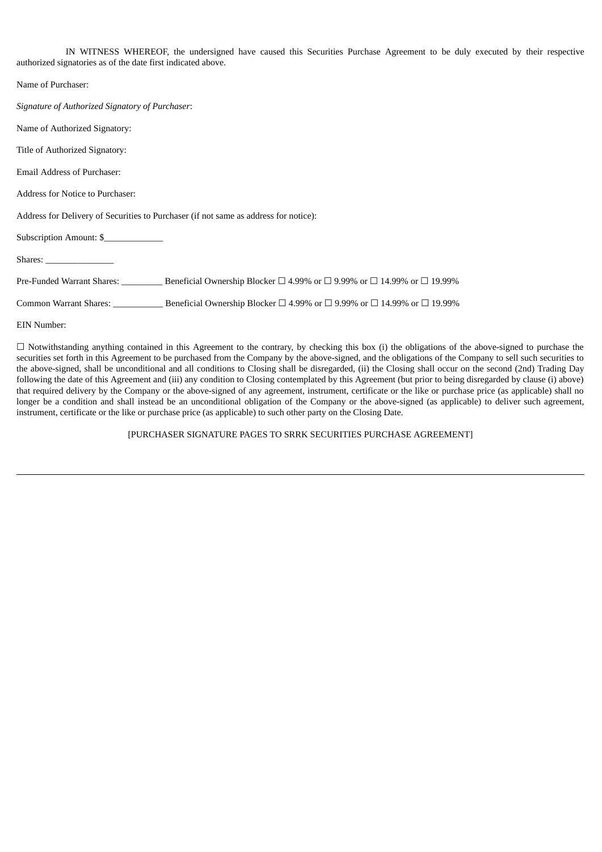IN WITNESS WHEREOF, the undersigned have caused this Securities Purchase Agreement to be duly executed by their respective authorized signatories as of the date first indicated above.

| Name of Purchaser:                                                                   |                                                                                                                                    |  |
|--------------------------------------------------------------------------------------|------------------------------------------------------------------------------------------------------------------------------------|--|
| Signature of Authorized Signatory of Purchaser:                                      |                                                                                                                                    |  |
| Name of Authorized Signatory:                                                        |                                                                                                                                    |  |
| Title of Authorized Signatory:                                                       |                                                                                                                                    |  |
| Email Address of Purchaser:                                                          |                                                                                                                                    |  |
| <b>Address for Notice to Purchaser:</b>                                              |                                                                                                                                    |  |
| Address for Delivery of Securities to Purchaser (if not same as address for notice): |                                                                                                                                    |  |
| Subscription Amount: \$                                                              |                                                                                                                                    |  |
|                                                                                      |                                                                                                                                    |  |
|                                                                                      | Pre-Funded Warrant Shares: ____________Beneficial Ownership Blocker $\Box$ 4.99% or $\Box$ 9.99% or $\Box$ 14.99% or $\Box$ 19.99% |  |
|                                                                                      | Common Warrant Shares: _______________Beneficial Ownership Blocker $\Box$ 4.99% or $\Box$ 9.99% or $\Box$ 14.99% or $\Box$ 19.99%  |  |
| EIN Number:                                                                          |                                                                                                                                    |  |

 $\Box$  Notwithstanding anything contained in this Agreement to the contrary, by checking this box (i) the obligations of the above-signed to purchase the securities set forth in this Agreement to be purchased from the Company by the above-signed, and the obligations of the Company to sell such securities to the above-signed, shall be unconditional and all conditions to Closing shall be disregarded, (ii) the Closing shall occur on the second (2nd) Trading Day following the date of this Agreement and (iii) any condition to Closing contemplated by this Agreement (but prior to being disregarded by clause (i) above) that required delivery by the Company or the above-signed of any agreement, instrument, certificate or the like or purchase price (as applicable) shall no longer be a condition and shall instead be an unconditional obligation of the Company or the above-signed (as applicable) to deliver such agreement, instrument, certificate or the like or purchase price (as applicable) to such other party on the Closing Date.

[PURCHASER SIGNATURE PAGES TO SRRK SECURITIES PURCHASE AGREEMENT]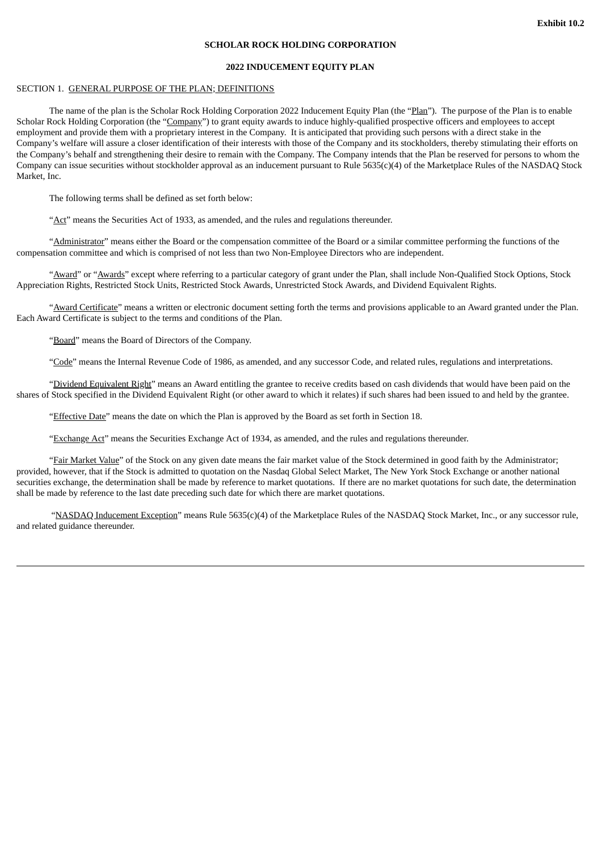#### **SCHOLAR ROCK HOLDING CORPORATION**

#### **2022 INDUCEMENT EQUITY PLAN**

#### SECTION 1. GENERAL PURPOSE OF THE PLAN; DEFINITIONS

The name of the plan is the Scholar Rock Holding Corporation 2022 Inducement Equity Plan (the "Plan"). The purpose of the Plan is to enable Scholar Rock Holding Corporation (the "Company") to grant equity awards to induce highly-qualified prospective officers and employees to accept employment and provide them with a proprietary interest in the Company. It is anticipated that providing such persons with a direct stake in the Company's welfare will assure a closer identification of their interests with those of the Company and its stockholders, thereby stimulating their efforts on the Company's behalf and strengthening their desire to remain with the Company. The Company intends that the Plan be reserved for persons to whom the Company can issue securities without stockholder approval as an inducement pursuant to Rule 5635(c)(4) of the Marketplace Rules of the NASDAQ Stock Market, Inc.

The following terms shall be defined as set forth below:

"Act" means the Securities Act of 1933, as amended, and the rules and regulations thereunder.

"Administrator" means either the Board or the compensation committee of the Board or a similar committee performing the functions of the compensation committee and which is comprised of not less than two Non-Employee Directors who are independent.

"Award" or "Awards" except where referring to a particular category of grant under the Plan, shall include Non-Qualified Stock Options, Stock Appreciation Rights, Restricted Stock Units, Restricted Stock Awards, Unrestricted Stock Awards, and Dividend Equivalent Rights.

"Award Certificate" means a written or electronic document setting forth the terms and provisions applicable to an Award granted under the Plan. Each Award Certificate is subject to the terms and conditions of the Plan.

"Board" means the Board of Directors of the Company.

"Code" means the Internal Revenue Code of 1986, as amended, and any successor Code, and related rules, regulations and interpretations.

"Dividend Equivalent Right" means an Award entitling the grantee to receive credits based on cash dividends that would have been paid on the shares of Stock specified in the Dividend Equivalent Right (or other award to which it relates) if such shares had been issued to and held by the grantee.

"Effective Date" means the date on which the Plan is approved by the Board as set forth in Section 18.

"Exchange Act" means the Securities Exchange Act of 1934, as amended, and the rules and regulations thereunder.

"Fair Market Value" of the Stock on any given date means the fair market value of the Stock determined in good faith by the Administrator: provided, however, that if the Stock is admitted to quotation on the Nasdaq Global Select Market, The New York Stock Exchange or another national securities exchange, the determination shall be made by reference to market quotations. If there are no market quotations for such date, the determination shall be made by reference to the last date preceding such date for which there are market quotations.

"NASDAQ Inducement Exception" means Rule 5635(c)(4) of the Marketplace Rules of the NASDAQ Stock Market, Inc., or any successor rule, and related guidance thereunder.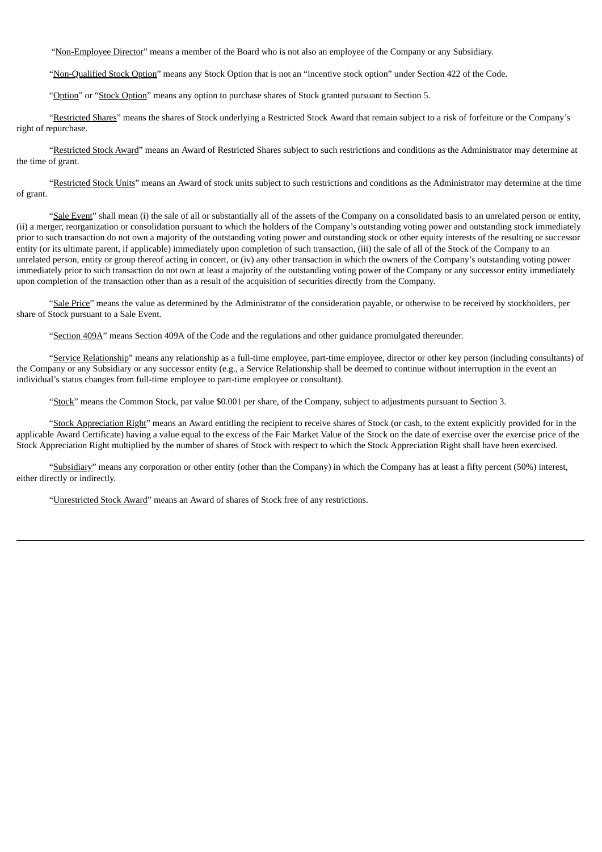"Non-Employee Director" means a member of the Board who is not also an employee of the Company or any Subsidiary.

"Non-Qualified Stock Option" means any Stock Option that is not an "incentive stock option" under Section 422 of the Code.

"Option" or "Stock Option" means any option to purchase shares of Stock granted pursuant to Section 5.

"Restricted Shares" means the shares of Stock underlying a Restricted Stock Award that remain subject to a risk of forfeiture or the Company's right of repurchase.

"Restricted Stock Award" means an Award of Restricted Shares subject to such restrictions and conditions as the Administrator may determine at the time of grant.

"Restricted Stock Units" means an Award of stock units subject to such restrictions and conditions as the Administrator may determine at the time of grant.

"Sale Event" shall mean (i) the sale of all or substantially all of the assets of the Company on a consolidated basis to an unrelated person or entity, (ii) a merger, reorganization or consolidation pursuant to which the holders of the Company's outstanding voting power and outstanding stock immediately prior to such transaction do not own a majority of the outstanding voting power and outstanding stock or other equity interests of the resulting or successor entity (or its ultimate parent, if applicable) immediately upon completion of such transaction, (iii) the sale of all of the Stock of the Company to an unrelated person, entity or group thereof acting in concert, or (iv) any other transaction in which the owners of the Company's outstanding voting power immediately prior to such transaction do not own at least a majority of the outstanding voting power of the Company or any successor entity immediately upon completion of the transaction other than as a result of the acquisition of securities directly from the Company.

"Sale Price" means the value as determined by the Administrator of the consideration payable, or otherwise to be received by stockholders, per share of Stock pursuant to a Sale Event.

"Section 409A" means Section 409A of the Code and the regulations and other guidance promulgated thereunder.

"Service Relationship" means any relationship as a full-time employee, part-time employee, director or other key person (including consultants) of the Company or any Subsidiary or any successor entity (e.g., a Service Relationship shall be deemed to continue without interruption in the event an individual's status changes from full-time employee to part-time employee or consultant).

"Stock" means the Common Stock, par value \$0.001 per share, of the Company, subject to adjustments pursuant to Section 3.

"Stock Appreciation Right" means an Award entitling the recipient to receive shares of Stock (or cash, to the extent explicitly provided for in the applicable Award Certificate) having a value equal to the excess of the Fair Market Value of the Stock on the date of exercise over the exercise price of the Stock Appreciation Right multiplied by the number of shares of Stock with respect to which the Stock Appreciation Right shall have been exercised.

"Subsidiary" means any corporation or other entity (other than the Company) in which the Company has at least a fifty percent (50%) interest, either directly or indirectly.

"Unrestricted Stock Award" means an Award of shares of Stock free of any restrictions.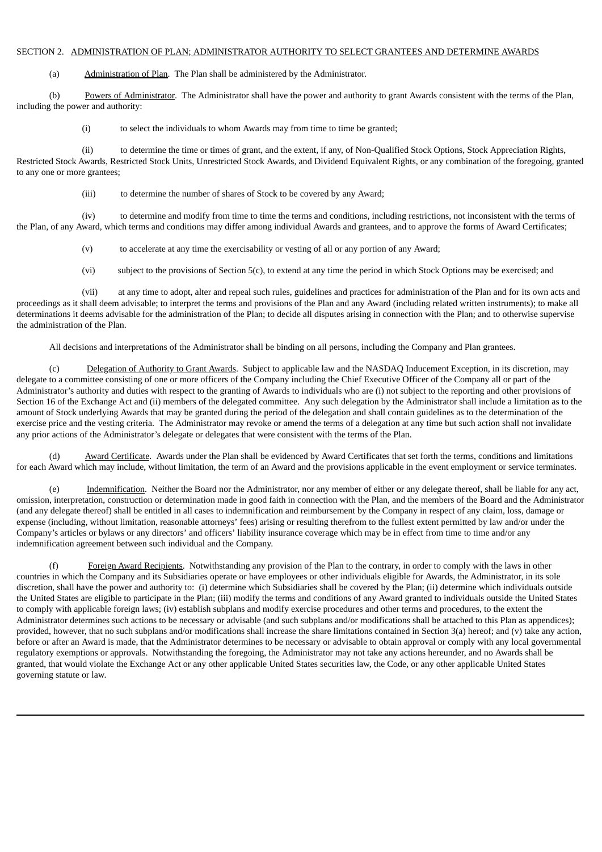#### SECTION 2. ADMINISTRATION OF PLAN; ADMINISTRATOR AUTHORITY TO SELECT GRANTEES AND DETERMINE AWARDS

#### (a) Administration of Plan. The Plan shall be administered by the Administrator.

(b) Powers of Administrator. The Administrator shall have the power and authority to grant Awards consistent with the terms of the Plan, including the power and authority:

(i) to select the individuals to whom Awards may from time to time be granted;

(ii) to determine the time or times of grant, and the extent, if any, of Non-Qualified Stock Options, Stock Appreciation Rights, Restricted Stock Awards, Restricted Stock Units, Unrestricted Stock Awards, and Dividend Equivalent Rights, or any combination of the foregoing, granted to any one or more grantees;

(iii) to determine the number of shares of Stock to be covered by any Award;

(iv) to determine and modify from time to time the terms and conditions, including restrictions, not inconsistent with the terms of the Plan, of any Award, which terms and conditions may differ among individual Awards and grantees, and to approve the forms of Award Certificates;

(v) to accelerate at any time the exercisability or vesting of all or any portion of any Award;

(vi) subject to the provisions of Section 5(c), to extend at any time the period in which Stock Options may be exercised; and

(vii) at any time to adopt, alter and repeal such rules, guidelines and practices for administration of the Plan and for its own acts and proceedings as it shall deem advisable; to interpret the terms and provisions of the Plan and any Award (including related written instruments); to make all determinations it deems advisable for the administration of the Plan; to decide all disputes arising in connection with the Plan; and to otherwise supervise the administration of the Plan.

All decisions and interpretations of the Administrator shall be binding on all persons, including the Company and Plan grantees.

(c) Delegation of Authority to Grant Awards. Subject to applicable law and the NASDAQ Inducement Exception, in its discretion, may delegate to a committee consisting of one or more officers of the Company including the Chief Executive Officer of the Company all or part of the Administrator's authority and duties with respect to the granting of Awards to individuals who are (i) not subject to the reporting and other provisions of Section 16 of the Exchange Act and (ii) members of the delegated committee. Any such delegation by the Administrator shall include a limitation as to the amount of Stock underlying Awards that may be granted during the period of the delegation and shall contain guidelines as to the determination of the exercise price and the vesting criteria. The Administrator may revoke or amend the terms of a delegation at any time but such action shall not invalidate any prior actions of the Administrator's delegate or delegates that were consistent with the terms of the Plan.

(d) Award Certificate. Awards under the Plan shall be evidenced by Award Certificates that set forth the terms, conditions and limitations for each Award which may include, without limitation, the term of an Award and the provisions applicable in the event employment or service terminates.

(e) Indemnification. Neither the Board nor the Administrator, nor any member of either or any delegate thereof, shall be liable for any act, omission, interpretation, construction or determination made in good faith in connection with the Plan, and the members of the Board and the Administrator (and any delegate thereof) shall be entitled in all cases to indemnification and reimbursement by the Company in respect of any claim, loss, damage or expense (including, without limitation, reasonable attorneys' fees) arising or resulting therefrom to the fullest extent permitted by law and/or under the Company's articles or bylaws or any directors' and officers' liability insurance coverage which may be in effect from time to time and/or any indemnification agreement between such individual and the Company.

Foreign Award Recipients. Notwithstanding any provision of the Plan to the contrary, in order to comply with the laws in other countries in which the Company and its Subsidiaries operate or have employees or other individuals eligible for Awards, the Administrator, in its sole discretion, shall have the power and authority to: (i) determine which Subsidiaries shall be covered by the Plan; (ii) determine which individuals outside the United States are eligible to participate in the Plan; (iii) modify the terms and conditions of any Award granted to individuals outside the United States to comply with applicable foreign laws; (iv) establish subplans and modify exercise procedures and other terms and procedures, to the extent the Administrator determines such actions to be necessary or advisable (and such subplans and/or modifications shall be attached to this Plan as appendices); provided, however, that no such subplans and/or modifications shall increase the share limitations contained in Section 3(a) hereof; and (v) take any action, before or after an Award is made, that the Administrator determines to be necessary or advisable to obtain approval or comply with any local governmental regulatory exemptions or approvals. Notwithstanding the foregoing, the Administrator may not take any actions hereunder, and no Awards shall be granted, that would violate the Exchange Act or any other applicable United States securities law, the Code, or any other applicable United States governing statute or law.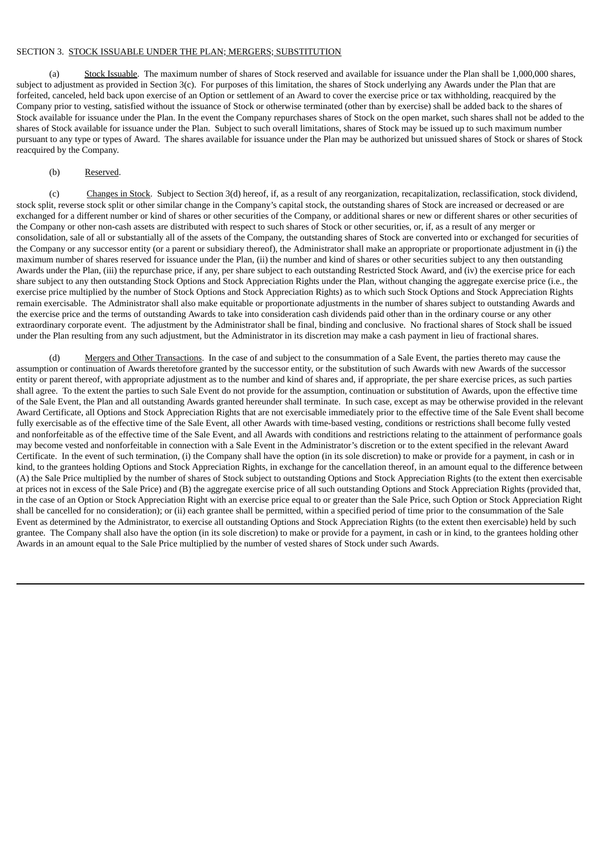# SECTION 3. STOCK ISSUABLE UNDER THE PLAN; MERGERS; SUBSTITUTION

(a) Stock Issuable. The maximum number of shares of Stock reserved and available for issuance under the Plan shall be 1,000,000 shares, subject to adjustment as provided in Section 3(c). For purposes of this limitation, the shares of Stock underlying any Awards under the Plan that are forfeited, canceled, held back upon exercise of an Option or settlement of an Award to cover the exercise price or tax withholding, reacquired by the Company prior to vesting, satisfied without the issuance of Stock or otherwise terminated (other than by exercise) shall be added back to the shares of Stock available for issuance under the Plan. In the event the Company repurchases shares of Stock on the open market, such shares shall not be added to the shares of Stock available for issuance under the Plan. Subject to such overall limitations, shares of Stock may be issued up to such maximum number pursuant to any type or types of Award. The shares available for issuance under the Plan may be authorized but unissued shares of Stock or shares of Stock reacquired by the Company.

## (b) Reserved.

(c) Changes in Stock. Subject to Section 3(d) hereof, if, as a result of any reorganization, recapitalization, reclassification, stock dividend, stock split, reverse stock split or other similar change in the Company's capital stock, the outstanding shares of Stock are increased or decreased or are exchanged for a different number or kind of shares or other securities of the Company, or additional shares or new or different shares or other securities of the Company or other non-cash assets are distributed with respect to such shares of Stock or other securities, or, if, as a result of any merger or consolidation, sale of all or substantially all of the assets of the Company, the outstanding shares of Stock are converted into or exchanged for securities of the Company or any successor entity (or a parent or subsidiary thereof), the Administrator shall make an appropriate or proportionate adjustment in (i) the maximum number of shares reserved for issuance under the Plan, (ii) the number and kind of shares or other securities subject to any then outstanding Awards under the Plan, (iii) the repurchase price, if any, per share subject to each outstanding Restricted Stock Award, and (iv) the exercise price for each share subject to any then outstanding Stock Options and Stock Appreciation Rights under the Plan, without changing the aggregate exercise price (i.e., the exercise price multiplied by the number of Stock Options and Stock Appreciation Rights) as to which such Stock Options and Stock Appreciation Rights remain exercisable. The Administrator shall also make equitable or proportionate adjustments in the number of shares subject to outstanding Awards and the exercise price and the terms of outstanding Awards to take into consideration cash dividends paid other than in the ordinary course or any other extraordinary corporate event. The adjustment by the Administrator shall be final, binding and conclusive. No fractional shares of Stock shall be issued under the Plan resulting from any such adjustment, but the Administrator in its discretion may make a cash payment in lieu of fractional shares.

(d) Mergers and Other Transactions. In the case of and subject to the consummation of a Sale Event, the parties thereto may cause the assumption or continuation of Awards theretofore granted by the successor entity, or the substitution of such Awards with new Awards of the successor entity or parent thereof, with appropriate adjustment as to the number and kind of shares and, if appropriate, the per share exercise prices, as such parties shall agree. To the extent the parties to such Sale Event do not provide for the assumption, continuation or substitution of Awards, upon the effective time of the Sale Event, the Plan and all outstanding Awards granted hereunder shall terminate. In such case, except as may be otherwise provided in the relevant Award Certificate, all Options and Stock Appreciation Rights that are not exercisable immediately prior to the effective time of the Sale Event shall become fully exercisable as of the effective time of the Sale Event, all other Awards with time-based vesting, conditions or restrictions shall become fully vested and nonforfeitable as of the effective time of the Sale Event, and all Awards with conditions and restrictions relating to the attainment of performance goals may become vested and nonforfeitable in connection with a Sale Event in the Administrator's discretion or to the extent specified in the relevant Award Certificate. In the event of such termination, (i) the Company shall have the option (in its sole discretion) to make or provide for a payment, in cash or in kind, to the grantees holding Options and Stock Appreciation Rights, in exchange for the cancellation thereof, in an amount equal to the difference between (A) the Sale Price multiplied by the number of shares of Stock subject to outstanding Options and Stock Appreciation Rights (to the extent then exercisable at prices not in excess of the Sale Price) and (B) the aggregate exercise price of all such outstanding Options and Stock Appreciation Rights (provided that, in the case of an Option or Stock Appreciation Right with an exercise price equal to or greater than the Sale Price, such Option or Stock Appreciation Right shall be cancelled for no consideration); or (ii) each grantee shall be permitted, within a specified period of time prior to the consummation of the Sale Event as determined by the Administrator, to exercise all outstanding Options and Stock Appreciation Rights (to the extent then exercisable) held by such grantee. The Company shall also have the option (in its sole discretion) to make or provide for a payment, in cash or in kind, to the grantees holding other Awards in an amount equal to the Sale Price multiplied by the number of vested shares of Stock under such Awards.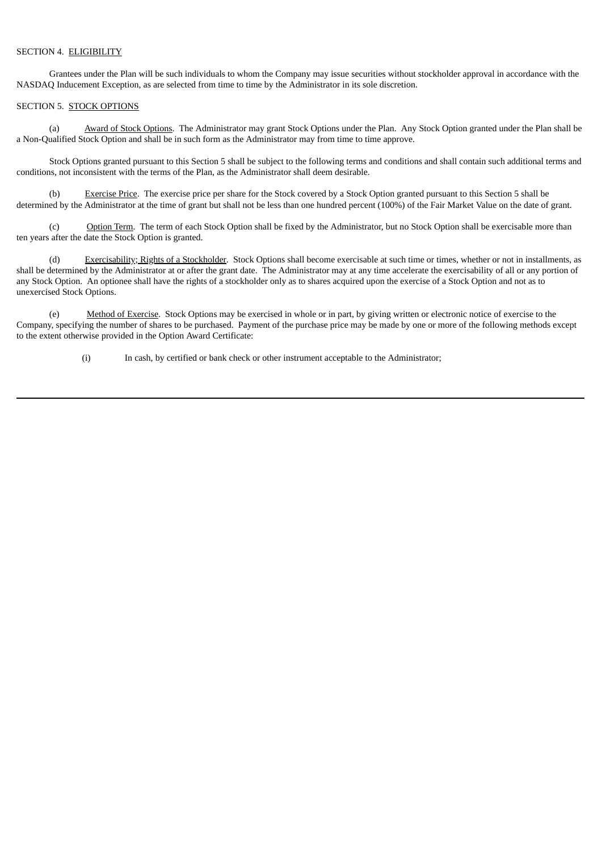## SECTION 4. ELIGIBILITY

Grantees under the Plan will be such individuals to whom the Company may issue securities without stockholder approval in accordance with the NASDAQ Inducement Exception, as are selected from time to time by the Administrator in its sole discretion.

## SECTION 5. STOCK OPTIONS

(a) Award of Stock Options. The Administrator may grant Stock Options under the Plan. Any Stock Option granted under the Plan shall be a Non-Qualified Stock Option and shall be in such form as the Administrator may from time to time approve.

Stock Options granted pursuant to this Section 5 shall be subject to the following terms and conditions and shall contain such additional terms and conditions, not inconsistent with the terms of the Plan, as the Administrator shall deem desirable.

(b) Exercise Price. The exercise price per share for the Stock covered by a Stock Option granted pursuant to this Section 5 shall be determined by the Administrator at the time of grant but shall not be less than one hundred percent (100%) of the Fair Market Value on the date of grant.

(c) Option Term. The term of each Stock Option shall be fixed by the Administrator, but no Stock Option shall be exercisable more than ten years after the date the Stock Option is granted.

(d) Exercisability; Rights of a Stockholder. Stock Options shall become exercisable at such time or times, whether or not in installments, as shall be determined by the Administrator at or after the grant date. The Administrator may at any time accelerate the exercisability of all or any portion of any Stock Option. An optionee shall have the rights of a stockholder only as to shares acquired upon the exercise of a Stock Option and not as to unexercised Stock Options.

(e) Method of Exercise. Stock Options may be exercised in whole or in part, by giving written or electronic notice of exercise to the Company, specifying the number of shares to be purchased. Payment of the purchase price may be made by one or more of the following methods except to the extent otherwise provided in the Option Award Certificate:

(i) In cash, by certified or bank check or other instrument acceptable to the Administrator;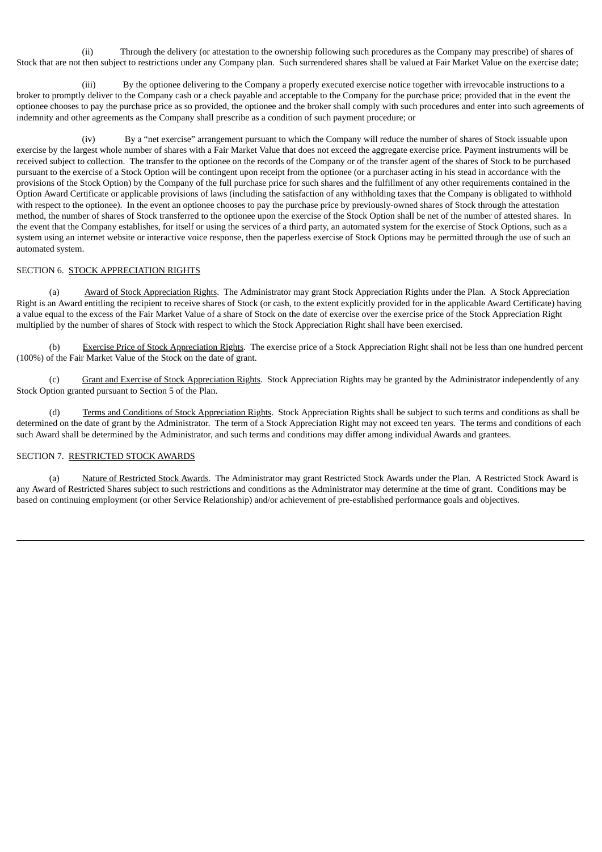(ii) Through the delivery (or attestation to the ownership following such procedures as the Company may prescribe) of shares of Stock that are not then subject to restrictions under any Company plan. Such surrendered shares shall be valued at Fair Market Value on the exercise date;

(iii) By the optionee delivering to the Company a properly executed exercise notice together with irrevocable instructions to a broker to promptly deliver to the Company cash or a check payable and acceptable to the Company for the purchase price; provided that in the event the optionee chooses to pay the purchase price as so provided, the optionee and the broker shall comply with such procedures and enter into such agreements of indemnity and other agreements as the Company shall prescribe as a condition of such payment procedure; or

(iv) By a "net exercise" arrangement pursuant to which the Company will reduce the number of shares of Stock issuable upon exercise by the largest whole number of shares with a Fair Market Value that does not exceed the aggregate exercise price. Payment instruments will be received subject to collection. The transfer to the optionee on the records of the Company or of the transfer agent of the shares of Stock to be purchased pursuant to the exercise of a Stock Option will be contingent upon receipt from the optionee (or a purchaser acting in his stead in accordance with the provisions of the Stock Option) by the Company of the full purchase price for such shares and the fulfillment of any other requirements contained in the Option Award Certificate or applicable provisions of laws (including the satisfaction of any withholding taxes that the Company is obligated to withhold with respect to the optionee). In the event an optionee chooses to pay the purchase price by previously-owned shares of Stock through the attestation method, the number of shares of Stock transferred to the optionee upon the exercise of the Stock Option shall be net of the number of attested shares. In the event that the Company establishes, for itself or using the services of a third party, an automated system for the exercise of Stock Options, such as a system using an internet website or interactive voice response, then the paperless exercise of Stock Options may be permitted through the use of such an automated system.

#### SECTION 6. STOCK APPRECIATION RIGHTS

Award of Stock Appreciation Rights. The Administrator may grant Stock Appreciation Rights under the Plan. A Stock Appreciation Right is an Award entitling the recipient to receive shares of Stock (or cash, to the extent explicitly provided for in the applicable Award Certificate) having a value equal to the excess of the Fair Market Value of a share of Stock on the date of exercise over the exercise price of the Stock Appreciation Right multiplied by the number of shares of Stock with respect to which the Stock Appreciation Right shall have been exercised.

(b) Exercise Price of Stock Appreciation Rights. The exercise price of a Stock Appreciation Right shall not be less than one hundred percent (100%) of the Fair Market Value of the Stock on the date of grant.

Grant and Exercise of Stock Appreciation Rights. Stock Appreciation Rights may be granted by the Administrator independently of any Stock Option granted pursuant to Section 5 of the Plan.

(d) Terms and Conditions of Stock Appreciation Rights. Stock Appreciation Rights shall be subject to such terms and conditions as shall be determined on the date of grant by the Administrator. The term of a Stock Appreciation Right may not exceed ten years. The terms and conditions of each such Award shall be determined by the Administrator, and such terms and conditions may differ among individual Awards and grantees.

#### SECTION 7. RESTRICTED STOCK AWARDS

(a) Nature of Restricted Stock Awards. The Administrator may grant Restricted Stock Awards under the Plan. A Restricted Stock Award is any Award of Restricted Shares subject to such restrictions and conditions as the Administrator may determine at the time of grant. Conditions may be based on continuing employment (or other Service Relationship) and/or achievement of pre-established performance goals and objectives.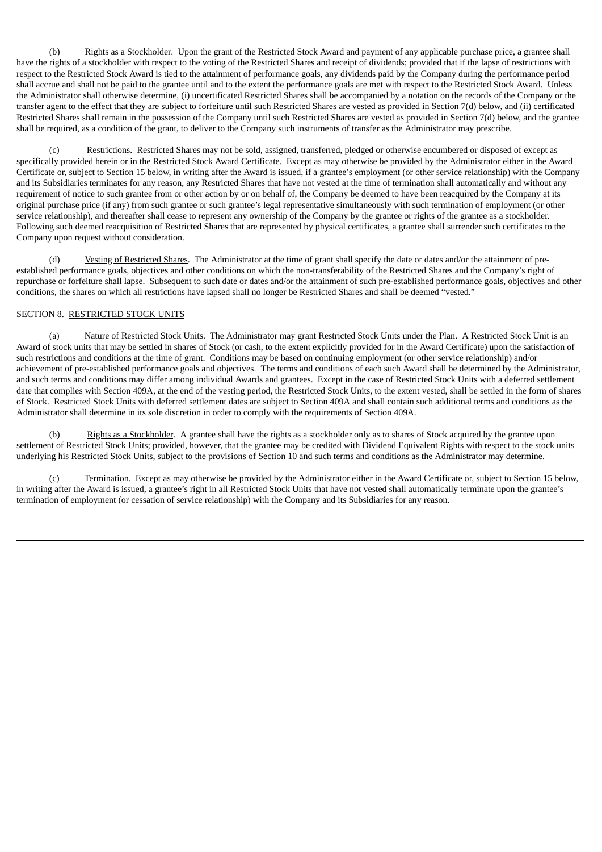(b) Rights as a Stockholder. Upon the grant of the Restricted Stock Award and payment of any applicable purchase price, a grantee shall have the rights of a stockholder with respect to the voting of the Restricted Shares and receipt of dividends; provided that if the lapse of restrictions with respect to the Restricted Stock Award is tied to the attainment of performance goals, any dividends paid by the Company during the performance period shall accrue and shall not be paid to the grantee until and to the extent the performance goals are met with respect to the Restricted Stock Award. Unless the Administrator shall otherwise determine, (i) uncertificated Restricted Shares shall be accompanied by a notation on the records of the Company or the transfer agent to the effect that they are subject to forfeiture until such Restricted Shares are vested as provided in Section 7(d) below, and (ii) certificated Restricted Shares shall remain in the possession of the Company until such Restricted Shares are vested as provided in Section 7(d) below, and the grantee shall be required, as a condition of the grant, to deliver to the Company such instruments of transfer as the Administrator may prescribe.

Restrictions. Restricted Shares may not be sold, assigned, transferred, pledged or otherwise encumbered or disposed of except as specifically provided herein or in the Restricted Stock Award Certificate. Except as may otherwise be provided by the Administrator either in the Award Certificate or, subject to Section 15 below, in writing after the Award is issued, if a grantee's employment (or other service relationship) with the Company and its Subsidiaries terminates for any reason, any Restricted Shares that have not vested at the time of termination shall automatically and without any requirement of notice to such grantee from or other action by or on behalf of, the Company be deemed to have been reacquired by the Company at its original purchase price (if any) from such grantee or such grantee's legal representative simultaneously with such termination of employment (or other service relationship), and thereafter shall cease to represent any ownership of the Company by the grantee or rights of the grantee as a stockholder. Following such deemed reacquisition of Restricted Shares that are represented by physical certificates, a grantee shall surrender such certificates to the Company upon request without consideration.

(d) Vesting of Restricted Shares. The Administrator at the time of grant shall specify the date or dates and/or the attainment of preestablished performance goals, objectives and other conditions on which the non-transferability of the Restricted Shares and the Company's right of repurchase or forfeiture shall lapse. Subsequent to such date or dates and/or the attainment of such pre-established performance goals, objectives and other conditions, the shares on which all restrictions have lapsed shall no longer be Restricted Shares and shall be deemed "vested."

## SECTION 8. RESTRICTED STOCK UNITS

(a) Nature of Restricted Stock Units. The Administrator may grant Restricted Stock Units under the Plan. A Restricted Stock Unit is an Award of stock units that may be settled in shares of Stock (or cash, to the extent explicitly provided for in the Award Certificate) upon the satisfaction of such restrictions and conditions at the time of grant. Conditions may be based on continuing employment (or other service relationship) and/or achievement of pre-established performance goals and objectives. The terms and conditions of each such Award shall be determined by the Administrator, and such terms and conditions may differ among individual Awards and grantees. Except in the case of Restricted Stock Units with a deferred settlement date that complies with Section 409A, at the end of the vesting period, the Restricted Stock Units, to the extent vested, shall be settled in the form of shares of Stock. Restricted Stock Units with deferred settlement dates are subject to Section 409A and shall contain such additional terms and conditions as the Administrator shall determine in its sole discretion in order to comply with the requirements of Section 409A.

(b) Rights as a Stockholder. A grantee shall have the rights as a stockholder only as to shares of Stock acquired by the grantee upon settlement of Restricted Stock Units; provided, however, that the grantee may be credited with Dividend Equivalent Rights with respect to the stock units underlying his Restricted Stock Units, subject to the provisions of Section 10 and such terms and conditions as the Administrator may determine.

(c) Termination. Except as may otherwise be provided by the Administrator either in the Award Certificate or, subject to Section 15 below, in writing after the Award is issued, a grantee's right in all Restricted Stock Units that have not vested shall automatically terminate upon the grantee's termination of employment (or cessation of service relationship) with the Company and its Subsidiaries for any reason.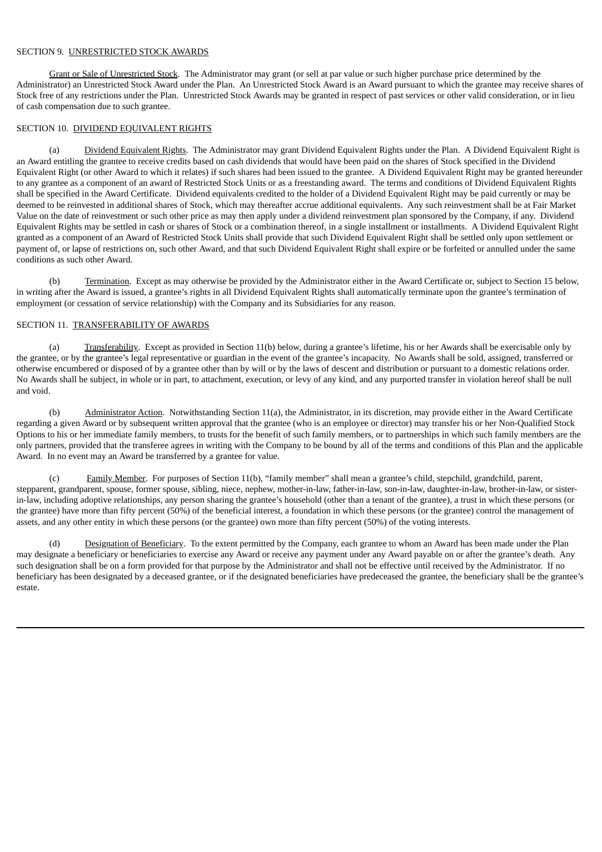#### SECTION 9. UNRESTRICTED STOCK AWARDS

Grant or Sale of Unrestricted Stock. The Administrator may grant (or sell at par value or such higher purchase price determined by the Administrator) an Unrestricted Stock Award under the Plan. An Unrestricted Stock Award is an Award pursuant to which the grantee may receive shares of Stock free of any restrictions under the Plan. Unrestricted Stock Awards may be granted in respect of past services or other valid consideration, or in lieu of cash compensation due to such grantee.

## SECTION 10. DIVIDEND EQUIVALENT RIGHTS

(a) Dividend Equivalent Rights. The Administrator may grant Dividend Equivalent Rights under the Plan. A Dividend Equivalent Right is an Award entitling the grantee to receive credits based on cash dividends that would have been paid on the shares of Stock specified in the Dividend Equivalent Right (or other Award to which it relates) if such shares had been issued to the grantee. A Dividend Equivalent Right may be granted hereunder to any grantee as a component of an award of Restricted Stock Units or as a freestanding award. The terms and conditions of Dividend Equivalent Rights shall be specified in the Award Certificate. Dividend equivalents credited to the holder of a Dividend Equivalent Right may be paid currently or may be deemed to be reinvested in additional shares of Stock, which may thereafter accrue additional equivalents. Any such reinvestment shall be at Fair Market Value on the date of reinvestment or such other price as may then apply under a dividend reinvestment plan sponsored by the Company, if any. Dividend Equivalent Rights may be settled in cash or shares of Stock or a combination thereof, in a single installment or installments. A Dividend Equivalent Right granted as a component of an Award of Restricted Stock Units shall provide that such Dividend Equivalent Right shall be settled only upon settlement or payment of, or lapse of restrictions on, such other Award, and that such Dividend Equivalent Right shall expire or be forfeited or annulled under the same conditions as such other Award.

(b) Termination. Except as may otherwise be provided by the Administrator either in the Award Certificate or, subject to Section 15 below, in writing after the Award is issued, a grantee's rights in all Dividend Equivalent Rights shall automatically terminate upon the grantee's termination of employment (or cessation of service relationship) with the Company and its Subsidiaries for any reason.

#### SECTION 11. TRANSFERABILITY OF AWARDS

(a) Transferability. Except as provided in Section 11(b) below, during a grantee's lifetime, his or her Awards shall be exercisable only by the grantee, or by the grantee's legal representative or guardian in the event of the grantee's incapacity. No Awards shall be sold, assigned, transferred or otherwise encumbered or disposed of by a grantee other than by will or by the laws of descent and distribution or pursuant to a domestic relations order. No Awards shall be subject, in whole or in part, to attachment, execution, or levy of any kind, and any purported transfer in violation hereof shall be null and void.

(b) Administrator Action. Notwithstanding Section 11(a), the Administrator, in its discretion, may provide either in the Award Certificate regarding a given Award or by subsequent written approval that the grantee (who is an employee or director) may transfer his or her Non-Qualified Stock Options to his or her immediate family members, to trusts for the benefit of such family members, or to partnerships in which such family members are the only partners, provided that the transferee agrees in writing with the Company to be bound by all of the terms and conditions of this Plan and the applicable Award. In no event may an Award be transferred by a grantee for value.

(c) Family Member. For purposes of Section 11(b), "family member" shall mean a grantee's child, stepchild, grandchild, parent, stepparent, grandparent, spouse, former spouse, sibling, niece, nephew, mother-in-law, father-in-law, son-in-law, daughter-in-law, brother-in-law, or sisterin-law, including adoptive relationships, any person sharing the grantee's household (other than a tenant of the grantee), a trust in which these persons (or the grantee) have more than fifty percent (50%) of the beneficial interest, a foundation in which these persons (or the grantee) control the management of assets, and any other entity in which these persons (or the grantee) own more than fifty percent (50%) of the voting interests.

(d) Designation of Beneficiary. To the extent permitted by the Company, each grantee to whom an Award has been made under the Plan may designate a beneficiary or beneficiaries to exercise any Award or receive any payment under any Award payable on or after the grantee's death. Any such designation shall be on a form provided for that purpose by the Administrator and shall not be effective until received by the Administrator. If no beneficiary has been designated by a deceased grantee, or if the designated beneficiaries have predeceased the grantee, the beneficiary shall be the grantee's estate.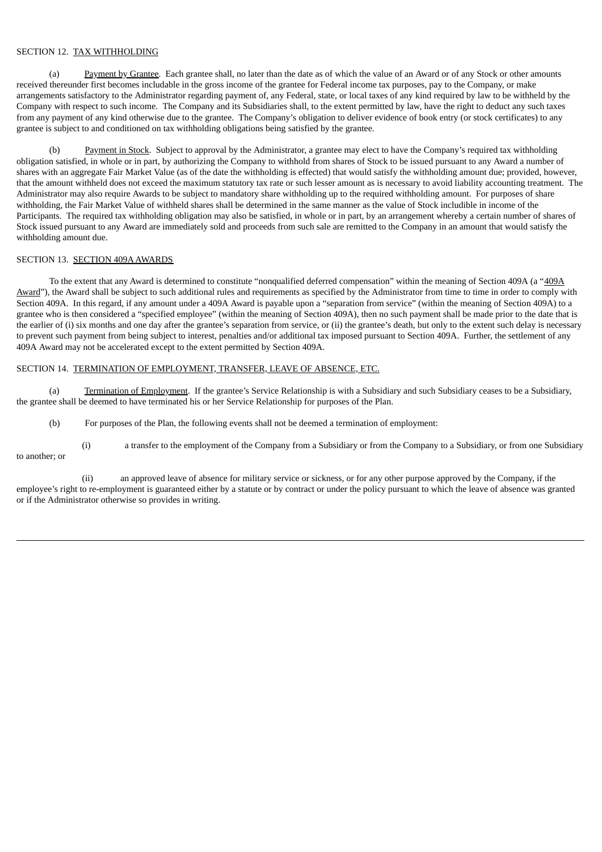#### SECTION 12. TAX WITHHOLDING

(a) Payment by Grantee. Each grantee shall, no later than the date as of which the value of an Award or of any Stock or other amounts received thereunder first becomes includable in the gross income of the grantee for Federal income tax purposes, pay to the Company, or make arrangements satisfactory to the Administrator regarding payment of, any Federal, state, or local taxes of any kind required by law to be withheld by the Company with respect to such income. The Company and its Subsidiaries shall, to the extent permitted by law, have the right to deduct any such taxes from any payment of any kind otherwise due to the grantee. The Company's obligation to deliver evidence of book entry (or stock certificates) to any grantee is subject to and conditioned on tax withholding obligations being satisfied by the grantee.

(b) Payment in Stock. Subject to approval by the Administrator, a grantee may elect to have the Company's required tax withholding obligation satisfied, in whole or in part, by authorizing the Company to withhold from shares of Stock to be issued pursuant to any Award a number of shares with an aggregate Fair Market Value (as of the date the withholding is effected) that would satisfy the withholding amount due; provided, however, that the amount withheld does not exceed the maximum statutory tax rate or such lesser amount as is necessary to avoid liability accounting treatment. The Administrator may also require Awards to be subject to mandatory share withholding up to the required withholding amount. For purposes of share withholding, the Fair Market Value of withheld shares shall be determined in the same manner as the value of Stock includible in income of the Participants. The required tax withholding obligation may also be satisfied, in whole or in part, by an arrangement whereby a certain number of shares of Stock issued pursuant to any Award are immediately sold and proceeds from such sale are remitted to the Company in an amount that would satisfy the withholding amount due.

# SECTION 13. SECTION 409AAWARDS

To the extent that any Award is determined to constitute "nonqualified deferred compensation" within the meaning of Section 409A (a "409A Award"), the Award shall be subject to such additional rules and requirements as specified by the Administrator from time to time in order to comply with Section 409A. In this regard, if any amount under a 409A Award is payable upon a "separation from service" (within the meaning of Section 409A) to a grantee who is then considered a "specified employee" (within the meaning of Section 409A), then no such payment shall be made prior to the date that is the earlier of (i) six months and one day after the grantee's separation from service, or (ii) the grantee's death, but only to the extent such delay is necessary to prevent such payment from being subject to interest, penalties and/or additional tax imposed pursuant to Section 409A. Further, the settlement of any 409A Award may not be accelerated except to the extent permitted by Section 409A.

#### SECTION 14. TERMINATION OF EMPLOYMENT, TRANSFER, LEAVE OF ABSENCE, ETC.

(a) Termination of Employment. If the grantee's Service Relationship is with a Subsidiary and such Subsidiary ceases to be a Subsidiary, the grantee shall be deemed to have terminated his or her Service Relationship for purposes of the Plan.

(b) For purposes of the Plan, the following events shall not be deemed a termination of employment:

to another; or

(i) a transfer to the employment of the Company from a Subsidiary or from the Company to a Subsidiary, or from one Subsidiary

(ii) an approved leave of absence for military service or sickness, or for any other purpose approved by the Company, if the employee's right to re-employment is guaranteed either by a statute or by contract or under the policy pursuant to which the leave of absence was granted or if the Administrator otherwise so provides in writing.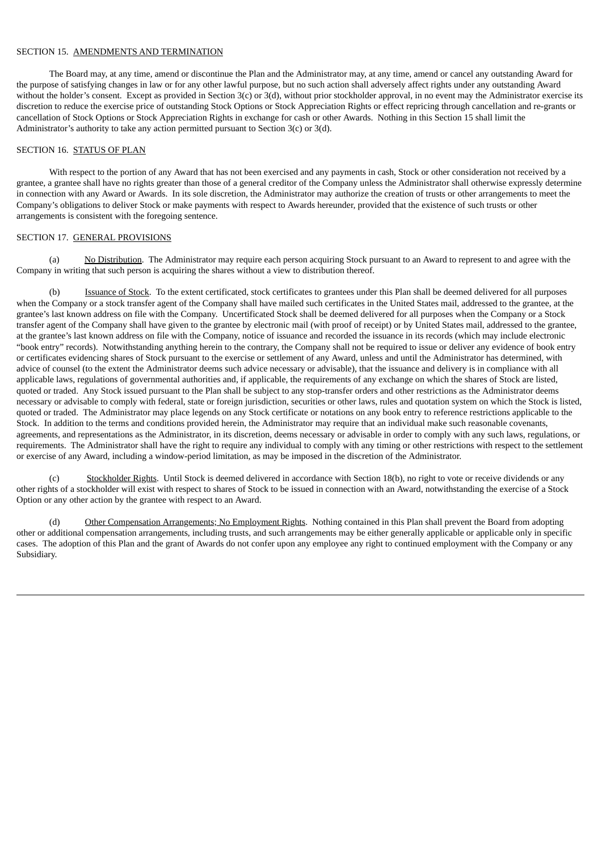#### SECTION 15. AMENDMENTS AND TERMINATION

The Board may, at any time, amend or discontinue the Plan and the Administrator may, at any time, amend or cancel any outstanding Award for the purpose of satisfying changes in law or for any other lawful purpose, but no such action shall adversely affect rights under any outstanding Award without the holder's consent. Except as provided in Section 3(c) or 3(d), without prior stockholder approval, in no event may the Administrator exercise its discretion to reduce the exercise price of outstanding Stock Options or Stock Appreciation Rights or effect repricing through cancellation and re-grants or cancellation of Stock Options or Stock Appreciation Rights in exchange for cash or other Awards. Nothing in this Section 15 shall limit the Administrator's authority to take any action permitted pursuant to Section 3(c) or 3(d).

#### SECTION 16. STATUS OF PLAN

With respect to the portion of any Award that has not been exercised and any payments in cash, Stock or other consideration not received by a grantee, a grantee shall have no rights greater than those of a general creditor of the Company unless the Administrator shall otherwise expressly determine in connection with any Award or Awards. In its sole discretion, the Administrator may authorize the creation of trusts or other arrangements to meet the Company's obligations to deliver Stock or make payments with respect to Awards hereunder, provided that the existence of such trusts or other arrangements is consistent with the foregoing sentence.

#### SECTION 17. GENERAL PROVISIONS

(a) No Distribution. The Administrator may require each person acquiring Stock pursuant to an Award to represent to and agree with the Company in writing that such person is acquiring the shares without a view to distribution thereof.

Issuance of Stock. To the extent certificated, stock certificates to grantees under this Plan shall be deemed delivered for all purposes when the Company or a stock transfer agent of the Company shall have mailed such certificates in the United States mail, addressed to the grantee, at the grantee's last known address on file with the Company. Uncertificated Stock shall be deemed delivered for all purposes when the Company or a Stock transfer agent of the Company shall have given to the grantee by electronic mail (with proof of receipt) or by United States mail, addressed to the grantee, at the grantee's last known address on file with the Company, notice of issuance and recorded the issuance in its records (which may include electronic "book entry" records). Notwithstanding anything herein to the contrary, the Company shall not be required to issue or deliver any evidence of book entry or certificates evidencing shares of Stock pursuant to the exercise or settlement of any Award, unless and until the Administrator has determined, with advice of counsel (to the extent the Administrator deems such advice necessary or advisable), that the issuance and delivery is in compliance with all applicable laws, regulations of governmental authorities and, if applicable, the requirements of any exchange on which the shares of Stock are listed, quoted or traded. Any Stock issued pursuant to the Plan shall be subject to any stop-transfer orders and other restrictions as the Administrator deems necessary or advisable to comply with federal, state or foreign jurisdiction, securities or other laws, rules and quotation system on which the Stock is listed, quoted or traded. The Administrator may place legends on any Stock certificate or notations on any book entry to reference restrictions applicable to the Stock. In addition to the terms and conditions provided herein, the Administrator may require that an individual make such reasonable covenants, agreements, and representations as the Administrator, in its discretion, deems necessary or advisable in order to comply with any such laws, regulations, or requirements. The Administrator shall have the right to require any individual to comply with any timing or other restrictions with respect to the settlement or exercise of any Award, including a window-period limitation, as may be imposed in the discretion of the Administrator.

(c) Stockholder Rights. Until Stock is deemed delivered in accordance with Section 18(b), no right to vote or receive dividends or any other rights of a stockholder will exist with respect to shares of Stock to be issued in connection with an Award, notwithstanding the exercise of a Stock Option or any other action by the grantee with respect to an Award.

Other Compensation Arrangements; No Employment Rights. Nothing contained in this Plan shall prevent the Board from adopting other or additional compensation arrangements, including trusts, and such arrangements may be either generally applicable or applicable only in specific cases. The adoption of this Plan and the grant of Awards do not confer upon any employee any right to continued employment with the Company or any Subsidiary.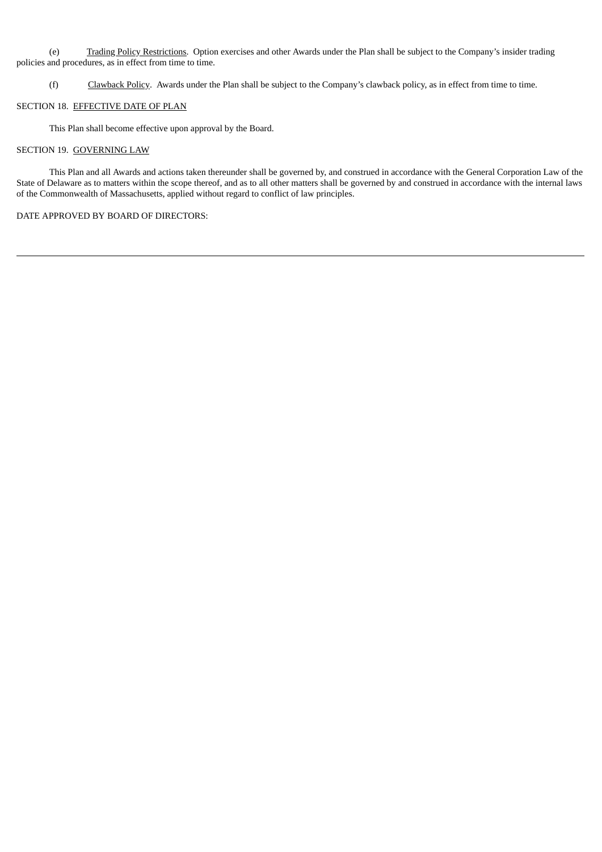(e) Trading Policy Restrictions. Option exercises and other Awards under the Plan shall be subject to the Company's insider trading policies and procedures, as in effect from time to time.

(f) Clawback Policy. Awards under the Plan shall be subject to the Company's clawback policy, as in effect from time to time.

## SECTION 18. EFFECTIVE DATE OF PLAN

This Plan shall become effective upon approval by the Board.

### SECTION 19. GOVERNING LAW

This Plan and all Awards and actions taken thereunder shall be governed by, and construed in accordance with the General Corporation Law of the State of Delaware as to matters within the scope thereof, and as to all other matters shall be governed by and construed in accordance with the internal laws of the Commonwealth of Massachusetts, applied without regard to conflict of law principles.

DATE APPROVED BY BOARD OF DIRECTORS: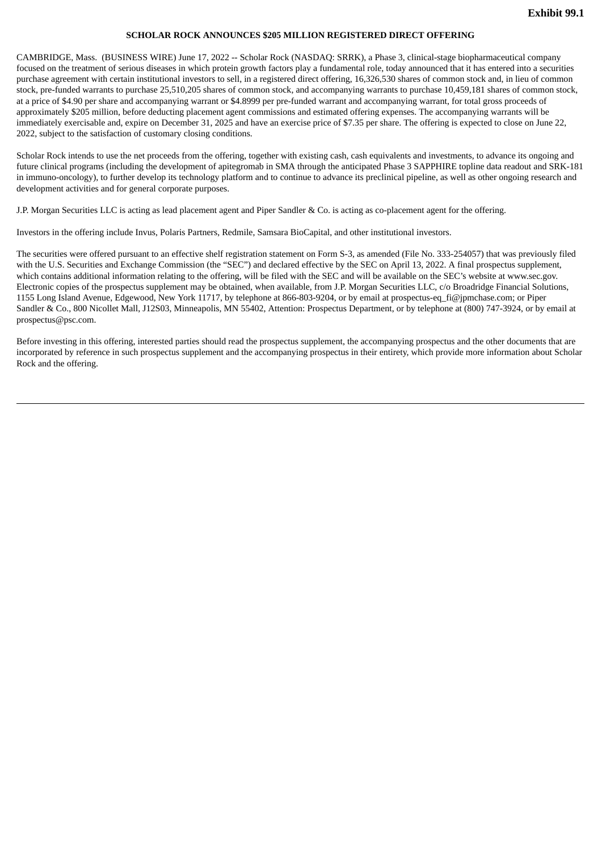## **SCHOLAR ROCK ANNOUNCES \$205 MILLION REGISTERED DIRECT OFFERING**

CAMBRIDGE, Mass. (BUSINESS WIRE) June 17, 2022 -- Scholar Rock (NASDAQ: SRRK), a Phase 3, clinical-stage biopharmaceutical company focused on the treatment of serious diseases in which protein growth factors play a fundamental role, today announced that it has entered into a securities purchase agreement with certain institutional investors to sell, in a registered direct offering, 16,326,530 shares of common stock and, in lieu of common stock, pre-funded warrants to purchase 25,510,205 shares of common stock, and accompanying warrants to purchase 10,459,181 shares of common stock, at a price of \$4.90 per share and accompanying warrant or \$4.8999 per pre-funded warrant and accompanying warrant, for total gross proceeds of approximately \$205 million, before deducting placement agent commissions and estimated offering expenses. The accompanying warrants will be immediately exercisable and, expire on December 31, 2025 and have an exercise price of \$7.35 per share. The offering is expected to close on June 22, 2022, subject to the satisfaction of customary closing conditions.

Scholar Rock intends to use the net proceeds from the offering, together with existing cash, cash equivalents and investments, to advance its ongoing and future clinical programs (including the development of apitegromab in SMA through the anticipated Phase 3 SAPPHIRE topline data readout and SRK-181 in immuno-oncology), to further develop its technology platform and to continue to advance its preclinical pipeline, as well as other ongoing research and development activities and for general corporate purposes.

J.P. Morgan Securities LLC is acting as lead placement agent and Piper Sandler & Co. is acting as co-placement agent for the offering.

Investors in the offering include Invus, Polaris Partners, Redmile, Samsara BioCapital, and other institutional investors.

The securities were offered pursuant to an effective shelf registration statement on Form S-3, as amended (File No. 333-254057) that was previously filed with the U.S. Securities and Exchange Commission (the "SEC") and declared effective by the SEC on April 13, 2022. A final prospectus supplement, which contains additional information relating to the offering, will be filed with the SEC and will be available on the SEC's website at www.sec.gov. Electronic copies of the prospectus supplement may be obtained, when available, from J.P. Morgan Securities LLC, c/o Broadridge Financial Solutions, 1155 Long Island Avenue, Edgewood, New York 11717, by telephone at 866-803-9204, or by email at prospectus-eq\_fi@jpmchase.com; or Piper Sandler & Co., 800 Nicollet Mall, J12S03, Minneapolis, MN 55402, Attention: Prospectus Department, or by telephone at (800) 747-3924, or by email at prospectus@psc.com.

Before investing in this offering, interested parties should read the prospectus supplement, the accompanying prospectus and the other documents that are incorporated by reference in such prospectus supplement and the accompanying prospectus in their entirety, which provide more information about Scholar Rock and the offering.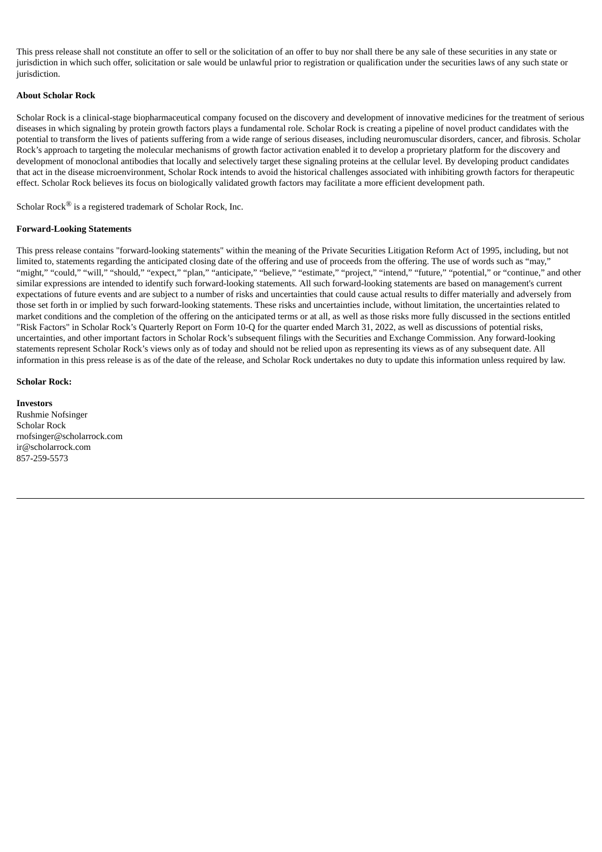This press release shall not constitute an offer to sell or the solicitation of an offer to buy nor shall there be any sale of these securities in any state or jurisdiction in which such offer, solicitation or sale would be unlawful prior to registration or qualification under the securities laws of any such state or jurisdiction.

## **About Scholar Rock**

Scholar Rock is a clinical-stage biopharmaceutical company focused on the discovery and development of innovative medicines for the treatment of serious diseases in which signaling by protein growth factors plays a fundamental role. Scholar Rock is creating a pipeline of novel product candidates with the potential to transform the lives of patients suffering from a wide range of serious diseases, including neuromuscular disorders, cancer, and fibrosis. Scholar Rock's approach to targeting the molecular mechanisms of growth factor activation enabled it to develop a proprietary platform for the discovery and development of monoclonal antibodies that locally and selectively target these signaling proteins at the cellular level. By developing product candidates that act in the disease microenvironment, Scholar Rock intends to avoid the historical challenges associated with inhibiting growth factors for therapeutic effect. Scholar Rock believes its focus on biologically validated growth factors may facilitate a more efficient development path.

Scholar  $Rock^{\circledR}$  is a registered trademark of Scholar Rock, Inc.

## **Forward-Looking Statements**

This press release contains "forward-looking statements" within the meaning of the Private Securities Litigation Reform Act of 1995, including, but not limited to, statements regarding the anticipated closing date of the offering and use of proceeds from the offering. The use of words such as "may," "might," "could," "will," "should," "expect," "plan," "anticipate," "believe," "estimate," "project," "intend," "future," "potential," or "continue," and other similar expressions are intended to identify such forward-looking statements. All such forward-looking statements are based on management's current expectations of future events and are subject to a number of risks and uncertainties that could cause actual results to differ materially and adversely from those set forth in or implied by such forward-looking statements. These risks and uncertainties include, without limitation, the uncertainties related to market conditions and the completion of the offering on the anticipated terms or at all, as well as those risks more fully discussed in the sections entitled "Risk Factors" in Scholar Rock's Quarterly Report on Form 10-Q for the quarter ended March 31, 2022, as well as discussions of potential risks, uncertainties, and other important factors in Scholar Rock's subsequent filings with the Securities and Exchange Commission. Any forward-looking statements represent Scholar Rock's views only as of today and should not be relied upon as representing its views as of any subsequent date. All information in this press release is as of the date of the release, and Scholar Rock undertakes no duty to update this information unless required by law.

# **Scholar Rock:**

**Investors** Rushmie Nofsinger Scholar Rock rnofsinger@scholarrock.com ir@scholarrock.com 857-259-5573